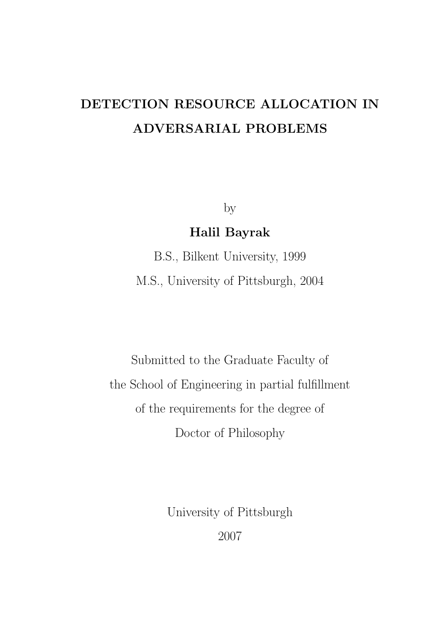# DETECTION RESOURCE ALLOCATION IN ADVERSARIAL PROBLEMS

by

## Halil Bayrak

B.S., Bilkent University, 1999 M.S., University of Pittsburgh, 2004

Submitted to the Graduate Faculty of the School of Engineering in partial fulfillment of the requirements for the degree of Doctor of Philosophy

> University of Pittsburgh 2007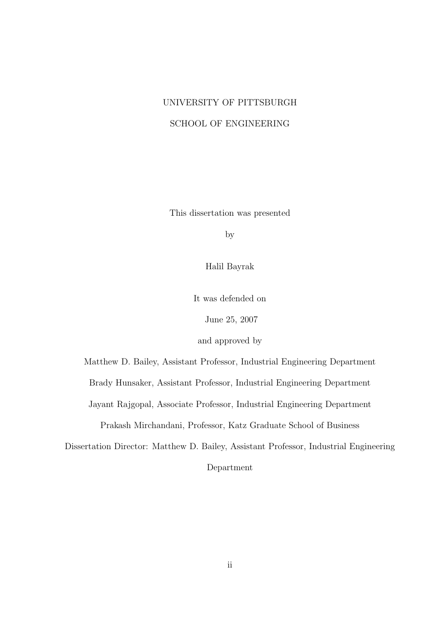## UNIVERSITY OF PITTSBURGH SCHOOL OF ENGINEERING

This dissertation was presented

by

Halil Bayrak

It was defended on

June 25, 2007

and approved by

Matthew D. Bailey, Assistant Professor, Industrial Engineering Department

Brady Hunsaker, Assistant Professor, Industrial Engineering Department

Jayant Rajgopal, Associate Professor, Industrial Engineering Department

Prakash Mirchandani, Professor, Katz Graduate School of Business

Dissertation Director: Matthew D. Bailey, Assistant Professor, Industrial Engineering

Department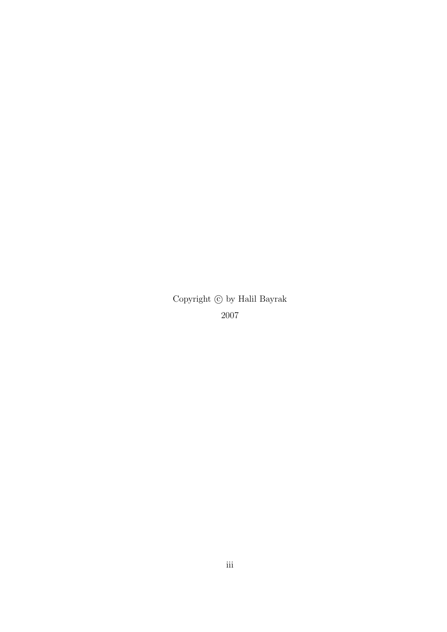Copyright  $\copyright$  by Halil Bayrak 2007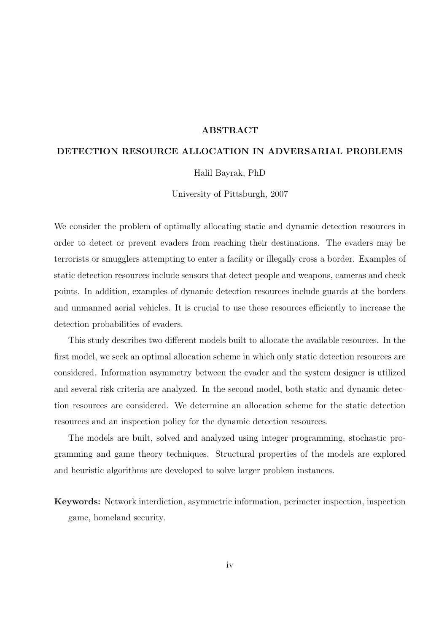#### ABSTRACT

#### DETECTION RESOURCE ALLOCATION IN ADVERSARIAL PROBLEMS

Halil Bayrak, PhD

University of Pittsburgh, 2007

We consider the problem of optimally allocating static and dynamic detection resources in order to detect or prevent evaders from reaching their destinations. The evaders may be terrorists or smugglers attempting to enter a facility or illegally cross a border. Examples of static detection resources include sensors that detect people and weapons, cameras and check points. In addition, examples of dynamic detection resources include guards at the borders and unmanned aerial vehicles. It is crucial to use these resources efficiently to increase the detection probabilities of evaders.

This study describes two different models built to allocate the available resources. In the first model, we seek an optimal allocation scheme in which only static detection resources are considered. Information asymmetry between the evader and the system designer is utilized and several risk criteria are analyzed. In the second model, both static and dynamic detection resources are considered. We determine an allocation scheme for the static detection resources and an inspection policy for the dynamic detection resources.

The models are built, solved and analyzed using integer programming, stochastic programming and game theory techniques. Structural properties of the models are explored and heuristic algorithms are developed to solve larger problem instances.

Keywords: Network interdiction, asymmetric information, perimeter inspection, inspection game, homeland security.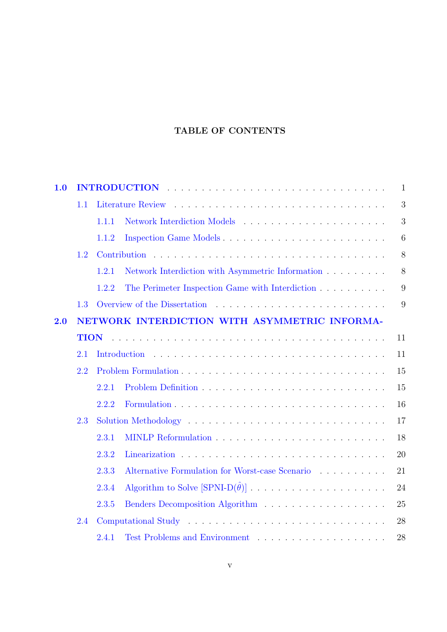## TABLE OF CONTENTS

| 1.0 | $\mathbf{1}$ |                                                                |  |  |  |
|-----|--------------|----------------------------------------------------------------|--|--|--|
|     | 1.1          | 3                                                              |  |  |  |
|     |              | 3<br>1.1.1                                                     |  |  |  |
|     |              | Inspection Game Models<br>6<br>1.1.2                           |  |  |  |
|     | 1.2          | 8                                                              |  |  |  |
|     |              | Network Interdiction with Asymmetric Information<br>8<br>1.2.1 |  |  |  |
|     |              | The Perimeter Inspection Game with Interdiction<br>9<br>1.2.2  |  |  |  |
|     | 1.3          | 9                                                              |  |  |  |
| 2.0 |              | NETWORK INTERDICTION WITH ASYMMETRIC INFORMA-                  |  |  |  |
|     | <b>TION</b>  | 11                                                             |  |  |  |
|     | 2.1          | 11                                                             |  |  |  |
|     | 2.2          | 15                                                             |  |  |  |
|     |              | 15<br>2.2.1                                                    |  |  |  |
|     |              | 16<br>2.2.2                                                    |  |  |  |
|     | 2.3          | 17                                                             |  |  |  |
|     |              | 18<br>2.3.1                                                    |  |  |  |
|     |              | 2.3.2<br>20                                                    |  |  |  |
|     |              | Alternative Formulation for Worst-case Scenario<br>21<br>2.3.3 |  |  |  |
|     |              | 24<br>2.3.4                                                    |  |  |  |
|     |              | 2.3.5<br>25                                                    |  |  |  |
|     | 2.4          | 28                                                             |  |  |  |
|     |              | 28<br>2.4.1                                                    |  |  |  |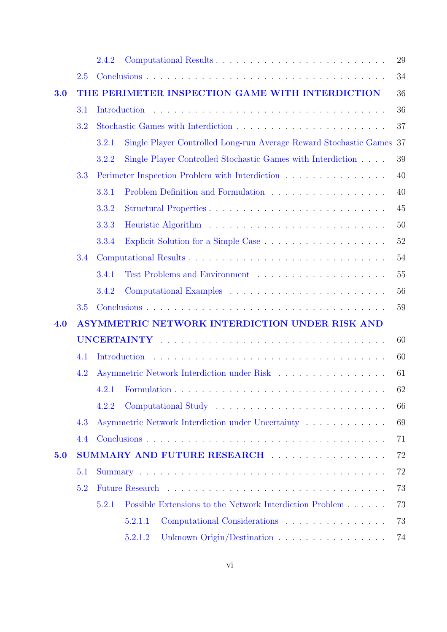|     |                                                 | 2.4.2 |                                                                   | 29 |  |
|-----|-------------------------------------------------|-------|-------------------------------------------------------------------|----|--|
|     | 2.5                                             |       |                                                                   | 34 |  |
| 3.0 | THE PERIMETER INSPECTION GAME WITH INTERDICTION |       |                                                                   |    |  |
|     | 3.1                                             |       | Introduction                                                      | 36 |  |
|     | 3.2                                             |       |                                                                   | 37 |  |
|     |                                                 | 3.2.1 | Single Player Controlled Long-run Average Reward Stochastic Games | 37 |  |
|     |                                                 | 3.2.2 | Single Player Controlled Stochastic Games with Interdiction       | 39 |  |
|     | 3.3                                             |       | Perimeter Inspection Problem with Interdiction                    | 40 |  |
|     |                                                 | 3.3.1 | Problem Definition and Formulation                                | 40 |  |
|     |                                                 | 3.3.2 |                                                                   | 45 |  |
|     |                                                 | 3.3.3 |                                                                   | 50 |  |
|     |                                                 | 3.3.4 |                                                                   | 52 |  |
|     | 3.4                                             |       |                                                                   | 54 |  |
|     |                                                 | 3.4.1 |                                                                   | 55 |  |
|     |                                                 | 3.4.2 |                                                                   | 56 |  |
|     | 3.5                                             |       |                                                                   | 59 |  |
| 4.0 | ASYMMETRIC NETWORK INTERDICTION UNDER RISK AND  |       |                                                                   |    |  |
|     |                                                 |       |                                                                   | 60 |  |
|     | 4.1                                             |       | Introduction                                                      | 60 |  |
|     | 4.2                                             |       |                                                                   | 61 |  |
|     |                                                 |       |                                                                   | 62 |  |
|     |                                                 | 4.2.2 |                                                                   | 66 |  |
|     | 4.3                                             |       | Asymmetric Network Interdiction under Uncertainty                 | 69 |  |
|     | 4.4                                             |       |                                                                   | 71 |  |
| 5.0 |                                                 |       | SUMMARY AND FUTURE RESEARCH                                       | 72 |  |
|     | 5.1                                             |       |                                                                   |    |  |
|     | 5.2                                             |       |                                                                   | 73 |  |
|     |                                                 | 5.2.1 | Possible Extensions to the Network Interdiction Problem           | 73 |  |
|     |                                                 |       | 5.2.1.1                                                           | 73 |  |
|     |                                                 |       | Unknown Origin/Destination<br>5.2.1.2                             | 74 |  |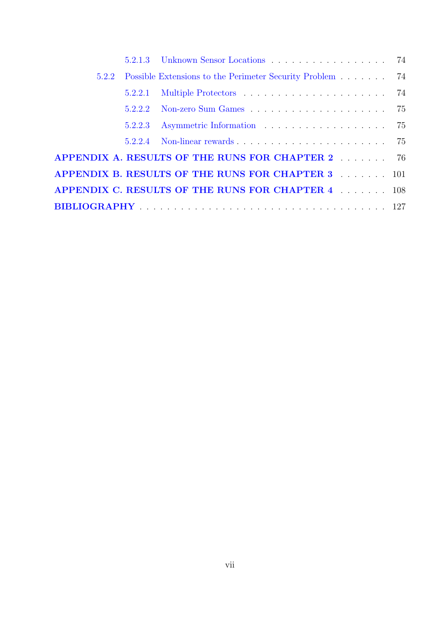| 5.2.2 |         | Possible Extensions to the Perimeter Security Problem 74 |  |
|-------|---------|----------------------------------------------------------|--|
|       | 5.2.2.1 |                                                          |  |
|       |         |                                                          |  |
|       | 5.2.2.3 |                                                          |  |
|       |         |                                                          |  |
|       |         | APPENDIX A. RESULTS OF THE RUNS FOR CHAPTER 2 76         |  |
|       |         | APPENDIX B. RESULTS OF THE RUNS FOR CHAPTER 3 101        |  |
|       |         | APPENDIX C. RESULTS OF THE RUNS FOR CHAPTER 4 108        |  |
|       |         |                                                          |  |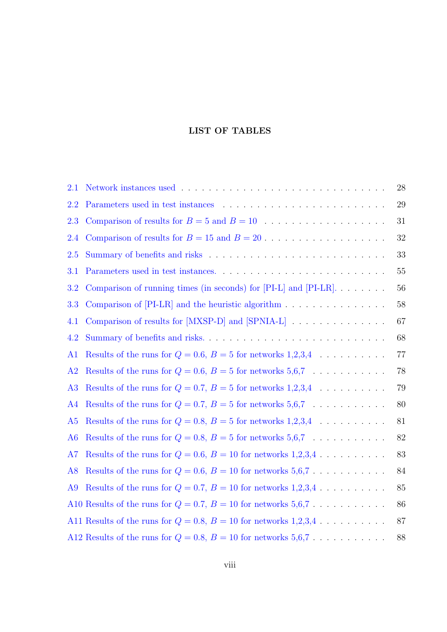### LIST OF TABLES

| 2.1            |                                                                       | 28     |
|----------------|-----------------------------------------------------------------------|--------|
| 2.2            |                                                                       | 29     |
| 2.3            |                                                                       | 31     |
| 2.4            |                                                                       | $32\,$ |
| 2.5            |                                                                       | 33     |
| 3.1            |                                                                       | 55     |
| 3.2            | Comparison of running times (in seconds) for $[PI-L]$ and $[PI-LR]$   | $56\,$ |
| 3.3            |                                                                       | $58\,$ |
| 4.1            | Comparison of results for [MXSP-D] and [SPNIA-L]                      | 67     |
| 4.2            | Summary of benefits and risks                                         | 68     |
| A <sub>1</sub> | Results of the runs for $Q = 0.6$ , $B = 5$ for networks 1,2,3,4      | 77     |
| A2             | Results of the runs for $Q = 0.6$ , $B = 5$ for networks 5,6,7        | 78     |
| A <sub>3</sub> | Results of the runs for $Q = 0.7$ , $B = 5$ for networks 1,2,3,4      | 79     |
| A4             | Results of the runs for $Q = 0.7$ , $B = 5$ for networks 5,6,7        | 80     |
| A <sub>5</sub> | Results of the runs for $Q = 0.8$ , $B = 5$ for networks 1,2,3,4      | 81     |
| A6             | Results of the runs for $Q = 0.8$ , $B = 5$ for networks 5,6,7        | 82     |
| A7             | Results of the runs for $Q = 0.6$ , $B = 10$ for networks 1,2,3,4     | 83     |
| A8             | Results of the runs for $Q = 0.6$ , $B = 10$ for networks 5,6,7       | 84     |
| A <sub>9</sub> | Results of the runs for $Q = 0.7$ , $B = 10$ for networks 1,2,3,4     | 85     |
|                | A10 Results of the runs for $Q = 0.7$ , $B = 10$ for networks 5,6,7   | 86     |
|                | A11 Results of the runs for $Q = 0.8$ , $B = 10$ for networks 1,2,3,4 | 87     |
|                | A12 Results of the runs for $Q = 0.8$ , $B = 10$ for networks 5,6,7   | 88     |
|                |                                                                       |        |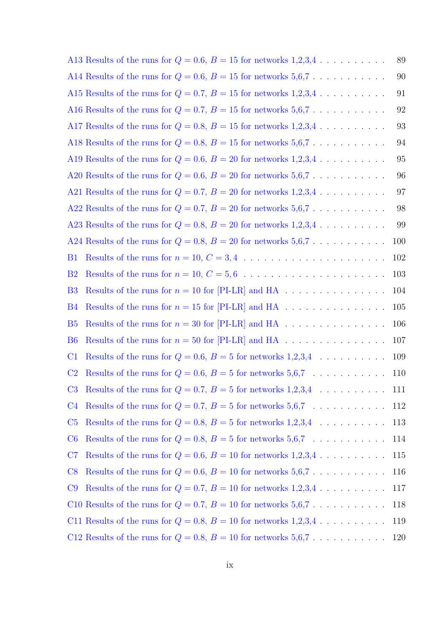|                | A13 Results of the runs for $Q = 0.6$ , $B = 15$ for networks 1,2,3,4 | 89         |
|----------------|-----------------------------------------------------------------------|------------|
|                | A14 Results of the runs for $Q = 0.6$ , $B = 15$ for networks 5,6,7   | 90         |
|                | A15 Results of the runs for $Q = 0.7$ , $B = 15$ for networks 1,2,3,4 | 91         |
|                | A16 Results of the runs for $Q = 0.7$ , $B = 15$ for networks 5,6,7   | 92         |
|                | A17 Results of the runs for $Q = 0.8$ , $B = 15$ for networks 1,2,3,4 | 93         |
|                | A18 Results of the runs for $Q = 0.8$ , $B = 15$ for networks 5,6,7   | 94         |
|                | A19 Results of the runs for $Q = 0.6$ , $B = 20$ for networks 1,2,3,4 | 95         |
|                | A20 Results of the runs for $Q = 0.6$ , $B = 20$ for networks 5,6,7   | 96         |
|                | A21 Results of the runs for $Q = 0.7$ , $B = 20$ for networks 1,2,3,4 | 97         |
|                | A22 Results of the runs for $Q = 0.7$ , $B = 20$ for networks 5,6,7   | 98         |
|                | A23 Results of the runs for $Q = 0.8$ , $B = 20$ for networks 1,2,3,4 | 99         |
|                | A24 Results of the runs for $Q = 0.8$ , $B = 20$ for networks 5,6,7   | 100        |
| B <sub>1</sub> |                                                                       | 102        |
| B <sub>2</sub> |                                                                       | 103        |
| B <sub>3</sub> | Results of the runs for $n = 10$ for [PI-LR] and HA                   | 104        |
| B <sub>4</sub> |                                                                       | 105        |
| B <sub>5</sub> |                                                                       | 106        |
| B <sub>6</sub> | Results of the runs for $n = 50$ for [PI-LR] and HA                   | 107        |
| C <sub>1</sub> | Results of the runs for $Q = 0.6$ , $B = 5$ for networks 1,2,3,4      | 109        |
| C <sub>2</sub> | Results of the runs for $Q = 0.6$ , $B = 5$ for networks 5,6,7        | <b>110</b> |
|                | C3 Results of the runs for $Q = 0.7$ , $B = 5$ for networks 1,2,3,4   | 111        |
| C <sub>4</sub> | Results of the runs for $Q = 0.7$ , $B = 5$ for networks 5,6,7        | 112        |
| C <sub>5</sub> | Results of the runs for $Q = 0.8$ , $B = 5$ for networks 1,2,3,4      | 113        |
| C6             | Results of the runs for $Q = 0.8$ , $B = 5$ for networks 5,6,7        | 114        |
| C7             | Results of the runs for $Q = 0.6$ , $B = 10$ for networks 1,2,3,4     | 115        |
| C8             | Results of the runs for $Q = 0.6$ , $B = 10$ for networks 5,6,7       | 116        |
| C9             | Results of the runs for $Q = 0.7$ , $B = 10$ for networks 1,2,3,4     | 117        |
|                |                                                                       | 118        |
|                | C11 Results of the runs for $Q = 0.8$ , $B = 10$ for networks 1,2,3,4 | 119        |
|                | C12 Results of the runs for $Q = 0.8$ , $B = 10$ for networks 5,6,7   | 120        |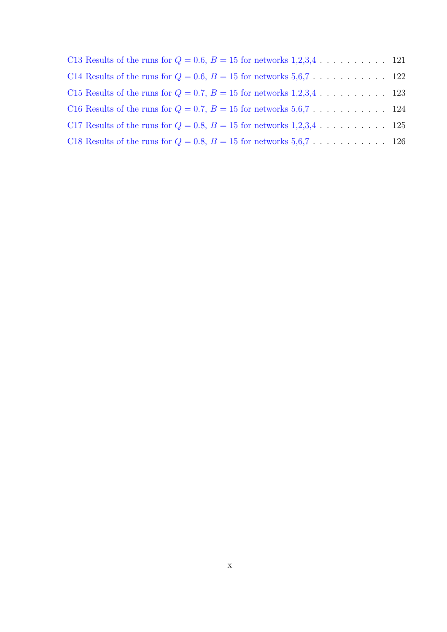| C13 Results of the runs for $Q = 0.6$ , $B = 15$ for networks 1,2,3,4 121 |  |
|---------------------------------------------------------------------------|--|
|                                                                           |  |
| C15 Results of the runs for $Q = 0.7$ , $B = 15$ for networks 1,2,3,4 123 |  |
|                                                                           |  |
| C17 Results of the runs for $Q = 0.8$ , $B = 15$ for networks 1,2,3,4 125 |  |
|                                                                           |  |
|                                                                           |  |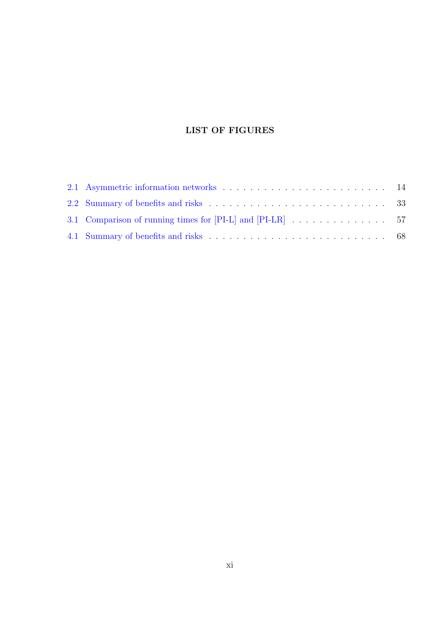## LIST OF FIGURES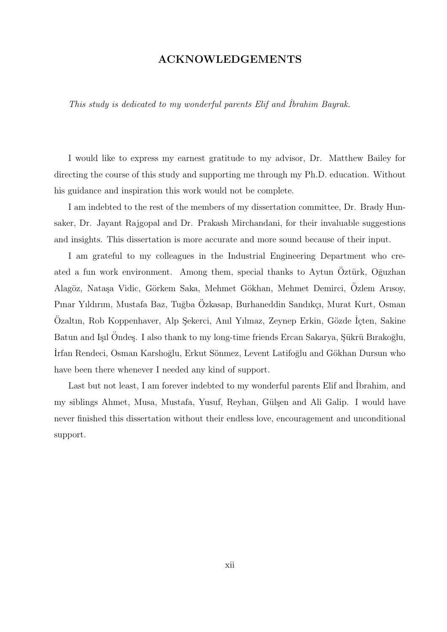### ACKNOWLEDGEMENTS

This study is dedicated to my wonderful parents Elif and ˙Ibrahim Bayrak.

I would like to express my earnest gratitude to my advisor, Dr. Matthew Bailey for directing the course of this study and supporting me through my Ph.D. education. Without his guidance and inspiration this work would not be complete.

I am indebted to the rest of the members of my dissertation committee, Dr. Brady Hunsaker, Dr. Jayant Rajgopal and Dr. Prakash Mirchandani, for their invaluable suggestions and insights. This dissertation is more accurate and more sound because of their input.

I am grateful to my colleagues in the Industrial Engineering Department who created a fun work environment. Among them, special thanks to Aytun Oztürk, Oguzhan Alagöz, Nataşa Vidic, Görkem Saka, Mehmet Gökhan, Mehmet Demirci, Ozlem Arısoy, Pınar Yıldırım, Mustafa Baz, Tuğba Özkasap, Burhaneddin Sandıkçı, Murat Kurt, Osman Özaltın, Rob Koppenhaver, Alp Şekerci, Anıl Yılmaz, Zeynep Erkin, Gözde İçten, Sakine Batun and I<sub>sil</sub> Ondes. I also thank to my long-time friends Ercan Sakarya, Sükrü Bırakoğlu, Irfan Rendeci, Osman Karslıoğlu, Erkut Sönmez, Levent Latifoğlu and Gökhan Dursun who have been there whenever I needed any kind of support.

Last but not least, I am forever indebted to my wonderful parents Elif and Ibrahim, and my siblings Ahmet, Musa, Mustafa, Yusuf, Reyhan, Gülşen and Ali Galip. I would have never finished this dissertation without their endless love, encouragement and unconditional support.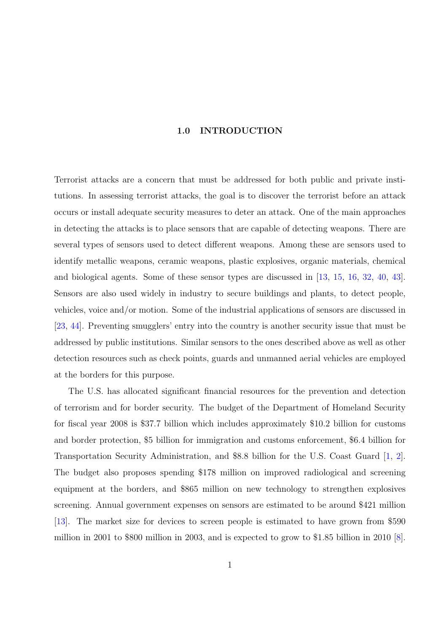#### 1.0 INTRODUCTION

<span id="page-12-0"></span>Terrorist attacks are a concern that must be addressed for both public and private institutions. In assessing terrorist attacks, the goal is to discover the terrorist before an attack occurs or install adequate security measures to deter an attack. One of the main approaches in detecting the attacks is to place sensors that are capable of detecting weapons. There are several types of sensors used to detect different weapons. Among these are sensors used to identify metallic weapons, ceramic weapons, plastic explosives, organic materials, chemical and biological agents. Some of these sensor types are discussed in [13, 15, 16, 32, 40, 43]. Sensors are also used widely in industry to secure buildings and plants, to detect people, vehicles, voice and/or motion. Some of the industrial applications of [sen](#page-139-0)s[ors](#page-139-0) [are](#page-139-0) [discussed in](#page-140-0) [23, 44]. Preventing smugglers' entry into the country is another security issue that must be addressed by public institutions. Similar sensors to the ones described above as well as other [det](#page-139-0)[ectio](#page-140-0)n resources such as check points, guards and unmanned aerial vehicles are employed at the borders for this purpose.

The U.S. has allocated significant financial resources for the prevention and detection of terrorism and for border security. The budget of the Department of Homeland Security for fiscal year 2008 is \$37.7 billion which includes approximately \$10.2 billion for customs and border protection, \$5 billion for immigration and customs enforcement, \$6.4 billion for Transportation Security Administration, and \$8.8 billion for the U.S. Coast Guard [1, 2]. The budget also proposes spending \$178 million on improved radiological and screening equipment at the borders, and \$865 million on new technology to strengthen expl[osive](#page-138-0)s screening. Annual government expenses on sensors are estimated to be around \$421 million [13]. The market size for devices to screen people is estimated to have grown from \$590 million in 2001 to \$800 million in 2003, and is expected to grow to \$1.85 billion in 2010 [8].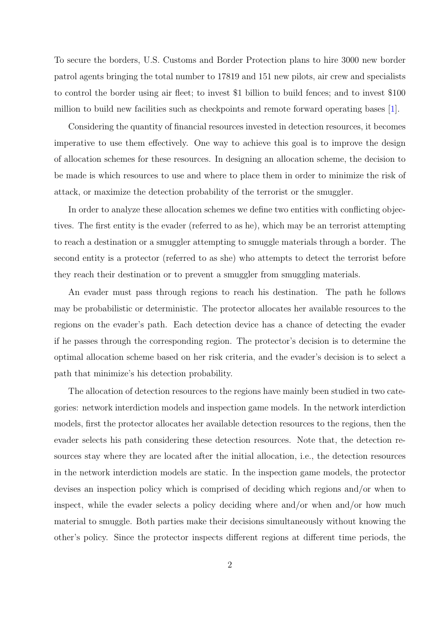To secure the borders, U.S. Customs and Border Protection plans to hire 3000 new border patrol agents bringing the total number to 17819 and 151 new pilots, air crew and specialists to control the border using air fleet; to invest \$1 billion to build fences; and to invest \$100 million to build new facilities such as checkpoints and remote forward operating bases [1].

Considering the quantity of financial resources invested in detection resources, it becomes imperative to use them effectively. One way to achieve this goal is to improve the d[esi](#page-138-0)gn of allocation schemes for these resources. In designing an allocation scheme, the decision to be made is which resources to use and where to place them in order to minimize the risk of attack, or maximize the detection probability of the terrorist or the smuggler.

In order to analyze these allocation schemes we define two entities with conflicting objectives. The first entity is the evader (referred to as he), which may be an terrorist attempting to reach a destination or a smuggler attempting to smuggle materials through a border. The second entity is a protector (referred to as she) who attempts to detect the terrorist before they reach their destination or to prevent a smuggler from smuggling materials.

An evader must pass through regions to reach his destination. The path he follows may be probabilistic or deterministic. The protector allocates her available resources to the regions on the evader's path. Each detection device has a chance of detecting the evader if he passes through the corresponding region. The protector's decision is to determine the optimal allocation scheme based on her risk criteria, and the evader's decision is to select a path that minimize's his detection probability.

The allocation of detection resources to the regions have mainly been studied in two categories: network interdiction models and inspection game models. In the network interdiction models, first the protector allocates her available detection resources to the regions, then the evader selects his path considering these detection resources. Note that, the detection resources stay where they are located after the initial allocation, i.e., the detection resources in the network interdiction models are static. In the inspection game models, the protector devises an inspection policy which is comprised of deciding which regions and/or when to inspect, while the evader selects a policy deciding where and/or when and/or how much material to smuggle. Both parties make their decisions simultaneously without knowing the other's policy. Since the protector inspects different regions at different time periods, the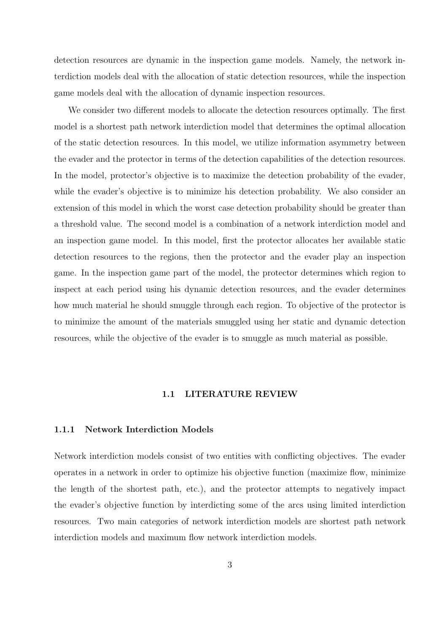<span id="page-14-0"></span>detection resources are dynamic in the inspection game models. Namely, the network interdiction models deal with the allocation of static detection resources, while the inspection game models deal with the allocation of dynamic inspection resources.

We consider two different models to allocate the detection resources optimally. The first model is a shortest path network interdiction model that determines the optimal allocation of the static detection resources. In this model, we utilize information asymmetry between the evader and the protector in terms of the detection capabilities of the detection resources. In the model, protector's objective is to maximize the detection probability of the evader, while the evader's objective is to minimize his detection probability. We also consider an extension of this model in which the worst case detection probability should be greater than a threshold value. The second model is a combination of a network interdiction model and an inspection game model. In this model, first the protector allocates her available static detection resources to the regions, then the protector and the evader play an inspection game. In the inspection game part of the model, the protector determines which region to inspect at each period using his dynamic detection resources, and the evader determines how much material he should smuggle through each region. To objective of the protector is to minimize the amount of the materials smuggled using her static and dynamic detection resources, while the objective of the evader is to smuggle as much material as possible.

#### 1.1 LITERATURE REVIEW

#### 1.1.1 Network Interdiction Models

Network interdiction models consist of two entities with conflicting objectives. The evader operates in a network in order to optimize his objective function (maximize flow, minimize the length of the shortest path, etc.), and the protector attempts to negatively impact the evader's objective function by interdicting some of the arcs using limited interdiction resources. Two main categories of network interdiction models are shortest path network interdiction models and maximum flow network interdiction models.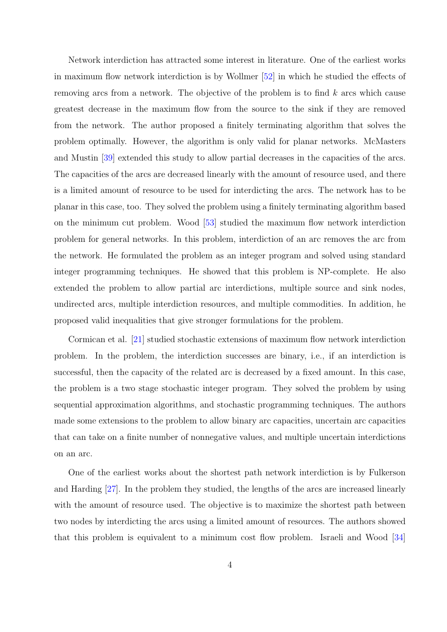Network interdiction has attracted some interest in literature. One of the earliest works in maximum flow network interdiction is by Wollmer [52] in which he studied the effects of removing arcs from a network. The objective of the problem is to find  $k$  arcs which cause greatest decrease in the maximum flow from the so[urce](#page-141-0) to the sink if they are removed from the network. The author proposed a finitely terminating algorithm that solves the problem optimally. However, the algorithm is only valid for planar networks. McMasters and Mustin [39] extended this study to allow partial decreases in the capacities of the arcs. The capacities of the arcs are decreased linearly with the amount of resource used, and there is a limited [amo](#page-140-0)unt of resource to be used for interdicting the arcs. The network has to be planar in this case, too. They solved the problem using a finitely terminating algorithm based on the minimum cut problem. Wood [53] studied the maximum flow network interdiction problem for general networks. In this problem, interdiction of an arc removes the arc from the network. He formulated the probl[em](#page-141-0) as an integer program and solved using standard integer programming techniques. He showed that this problem is NP-complete. He also extended the problem to allow partial arc interdictions, multiple source and sink nodes, undirected arcs, multiple interdiction resources, and multiple commodities. In addition, he proposed valid inequalities that give stronger formulations for the problem.

Cormican et al. [21] studied stochastic extensions of maximum flow network interdiction problem. In the problem, the interdiction successes are binary, i.e., if an interdiction is successful, then the [cap](#page-139-0)acity of the related arc is decreased by a fixed amount. In this case, the problem is a two stage stochastic integer program. They solved the problem by using sequential approximation algorithms, and stochastic programming techniques. The authors made some extensions to the problem to allow binary arc capacities, uncertain arc capacities that can take on a finite number of nonnegative values, and multiple uncertain interdictions on an arc.

One of the earliest works about the shortest path network interdiction is by Fulkerson and Harding [27]. In the problem they studied, the lengths of the arcs are increased linearly with the amount of resource used. The objective is to maximize the shortest path between two nodes by [int](#page-139-0)erdicting the arcs using a limited amount of resources. The authors showed that this problem is equivalent to a minimum cost flow problem. Israeli and Wood [34]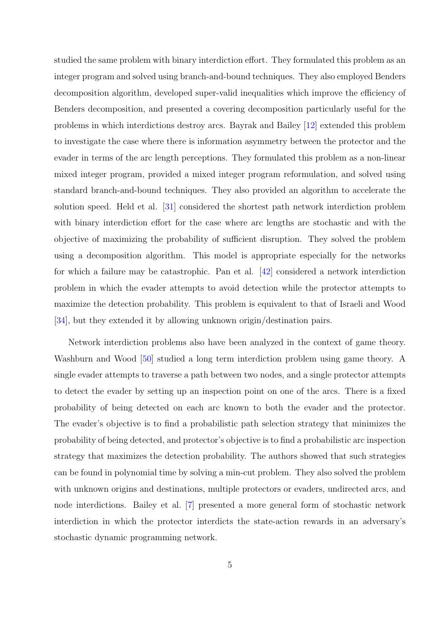studied the same problem with binary interdiction effort. They formulated this problem as an integer program and solved using branch-and-bound techniques. They also employed Benders decomposition algorithm, developed super-valid inequalities which improve the efficiency of Benders decomposition, and presented a covering decomposition particularly useful for the problems in which interdictions destroy arcs. Bayrak and Bailey [12] extended this problem to investigate the case where there is information asymmetry between the protector and the evader in terms of the arc length perceptions. They formulated t[his p](#page-138-0)roblem as a non-linear mixed integer program, provided a mixed integer program reformulation, and solved using standard branch-and-bound techniques. They also provided an algorithm to accelerate the solution speed. Held et al. [31] considered the shortest path network interdiction problem with binary interdiction effort for the case where arc lengths are stochastic and with the objective of maximizing the [pr](#page-140-0)obability of sufficient disruption. They solved the problem using a decomposition algorithm. This model is appropriate especially for the networks for which a failure may be catastrophic. Pan et al. [42] considered a network interdiction problem in which the evader attempts to avoid detection while the protector attempts to maximize the detection probability. This problem is [equ](#page-140-0)ivalent to that of Israeli and Wood [34], but they extended it by allowing unknown origin/destination pairs.

Network interdiction problems also have been analyzed in the context of game theory. [Wa](#page-140-0)shburn and Wood [50] studied a long term interdiction problem using game theory. A single evader attempts to traverse a path between two nodes, and a single protector attempts to detect the evader b[y se](#page-141-0)tting up an inspection point on one of the arcs. There is a fixed probability of being detected on each arc known to both the evader and the protector. The evader's objective is to find a probabilistic path selection strategy that minimizes the probability of being detected, and protector's objective is to find a probabilistic arc inspection strategy that maximizes the detection probability. The authors showed that such strategies can be found in polynomial time by solving a min-cut problem. They also solved the problem with unknown origins and destinations, multiple protectors or evaders, undirected arcs, and node interdictions. Bailey et al. [7] presented a more general form of stochastic network interdiction in which the protector interdicts the state-action rewards in an adversary's stochastic dynamic programming [ne](#page-138-0)twork.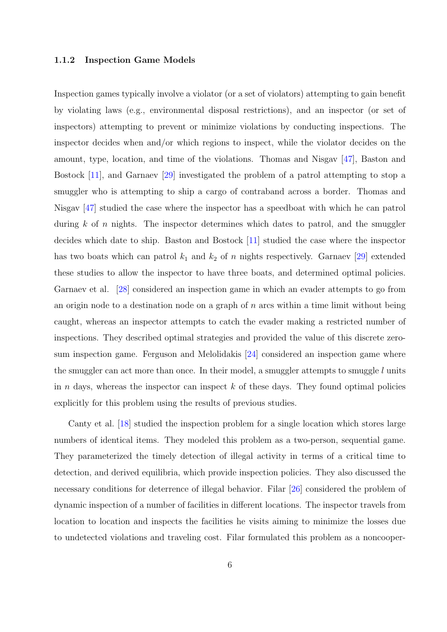#### <span id="page-17-0"></span>1.1.2 Inspection Game Models

Inspection games typically involve a violator (or a set of violators) attempting to gain benefit by violating laws (e.g., environmental disposal restrictions), and an inspector (or set of inspectors) attempting to prevent or minimize violations by conducting inspections. The inspector decides when and/or which regions to inspect, while the violator decides on the amount, type, location, and time of the violations. Thomas and Nisgav [47], Baston and Bostock [11], and Garnaev [29] investigated the problem of a patrol attempting to stop a smuggler who is attempting to ship a cargo of contraband across a bord[er.](#page-141-0) Thomas and Nisgav [4[7\] s](#page-138-0)tudied the case [wh](#page-139-0)ere the inspector has a speedboat with which he can patrol during  $k$  of n nights. The inspector determines which dates to patrol, and the smuggler decides [wh](#page-141-0)ich date to ship. Baston and Bostock [11] studied the case where the inspector has two boats which can patrol  $k_1$  and  $k_2$  of n nights respectively. Garnaev [29] extended these studies to allow the inspector to have three [bo](#page-138-0)ats, and determined optimal policies. Garnaev et al. [28] considered an inspection game in which an evader attemp[ts t](#page-139-0)o go from an origin node to a destination node on a graph of  $n$  arcs within a time limit without being caught, whereas [an](#page-139-0) inspector attempts to catch the evader making a restricted number of inspections. They described optimal strategies and provided the value of this discrete zerosum inspection game. Ferguson and Melolidakis [24] considered an inspection game where the smuggler can act more than once. In their model, a smuggler attempts to smuggle  $l$  units in n days, whereas [th](#page-139-0)e inspector can inspect  $k$  of these days. They found optimal policies explicitly for this problem using the results of previous studies.

Canty et al. [18] studied the inspection problem for a single location which stores large numbers of identical items. They modeled this problem as a two-person, sequential game. They parameteri[zed](#page-139-0) the timely detection of illegal activity in terms of a critical time to detection, and derived equilibria, which provide inspection policies. They also discussed the necessary conditions for deterrence of illegal behavior. Filar [26] considered the problem of dynamic inspection of a number of facilities in different locations. The inspector travels from location to location and inspects the facilities he visits aimi[ng](#page-139-0) to minimize the losses due to undetected violations and traveling cost. Filar formulated this problem as a noncooper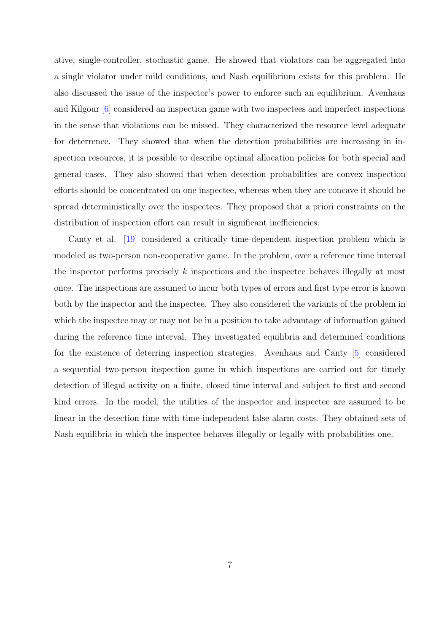ative, single-controller, stochastic game. He showed that violators can be aggregated into a single violator under mild conditions, and Nash equilibrium exists for this problem. He also discussed the issue of the inspector's power to enforce such an equilibrium. Avenhaus and Kilgour [6] considered an inspection game with two inspectees and imperfect inspections in the sense that violations can be missed. They characterized the resource level adequate for deterren[ce.](#page-138-0) They showed that when the detection probabilities are increasing in inspection resources, it is possible to describe optimal allocation policies for both special and general cases. They also showed that when detection probabilities are convex inspection efforts should be concentrated on one inspectee, whereas when they are concave it should be spread deterministically over the inspectees. They proposed that a priori constraints on the distribution of inspection effort can result in significant inefficiencies.

Canty et al. [19] considered a critically time-dependent inspection problem which is modeled as two-person non-cooperative game. In the problem, over a reference time interval the inspector perf[orm](#page-139-0)s precisely  $k$  inspections and the inspectee behaves illegally at most once. The inspections are assumed to incur both types of errors and first type error is known both by the inspector and the inspectee. They also considered the variants of the problem in which the inspectee may or may not be in a position to take advantage of information gained during the reference time interval. They investigated equilibria and determined conditions for the existence of deterring inspection strategies. Avenhaus and Canty [5] considered a sequential two-person inspection game in which inspections are carried out for timely detection of illegal activity on a finite, closed time interval and subject to fir[st](#page-138-0) and second kind errors. In the model, the utilities of the inspector and inspectee are assumed to be linear in the detection time with time-independent false alarm costs. They obtained sets of Nash equilibria in which the inspectee behaves illegally or legally with probabilities one.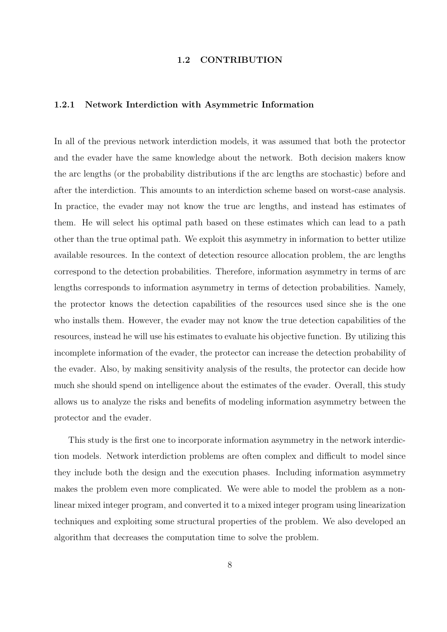#### 1.2 CONTRIBUTION

#### <span id="page-19-0"></span>1.2.1 Network Interdiction with Asymmetric Information

In all of the previous network interdiction models, it was assumed that both the protector and the evader have the same knowledge about the network. Both decision makers know the arc lengths (or the probability distributions if the arc lengths are stochastic) before and after the interdiction. This amounts to an interdiction scheme based on worst-case analysis. In practice, the evader may not know the true arc lengths, and instead has estimates of them. He will select his optimal path based on these estimates which can lead to a path other than the true optimal path. We exploit this asymmetry in information to better utilize available resources. In the context of detection resource allocation problem, the arc lengths correspond to the detection probabilities. Therefore, information asymmetry in terms of arc lengths corresponds to information asymmetry in terms of detection probabilities. Namely, the protector knows the detection capabilities of the resources used since she is the one who installs them. However, the evader may not know the true detection capabilities of the resources, instead he will use his estimates to evaluate his objective function. By utilizing this incomplete information of the evader, the protector can increase the detection probability of the evader. Also, by making sensitivity analysis of the results, the protector can decide how much she should spend on intelligence about the estimates of the evader. Overall, this study allows us to analyze the risks and benefits of modeling information asymmetry between the protector and the evader.

This study is the first one to incorporate information asymmetry in the network interdiction models. Network interdiction problems are often complex and difficult to model since they include both the design and the execution phases. Including information asymmetry makes the problem even more complicated. We were able to model the problem as a nonlinear mixed integer program, and converted it to a mixed integer program using linearization techniques and exploiting some structural properties of the problem. We also developed an algorithm that decreases the computation time to solve the problem.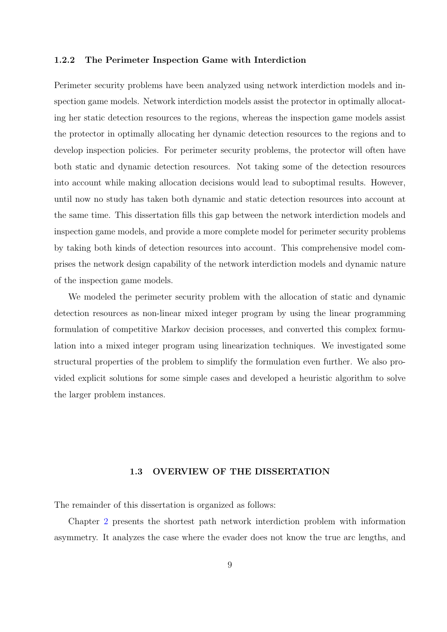#### <span id="page-20-0"></span>1.2.2 The Perimeter Inspection Game with Interdiction

Perimeter security problems have been analyzed using network interdiction models and inspection game models. Network interdiction models assist the protector in optimally allocating her static detection resources to the regions, whereas the inspection game models assist the protector in optimally allocating her dynamic detection resources to the regions and to develop inspection policies. For perimeter security problems, the protector will often have both static and dynamic detection resources. Not taking some of the detection resources into account while making allocation decisions would lead to suboptimal results. However, until now no study has taken both dynamic and static detection resources into account at the same time. This dissertation fills this gap between the network interdiction models and inspection game models, and provide a more complete model for perimeter security problems by taking both kinds of detection resources into account. This comprehensive model comprises the network design capability of the network interdiction models and dynamic nature of the inspection game models.

We modeled the perimeter security problem with the allocation of static and dynamic detection resources as non-linear mixed integer program by using the linear programming formulation of competitive Markov decision processes, and converted this complex formulation into a mixed integer program using linearization techniques. We investigated some structural properties of the problem to simplify the formulation even further. We also provided explicit solutions for some simple cases and developed a heuristic algorithm to solve the larger problem instances.

#### 1.3 OVERVIEW OF THE DISSERTATION

The remainder of this dissertation is organized as follows:

Chapter 2 presents the shortest path network interdiction problem with information asymmetry. It analyzes the case where the evader does not know the true arc lengths, and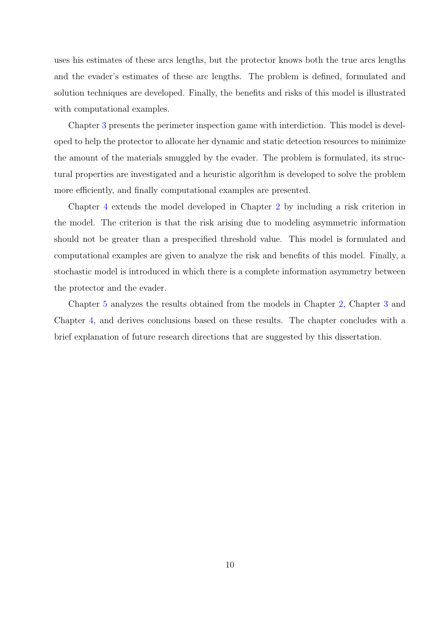uses his estimates of these arcs lengths, but the protector knows both the true arcs lengths and the evader's estimates of these arc lengths. The problem is defined, formulated and solution techniques are developed. Finally, the benefits and risks of this model is illustrated with computational examples.

Chapter 3 presents the perimeter inspection game with interdiction. This model is developed to help the protector to allocate her dynamic and static detection resources to minimize the amount [of](#page-47-0) the materials smuggled by the evader. The problem is formulated, its structural properties are investigated and a heuristic algorithm is developed to solve the problem more efficiently, and finally computational examples are presented.

Chapter 4 extends the model developed in Chapter 2 by including a risk criterion in the model. The criterion is that the risk arising due to modeling asymmetric information should not [be](#page-71-0) greater than a prespecified threshold val[ue.](#page-22-0) This model is formulated and computational examples are given to analyze the risk and benefits of this model. Finally, a stochastic model is introduced in which there is a complete information asymmetry between the protector and the evader.

Chapter 5 analyzes the results obtained from the models in Chapter 2, Chapter 3 and Chapter 4, and derives conclusions based on these results. The chapter concludes with a brief explan[ati](#page-83-0)on of future research directions that are suggested by this [dis](#page-22-0)sertation.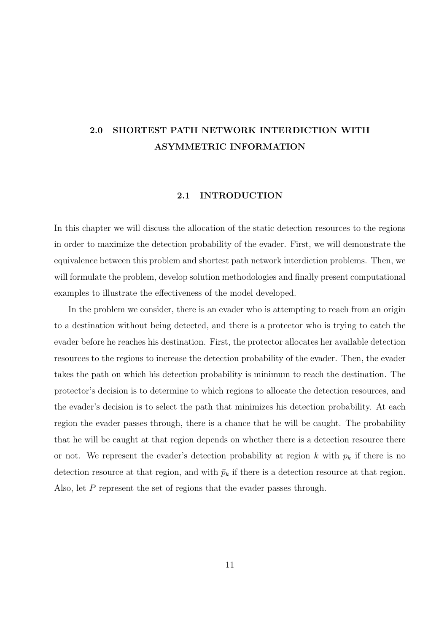## <span id="page-22-0"></span>2.0 SHORTEST PATH NETWORK INTERDICTION WITH ASYMMETRIC INFORMATION

#### 2.1 INTRODUCTION

In this chapter we will discuss the allocation of the static detection resources to the regions in order to maximize the detection probability of the evader. First, we will demonstrate the equivalence between this problem and shortest path network interdiction problems. Then, we will formulate the problem, develop solution methodologies and finally present computational examples to illustrate the effectiveness of the model developed.

In the problem we consider, there is an evader who is attempting to reach from an origin to a destination without being detected, and there is a protector who is trying to catch the evader before he reaches his destination. First, the protector allocates her available detection resources to the regions to increase the detection probability of the evader. Then, the evader takes the path on which his detection probability is minimum to reach the destination. The protector's decision is to determine to which regions to allocate the detection resources, and the evader's decision is to select the path that minimizes his detection probability. At each region the evader passes through, there is a chance that he will be caught. The probability that he will be caught at that region depends on whether there is a detection resource there or not. We represent the evader's detection probability at region k with  $p_k$  if there is no detection resource at that region, and with  $\bar{p}_k$  if there is a detection resource at that region. Also, let P represent the set of regions that the evader passes through.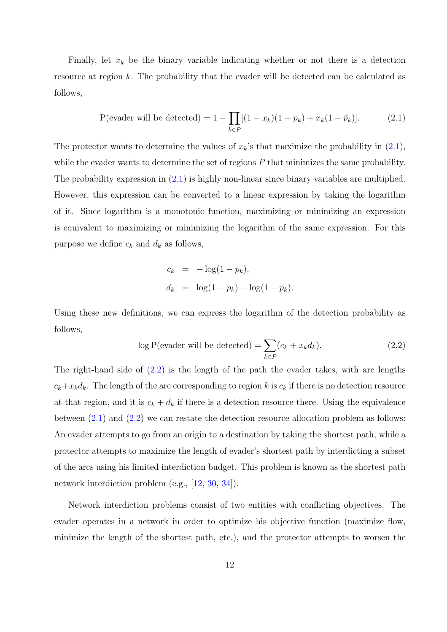Finally, let  $x_k$  be the binary variable indicating whether or not there is a detection resource at region k. The probability that the evader will be detected can be calculated as follows,

P(evader will be detected) = 
$$
1 - \prod_{k \in P} [(1 - x_k)(1 - p_k) + x_k(1 - \bar{p}_k)].
$$
 (2.1)

The protector wants to determine the values of  $x_k$ 's that maximize the probability in  $(2.1)$ , while the evader wants to determine the set of regions  $P$  that minimizes the same probability. The probability expression in  $(2.1)$  is highly non-linear since binary variables are multiplied. However, this expression can be converted to a linear expression by taking the logarithm of it. Since logarithm is a monotonic function, maximizing or minimizing an expression is equivalent to maximizing or minimizing the logarithm of the same expression. For this purpose we define  $c_k$  and  $d_k$  as follows,

$$
c_k = -\log(1 - p_k),
$$
  
\n
$$
d_k = \log(1 - p_k) - \log(1 - \bar{p}_k).
$$

Using these new definitions, we can express the logarithm of the detection probability as follows,

$$
\log P(\text{evader will be detected}) = \sum_{k \in P} (c_k + x_k d_k). \tag{2.2}
$$

The right-hand side of (2.2) is the length of the path the evader takes, with arc lengths  $c_k+x_kd_k$ . The length of the arc corresponding to region k is  $c_k$  if there is no detection resource at that region, and it is  $c_k + d_k$  if there is a detection resource there. Using the equivalence between  $(2.1)$  and  $(2.2)$  we can restate the detection resource allocation problem as follows: An evader attempts to go from an origin to a destination by taking the shortest path, while a protector attempts to maximize the length of evader's shortest path by interdicting a subset of the arcs using his limited interdiction budget. This problem is known as the shortest path network interdiction problem (e.g., [12, 30, 34]).

Network interdiction problems consist of two entities with conflicting objectives. The eva[der](#page-138-0) operates in a network in order [to](#page-140-0) [opt](#page-140-0)imize his objective function (maximize flow, minimize the length of the shortest path, etc.), and the protector attempts to worsen the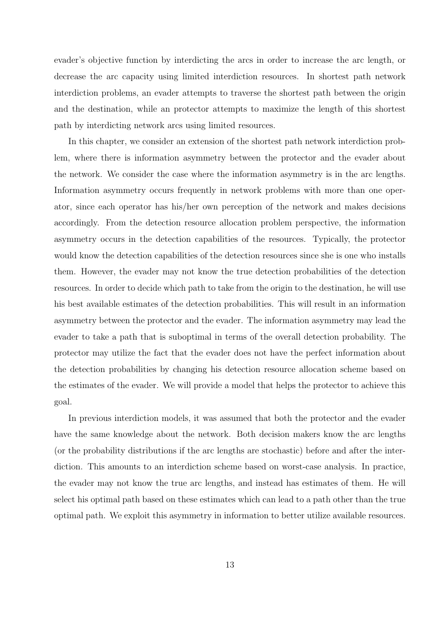evader's objective function by interdicting the arcs in order to increase the arc length, or decrease the arc capacity using limited interdiction resources. In shortest path network interdiction problems, an evader attempts to traverse the shortest path between the origin and the destination, while an protector attempts to maximize the length of this shortest path by interdicting network arcs using limited resources.

In this chapter, we consider an extension of the shortest path network interdiction problem, where there is information asymmetry between the protector and the evader about the network. We consider the case where the information asymmetry is in the arc lengths. Information asymmetry occurs frequently in network problems with more than one operator, since each operator has his/her own perception of the network and makes decisions accordingly. From the detection resource allocation problem perspective, the information asymmetry occurs in the detection capabilities of the resources. Typically, the protector would know the detection capabilities of the detection resources since she is one who installs them. However, the evader may not know the true detection probabilities of the detection resources. In order to decide which path to take from the origin to the destination, he will use his best available estimates of the detection probabilities. This will result in an information asymmetry between the protector and the evader. The information asymmetry may lead the evader to take a path that is suboptimal in terms of the overall detection probability. The protector may utilize the fact that the evader does not have the perfect information about the detection probabilities by changing his detection resource allocation scheme based on the estimates of the evader. We will provide a model that helps the protector to achieve this goal.

In previous interdiction models, it was assumed that both the protector and the evader have the same knowledge about the network. Both decision makers know the arc lengths (or the probability distributions if the arc lengths are stochastic) before and after the interdiction. This amounts to an interdiction scheme based on worst-case analysis. In practice, the evader may not know the true arc lengths, and instead has estimates of them. He will select his optimal path based on these estimates which can lead to a path other than the true optimal path. We exploit this asymmetry in information to better utilize available resources.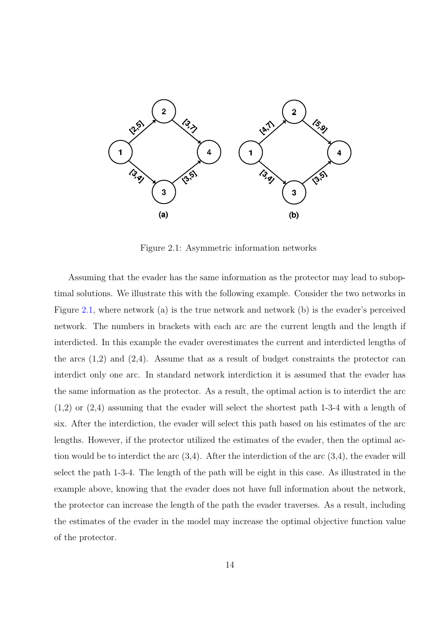<span id="page-25-0"></span>

Figure 2.1: Asymmetric information networks

Assuming that the evader has the same information as the protector may lead to suboptimal solutions. We illustrate this with the following example. Consider the two networks in Figure 2.1, where network (a) is the true network and network (b) is the evader's perceived network. The numbers in brackets with each arc are the current length and the length if interdicted. In this example the evader overestimates the current and interdicted lengths of the arcs  $(1,2)$  and  $(2,4)$ . Assume that as a result of budget constraints the protector can interdict only one arc. In standard network interdiction it is assumed that the evader has the same information as the protector. As a result, the optimal action is to interdict the arc (1,2) or (2,4) assuming that the evader will select the shortest path 1-3-4 with a length of six. After the interdiction, the evader will select this path based on his estimates of the arc lengths. However, if the protector utilized the estimates of the evader, then the optimal action would be to interdict the arc  $(3,4)$ . After the interdiction of the arc  $(3,4)$ , the evader will select the path 1-3-4. The length of the path will be eight in this case. As illustrated in the example above, knowing that the evader does not have full information about the network, the protector can increase the length of the path the evader traverses. As a result, including the estimates of the evader in the model may increase the optimal objective function value of the protector.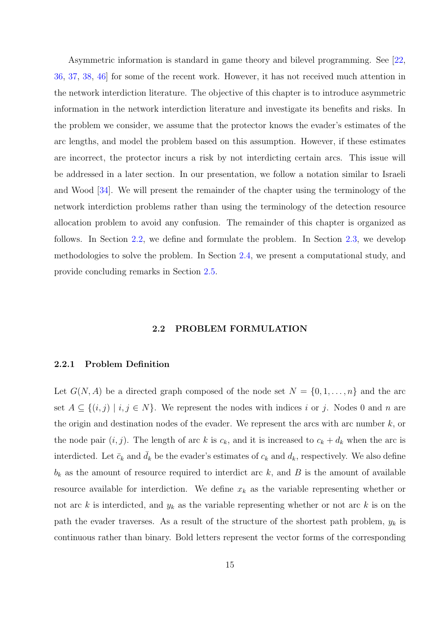<span id="page-26-0"></span>Asymmetric information is standard in game theory and bilevel programming. See [22, 36, 37, 38, 46] for some of the recent work. However, it has not received much attention in the network interdiction literature. The objective of this chapter is to introduce asymme[tric](#page-139-0) [informatio](#page-140-0)[n in](#page-141-0) the network interdiction literature and investigate its benefits and risks. In the problem we consider, we assume that the protector knows the evader's estimates of the arc lengths, and model the problem based on this assumption. However, if these estimates are incorrect, the protector incurs a risk by not interdicting certain arcs. This issue will be addressed in a later section. In our presentation, we follow a notation similar to Israeli and Wood [34]. We will present the remainder of the chapter using the terminology of the network interdiction problems rather than using the terminology of the detection resource allocation [prob](#page-140-0)lem to avoid any confusion. The remainder of this chapter is organized as follows. In Section 2.2, we define and formulate the problem. In Section 2.3, we develop methodologies to solve the problem. In Section 2.4, we present a computational study, and provide concluding remarks in Section 2.5.

#### 2.2 PROBLEM FORMULATION

#### 2.2.1 Problem Definition

Let  $G(N, A)$  be a directed graph composed of the node set  $N = \{0, 1, \ldots, n\}$  and the arc set  $A \subseteq \{(i, j) \mid i, j \in N\}$ . We represent the nodes with indices i or j. Nodes 0 and n are the origin and destination nodes of the evader. We represent the arcs with arc number  $k$ , or the node pair  $(i, j)$ . The length of arc k is  $c_k$ , and it is increased to  $c_k + d_k$  when the arc is interdicted. Let  $\bar{c}_k$  and  $\bar{d}_k$  be the evader's estimates of  $c_k$  and  $d_k$ , respectively. We also define  $b_k$  as the amount of resource required to interdict arc  $k$ , and  $B$  is the amount of available resource available for interdiction. We define  $x_k$  as the variable representing whether or not arc k is interdicted, and  $y_k$  as the variable representing whether or not arc k is on the path the evader traverses. As a result of the structure of the shortest path problem,  $y_k$  is continuous rather than binary. Bold letters represent the vector forms of the corresponding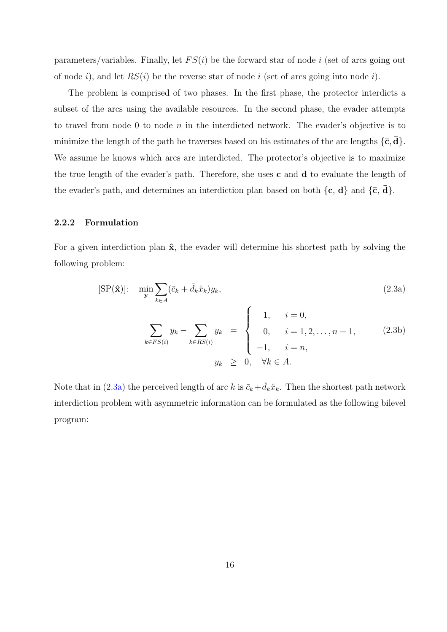<span id="page-27-0"></span>parameters/variables. Finally, let  $FS(i)$  be the forward star of node i (set of arcs going out of node i), and let  $RS(i)$  be the reverse star of node i (set of arcs going into node i).

The problem is comprised of two phases. In the first phase, the protector interdicts a subset of the arcs using the available resources. In the second phase, the evader attempts to travel from node 0 to node n in the interdicted network. The evader's objective is to minimize the length of the path he traverses based on his estimates of the arc lengths  $\{\bar{c}, \bar{d}\}.$ We assume he knows which arcs are interdicted. The protector's objective is to maximize the true length of the evader's path. Therefore, she uses  $c$  and  $d$  to evaluate the length of the evader's path, and determines an interdiction plan based on both  $\{c, d\}$  and  $\{\bar{c}, d\}$ .

#### 2.2.2 Formulation

For a given interdiction plan  $\hat{\mathbf{x}}$ , the evader will determine his shortest path by solving the following problem:

$$
[\text{SP}(\hat{\mathbf{x}})]: \quad \min_{\mathbf{y}} \sum_{k \in A} (\bar{c}_k + \bar{d}_k \hat{x}_k) y_k, \tag{2.3a}
$$
\n
$$
\sum_{k \in FS(i)} y_k - \sum_{k \in RS(i)} y_k = \begin{cases} 1, & i = 0, \\ 0, & i = 1, 2, \dots, n - 1, \\ -1, & i = n, \end{cases} \tag{2.3b}
$$
\n
$$
y_k \geq 0, \quad \forall k \in A.
$$

Note that in (2.3a) the perceived length of arc k is  $\bar{c}_k+\bar{d}_k\hat{x}_k$ . Then the shortest path network interdiction problem with asymmetric information can be formulated as the following bilevel program: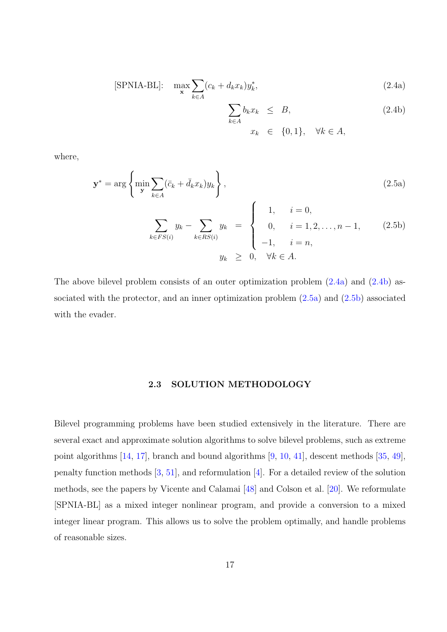<span id="page-28-0"></span>
$$
[\text{SPNIA-BL}]: \quad \max_{\mathbf{x}} \sum_{k \in A} (c_k + d_k x_k) y_k^*, \tag{2.4a}
$$

$$
\sum_{k \in A} b_k x_k \leq B,
$$
\n
$$
(2.4b)
$$
\n
$$
x_k \in \{0, 1\}, \quad \forall k \in A,
$$

where,

$$
\mathbf{y}^* = \arg \left\{ \min_{\mathbf{y}} \sum_{k \in A} (\bar{c}_k + \bar{d}_k x_k) y_k \right\},
$$
\n
$$
\sum_{k \in FS(i)} y_k - \sum_{k \in RS(i)} y_k = \begin{cases} 1, & i = 0, \\ 0, & i = 1, 2, ..., n - 1, \\ -1, & i = n, \end{cases}
$$
\n(2.5b)\n
$$
y_k \geq 0, \quad \forall k \in A.
$$
\n(2.5c)

The above bilevel problem consists of an outer optimization problem  $(2.4a)$  and  $(2.4b)$  associated with the protector, and an inner optimization problem (2.5a) and (2.5b) associated with the evader.

#### 2.3 SOLUTION METHODOLOGY

Bilevel programming problems have been studied extensively in the literature. There are several exact and approximate solution algorithms to solve bilevel problems, such as extreme point algorithms [14, 17], branch and bound algorithms [9, 10, 41], descent methods [35, 49], penalty function methods [3, 51], and reformulation [4]. For a detailed review of the solution methods, see the [papers](#page-139-0) by Vicente and Calamai [48] an[d](#page-138-0) [Col](#page-138-0)s[on](#page-140-0) et al. [20]. We refo[rmu](#page-140-0)[lat](#page-141-0)e [SPNIA-BL] as a mixed i[nt](#page-138-0)[eger](#page-141-0) nonlinear program[, a](#page-138-0)nd provide a conversion to a mixed integer linear program. This allows us to solve th[e pr](#page-141-0)oblem optimally, [and](#page-139-0) handle problems of reasonable sizes.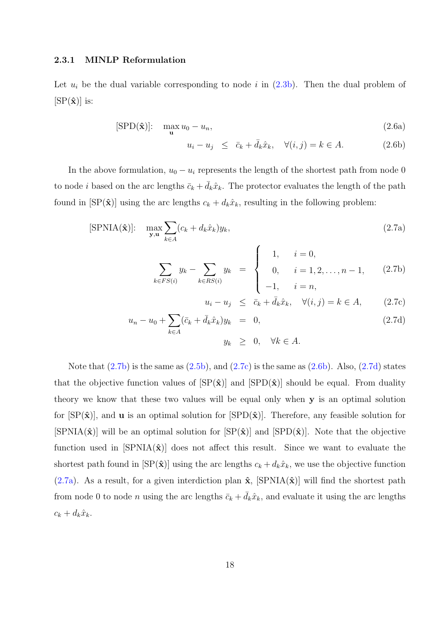#### <span id="page-29-0"></span>2.3.1 MINLP Reformulation

Let  $u_i$  be the dual variable corresponding to node i in  $(2.3b)$ . Then the dual problem of  $[\text{SP}(\hat{\mathbf{x}})]$  is:

$$
[\text{SPD}(\hat{\mathbf{x}})]: \quad \max_{\mathbf{u}} u_0 - u_n,\tag{2.6a}
$$

$$
u_i - u_j \leq \bar{c}_k + \bar{d}_k \hat{x}_k, \quad \forall (i, j) = k \in A. \tag{2.6b}
$$

In the above formulation,  $u_0 - u_i$  represents the length of the shortest path from node 0 to node *i* based on the arc lengths  $\bar{c}_k + \bar{d}_k \hat{x}_k$ . The protector evaluates the length of the path found in  $[SP(\hat{\mathbf{x}})]$  using the arc lengths  $c_k + d_k\hat{x}_k$ , resulting in the following problem:

$$
[\text{SPNIA}(\hat{\mathbf{x}})]: \quad \max_{\mathbf{y}, \mathbf{u}} \sum_{k \in A} (c_k + d_k \hat{x}_k) y_k,
$$
\n(2.7a)

$$
\sum_{k \in FS(i)} y_k - \sum_{k \in RS(i)} y_k = \begin{cases} 1, & i = 0, \\ 0, & i = 1, 2, ..., n - 1, \\ -1, & i = n, \end{cases}
$$
 (2.7b)

$$
u_i - u_j \leq \bar{c}_k + \bar{d}_k \hat{x}_k, \quad \forall (i, j) = k \in A, \quad (2.7c)
$$

$$
u_n - u_0 + \sum_{k \in A} (\bar{c}_k + \bar{d}_k \hat{x}_k) y_k = 0,
$$
  
\n
$$
y_k \geq 0, \quad \forall k \in A.
$$
\n(2.7d)

Note that  $(2.7b)$  is the same as  $(2.5b)$ , and  $(2.7c)$  is the same as  $(2.6b)$ . Also,  $(2.7d)$  states that the objective function values of  $\left[\text{SP}(\hat{\mathbf{x}})\right]$  and  $\left[\text{SPD}(\hat{\mathbf{x}})\right]$  should be equal. From duality theory we know that these two v[alues](#page-28-0) will be equal only when y is an optimal solution for  $\text{[SP}(\hat{\mathbf{x}})$ , and **u** is an optimal solution for  $\text{[SPD}(\hat{\mathbf{x}})$ . Therefore, any feasible solution for  $[\text{SPNIA}(\hat{\mathbf{x}})]$  will be an optimal solution for  $[\text{SP}(\hat{\mathbf{x}})]$  and  $[\text{SPD}(\hat{\mathbf{x}})]$ . Note that the objective function used in  $SPNIA(\hat{\mathbf{x}})$  does not affect this result. Since we want to evaluate the shortest path found in  $[SP(\hat{\mathbf{x}})]$  using the arc lengths  $c_k + d_k\hat{x}_k$ , we use the objective function (2.7a). As a result, for a given interdiction plan  $\hat{\mathbf{x}}$ , [SPNIA( $\hat{\mathbf{x}}$ )] will find the shortest path from node 0 to node *n* using the arc lengths  $\bar{c}_k + \bar{d}_k \hat{x}_k$ , and evaluate it using the arc lengths  $c_k + d_k\hat{x}_k$ .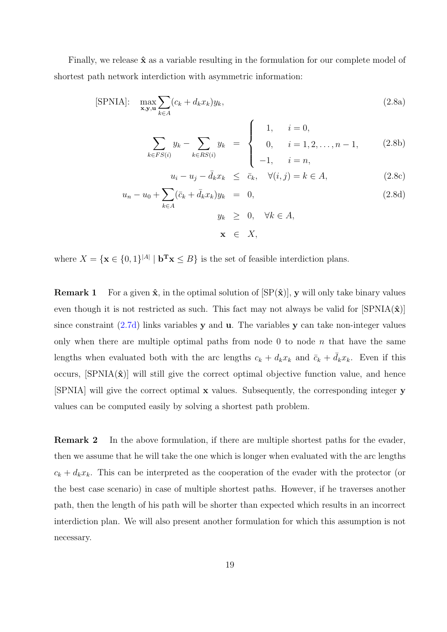<span id="page-30-0"></span>Finally, we release  $\hat{\mathbf{x}}$  as a variable resulting in the formulation for our complete model of shortest path network interdiction with asymmetric information:

$$
[\text{SPNIA}]: \quad \max_{\mathbf{x}, \mathbf{y}, \mathbf{u}} \sum_{k \in A} (c_k + d_k x_k) y_k,\tag{2.8a}
$$

$$
\sum_{k \in FS(i)} y_k - \sum_{k \in RS(i)} y_k = \begin{cases} 1, & i = 0, \\ 0, & i = 1, 2, \dots, n-1, \\ -1, & i = n, \end{cases}
$$
 (2.8b)

$$
u_i - u_j - \bar{d}_k x_k \le \bar{c}_k, \quad \forall (i, j) = k \in A,
$$
\n(2.8c)

$$
u_n - u_0 + \sum_{k \in A} (\bar{c}_k + \bar{d}_k x_k) y_k = 0,
$$
  
\n
$$
y_k \geq 0, \quad \forall k \in A,
$$
\n(2.8d)

 $\mathbf{x} \in X$ ,

where  $X = \{ \mathbf{x} \in \{0,1\}^{|A|} | \mathbf{b}^T \mathbf{x} \leq B \}$  is the set of feasible interdiction plans.

**Remark 1** For a given  $\hat{\mathbf{x}}$ , in the optimal solution of  $[\text{SP}(\hat{\mathbf{x}})]$ , y will only take binary values even though it is not restricted as such. This fact may not always be valid for  $\text{SPNIA}(\hat{\mathbf{x}})$ since constraint  $(2.7d)$  links variables y and u. The variables y can take non-integer values only when there are multiple optimal paths from node 0 to node  $n$  that have the same lengths when ev[aluate](#page-29-0)d both with the arc lengths  $c_k + d_k x_k$  and  $\bar{c}_k + \bar{d}_k x_k$ . Even if this occurs,  $\text{SPNIA}(\hat{\mathbf{x}})$  will still give the correct optimal objective function value, and hence [SPNIA] will give the correct optimal x values. Subsequently, the corresponding integer y values can be computed easily by solving a shortest path problem.

Remark 2 In the above formulation, if there are multiple shortest paths for the evader, then we assume that he will take the one which is longer when evaluated with the arc lengths  $c_k + d_k x_k$ . This can be interpreted as the cooperation of the evader with the protector (or the best case scenario) in case of multiple shortest paths. However, if he traverses another path, then the length of his path will be shorter than expected which results in an incorrect interdiction plan. We will also present another formulation for which this assumption is not necessary.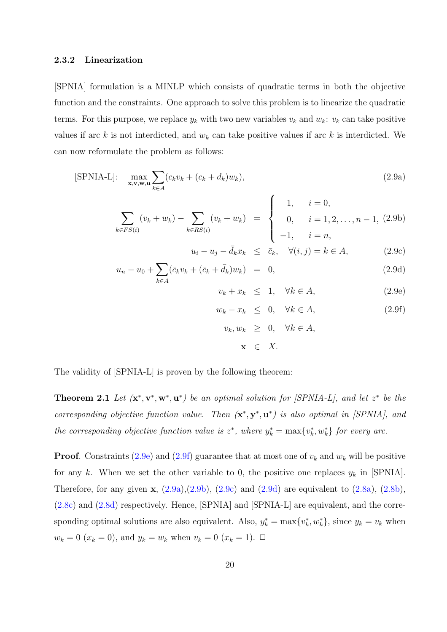#### <span id="page-31-0"></span>2.3.2 Linearization

[SPNIA] formulation is a MINLP which consists of quadratic terms in both the objective function and the constraints. One approach to solve this problem is to linearize the quadratic terms. For this purpose, we replace  $y_k$  with two new variables  $v_k$  and  $w_k$ :  $v_k$  can take positive values if arc k is not interdicted, and  $w_k$  can take positive values if arc k is interdicted. We can now reformulate the problem as follows:

$$
[\text{SPNIA-L}]: \quad \max_{\mathbf{x}, \mathbf{v}, \mathbf{w}, \mathbf{u}} \sum_{k \in A} (c_k v_k + (c_k + d_k) w_k), \tag{2.9a}
$$

$$
\sum_{k \in FS(i)} (v_k + w_k) - \sum_{k \in RS(i)} (v_k + w_k) = \begin{cases} 1, & i = 0, \\ 0, & i = 1, 2, ..., n - 1, (2.9b) \\ -1, & i = n, \end{cases}
$$

$$
u_i - u_j - \bar{d}_k x_k \le \bar{c}_k, \quad \forall (i, j) = k \in A,
$$
\n(2.9c)

$$
u_n - u_0 + \sum_{k \in A} (\bar{c}_k v_k + (\bar{c}_k + \bar{d}_k) w_k) = 0, \qquad (2.9d)
$$

$$
v_k + x_k \leq 1, \quad \forall k \in A,\tag{2.9e}
$$

$$
w_k - x_k \leq 0, \quad \forall k \in A,
$$
\n
$$
(2.9f)
$$

$$
v_k, w_k \geq 0, \quad \forall k \in A,
$$
  

$$
\mathbf{x} \in X.
$$

The validity of [SPNIA-L] is proven by the following theorem:

**Theorem 2.1** Let  $(\mathbf{x}^*, \mathbf{v}^*, \mathbf{w}^*, \mathbf{u}^*)$  be an optimal solution for [SPNIA-L], and let  $z^*$  be the corresponding objective function value. Then  $(\mathbf{x}^*, \mathbf{y}^*, \mathbf{u}^*)$  is also optimal in [SPNIA], and the corresponding objective function value is  $z^*$ , where  $y_k^* = \max\{v_k^*, w_k^*\}$  for every arc.

**Proof.** Constraints (2.9e) and (2.9f) guarantee that at most one of  $v_k$  and  $w_k$  will be positive for any k. When we set the other variable to 0, the positive one replaces  $y_k$  in [SPNIA]. Therefore, for any given  $\mathbf{x}$ ,  $(2.9a)$ ,  $(2.9b)$ ,  $(2.9c)$  and  $(2.9d)$  are equivalent to  $(2.8a)$ ,  $(2.8b)$ , (2.8c) and (2.8d) respectively. Hence, [SPNIA] and [SPNIA-L] are equivalent, and the corresponding optimal solutions are also equivalent. Also,  $y_k^* = \max\{v_k^*, w_k^*\}$  $y_k^* = \max\{v_k^*, w_k^*\}$  $y_k^* = \max\{v_k^*, w_k^*\}$ , since  $y_k = v_k$  [whe](#page-30-0)n  $w_k = 0$  $w_k = 0$  $w_k = 0$   $(x_k = 0)$ , and  $y_k = w_k$  when  $v_k = 0$   $(x_k = 1)$ .  $\Box$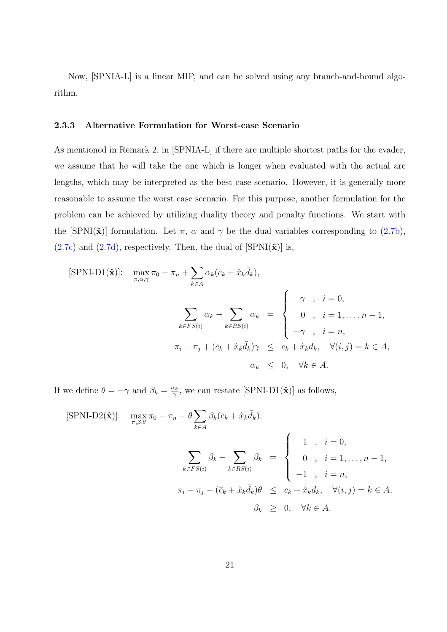<span id="page-32-0"></span>Now, [SPNIA-L] is a linear MIP, and can be solved using any branch-and-bound algorithm.

#### 2.3.3 Alternative Formulation for Worst-case Scenario

As mentioned in Remark 2, in [SPNIA-L] if there are multiple shortest paths for the evader, we assume that he will take the one which is longer when evaluated with the actual arc lengths, which may be interpreted as the best case scenario. However, it is generally more reasonable to assume the worst case scenario. For this purpose, another formulation for the problem can be achieved by utilizing duality theory and penalty functions. We start with the [SPNI( $\hat{\mathbf{x}}$ )] formulation. Let  $\pi$ ,  $\alpha$  and  $\gamma$  be the dual variables corresponding to (2.7b),  $(2.7c)$  and  $(2.7d)$ , respectively. Then, the dual of  $[SPNI(\hat{\mathbf{x}})]$  is,

$$
[\text{SPNI-D1}(\hat{\mathbf{x}})]: \quad \max_{\pi, \alpha, \gamma} \pi_0 - \pi_n + \sum_{k \in A} \alpha_k (\bar{c}_k + \hat{x}_k \bar{d}_k),
$$
\n
$$
\sum_{k \in FS(i)} \alpha_k - \sum_{k \in RS(i)} \alpha_k = \begin{cases} \gamma & , \quad i = 0, \\ 0 & , \quad i = 1, \dots, n-1, \\ -\gamma & , \quad i = n, \end{cases}
$$
\n
$$
\pi_i - \pi_j + (\bar{c}_k + \hat{x}_k \bar{d}_k) \gamma \leq c_k + \hat{x}_k d_k, \quad \forall (i, j) = k \in A,
$$
\n
$$
\alpha_k \leq 0, \quad \forall k \in A.
$$

If we define  $\theta = -\gamma$  and  $\beta_k = \frac{\alpha_k}{\gamma}$  $\frac{\alpha_k}{\gamma}$ , we can restate [SPNI-D1( $\hat{\mathbf{x}}$ )] as follows,

$$
[\text{SPNI-D2}(\hat{\mathbf{x}})]: \quad \max_{\pi,\beta,\theta} \pi_0 - \pi_n - \theta \sum_{k \in A} \beta_k (\bar{c}_k + \hat{x}_k \bar{d}_k),
$$
\n
$$
\sum_{k \in FS(i)} \beta_k - \sum_{k \in RS(i)} \beta_k = \begin{cases} 1, & i = 0, \\ 0, & i = 1, \dots, n-1, \\ -1, & i = n, \\ -1, & i = n, \end{cases}
$$
\n
$$
\pi_i - \pi_j - (\bar{c}_k + \hat{x}_k \bar{d}_k)\theta \leq c_k + \hat{x}_k d_k, \quad \forall (i, j) = k \in A,
$$
\n
$$
\beta_k \geq 0, \quad \forall k \in A.
$$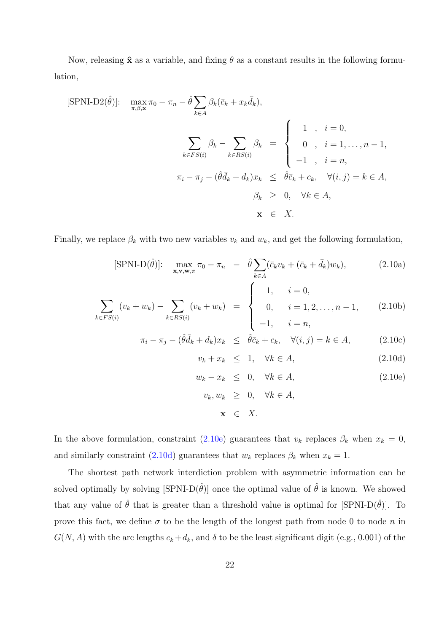<span id="page-33-0"></span>Now, releasing  $\hat{\mathbf{x}}$  as a variable, and fixing  $\theta$  as a constant results in the following formulation,

$$
[\text{SPNI-D2}(\hat{\theta})]: \quad \max_{\pi,\beta,\mathbf{x}} \pi_0 - \pi_n - \hat{\theta} \sum_{k \in A} \beta_k (\bar{c}_k + x_k \bar{d}_k),
$$
\n
$$
\sum_{k \in FS(i)} \beta_k - \sum_{k \in RS(i)} \beta_k = \begin{cases} 1, & i = 0, \\ 0, & i = 1, \dots, n-1, \\ -1, & i = n, \\ -1, & i = n, \end{cases}
$$
\n
$$
\pi_i - \pi_j - (\hat{\theta}\bar{d}_k + d_k)x_k \leq \hat{\theta}\bar{c}_k + c_k, \quad \forall (i, j) = k \in A,
$$
\n
$$
\beta_k \geq 0, \quad \forall k \in A,
$$
\n
$$
\mathbf{x} \in X.
$$

Finally, we replace  $\beta_k$  with two new variables  $v_k$  and  $w_k$ , and get the following formulation,

$$
[\text{SPNI-D}(\hat{\theta})]: \quad \max_{\mathbf{x}, \mathbf{v}, \mathbf{w}, \pi} \pi_0 - \pi_n \quad - \quad \hat{\theta} \sum_{k \in A} (\bar{c}_k v_k + (\bar{c}_k + \bar{d}_k) w_k), \tag{2.10a}
$$

$$
\sum_{k \in FS(i)} (v_k + w_k) - \sum_{k \in RS(i)} (v_k + w_k) = \begin{cases} 1, & i = 0, \\ 0, & i = 1, 2, ..., n - 1, \\ -1, & i = n, \end{cases}
$$
 (2.10b)

$$
\pi_i - \pi_j - (\hat{\theta}\bar{d}_k + d_k)x_k \leq \hat{\theta}\bar{c}_k + c_k, \quad \forall (i, j) = k \in A,
$$
\n(2.10c)

$$
v_k + x_k \leq 1, \quad \forall k \in A,
$$
\n
$$
(2.10d)
$$

$$
w_k - x_k \leq 0, \quad \forall k \in A,
$$
\n
$$
(2.10e)
$$

$$
v_k, w_k \geq 0, \quad \forall k \in A,
$$
  

$$
\mathbf{x} \in X.
$$

In the above formulation, constraint (2.10e) guarantees that  $v_k$  replaces  $\beta_k$  when  $x_k = 0$ , and similarly constraint (2.10d) guarantees that  $w_k$  replaces  $\beta_k$  when  $x_k = 1$ .

The shortest path network interdiction problem with asymmetric information can be solved optimally by solving  $[\text{SPNI-D}(\hat{\theta})]$  once the optimal value of  $\hat{\theta}$  is known. We showed that any value of  $\hat{\theta}$  that is greater than a threshold value is optimal for [SPNI-D( $\hat{\theta}$ )]. To prove this fact, we define  $\sigma$  to be the length of the longest path from node 0 to node n in  $G(N, A)$  with the arc lengths  $c_k + d_k$ , and  $\delta$  to be the least significant digit (e.g., 0.001) of the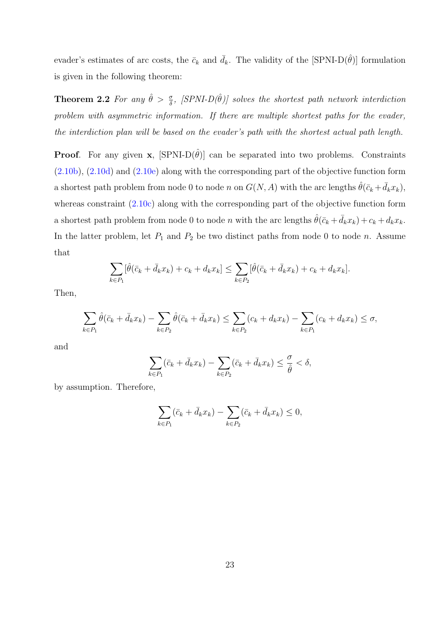evader's estimates of arc costs, the  $\bar{c}_k$  and  $\bar{d}_k$ . The validity of the [SPNI-D( $\hat{\theta}$ )] formulation is given in the following theorem:

**Theorem 2.2** For any  $\hat{\theta} > \frac{\sigma}{\delta}$ , [SPNI-D( $\hat{\theta}$ )] solves the shortest path network interdiction problem with asymmetric information. If there are multiple shortest paths for the evader, the interdiction plan will be based on the evader's path with the shortest actual path length.

**Proof.** For any given **x**,  $[\text{SPNI-D}(\hat{\theta})]$  can be separated into two problems. Constraints (2.10b), (2.10d) and (2.10e) along with the corresponding part of the objective function form a shortest path problem from node 0 to node n on  $G(N, A)$  with the arc lengths  $\hat{\theta}(\bar{c}_k + \bar{d}_k x_k)$ , [wherea](#page-33-0)s [constra](#page-33-0)int  $(2.10c)$  $(2.10c)$  along with the corresponding part of the objective function form a shortest path problem from node 0 to node n with the arc lengths  $\hat{\theta}(\bar{c}_k + \bar{d}_k x_k) + c_k + d_k x_k$ . In the latter proble[m, let](#page-33-0)  $P_1$  and  $P_2$  be two distinct paths from node 0 to node n. Assume that

$$
\sum_{k \in P_1} [\hat{\theta}(\bar{c}_k + \bar{d}_k x_k) + c_k + d_k x_k] \leq \sum_{k \in P_2} [\hat{\theta}(\bar{c}_k + \bar{d}_k x_k) + c_k + d_k x_k].
$$

Then,

$$
\sum_{k \in P_1} \hat{\theta}(\bar{c}_k + \bar{d}_k x_k) - \sum_{k \in P_2} \hat{\theta}(\bar{c}_k + \bar{d}_k x_k) \le \sum_{k \in P_2} (c_k + d_k x_k) - \sum_{k \in P_1} (c_k + d_k x_k) \le \sigma,
$$

and

$$
\sum_{k \in P_1} (\bar{c}_k + \bar{d}_k x_k) - \sum_{k \in P_2} (\bar{c}_k + \bar{d}_k x_k) \le \frac{\sigma}{\hat{\theta}} < \delta,
$$

by assumption. Therefore,

$$
\sum_{k \in P_1} (\bar{c}_k + \bar{d}_k x_k) - \sum_{k \in P_2} (\bar{c}_k + \bar{d}_k x_k) \le 0,
$$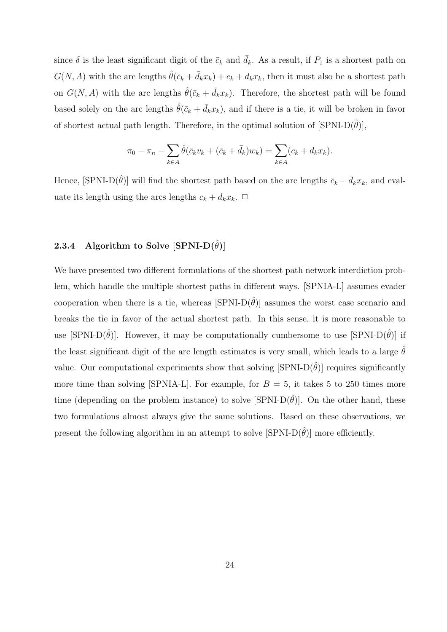<span id="page-35-0"></span>since  $\delta$  is the least significant digit of the  $\bar{c}_k$  and  $d_k$ . As a result, if  $P_1$  is a shortest path on  $G(N, A)$  with the arc lengths  $\hat{\theta}(\bar{c}_k + \bar{d}_k x_k) + c_k + d_k x_k$ , then it must also be a shortest path on  $G(N, A)$  with the arc lengths  $\hat{\theta}(\bar{c}_k + \bar{d}_k x_k)$ . Therefore, the shortest path will be found based solely on the arc lengths  $\hat{\theta}(\bar{c}_k + \bar{d}_k x_k)$ , and if there is a tie, it will be broken in favor of shortest actual path length. Therefore, in the optimal solution of  $\text{SPNI-D}(\hat{\theta})$ ,

$$
\pi_0 - \pi_n - \sum_{k \in A} \hat{\theta}(\bar{c}_k v_k + (\bar{c}_k + \bar{d}_k) w_k) = \sum_{k \in A} (c_k + d_k x_k).
$$

Hence,  $[\text{SPNI-D}(\hat{\theta})]$  will find the shortest path based on the arc lengths  $\bar{c}_k + \bar{d}_k x_k$ , and evaluate its length using the arcs lengths  $c_k + d_k x_k$ .  $\Box$ 

#### 2.3.4 Algorithm to Solve [SPNI-D $(\hat{\theta})$ ]

We have presented two different formulations of the shortest path network interdiction problem, which handle the multiple shortest paths in different ways. [SPNIA-L] assumes evader cooperation when there is a tie, whereas  $\text{[SPNI-D}(\hat{\theta})\text{]}$  assumes the worst case scenario and breaks the tie in favor of the actual shortest path. In this sense, it is more reasonable to use [SPNI-D $(\hat{\theta})$ ]. However, it may be computationally cumbersome to use [SPNI-D $(\hat{\theta})$ ] if the least significant digit of the arc length estimates is very small, which leads to a large  $\hat{\theta}$ value. Our computational experiments show that solving  $\text{SPNI-D}(\hat{\theta})$  requires significantly more time than solving [SPNIA-L]. For example, for  $B = 5$ , it takes 5 to 250 times more time (depending on the problem instance) to solve  $\text{SPNI-D}(\hat{\theta})$ . On the other hand, these two formulations almost always give the same solutions. Based on these observations, we present the following algorithm in an attempt to solve  $[SPNI-D(\hat{\theta})]$  more efficiently.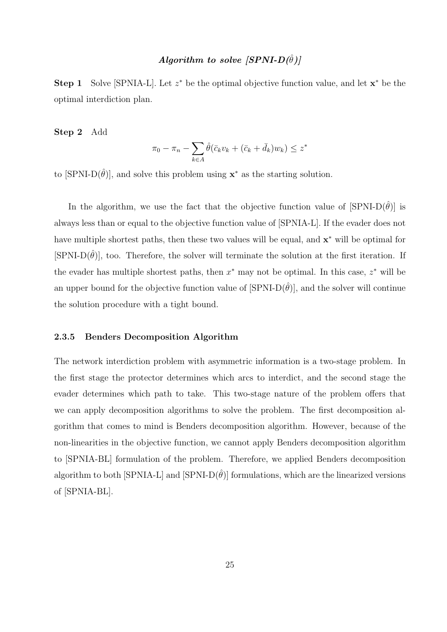# Algorithm to solve  $|SPNI-D(\hat{\theta})|$

Step 1 Solve [SPNIA-L]. Let  $z^*$  be the optimal objective function value, and let  $x^*$  be the optimal interdiction plan.

#### Step 2 Add

$$
\pi_0 - \pi_n - \sum_{k \in A} \hat{\theta}(\bar{c}_k v_k + (\bar{c}_k + \bar{d}_k) w_k) \le z^*
$$

to  $[\text{SPNI-D}(\hat{\theta})]$ , and solve this problem using  $\mathbf{x}^*$  as the starting solution.

In the algorithm, we use the fact that the objective function value of  $\text{SPNI-D}(\hat{\theta})$  is always less than or equal to the objective function value of [SPNIA-L]. If the evader does not have multiple shortest paths, then these two values will be equal, and  $\mathbf{x}^*$  will be optimal for [SPNI-D $(\hat{\theta})$ ], too. Therefore, the solver will terminate the solution at the first iteration. If the evader has multiple shortest paths, then  $x^*$  may not be optimal. In this case,  $z^*$  will be an upper bound for the objective function value of  $\text{[SPNI-D}(\hat{\theta})]$ , and the solver will continue the solution procedure with a tight bound.

# 2.3.5 Benders Decomposition Algorithm

The network interdiction problem with asymmetric information is a two-stage problem. In the first stage the protector determines which arcs to interdict, and the second stage the evader determines which path to take. This two-stage nature of the problem offers that we can apply decomposition algorithms to solve the problem. The first decomposition algorithm that comes to mind is Benders decomposition algorithm. However, because of the non-linearities in the objective function, we cannot apply Benders decomposition algorithm to [SPNIA-BL] formulation of the problem. Therefore, we applied Benders decomposition algorithm to both [SPNIA-L] and [SPNI-D $(\hat{\theta})$ ] formulations, which are the linearized versions of [SPNIA-BL].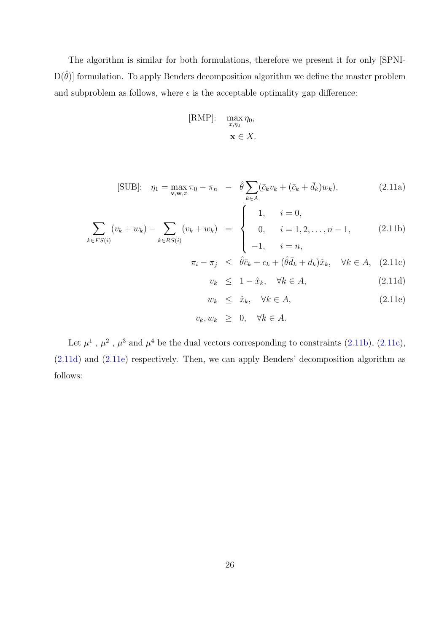The algorithm is similar for both formulations, therefore we present it for only [SPNI- $D(\hat{\theta})$  formulation. To apply Benders decomposition algorithm we define the master problem and subproblem as follows, where  $\epsilon$  is the acceptable optimality gap difference:

$$
[\text{RMP}]: \quad \max_{x,\eta_0} \eta_0,
$$

$$
\mathbf{x} \in X.
$$

[SUB]: 
$$
\eta_1 = \max_{\mathbf{v}, \mathbf{w}, \pi} \pi_0 - \pi_n - \hat{\theta} \sum_{k \in A} (\bar{c}_k v_k + (\bar{c}_k + \bar{d}_k) w_k),
$$
 (2.11a)

$$
\sum_{k \in FS(i)} (v_k + w_k) - \sum_{k \in RS(i)} (v_k + w_k) = \begin{cases} 1, & i = 0, \\ 0, & i = 1, 2, ..., n - 1, \\ -1, & i = n, \end{cases}
$$
 (2.11b)

$$
\pi_i - \pi_j \leq \hat{\theta}\bar{c}_k + c_k + (\hat{\theta}\bar{d}_k + d_k)\hat{x}_k, \quad \forall k \in A, \quad (2.11c)
$$

$$
v_k \le 1 - \hat{x}_k, \quad \forall k \in A,\tag{2.11d}
$$

$$
w_k \leq \hat{x}_k, \quad \forall k \in A,\tag{2.11e}
$$

$$
v_k, w_k \geq 0, \quad \forall k \in A.
$$

Let  $\mu^1$ ,  $\mu^2$ ,  $\mu^3$  and  $\mu^4$  be the dual vectors corresponding to constraints (2.11b), (2.11c), (2.11d) and (2.11e) respectively. Then, we can apply Benders' decomposition algorithm as follows: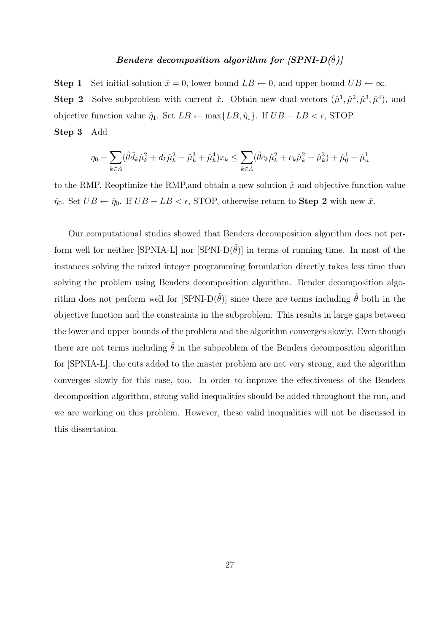# Benders decomposition algorithm for  $|SPNI-D(\hat{\theta})|$

**Step 1** Set initial solution  $\hat{x} = 0$ , lower bound  $LB \leftarrow 0$ , and upper bound  $UB \leftarrow \infty$ . **Step 2** Solve subproblem with current  $\hat{x}$ . Obtain new dual vectors  $(\hat{\mu}^1, \hat{\mu}^2, \hat{\mu}^3, \hat{\mu}^4)$ , and objective function value  $\hat{\eta}_1$ . Set  $LB \leftarrow \max\{LB, \hat{\eta}_1\}$ . If  $UB - LB < \epsilon$ , STOP. Step 3 Add

$$
\eta_0 - \sum_{k \in A} (\hat{\theta}\bar{d}_k \hat{\mu}_k^2 + d_k \hat{\mu}_k^2 - \hat{\mu}_k^3 + \hat{\mu}_k^4) x_k \le \sum_{k \in A} (\hat{\theta}\bar{c}_k \hat{\mu}_k^2 + c_k \hat{\mu}_k^2 + \hat{\mu}_k^3) + \hat{\mu}_0^1 - \hat{\mu}_n^1
$$

to the RMP. Reoptimize the RMP, and obtain a new solution  $\hat{x}$  and objective function value  $\hat{\eta}_0$ . Set  $UB \leftarrow \hat{\eta}_0$ . If  $UB - LB < \epsilon$ , STOP, otherwise return to **Step 2** with new  $\hat{x}$ .

Our computational studies showed that Benders decomposition algorithm does not perform well for neither [SPNIA-L] nor [SPNI-D $(\hat{\theta})$ ] in terms of running time. In most of the instances solving the mixed integer programming formulation directly takes less time than solving the problem using Benders decomposition algorithm. Bender decomposition algorithm does not perform well for  $\text{SPNI-D}(\hat{\theta})$  since there are terms including  $\hat{\theta}$  both in the objective function and the constraints in the subproblem. This results in large gaps between the lower and upper bounds of the problem and the algorithm converges slowly. Even though there are not terms including  $\hat{\theta}$  in the subproblem of the Benders decomposition algorithm for [SPNIA-L], the cuts added to the master problem are not very strong, and the algorithm converges slowly for this case, too. In order to improve the effectiveness of the Benders decomposition algorithm, strong valid inequalities should be added throughout the run, and we are working on this problem. However, these valid inequalities will not be discussed in this dissertation.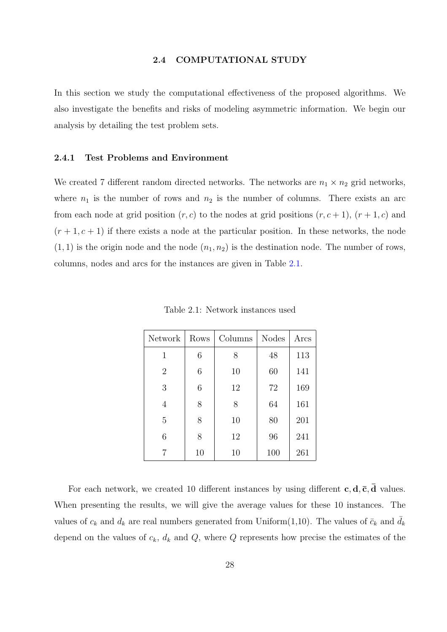<span id="page-39-0"></span>In this section we study the computational effectiveness of the proposed algorithms. We also investigate the benefits and risks of modeling asymmetric information. We begin our analysis by detailing the test problem sets.

#### 2.4.1 Test Problems and Environment

We created 7 different random directed networks. The networks are  $n_1 \times n_2$  grid networks, where  $n_1$  is the number of rows and  $n_2$  is the number of columns. There exists an arc from each node at grid position  $(r, c)$  to the nodes at grid positions  $(r, c + 1)$ ,  $(r + 1, c)$  and  $(r + 1, c + 1)$  if there exists a node at the particular position. In these networks, the node  $(1, 1)$  is the origin node and the node  $(n_1, n_2)$  is the destination node. The number of rows, columns, nodes and arcs for the instances are given in Table 2.1.

| Network        | Rows | Columns | <b>Nodes</b> | Arcs |
|----------------|------|---------|--------------|------|
| 1              | 6    | 8       | 48           | 113  |
| $\overline{2}$ | 6    | 10      | 60           | 141  |
| 3              | 6    | 12      | 72           | 169  |
| $\overline{4}$ | 8    | 8       | 64           | 161  |
| 5              | 8    | 10      | 80           | 201  |
| 6              | 8    | 12      | 96           | 241  |
| 7              | 10   | 10      | 100          | 261  |

Table 2.1: Network instances used

For each network, we created 10 different instances by using different  $c, d, \bar{c}, \bar{d}$  values. When presenting the results, we will give the average values for these 10 instances. The values of  $c_k$  and  $d_k$  are real numbers generated from Uniform(1,10). The values of  $\bar{c}_k$  and  $\bar{d}_k$ depend on the values of  $c_k$ ,  $d_k$  and  $Q$ , where  $Q$  represents how precise the estimates of the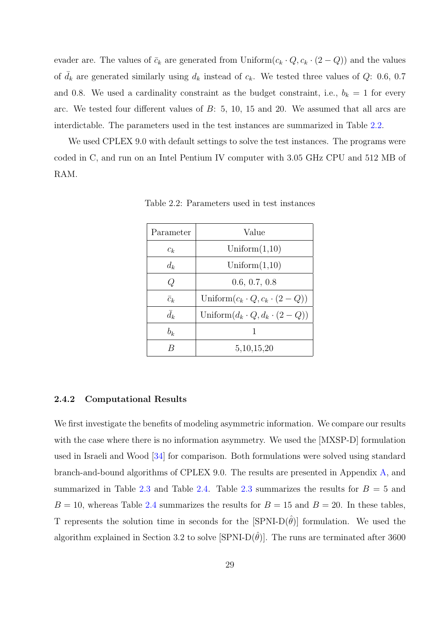evader are. The values of  $\bar{c}_k$  are generated from Uniform $(c_k \cdot Q, c_k \cdot (2 - Q))$  and the values of  $\bar{d}_k$  are generated similarly using  $d_k$  instead of  $c_k$ . We tested three values of Q: 0.6, 0.7 and 0.8. We used a cardinality constraint as the budget constraint, i.e.,  $b_k = 1$  for every arc. We tested four different values of B: 5, 10, 15 and 20. We assumed that all arcs are interdictable. The parameters used in the test instances are summarized in Table 2.2.

We used CPLEX 9.0 with default settings to solve the test instances. The programs were coded in C, and run on an Intel Pentium IV computer with 3.05 GHz CPU and 512 MB of RAM.

| Parameter   | Value                                      |
|-------------|--------------------------------------------|
| $c_k$       | Uniform $(1,10)$                           |
| $d_k$       | Uniform $(1,10)$                           |
| Q           | 0.6, 0.7, 0.8                              |
| $\bar{c}_k$ | Uniform $(c_k \cdot Q, c_k \cdot (2 - Q))$ |
| $\bar{d}_k$ | Uniform $(d_k \cdot Q, d_k \cdot (2 - Q))$ |
| $b_k$       |                                            |
|             | 5, 10, 15, 20                              |

Table 2.2: Parameters used in test instances

#### 2.4.2 Computational Results

We first investigate the benefits of modeling asymmetric information. We compare our results with the case where there is no information asymmetry. We used the  $[MXSP-D]$  formulation used in Israeli and Wood [34] for comparison. Both formulations were solved using standard branch-and-bound algorithms of CPLEX 9.0. The results are presented in Appendix A, and summarized in Table 2.3 [and](#page-140-0) Table 2.4. Table 2.3 summarizes the results for  $B = 5$  and  $B = 10$ , whereas Table 2.4 summarizes the results for  $B = 15$  and  $B = 20$ . In these [ta](#page-87-0)bles, T represents the solu[tion](#page-42-0) time in s[econ](#page-43-0)ds for the  $[\text{SPNI-D}(\hat{\theta})]$  formulation. We used the algorithm explained in [Sect](#page-43-0)ion 3.2 to solve [SPNI-D $(\hat{\theta})$ ]. The runs are terminated after 3600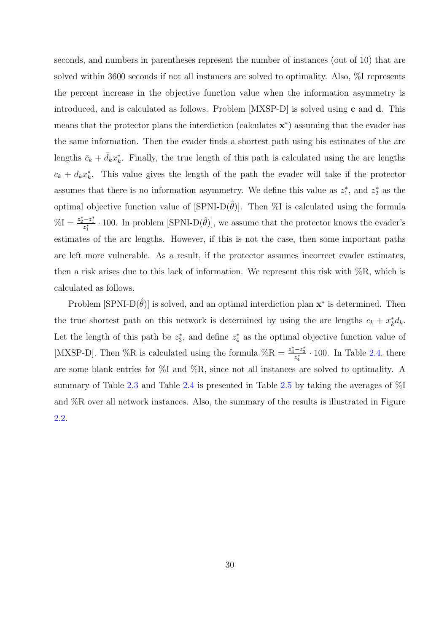seconds, and numbers in parentheses represent the number of instances (out of 10) that are solved within 3600 seconds if not all instances are solved to optimality. Also, %I represents the percent increase in the objective function value when the information asymmetry is introduced, and is calculated as follows. Problem  $[MXSP-D]$  is solved using c and d. This means that the protector plans the interdiction (calculates  $\mathbf{x}^*$ ) assuming that the evader has the same information. Then the evader finds a shortest path using his estimates of the arc lengths  $\bar{c}_k + \bar{d}_k x_k^*$ . Finally, the true length of this path is calculated using the arc lengths  $c_k + d_k x_k^*$ . This value gives the length of the path the evader will take if the protector assumes that there is no information asymmetry. We define this value as  $z_1^*$ , and  $z_2^*$  as the optimal objective function value of  $[\text{SPNI-D}(\hat{\theta})]$ . Then %I is calculated using the formula  $\%I = \frac{z_2^*-z_1^*}{z_1^*} \cdot 100$ . In problem [SPNI-D $(\hat{\theta})$ ], we assume that the protector knows the evader's estimates of the arc lengths. However, if this is not the case, then some important paths are left more vulnerable. As a result, if the protector assumes incorrect evader estimates, then a risk arises due to this lack of information. We represent this risk with  $\%R$ , which is calculated as follows.

Problem  $[\text{SPNI-D}(\hat{\theta})]$  is solved, and an optimal interdiction plan  $\mathbf{x}^*$  is determined. Then the true shortest path on this network is determined by using the arc lengths  $c_k + x_k^* d_k$ . Let the length of this path be  $z_3^*$ , and define  $z_4^*$  as the optimal objective function value of [MXSP-D]. Then %R is calculated using the formula %R =  $\frac{z_4^*-z_3^*}{z_4^*} \cdot 100$ . In Table 2.4, there are some blank entries for %I and %R, since not all instances are solved to optimality. A summary of Table 2.3 and Table 2.4 is presented in Table 2.5 by taking the aver[ages](#page-43-0) of %I and %R over all network instances. Also, the summary of the results is illustrated in Figure 2.2.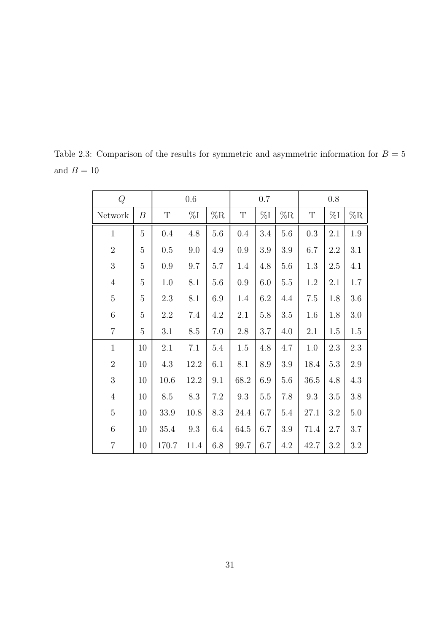| $\cal Q$       |                  |             | 0.6            |         | $0.7\,$     |                |                | 0.8         |                |                |
|----------------|------------------|-------------|----------------|---------|-------------|----------------|----------------|-------------|----------------|----------------|
| Network        | $\boldsymbol{B}$ | $\mathbf T$ | $\%\mathrm{I}$ | %R      | $\mathbf T$ | $\%\mathrm{I}$ | $\%\mathrm{R}$ | $\mathbf T$ | $\%\mathrm{I}$ | $\%\mathrm{R}$ |
| $\mathbf{1}$   | $\overline{5}$   | 0.4         | 4.8            | 5.6     | 0.4         | 3.4            | 5.6            | 0.3         | 2.1            | 1.9            |
| $\overline{2}$ | $\overline{5}$   | 0.5         | 9.0            | 4.9     | 0.9         | 3.9            | $3.9\,$        | 6.7         | 2.2            | 3.1            |
| 3              | $\overline{5}$   | 0.9         | 9.7            | 5.7     | 1.4         | 4.8            | 5.6            | 1.3         | 2.5            | 4.1            |
| $\overline{4}$ | $\overline{5}$   | 1.0         | 8.1            | 5.6     | 0.9         | 6.0            | $5.5\,$        | 1.2         | 2.1            | $1.7\,$        |
| $\overline{5}$ | $\overline{5}$   | 2.3         | 8.1            | 6.9     | 1.4         | 6.2            | 4.4            | $7.5\,$     | 1.8            | $3.6\,$        |
| 6              | $\overline{5}$   | 2.2         | 7.4            | 4.2     | 2.1         | 5.8            | $3.5\,$        | 1.6         | 1.8            | 3.0            |
| $\overline{7}$ | $\overline{5}$   | 3.1         | 8.5            | $7.0\,$ | 2.8         | 3.7            | 4.0            | 2.1         | 1.5            | $1.5\,$        |
| $\mathbf{1}$   | 10               | 2.1         | 7.1            | 5.4     | 1.5         | 4.8            | 4.7            | 1.0         | 2.3            | 2.3            |
| $\overline{2}$ | 10               | 4.3         | 12.2           | 6.1     | 8.1         | 8.9            | 3.9            | 18.4        | 5.3            | $2.9\,$        |
| $\mathfrak{Z}$ | 10               | 10.6        | 12.2           | 9.1     | 68.2        | 6.9            | 5.6            | 36.5        | 4.8            | $4.3\,$        |
| $\,4\,$        | 10               | 8.5         | 8.3            | 7.2     | 9.3         | $5.5\,$        | 7.8            | 9.3         | 3.5            | 3.8            |
| $\overline{5}$ | 10               | 33.9        | 10.8           | 8.3     | 24.4        | 6.7            | $5.4\,$        | 27.1        | 3.2            | $5.0\,$        |
| $\,6$          | 10               | 35.4        | 9.3            | 6.4     | 64.5        | 6.7            | 3.9            | 71.4        | 2.7            | 3.7            |
| $\overline{7}$ | 10               | 170.7       | 11.4           | 6.8     | 99.7        | 6.7            | 4.2            | 42.7        | 3.2            | $3.2\,$        |

<span id="page-42-0"></span>Table 2.3: Comparison of the results for symmetric and asymmetric information for  $B = 5$ and  $B = 10$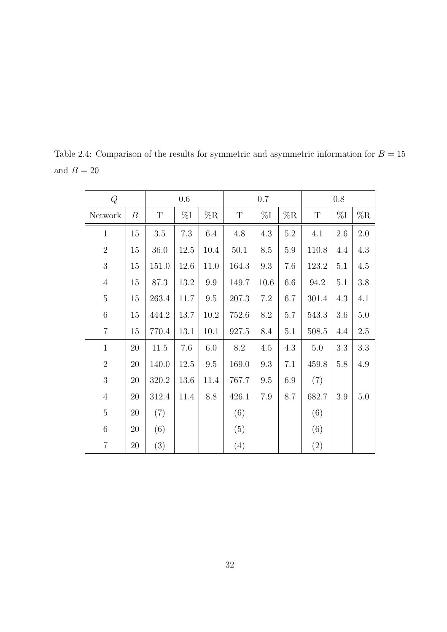| Q               |                  |         | $0.6\,$  | 0.7      |             |         |         | 0.8         |         |                |
|-----------------|------------------|---------|----------|----------|-------------|---------|---------|-------------|---------|----------------|
| Network         | $\boldsymbol{B}$ | T       | $\%I$    | %R       | $\mathbf T$ | $\%I$   | %R      | $\mathbf T$ | $\%I$   | $\%\mathrm{R}$ |
| $\mathbf{1}$    | $15\,$           | $3.5\,$ | $7.3\,$  | 6.4      | 4.8         | 4.3     | $5.2\,$ | 4.1         | 2.6     | $2.0\,$        |
| $\overline{2}$  | 15               | 36.0    | $12.5\,$ | 10.4     | $50.1\,$    | 8.5     | $5.9\,$ | 110.8       | 4.4     | 4.3            |
| 3               | 15               | 151.0   | 12.6     | 11.0     | 164.3       | 9.3     | 7.6     | 123.2       | 5.1     | 4.5            |
| $\sqrt{4}$      | 15               | 87.3    | $13.2\,$ | 9.9      | 149.7       | 10.6    | 6.6     | 94.2        | 5.1     | 3.8            |
| $\overline{5}$  | 15               | 263.4   | 11.7     | 9.5      | 207.3       | 7.2     | 6.7     | 301.4       | 4.3     | 4.1            |
| $6\phantom{.}6$ | 15               | 444.2   | 13.7     | $10.2\,$ | 752.6       | $8.2\,$ | 5.7     | 543.3       | $3.6\,$ | $5.0\,$        |
| $\overline{7}$  | 15               | 770.4   | 13.1     | 10.1     | 927.5       | 8.4     | 5.1     | 508.5       | 4.4     | $2.5\,$        |
| $\mathbf{1}$    | 20               | 11.5    | 7.6      | $6.0\,$  | 8.2         | 4.5     | 4.3     | $5.0\,$     | 3.3     | 3.3            |
| $\overline{2}$  | 20               | 140.0   | 12.5     | $\,9.5$  | 169.0       | 9.3     | 7.1     | 459.8       | 5.8     | 4.9            |
| 3               | $20\,$           | 320.2   | 13.6     | 11.4     | 767.7       | 9.5     | 6.9     | (7)         |         |                |
| $\overline{4}$  | 20               | 312.4   | 11.4     | 8.8      | 426.1       | $7.9\,$ | 8.7     | 682.7       | 3.9     | $5.0\,$        |
| $\overline{5}$  | 20               | (7)     |          |          | (6)         |         |         | (6)         |         |                |
| $\,6\,$         | $20\,$           | (6)     |          |          | (5)         |         |         | (6)         |         |                |
| $\overline{7}$  | 20               | (3)     |          |          | (4)         |         |         | (2)         |         |                |

<span id="page-43-0"></span>Table 2.4: Comparison of the results for symmetric and asymmetric information for  $B = 15$ and  $B = 20$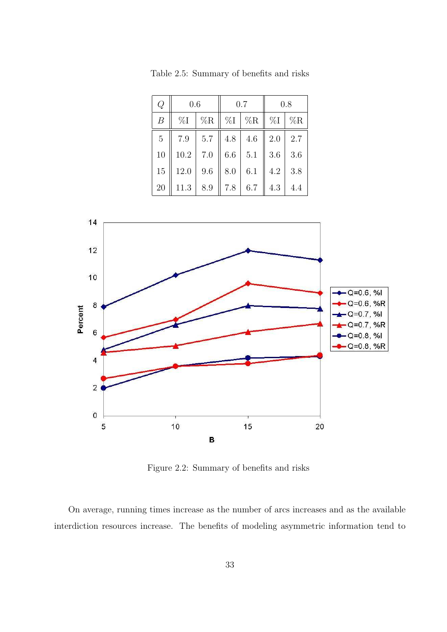| Q              | 0.6      |     |         | 0.7            | 0.8             |     |
|----------------|----------|-----|---------|----------------|-----------------|-----|
| B              | $\%I$    | %R  |         | $\%I \mid \%R$ | $\parallel \%I$ | %R  |
| $\overline{5}$ | 7.9      | 5.7 | 4.8     | 4.6            | 2.0             | 2.7 |
| 10             | $10.2\,$ | 7.0 | $6.6\,$ | 5.1            | 3.6             | 3.6 |
| 15             | 12.0     | 9.6 | 8.0     | 6.1            | 4.2             | 3.8 |
| 20             | 11.3     | 8.9 | 7.8     | 6.7            | 4.3             | 4.4 |

Table 2.5: Summary of benefits and risks



Figure 2.2: Summary of benefits and risks

On average, running times increase as the number of arcs increases and as the available interdiction resources increase. The benefits of modeling asymmetric information tend to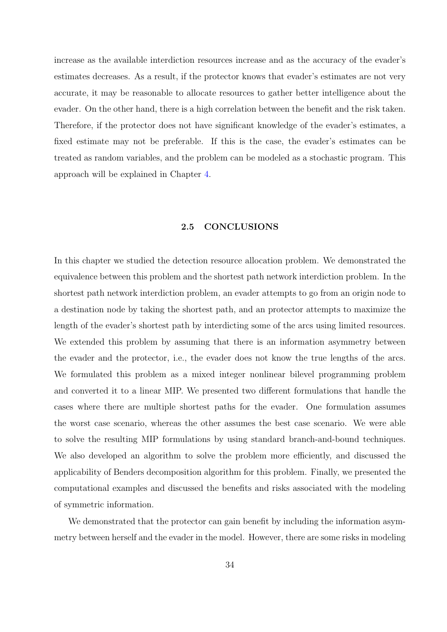increase as the available interdiction resources increase and as the accuracy of the evader's estimates decreases. As a result, if the protector knows that evader's estimates are not very accurate, it may be reasonable to allocate resources to gather better intelligence about the evader. On the other hand, there is a high correlation between the benefit and the risk taken. Therefore, if the protector does not have significant knowledge of the evader's estimates, a fixed estimate may not be preferable. If this is the case, the evader's estimates can be treated as random variables, and the problem can be modeled as a stochastic program. This approach will be explained in Chapter 4.

#### 2.5 CONCLUSIONS

In this chapter we studied the detection resource allocation problem. We demonstrated the equivalence between this problem and the shortest path network interdiction problem. In the shortest path network interdiction problem, an evader attempts to go from an origin node to a destination node by taking the shortest path, and an protector attempts to maximize the length of the evader's shortest path by interdicting some of the arcs using limited resources. We extended this problem by assuming that there is an information asymmetry between the evader and the protector, i.e., the evader does not know the true lengths of the arcs. We formulated this problem as a mixed integer nonlinear bilevel programming problem and converted it to a linear MIP. We presented two different formulations that handle the cases where there are multiple shortest paths for the evader. One formulation assumes the worst case scenario, whereas the other assumes the best case scenario. We were able to solve the resulting MIP formulations by using standard branch-and-bound techniques. We also developed an algorithm to solve the problem more efficiently, and discussed the applicability of Benders decomposition algorithm for this problem. Finally, we presented the computational examples and discussed the benefits and risks associated with the modeling of symmetric information.

We demonstrated that the protector can gain benefit by including the information asymmetry between herself and the evader in the model. However, there are some risks in modeling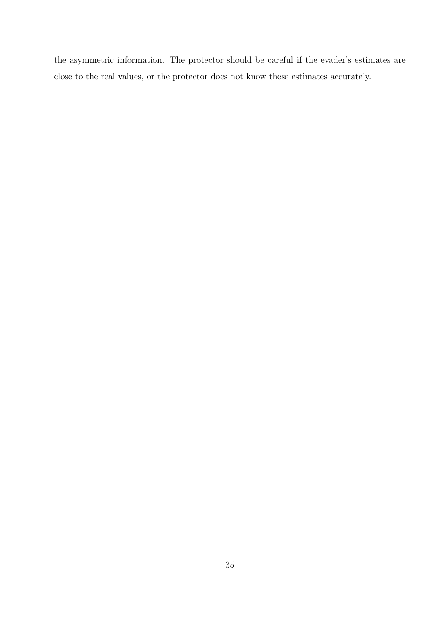the asymmetric information. The protector should be careful if the evader's estimates are close to the real values, or the protector does not know these estimates accurately.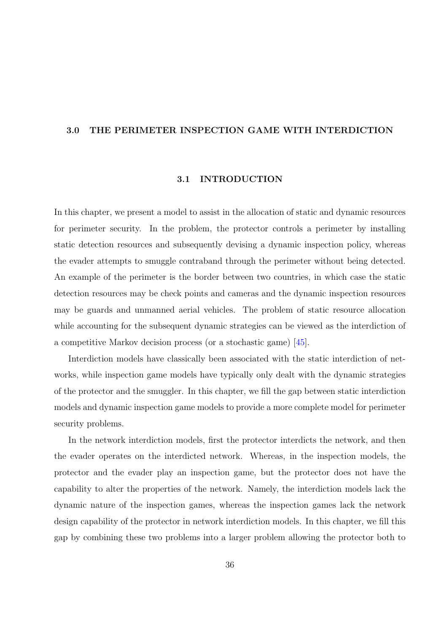#### 3.0 THE PERIMETER INSPECTION GAME WITH INTERDICTION

# 3.1 INTRODUCTION

In this chapter, we present a model to assist in the allocation of static and dynamic resources for perimeter security. In the problem, the protector controls a perimeter by installing static detection resources and subsequently devising a dynamic inspection policy, whereas the evader attempts to smuggle contraband through the perimeter without being detected. An example of the perimeter is the border between two countries, in which case the static detection resources may be check points and cameras and the dynamic inspection resources may be guards and unmanned aerial vehicles. The problem of static resource allocation while accounting for the subsequent dynamic strategies can be viewed as the interdiction of a competitive Markov decision process (or a stochastic game) [45].

Interdiction models have classically been associated with the static interdiction of networks, while inspection game models have typically only dealt [wi](#page-141-0)th the dynamic strategies of the protector and the smuggler. In this chapter, we fill the gap between static interdiction models and dynamic inspection game models to provide a more complete model for perimeter security problems.

In the network interdiction models, first the protector interdicts the network, and then the evader operates on the interdicted network. Whereas, in the inspection models, the protector and the evader play an inspection game, but the protector does not have the capability to alter the properties of the network. Namely, the interdiction models lack the dynamic nature of the inspection games, whereas the inspection games lack the network design capability of the protector in network interdiction models. In this chapter, we fill this gap by combining these two problems into a larger problem allowing the protector both to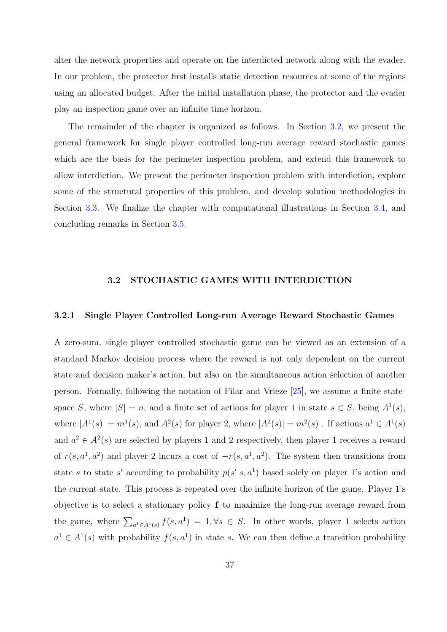<span id="page-48-0"></span>alter the network properties and operate on the interdicted network along with the evader. In our problem, the protector first installs static detection resources at some of the regions using an allocated budget. After the initial installation phase, the protector and the evader play an inspection game over an infinite time horizon.

The remainder of the chapter is organized as follows. In Section 3.2, we present the general framework for single player controlled long-run average reward stochastic games which are the basis for the perimeter inspection problem, and extend this framework to allow interdiction. We present the perimeter inspection problem with interdiction, explore some of the structural properties of this problem, and develop solution methodologies in Section 3.3. We finalize the chapter with computational illustrations in Section 3.4, and concluding remarks in Section 3.5.

# 3.2 STOCHASTIC GAMES WITH INTERDICTION

# 3.2.1 Single Player Controlled Long-run Average Reward Stochastic Games

A zero-sum, single player controlled stochastic game can be viewed as an extension of a standard Markov decision process where the reward is not only dependent on the current state and decision maker's action, but also on the simultaneous action selection of another person. Formally, following the notation of Filar and Vrieze [25], we assume a finite statespace S, where  $|S| = n$ , and a finite set of actions for player 1 in state  $s \in S$ , being  $A^1(s)$ , where  $|A^1(s)| = m^1(s)$  $|A^1(s)| = m^1(s)$  $|A^1(s)| = m^1(s)$ , and  $A^2(s)$  for player 2, where  $|A^2(s)| = m^2(s)$ . If actions  $a^1 \in A^1(s)$ and  $a^2 \in A^2(s)$  are selected by players 1 and 2 respectively, then player 1 receives a reward of  $r(s, a^1, a^2)$  and player 2 incurs a cost of  $-r(s, a^1, a^2)$ . The system then transitions from state s to state s' according to probability  $p(s'|s, a^1)$  based solely on player 1's action and the current state. This process is repeated over the infinite horizon of the game. Player 1's objective is to select a stationary policy f to maximize the long-run average reward from the game, where  $\sum_{a^1 \in A^1(s)} f(s, a^1) = 1, \forall s \in S$ . In other words, player 1 selects action  $a^1 \in A^1(s)$  with probability  $f(s, a^1)$  in state s. We can then define a transition probability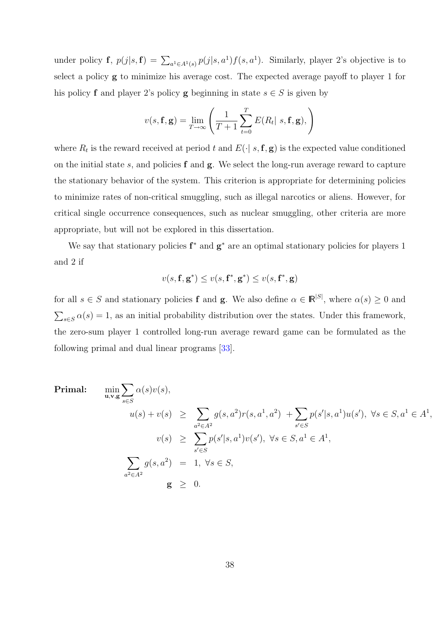under policy **f**,  $p(j|s, \mathbf{f}) = \sum_{a^1 \in A^1(s)} p(j|s, a^1) f(s, a^1)$ . Similarly, player 2's objective is to select a policy g to minimize his average cost. The expected average payoff to player 1 for his policy f and player 2's policy g beginning in state  $s \in S$  is given by

$$
v(s, \mathbf{f}, \mathbf{g}) = \lim_{T \to \infty} \left( \frac{1}{T+1} \sum_{t=0}^{T} E(R_t | s, \mathbf{f}, \mathbf{g}), \right)
$$

where  $R_t$  is the reward received at period t and  $E(\cdot | s, \mathbf{f}, \mathbf{g})$  is the expected value conditioned on the initial state  $s$ , and policies  $f$  and  $g$ . We select the long-run average reward to capture the stationary behavior of the system. This criterion is appropriate for determining policies to minimize rates of non-critical smuggling, such as illegal narcotics or aliens. However, for critical single occurrence consequences, such as nuclear smuggling, other criteria are more appropriate, but will not be explored in this dissertation.

We say that stationary policies  $f^*$  and  $g^*$  are an optimal stationary policies for players 1 and 2 if

$$
v(s,\mathbf{f},\mathbf{g}^*) \leq v(s,\mathbf{f}^*,\mathbf{g}^*) \leq v(s,\mathbf{f}^*,\mathbf{g})
$$

for all  $s \in S$  and stationary policies **f** and **g**. We also define  $\alpha \in \mathbb{R}^{|S|}$ , where  $\alpha(s) \geq 0$  and  $\overline{ }$  $s \in S \alpha(s) = 1$ , as an initial probability distribution over the states. Under this framework, the zero-sum player 1 controlled long-run average reward game can be formulated as the following primal and dual linear programs [33].

Primal:

\n
$$
\min_{\mathbf{u}, \mathbf{v}, \mathbf{g}} \sum_{s \in S} \alpha(s) v(s),
$$
\n
$$
u(s) + v(s) \geq \sum_{a^2 \in A^2} g(s, a^2) r(s, a^1, a^2) + \sum_{s' \in S} p(s'|s, a^1) u(s'), \ \forall s \in S, a^1 \in A^1
$$
\n
$$
v(s) \geq \sum_{s' \in S} p(s'|s, a^1) v(s'), \ \forall s \in S, a^1 \in A^1,
$$
\n
$$
\sum_{a^2 \in A^2} g(s, a^2) = 1, \ \forall s \in S,
$$
\n
$$
\mathbf{g} \geq 0.
$$

,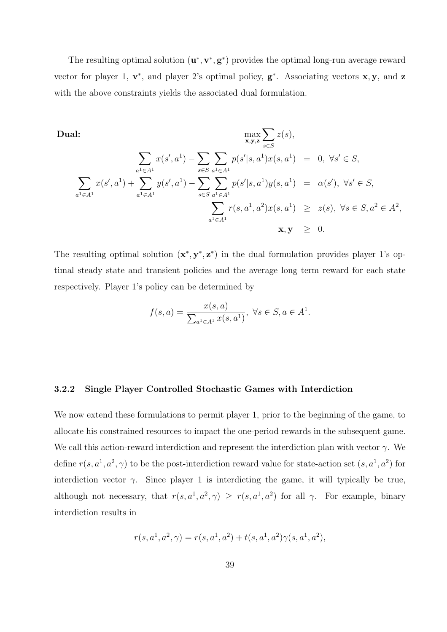The resulting optimal solution  $(\mathbf{u}^*, \mathbf{v}^*, \mathbf{g}^*)$  provides the optimal long-run average reward vector for player 1,  $\mathbf{v}^*$ , and player 2's optimal policy,  $\mathbf{g}^*$ . Associating vectors  $\mathbf{x}, \mathbf{y}$ , and  $\mathbf{z}$ with the above constraints yields the associated dual formulation.

Dual:

\n
$$
\max_{\mathbf{x}, \mathbf{y}, \mathbf{z}} \sum_{s \in S} z(s),
$$
\n
$$
\sum_{a^{1} \in A^{1}} x(s', a^{1}) - \sum_{s \in S} \sum_{a^{1} \in A^{1}} p(s'|s, a^{1}) x(s, a^{1}) = 0, \forall s' \in S,
$$
\n
$$
\sum_{a^{1} \in A^{1}} x(s', a^{1}) + \sum_{a^{1} \in A^{1}} y(s', a^{1}) - \sum_{s \in S} \sum_{a^{1} \in A^{1}} p(s'|s, a^{1}) y(s, a^{1}) = \alpha(s'), \forall s' \in S,
$$
\n
$$
\sum_{a^{1} \in A^{1}} r(s, a^{1}, a^{2}) x(s, a^{1}) \geq z(s), \forall s \in S, a^{2} \in A^{2},
$$
\n
$$
\mathbf{x}, \mathbf{y} \geq 0.
$$

The resulting optimal solution  $(x^*, y^*, z^*)$  in the dual formulation provides player 1's optimal steady state and transient policies and the average long term reward for each state respectively. Player 1's policy can be determined by

$$
f(s, a) = \frac{x(s, a)}{\sum_{a^1 \in A^1} x(s, a^1)}, \ \forall s \in S, a \in A^1.
$$

# 3.2.2 Single Player Controlled Stochastic Games with Interdiction

We now extend these formulations to permit player 1, prior to the beginning of the game, to allocate his constrained resources to impact the one-period rewards in the subsequent game. We call this action-reward interdiction and represent the interdiction plan with vector  $\gamma$ . We define  $r(s, a^1, a^2, \gamma)$  to be the post-interdiction reward value for state-action set  $(s, a^1, a^2)$  for interdiction vector  $\gamma$ . Since player 1 is interdicting the game, it will typically be true, although not necessary, that  $r(s, a^1, a^2, \gamma) \geq r(s, a^1, a^2)$  for all  $\gamma$ . For example, binary interdiction results in

$$
r(s,a^1,a^2,\gamma)=r(s,a^1,a^2)+t(s,a^1,a^2)\gamma(s,a^1,a^2),
$$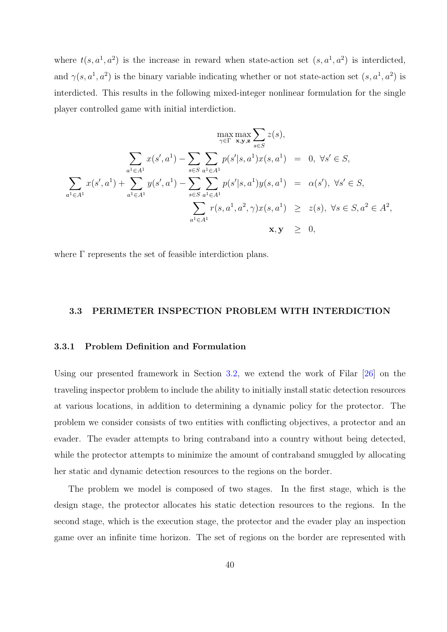where  $t(s, a^1, a^2)$  is the increase in reward when state-action set  $(s, a^1, a^2)$  is interdicted, and  $\gamma(s, a^1, a^2)$  is the binary variable indicating whether or not state-action set  $(s, a^1, a^2)$  is interdicted. This results in the following mixed-integer nonlinear formulation for the single player controlled game with initial interdiction.

$$
\max_{\gamma \in \Gamma} \max_{\mathbf{x}, \mathbf{y}, \mathbf{z}} \sum_{s \in S} z(s),
$$
\n
$$
\sum_{a^1 \in A^1} x(s', a^1) - \sum_{s \in S} \sum_{a^1 \in A^1} p(s'|s, a^1) x(s, a^1) = 0, \forall s' \in S,
$$
\n
$$
\sum_{a^1 \in A^1} x(s', a^1) + \sum_{a^1 \in A^1} y(s', a^1) - \sum_{s \in S} \sum_{a^1 \in A^1} p(s'|s, a^1) y(s, a^1) = \alpha(s'), \forall s' \in S,
$$
\n
$$
\sum_{a^1 \in A^1} r(s, a^1, a^2, \gamma) x(s, a^1) \ge z(s), \forall s \in S, a^2 \in A^2,
$$
\n
$$
\mathbf{x}, \mathbf{y} \ge 0,
$$

where Γ represents the set of feasible interdiction plans.

# 3.3 PERIMETER INSPECTION PROBLEM WITH INTERDICTION

#### 3.3.1 Problem Definition and Formulation

Using our presented framework in Section 3.2, we extend the work of Filar [26] on the traveling inspector problem to include the ability to initially install static detection resources at various locations, in addition to determi[ning](#page-48-0) a dynamic policy for the prot[ecto](#page-139-0)r. The problem we consider consists of two entities with conflicting objectives, a protector and an evader. The evader attempts to bring contraband into a country without being detected, while the protector attempts to minimize the amount of contraband smuggled by allocating her static and dynamic detection resources to the regions on the border.

The problem we model is composed of two stages. In the first stage, which is the design stage, the protector allocates his static detection resources to the regions. In the second stage, which is the execution stage, the protector and the evader play an inspection game over an infinite time horizon. The set of regions on the border are represented with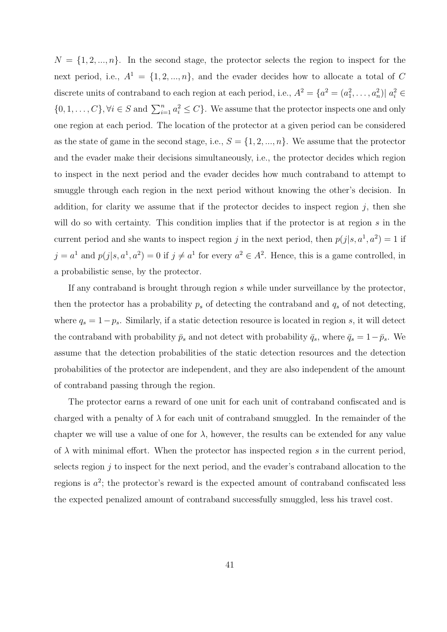$N = \{1, 2, ..., n\}$ . In the second stage, the protector selects the region to inspect for the next period, i.e.,  $A^1 = \{1, 2, ..., n\}$ , and the evader decides how to allocate a total of C discrete units of contraband to each region at each period, i.e.,  $A^2 = \{a^2 = (a_1^2, \ldots, a_n^2) | a_i^2 \in$  $\{0, 1, \ldots, C\}, \forall i \in S \text{ and } \sum_{i=1}^{n} a_i^2 \leq C\}.$  We assume that the protector inspects one and only one region at each period. The location of the protector at a given period can be considered as the state of game in the second stage, i.e.,  $S = \{1, 2, ..., n\}$ . We assume that the protector and the evader make their decisions simultaneously, i.e., the protector decides which region to inspect in the next period and the evader decides how much contraband to attempt to smuggle through each region in the next period without knowing the other's decision. In addition, for clarity we assume that if the protector decides to inspect region  $j$ , then she will do so with certainty. This condition implies that if the protector is at region  $s$  in the current period and she wants to inspect region j in the next period, then  $p(j|s, a^1, a^2) = 1$  if  $j = a^1$  and  $p(j|s, a^1, a^2) = 0$  if  $j \neq a^1$  for every  $a^2 \in A^2$ . Hence, this is a game controlled, in a probabilistic sense, by the protector.

If any contraband is brought through region s while under surveillance by the protector, then the protector has a probability  $p_s$  of detecting the contraband and  $q_s$  of not detecting, where  $q_s = 1-p_s$ . Similarly, if a static detection resource is located in region s, it will detect the contraband with probability  $\bar{p}_s$  and not detect with probability  $\bar{q}_s$ , where  $\bar{q}_s = 1 - \bar{p}_s$ . We assume that the detection probabilities of the static detection resources and the detection probabilities of the protector are independent, and they are also independent of the amount of contraband passing through the region.

The protector earns a reward of one unit for each unit of contraband confiscated and is charged with a penalty of  $\lambda$  for each unit of contraband smuggled. In the remainder of the chapter we will use a value of one for  $\lambda$ , however, the results can be extended for any value of  $\lambda$  with minimal effort. When the protector has inspected region s in the current period, selects region  $j$  to inspect for the next period, and the evader's contraband allocation to the regions is  $a^2$ ; the protector's reward is the expected amount of contraband confiscated less the expected penalized amount of contraband successfully smuggled, less his travel cost.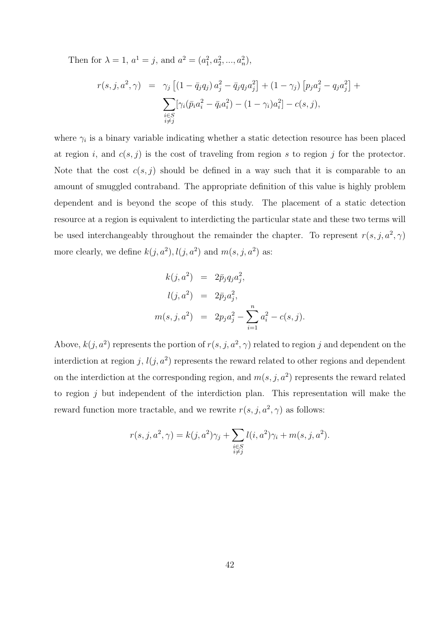Then for  $\lambda = 1, a^1 = j$ , and  $a^2 = (a_1^2, a_2^2, ..., a_n^2)$ ,

$$
r(s, j, a^2, \gamma) = \gamma_j \left[ (1 - \bar{q}_j q_j) a_j^2 - \bar{q}_j q_j a_j^2 \right] + (1 - \gamma_j) \left[ p_j a_j^2 - q_j a_j^2 \right] +
$$
  

$$
\sum_{\substack{i \in S \\ i \neq j}} \left[ \gamma_i (\bar{p}_i a_i^2 - \bar{q}_i a_i^2) - (1 - \gamma_i) a_i^2 \right] - c(s, j),
$$

where  $\gamma_i$  is a binary variable indicating whether a static detection resource has been placed at region i, and  $c(s, j)$  is the cost of traveling from region s to region j for the protector. Note that the cost  $c(s, j)$  should be defined in a way such that it is comparable to an amount of smuggled contraband. The appropriate definition of this value is highly problem dependent and is beyond the scope of this study. The placement of a static detection resource at a region is equivalent to interdicting the particular state and these two terms will be used interchangeably throughout the remainder the chapter. To represent  $r(s, j, a^2, \gamma)$ more clearly, we define  $k(j, a^2)$ ,  $l(j, a^2)$  and  $m(s, j, a^2)$  as:

$$
k(j, a^2) = 2\bar{p}_j q_j a_j^2,
$$
  
\n
$$
l(j, a^2) = 2\bar{p}_j a_j^2,
$$
  
\n
$$
m(s, j, a^2) = 2p_j a_j^2 - \sum_{i=1}^n a_i^2 - c(s, j).
$$

Above,  $k(j, a^2)$  represents the portion of  $r(s, j, a^2, \gamma)$  related to region j and dependent on the interdiction at region j,  $l(j, a^2)$  represents the reward related to other regions and dependent on the interdiction at the corresponding region, and  $m(s, j, a^2)$  represents the reward related to region  $j$  but independent of the interdiction plan. This representation will make the reward function more tractable, and we rewrite  $r(s, j, a^2, \gamma)$  as follows:

$$
r(s, j, a^2, \gamma) = k(j, a^2)\gamma_j + \sum_{\substack{i \in S \\ i \neq j}} l(i, a^2)\gamma_i + m(s, j, a^2).
$$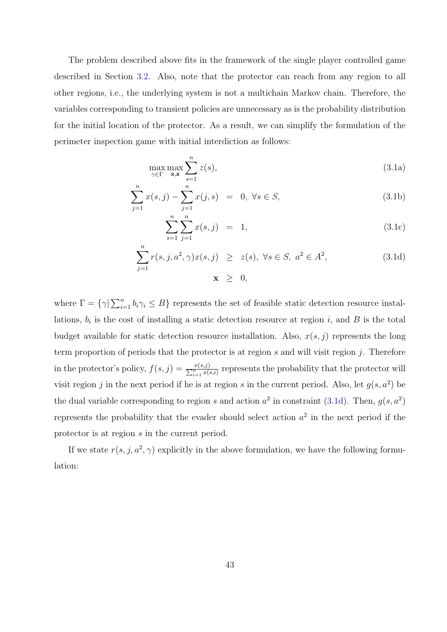The problem described above fits in the framework of the single player controlled game described in Section 3.2. Also, note that the protector can reach from any region to all other regions, i.e., the underlying system is not a multichain Markov chain. Therefore, the variables correspondi[ng t](#page-48-0)o transient policies are unnecessary as is the probability distribution for the initial location of the protector. As a result, we can simplify the formulation of the perimeter inspection game with initial interdiction as follows:

$$
\max_{\gamma \in \Gamma} \max_{\mathbf{x}, \mathbf{z}} \sum_{s=1}^{n} z(s),\tag{3.1a}
$$

$$
\sum_{j=1}^{n} x(s,j) - \sum_{j=1}^{n} x(j,s) = 0, \forall s \in S,
$$
\n(3.1b)

$$
\sum_{s=1}^{n} \sum_{j=1}^{n} x(s, j) = 1,
$$
\n(3.1c)

$$
\sum_{j=1}^{n} r(s, j, a^2, \gamma) x(s, j) \ge z(s), \ \forall s \in S, \ a^2 \in A^2,
$$
\n
$$
\mathbf{x} \ge 0,
$$
\n(3.1d)

where  $\Gamma = \{ \gamma | \sum_{i=1}^{n} \gamma_i \}$  $i=1 \atop i=1$   $b_i \gamma_i \leq B$  represents the set of feasible static detection resource installations,  $b_i$  is the cost of installing a static detection resource at region i, and B is the total budget available for static detection resource installation. Also,  $x(s, j)$  represents the long term proportion of periods that the protector is at region s and will visit region  $j$ . Therefore in the protector's policy,  $f(s, j) = \frac{x(s, j)}{\sum_{i=1}^{n} x(s, i)}$  represents the probability that the protector will visit region j in the next period if he is at region s in the current period. Also, let  $g(s, a^2)$  be the dual variable corresponding to region s and action  $a^2$  in constraint (3.1d). Then,  $g(s, a^2)$ represents the probability that the evader should select action  $a^2$  in the next period if the protector is at region s in the current period.

If we state  $r(s, j, a^2, \gamma)$  explicitly in the above formulation, we have the following formulation: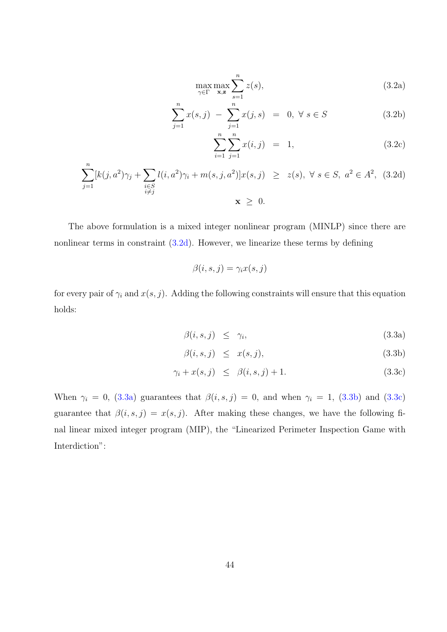$$
\max_{\gamma \in \Gamma} \max_{\mathbf{x}, \mathbf{z}} \sum_{s=1}^{n} z(s),\tag{3.2a}
$$

$$
\sum_{j=1}^{n} x(s,j) - \sum_{j=1}^{n} x(j,s) = 0, \forall s \in S
$$
 (3.2b)

$$
\sum_{i=1}^{n} \sum_{j=1}^{n} x(i,j) = 1,
$$
\n(3.2c)

$$
\sum_{j=1}^{n} [k(j, a^{2})\gamma_{j} + \sum_{\substack{i \in S \\ i \neq j}} l(i, a^{2})\gamma_{i} + m(s, j, a^{2})]x(s, j) \geq z(s), \ \forall s \in S, \ a^{2} \in A^{2}, \ (3.2d)
$$
  

$$
\mathbf{x} \geq 0.
$$

The above formulation is a mixed integer nonlinear program (MINLP) since there are nonlinear terms in constraint  $(3.2d)$ . However, we linearize these terms by defining

$$
\beta(i, s, j) = \gamma_i x(s, j)
$$

for every pair of  $\gamma_i$  and  $x(s, j)$ . Adding the following constraints will ensure that this equation holds:

$$
\beta(i, s, j) \leq \gamma_i,\tag{3.3a}
$$

$$
\beta(i, s, j) \leq x(s, j), \tag{3.3b}
$$

$$
\gamma_i + x(s, j) \le \beta(i, s, j) + 1. \tag{3.3c}
$$

When  $\gamma_i = 0$ , (3.3a) guarantees that  $\beta(i, s, j) = 0$ , and when  $\gamma_i = 1$ , (3.3b) and (3.3c) guarantee that  $\beta(i, s, j) = x(s, j)$ . After making these changes, we have the following final linear mixed integer program (MIP), the "Linearized Perimeter Inspection Game with Interdiction":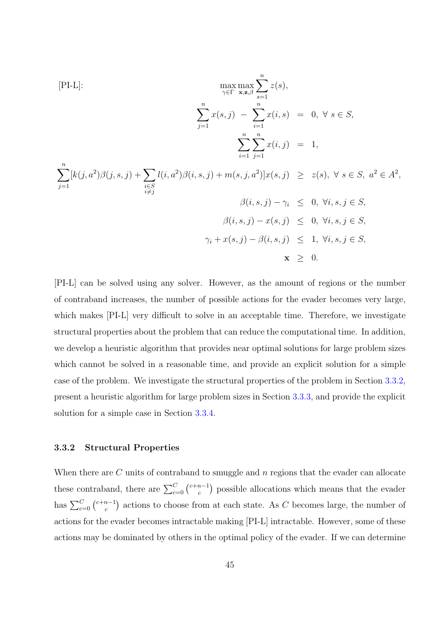[PI-L]:  
\n
$$
\max_{\gamma \in \Gamma} \max_{\mathbf{x}, \mathbf{z}, \beta} \sum_{s=1}^{n} z(s),
$$
\n
$$
\sum_{j=1}^{n} x(s, j) - \sum_{i=1}^{n} x(i, s) = 0, \forall s \in S,
$$
\n
$$
\sum_{i=1}^{n} \sum_{j=1}^{n} x(i, j) = 1,
$$
\n
$$
\sum_{i=1}^{n} [k(j, a^{2})\beta(j, s, j) + \sum_{\substack{i \in S \\ i \neq j}} l(i, a^{2})\beta(i, s, j) + m(s, j, a^{2})]x(s, j) \ge z(s), \forall s \in S, a^{2} \in A^{2},
$$
\n
$$
\beta(i, s, j) - \gamma_{i} \le 0, \forall i, s, j \in S,
$$
\n
$$
\beta(i, s, j) - x(s, j) \le 0, \forall i, s, j \in S,
$$
\n
$$
\gamma_{i} + x(s, j) - \beta(i, s, j) \le 1, \forall i, s, j \in S,
$$
\n
$$
\mathbf{x} \ge 0.
$$

[PI-L] can be solved using any solver. However, as the amount of regions or the number of contraband increases, the number of possible actions for the evader becomes very large, which makes  $[PI-L]$  very difficult to solve in an acceptable time. Therefore, we investigate structural properties about the problem that can reduce the computational time. In addition, we develop a heuristic algorithm that provides near optimal solutions for large problem sizes which cannot be solved in a reasonable time, and provide an explicit solution for a simple case of the problem. We investigate the structural properties of the problem in Section 3.3.2, present a heuristic algorithm for large problem sizes in Section 3.3.3, and provide the explicit solution for a simple case in Section 3.3.4.

# 3.3.2 Structural Properties

When there are  $C$  units of contraband to smuggle and  $n$  regions that the evader can allocate these contraband, there are  $\sum_{c=0}^{C} {c+n-1 \choose c}$ c ¢ possible allocations which means that the evader has  $\sum_{c=0}^{C} {c+n-1 \choose c}$  $c^{n-1}$ ) actions to choose from at each state. As C becomes large, the number of ¢ actions for the evader becomes intractable making [PI-L] intractable. However, some of these actions may be dominated by others in the optimal policy of the evader. If we can determine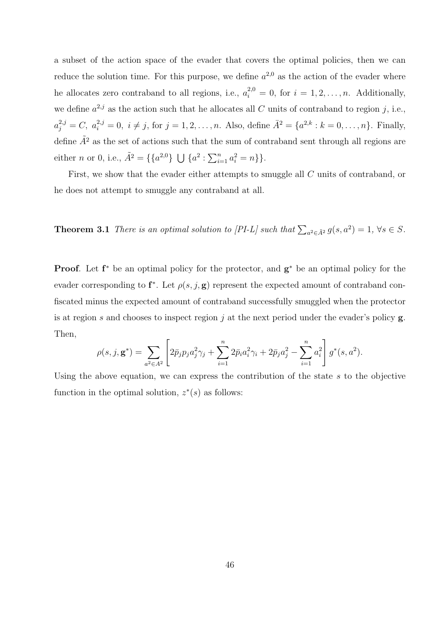<span id="page-57-0"></span>a subset of the action space of the evader that covers the optimal policies, then we can reduce the solution time. For this purpose, we define  $a^{2,0}$  as the action of the evader where he allocates zero contraband to all regions, i.e.,  $a_i^{2,0} = 0$ , for  $i = 1, 2, ..., n$ . Additionally, we define  $a^{2,j}$  as the action such that he allocates all C units of contraband to region j, i.e.,  $a_j^{2,j} = C, a_i^{2,j} = 0, i \neq j$ , for  $j = 1, 2, ..., n$ . Also, define  $\bar{A}^2 = \{a^{2,k} : k = 0, ..., n\}$ . Finally, define  $\tilde{A}^2$  as the set of actions such that the sum of contraband sent through all regions are either *n* or 0, i.e.,  $\tilde{A}^2 = \{\{a^{2,0}\}\}\ \bigcup$  ${a^2 : \sum_{i=1}^n}$  $_{i=1}^{n} a_i^2 = n$  } }.

First, we show that the evader either attempts to smuggle all C units of contraband, or he does not attempt to smuggle any contraband at all.

**Theorem 3.1** There is an optimal solution to [PI-L] such that  $\sum_{a^2 \in \tilde{A}^2} g(s, a^2) = 1$ ,  $\forall s \in S$ .

**Proof.** Let  $f^*$  be an optimal policy for the protector, and  $g^*$  be an optimal policy for the evader corresponding to  $f^*$ . Let  $\rho(s, j, g)$  represent the expected amount of contraband confiscated minus the expected amount of contraband successfully smuggled when the protector is at region s and chooses to inspect region j at the next period under the evader's policy  $\mathbf{g}$ . Then, .<br> $\overline{r}$ #

$$
\rho(s,j,\mathbf{g}^*) = \sum_{a^2 \in A^2} \left[ 2\bar{p}_j p_j a_j^2 \gamma_j + \sum_{i=1}^n 2\bar{p}_i a_i^2 \gamma_i + 2\bar{p}_j a_j^2 - \sum_{i=1}^n a_i^2 \right] g^*(s,a^2).
$$

Using the above equation, we can express the contribution of the state  $s$  to the objective function in the optimal solution,  $z^*(s)$  as follows: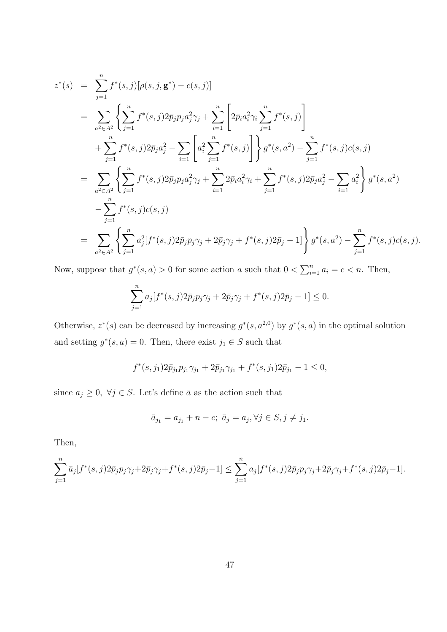$$
z^*(s) = \sum_{j=1}^n f^*(s, j)[\rho(s, j, \mathbf{g}^*) - c(s, j)]
$$
  
\n
$$
= \sum_{a^2 \in A^2} \left\{ \sum_{j=1}^n f^*(s, j) 2\bar{p}_j p_j a_j^2 \gamma_j + \sum_{i=1}^n \left[ 2\bar{p}_i a_i^2 \gamma_i \sum_{j=1}^n f^*(s, j) \right] + \sum_{j=1}^n f^*(s, j) 2\bar{p}_j a_j^2 - \sum_{i=1}^n \left[ a_i^2 \sum_{j=1}^n f^*(s, j) \right] \right\} g^*(s, a^2) - \sum_{j=1}^n f^*(s, j) c(s, j)
$$
  
\n
$$
= \sum_{a^2 \in A^2} \left\{ \sum_{j=1}^n f^*(s, j) 2\bar{p}_j p_j a_j^2 \gamma_j + \sum_{i=1}^n 2\bar{p}_i a_i^2 \gamma_i + \sum_{j=1}^n f^*(s, j) 2\bar{p}_j a_j^2 - \sum_{i=1}^n a_i^2 \right\} g^*(s, a^2)
$$
  
\n
$$
- \sum_{j=1}^n f^*(s, j) c(s, j)
$$
  
\n
$$
= \sum_{a^2 \in A^2} \left\{ \sum_{j=1}^n a_j^2 [f^*(s, j) 2\bar{p}_j p_j \gamma_j + 2\bar{p}_j \gamma_j + f^*(s, j) 2\bar{p}_j - 1] \right\} g^*(s, a^2) - \sum_{j=1}^n f^*(s, j) c(s, j).
$$

Now, suppose that  $g^*(s, a) > 0$  for some action a such that  $0 < \sum_{i=1}^n$  $_{i=1}^{n} a_i = c < n$ . Then,

$$
\sum_{j=1}^{n} a_j [f^*(s, j) 2\bar{p}_j p_j \gamma_j + 2\bar{p}_j \gamma_j + f^*(s, j) 2\bar{p}_j - 1] \le 0.
$$

Otherwise,  $z^*(s)$  can be decreased by increasing  $g^*(s, a^{2,0})$  by  $g^*(s, a)$  in the optimal solution and setting  $g^*(s, a) = 0$ . Then, there exist  $j_1 \in S$  such that

$$
f^*(s, j_1)2\bar{p}_{j_1}p_{j_1}\gamma_{j_1} + 2\bar{p}_{j_1}\gamma_{j_1} + f^*(s, j_1)2\bar{p}_{j_1} - 1 \le 0,
$$

since  $a_j \geq 0$ ,  $\forall j \in S$ . Let's define  $\bar{a}$  as the action such that

$$
\bar{a}_{j_1} = a_{j_1} + n - c; \ \bar{a}_j = a_j, \forall j \in S, j \neq j_1.
$$

Then,

$$
\sum_{j=1}^n \bar{a}_j[f^*(s,j)2\bar{p}_j p_j \gamma_j + 2\bar{p}_j \gamma_j + f^*(s,j)2\bar{p}_j - 1] \le \sum_{j=1}^n a_j[f^*(s,j)2\bar{p}_j p_j \gamma_j + 2\bar{p}_j \gamma_j + f^*(s,j)2\bar{p}_j - 1].
$$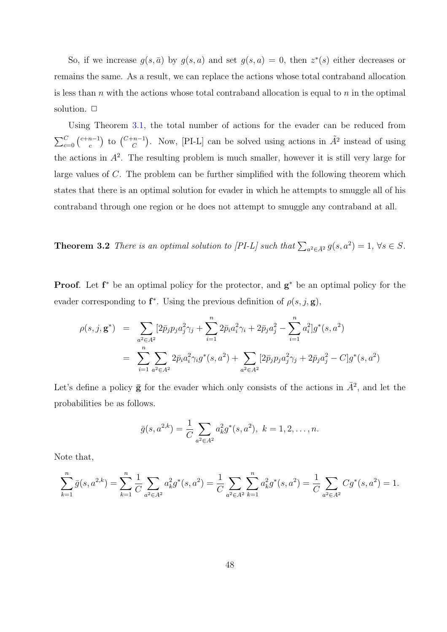<span id="page-59-0"></span>So, if we increase  $g(s, \bar{a})$  by  $g(s, a)$  and set  $g(s, a) = 0$ , then  $z^*(s)$  either decreases or remains the same. As a result, we can replace the actions whose total contraband allocation is less than n with the actions whose total contraband allocation is equal to n in the optimal solution.  $\Box$ 

Using Theorem 3.1, the total number of actions for the evader can be reduced from  $\sum_{c=0}^{C} {c+n-1 \choose c}$ c to  $\binom{C+n-1}{C}$ ). Now, [PI-L] can be solved using actions in  $\tilde{A}^2$  instead of using the actions in  $A^2$ . [The](#page-57-0) resulting problem is much smaller, however it is still very large for large values of C. The problem can be further simplified with the following theorem which states that there is an optimal solution for evader in which he attempts to smuggle all of his contraband through one region or he does not attempt to smuggle any contraband at all.

**Theorem 3.2** There is an optimal solution to [PI-L] such that  $\sum_{a^2 \in \bar{A}^2} g(s, a^2) = 1$ ,  $\forall s \in S$ .

**Proof.** Let  $f^*$  be an optimal policy for the protector, and  $g^*$  be an optimal policy for the evader corresponding to  $f^*$ . Using the previous definition of  $\rho(s, j, g)$ ,

$$
\rho(s,j,\mathbf{g}^*) = \sum_{a^2 \in A^2} [2\bar{p}_j p_j a_j^2 \gamma_j + \sum_{i=1}^n 2\bar{p}_i a_i^2 \gamma_i + 2\bar{p}_j a_j^2 - \sum_{i=1}^n a_i^2] g^*(s,a^2)
$$
  
= 
$$
\sum_{i=1}^n \sum_{a^2 \in A^2} 2\bar{p}_i a_i^2 \gamma_i g^*(s,a^2) + \sum_{a^2 \in A^2} [2\bar{p}_j p_j a_j^2 \gamma_j + 2\bar{p}_j a_j^2 - C] g^*(s,a^2)
$$

Let's define a policy  $\bar{g}$  for the evader which only consists of the actions in  $\bar{A}^2$ , and let the probabilities be as follows.

$$
\bar{g}(s, a^{2,k}) = \frac{1}{C} \sum_{a^2 \in A^2} a_k^2 g^*(s, a^2), \ k = 1, 2, \dots, n.
$$

Note that,

$$
\sum_{k=1}^{n} \bar{g}(s, a^{2,k}) = \sum_{k=1}^{n} \frac{1}{C} \sum_{a^2 \in A^2} a_k^2 g^*(s, a^2) = \frac{1}{C} \sum_{a^2 \in A^2} \sum_{k=1}^{n} a_k^2 g^*(s, a^2) = \frac{1}{C} \sum_{a^2 \in A^2} C g^*(s, a^2) = 1.
$$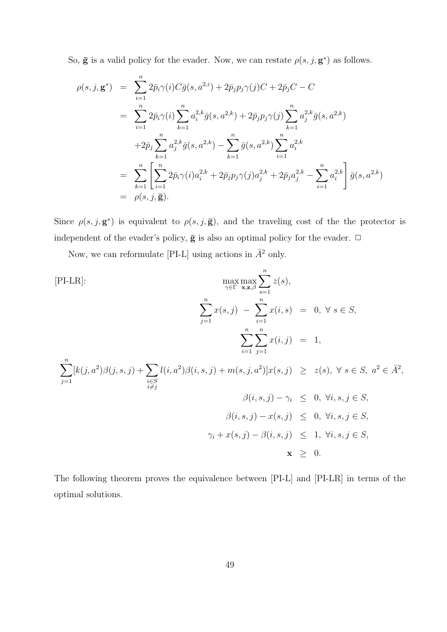So,  $\bar{g}$  is a valid policy for the evader. Now, we can restate  $\rho(s, j, g^*)$  as follows.

$$
\rho(s,j,\mathbf{g}^*) = \sum_{i=1}^n 2\bar{p}_i \gamma(i) C\bar{g}(s,a^{2,i}) + 2\bar{p}_j p_j \gamma(j)C + 2\bar{p}_j C - C
$$
  
\n
$$
= \sum_{i=1}^n 2\bar{p}_i \gamma(i) \sum_{k=1}^n a_i^{2,k} \bar{g}(s,a^{2,k}) + 2\bar{p}_j p_j \gamma(j) \sum_{k=1}^n a_j^{2,k} \bar{g}(s,a^{2,k})
$$
  
\n
$$
+ 2\bar{p}_j \sum_{k=1}^n a_j^{2,k} \bar{g}(s,a^{2,k}) - \sum_{k=1}^n \bar{g}(s,a^{2,k}) \sum_{i=1}^n a_i^{2,k}
$$
  
\n
$$
= \sum_{k=1}^n \left[ \sum_{i=1}^n 2\bar{p}_i \gamma(i) a_i^{2,k} + 2\bar{p}_j p_j \gamma(j) a_j^{2,k} + 2\bar{p}_j a_j^{2,k} - \sum_{i=1}^n a_i^{2,k} \right] \bar{g}(s,a^{2,k})
$$
  
\n
$$
= \rho(s,j,\mathbf{\bar{g}}).
$$

Since  $\rho(s, j, \mathbf{g}^*)$  is equivalent to  $\rho(s, j, \bar{\mathbf{g}})$ , and the traveling cost of the the protector is independent of the evader's policy,  $\bar{g}$  is also an optimal policy for the evader.  $\Box$ 

Now, we can reformulate [PI-L] using actions in  $\bar{A}^2$  only.

[PI-LR]:  
\n
$$
\max_{\gamma \in \Gamma} \max_{\mathbf{x}, \mathbf{z}, \beta} \sum_{s=1}^{n} z(s),
$$
\n
$$
\sum_{j=1}^{n} x(s, j) - \sum_{i=1}^{n} x(i, s) = 0, \forall s \in S,
$$
\n
$$
\sum_{i=1}^{n} \sum_{j=1}^{n} x(i, j) = 1,
$$

 $j=1$  $[k(j, a^2)\beta(j, s, j) + \sum$  $i∈S  
\ni≠j$  $l(i, a^2)\beta(i, s, j) + m(s, j, a^2)|x(s, j)| \geq z(s), \ \forall s \in S, a^2 \in \overline{A}^2,$ 

$$
\beta(i, s, j) - \gamma_i \leq 0, \forall i, s, j \in S,
$$
  

$$
\beta(i, s, j) - x(s, j) \leq 0, \forall i, s, j \in S,
$$
  

$$
\gamma_i + x(s, j) - \beta(i, s, j) \leq 1, \forall i, s, j \in S,
$$
  

$$
\mathbf{x} \geq 0.
$$

The following theorem proves the equivalence between [PI-L] and [PI-LR] in terms of the optimal solutions.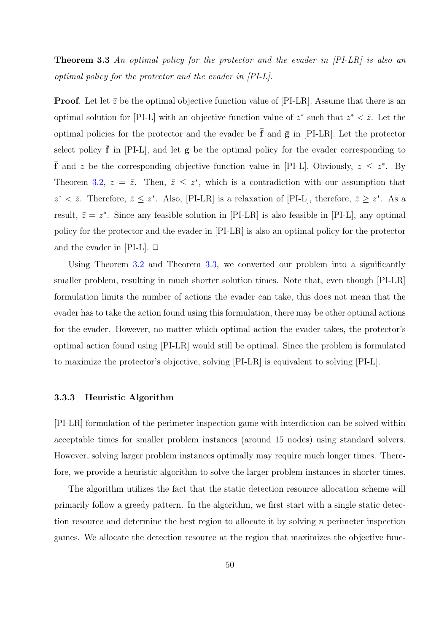<span id="page-61-0"></span>**Theorem 3.3** An optimal policy for the protector and the evader in [PI-LR] is also an optimal policy for the protector and the evader in [PI-L].

**Proof.** Let let  $\bar{z}$  be the optimal objective function value of [PI-LR]. Assume that there is an optimal solution for [PI-L] with an objective function value of  $z^*$  such that  $z^* < \overline{z}$ . Let the optimal policies for the protector and the evader be  $\bar{f}$  and  $\bar{g}$  in [PI-LR]. Let the protector select policy  $\overline{f}$  in [PI-L], and let  $g$  be the optimal policy for the evader corresponding to **f** and z be the corresponding objective function value in [PI-L]. Obviously,  $z \leq z^*$ . By Theorem 3.2,  $z = \overline{z}$ . Then,  $\overline{z} \leq z^*$ , which is a contradiction with our assumption that  $z^* < \bar{z}$ . Therefore,  $\bar{z} \leq z^*$ . Also, [PI-LR] is a relaxation of [PI-L], therefore,  $\bar{z} \geq z^*$ . As a result,  $\bar{z} = z^*$  $\bar{z} = z^*$  $\bar{z} = z^*$ . Since any feasible solution in [PI-LR] is also feasible in [PI-L], any optimal policy for the protector and the evader in [PI-LR] is also an optimal policy for the protector and the evader in [PI-L].  $\Box$ 

Using Theorem 3.2 and Theorem 3.3, we converted our problem into a significantly smaller problem, resulting in much shorter solution times. Note that, even though [PI-LR] formulation limits t[he n](#page-59-0)umber of actions the evader can take, this does not mean that the evader has to take the action found using this formulation, there may be other optimal actions for the evader. However, no matter which optimal action the evader takes, the protector's optimal action found using [PI-LR] would still be optimal. Since the problem is formulated to maximize the protector's objective, solving [PI-LR] is equivalent to solving [PI-L].

# 3.3.3 Heuristic Algorithm

[PI-LR] formulation of the perimeter inspection game with interdiction can be solved within acceptable times for smaller problem instances (around 15 nodes) using standard solvers. However, solving larger problem instances optimally may require much longer times. Therefore, we provide a heuristic algorithm to solve the larger problem instances in shorter times.

The algorithm utilizes the fact that the static detection resource allocation scheme will primarily follow a greedy pattern. In the algorithm, we first start with a single static detection resource and determine the best region to allocate it by solving  $n$  perimeter inspection games. We allocate the detection resource at the region that maximizes the objective func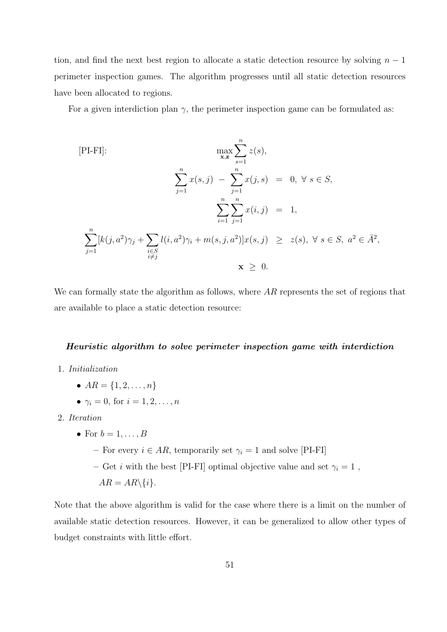tion, and find the next best region to allocate a static detection resource by solving  $n-1$ perimeter inspection games. The algorithm progresses until all static detection resources have been allocated to regions.

For a given interdiction plan  $\gamma$ , the perimeter inspection game can be formulated as:

$$
[\text{PI-FI}]: \quad \max_{\mathbf{x}, \mathbf{z}} \sum_{s=1}^{n} z(s),
$$
\n
$$
\sum_{j=1}^{n} x(s, j) - \sum_{j=1}^{n} x(j, s) = 0, \forall s \in S,
$$
\n
$$
\sum_{i=1}^{n} \sum_{j=1}^{n} x(i, j) = 1,
$$
\n
$$
\sum_{j=1}^{n} [k(j, a^{2})\gamma_{j} + \sum_{\substack{i \in S \ i \neq j}} l(i, a^{2})\gamma_{i} + m(s, j, a^{2})]x(s, j) \geq z(s), \forall s \in S, a^{2} \in \bar{A}^{2},
$$
\n
$$
\mathbf{x} \geq 0.
$$

We can formally state the algorithm as follows, where  $AR$  represents the set of regions that are available to place a static detection resource:

#### Heuristic algorithm to solve perimeter inspection game with interdiction

- 1. Initialization
	- $AR = \{1, 2, ..., n\}$
	- $\gamma_i = 0$ , for  $i = 1, 2, \ldots, n$
- 2. Iteration
	- For  $b = 1, \ldots, B$ 
		- For every  $i \in AR$ , temporarily set  $\gamma_i = 1$  and solve [PI-FI]
		- Get  $i$  with the best [PI-FI] optimal objective value and set  $\gamma_i=1$  ,
			- $AR = AR \setminus \{i\}.$

Note that the above algorithm is valid for the case where there is a limit on the number of available static detection resources. However, it can be generalized to allow other types of budget constraints with little effort.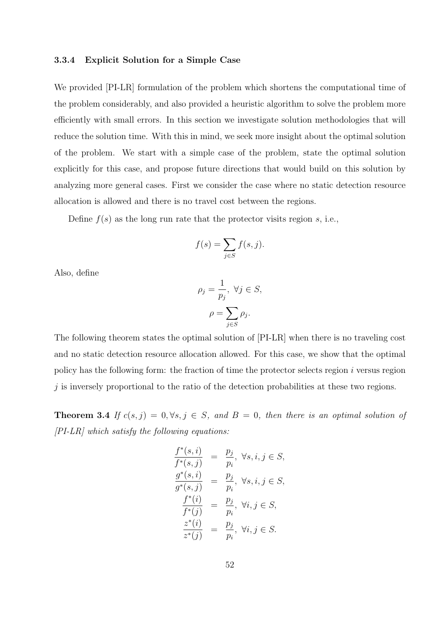# <span id="page-63-0"></span>3.3.4 Explicit Solution for a Simple Case

We provided [PI-LR] formulation of the problem which shortens the computational time of the problem considerably, and also provided a heuristic algorithm to solve the problem more efficiently with small errors. In this section we investigate solution methodologies that will reduce the solution time. With this in mind, we seek more insight about the optimal solution of the problem. We start with a simple case of the problem, state the optimal solution explicitly for this case, and propose future directions that would build on this solution by analyzing more general cases. First we consider the case where no static detection resource allocation is allowed and there is no travel cost between the regions.

Define  $f(s)$  as the long run rate that the protector visits region s, i.e.,

$$
f(s) = \sum_{j \in S} f(s, j).
$$

Also, define

$$
\rho_j = \frac{1}{p_j}, \ \forall j \in S, \n\rho = \sum_{j \in S} \rho_j.
$$

The following theorem states the optimal solution of [PI-LR] when there is no traveling cost and no static detection resource allocation allowed. For this case, we show that the optimal policy has the following form: the fraction of time the protector selects region  $i$  versus region  $j$  is inversely proportional to the ratio of the detection probabilities at these two regions.

**Theorem 3.4** If  $c(s, j) = 0, \forall s, j \in S$ , and  $B = 0$ , then there is an optimal solution of  $[PI-LR]$  which satisfy the following equations:

$$
\frac{f^*(s,i)}{f^*(s,j)} = \frac{p_j}{p_i}, \forall s, i, j \in S,
$$
  
\n
$$
\frac{g^*(s,i)}{g^*(s,j)} = \frac{p_j}{p_i}, \forall s, i, j \in S,
$$
  
\n
$$
\frac{f^*(i)}{f^*(j)} = \frac{p_j}{p_i}, \forall i, j \in S,
$$
  
\n
$$
\frac{z^*(i)}{z^*(j)} = \frac{p_j}{p_i}, \forall i, j \in S.
$$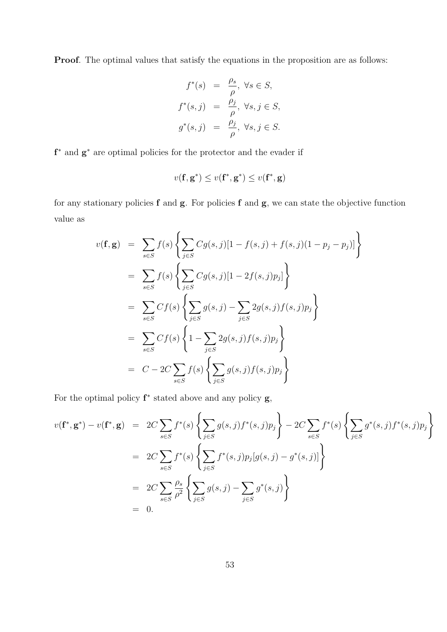Proof. The optimal values that satisfy the equations in the proposition are as follows:

$$
f^*(s) = \frac{\rho_s}{\rho}, \forall s \in S,
$$
  

$$
f^*(s, j) = \frac{\rho_j}{\rho}, \forall s, j \in S,
$$
  

$$
g^*(s, j) = \frac{\rho_j}{\rho}, \forall s, j \in S.
$$

f<sup>∗</sup> and  $g<sup>*</sup>$  are optimal policies for the protector and the evader if

$$
v(\mathbf{f}, \mathbf{g}^*) \leq v(\mathbf{f}^*, \mathbf{g}^*) \leq v(\mathbf{f}^*, \mathbf{g})
$$

for any stationary policies  $f$  and  $g$ . For policies  $f$  and  $g$ , we can state the objective function value as

$$
v(\mathbf{f}, \mathbf{g}) = \sum_{s \in S} f(s) \left\{ \sum_{j \in S} Cg(s, j)[1 - f(s, j) + f(s, j)(1 - p_j - p_j)] \right\}
$$
  
\n
$$
= \sum_{s \in S} f(s) \left\{ \sum_{j \in S} Cg(s, j)[1 - 2f(s, j)p_j] \right\}
$$
  
\n
$$
= \sum_{s \in S} Cf(s) \left\{ \sum_{j \in S} g(s, j) - \sum_{j \in S} 2g(s, j)f(s, j)p_j \right\}
$$
  
\n
$$
= \sum_{s \in S} Cf(s) \left\{ 1 - \sum_{j \in S} 2g(s, j)f(s, j)p_j \right\}
$$
  
\n
$$
= C - 2C \sum_{s \in S} f(s) \left\{ \sum_{j \in S} g(s, j)f(s, j)p_j \right\}
$$

For the optimal policy  $f^*$  stated above and any policy  $g$ ,

$$
v(\mathbf{f}^*, \mathbf{g}^*) - v(\mathbf{f}^*, \mathbf{g}) = 2C \sum_{s \in S} f^*(s) \left\{ \sum_{j \in S} g(s, j) f^*(s, j) p_j \right\} - 2C \sum_{s \in S} f^*(s) \left\{ \sum_{j \in S} g^*(s, j) f^*(s, j) p_j \right\}
$$
  
= 
$$
2C \sum_{s \in S} f^*(s) \left\{ \sum_{j \in S} f^*(s, j) p_j [g(s, j) - g^*(s, j)] \right\}
$$
  
= 
$$
2C \sum_{s \in S} \frac{\rho_s}{\rho^2} \left\{ \sum_{j \in S} g(s, j) - \sum_{j \in S} g^*(s, j) \right\}
$$
  
= 0.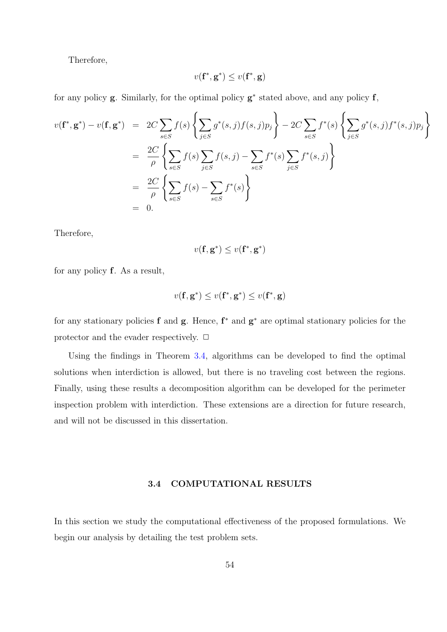Therefore,

$$
v(\mathbf{f}^*, \mathbf{g}^*) \le v(\mathbf{f}^*, \mathbf{g})
$$

for any policy  $g$ . Similarly, for the optimal policy  $g^*$  stated above, and any policy  $f$ ,

$$
v(\mathbf{f}^*, \mathbf{g}^*) - v(\mathbf{f}, \mathbf{g}^*) = 2C \sum_{s \in S} f(s) \left\{ \sum_{j \in S} g^*(s, j) f(s, j) p_j \right\} - 2C \sum_{s \in S} f^*(s) \left\{ \sum_{j \in S} g^*(s, j) f^*(s, j) p_j \right\}
$$
  
= 
$$
\frac{2C}{\rho} \left\{ \sum_{s \in S} f(s) \sum_{j \in S} f(s, j) - \sum_{s \in S} f^*(s) \sum_{j \in S} f^*(s, j) \right\}
$$
  
= 
$$
\frac{2C}{\rho} \left\{ \sum_{s \in S} f(s) - \sum_{s \in S} f^*(s) \right\}
$$
  
= 0.

Therefore,

$$
v(\mathbf{f}, \mathbf{g}^*) \leq v(\mathbf{f}^*, \mathbf{g}^*)
$$

for any policy f. As a result,

$$
v(\mathbf{f}, \mathbf{g}^*) \leq v(\mathbf{f}^*, \mathbf{g}^*) \leq v(\mathbf{f}^*, \mathbf{g})
$$

for any stationary policies f and  $g$ . Hence,  $f^*$  and  $g^*$  are optimal stationary policies for the protector and the evader respectively.  $\Box$ 

Using the findings in Theorem 3.4, algorithms can be developed to find the optimal solutions when interdiction is allowed, but there is no traveling cost between the regions. Finally, using these results a decom[pos](#page-63-0)ition algorithm can be developed for the perimeter inspection problem with interdiction. These extensions are a direction for future research, and will not be discussed in this dissertation.

# 3.4 COMPUTATIONAL RESULTS

In this section we study the computational effectiveness of the proposed formulations. We begin our analysis by detailing the test problem sets.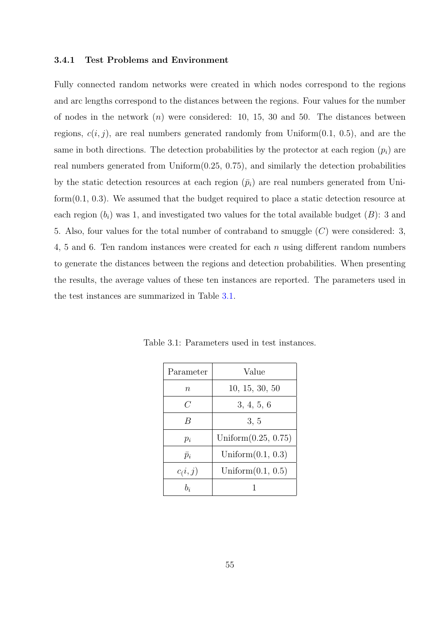#### 3.4.1 Test Problems and Environment

Fully connected random networks were created in which nodes correspond to the regions and arc lengths correspond to the distances between the regions. Four values for the number of nodes in the network  $(n)$  were considered: 10, 15, 30 and 50. The distances between regions,  $c(i, j)$ , are real numbers generated randomly from Uniform $(0.1, 0.5)$ , and are the same in both directions. The detection probabilities by the protector at each region  $(p_i)$  are real numbers generated from  $Uniform(0.25, 0.75)$ , and similarly the detection probabilities by the static detection resources at each region  $(\bar{p}_i)$  are real numbers generated from Uniform(0.1, 0.3). We assumed that the budget required to place a static detection resource at each region  $(b_i)$  was 1, and investigated two values for the total available budget  $(B)$ : 3 and 5. Also, four values for the total number of contraband to smuggle  $(C)$  were considered: 3, 4, 5 and 6. Ten random instances were created for each  $n$  using different random numbers to generate the distances between the regions and detection probabilities. When presenting the results, the average values of these ten instances are reported. The parameters used in the test instances are summarized in Table 3.1.

| Parameter   | Value                  |
|-------------|------------------------|
| $\, n$      | 10, 15, 30, 50         |
| C           | 3, 4, 5, 6             |
| B           | 3, 5                   |
| $p_i$       | Uniform $(0.25, 0.75)$ |
| $\bar{p}_i$ | Uniform $(0.1, 0.3)$   |
| c(i, j)     | Uniform $(0.1, 0.5)$   |
| $b_i$       |                        |

Table 3.1: Parameters used in test instances.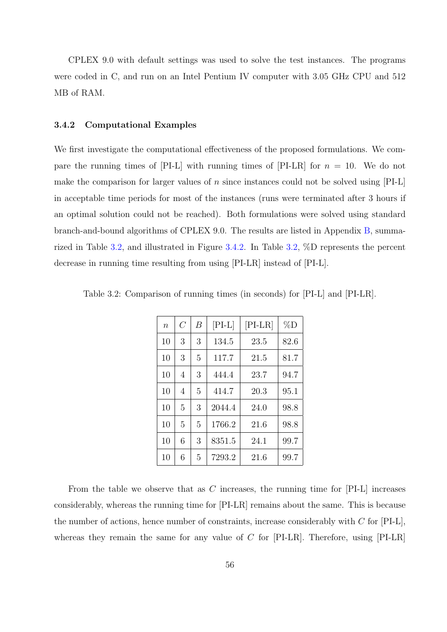CPLEX 9.0 with default settings was used to solve the test instances. The programs were coded in C, and run on an Intel Pentium IV computer with 3.05 GHz CPU and 512 MB of RAM.

# 3.4.2 Computational Examples

We first investigate the computational effectiveness of the proposed formulations. We compare the running times of  $[PI-L]$  with running times of  $[PI-LR]$  for  $n = 10$ . We do not make the comparison for larger values of n since instances could not be solved using  $[PI-L]$ in acceptable time periods for most of the instances (runs were terminated after 3 hours if an optimal solution could not be reached). Both formulations were solved using standard branch-and-bound algorithms of CPLEX 9.0. The results are listed in Appendix B, summarized in Table 3.2, and illustrated in Figure 3.4.2. In Table 3.2, %D represents the percent decrease in running time resulting from using [PI-LR] instead of [PI-L].

| $\, n$ | C | В | $[PI-L]$ | $[PI-LR]$ | $\%D$ |
|--------|---|---|----------|-----------|-------|
| 10     | 3 | 3 | 134.5    | 23.5      | 82.6  |
| 10     | 3 | 5 | 117.7    | 21.5      | 81.7  |
| 10     | 4 | 3 | 444.4    | 23.7      | 94.7  |
| 10     | 4 | 5 | 414.7    | 20.3      | 95.1  |
| 10     | 5 | 3 | 2044.4   | 24.0      | 98.8  |
| 10     | 5 | 5 | 1766.2   | 21.6      | 98.8  |
| 10     | 6 | 3 | 8351.5   | 24.1      | 99.7  |
| 10     | 6 | 5 | 7293.2   | 21.6      | 99.7  |

Table 3.2: Comparison of running times (in seconds) for [PI-L] and [PI-LR].

From the table we observe that as  $C$  increases, the running time for  $[PI-L]$  increases considerably, whereas the running time for [PI-LR] remains about the same. This is because the number of actions, hence number of constraints, increase considerably with  $C$  for  $[PI-L]$ , whereas they remain the same for any value of  $C$  for [PI-LR]. Therefore, using [PI-LR]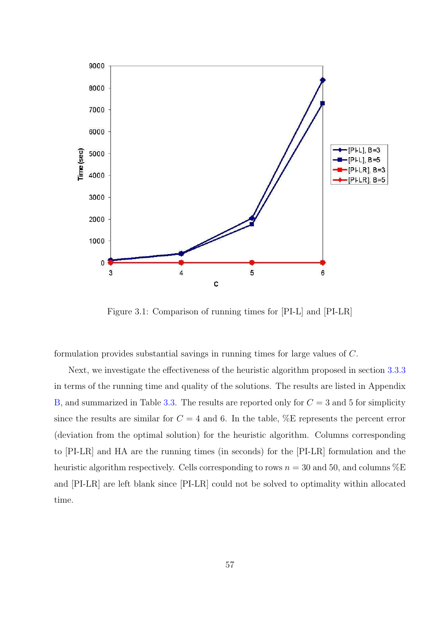

Figure 3.1: Comparison of running times for [PI-L] and [PI-LR]

formulation provides substantial savings in running times for large values of C.

Next, we investigate the effectiveness of the heuristic algorithm proposed in section 3.3.3 in terms of the running time and quality of the solutions. The results are listed in Appendix B, and summarized in Table 3.3. The results are reported only for  $C = 3$  and 5 for simp[licity](#page-61-0) since the results are similar for  $C = 4$  and 6. In the table,  $\%$ E represents the percent error [\(d](#page-112-0)eviation from the optimal [sol](#page-69-0)ution) for the heuristic algorithm. Columns corresponding to [PI-LR] and HA are the running times (in seconds) for the [PI-LR] formulation and the heuristic algorithm respectively. Cells corresponding to rows  $n = 30$  and 50, and columns  $\%E$ and [PI-LR] are left blank since [PI-LR] could not be solved to optimality within allocated time.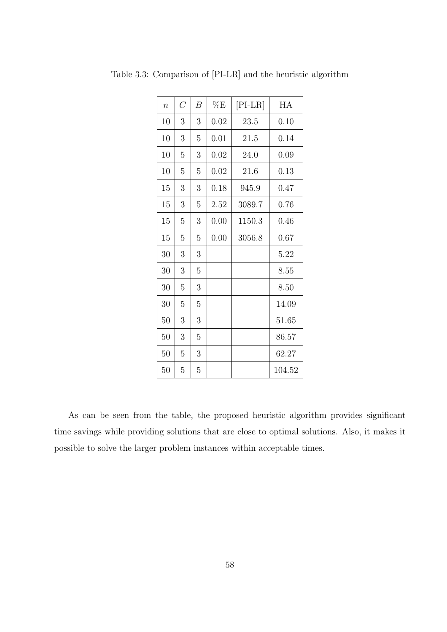| $\overline{n}$ | $\overline{C}$ | $\boldsymbol{B}$ | $\%E$ | $[PI-LR]$ | HA     |
|----------------|----------------|------------------|-------|-----------|--------|
| 10             | 3              | 3                | 0.02  | 23.5      | 0.10   |
| 10             | 3              | 5                | 0.01  | 21.5      | 0.14   |
| 10             | 5              | 3                | 0.02  | 24.0      | 0.09   |
| 10             | 5              | 5                | 0.02  | 21.6      | 0.13   |
| 15             | 3              | 3                | 0.18  | 945.9     | 0.47   |
| 15             | 3              | 5                | 2.52  | 3089.7    | 0.76   |
| 15             | 5              | 3                | 0.00  | 1150.3    | 0.46   |
| 15             | 5              | 5                | 0.00  | 3056.8    | 0.67   |
| 30             | 3              | 3                |       |           | 5.22   |
| 30             | 3              | 5                |       |           | 8.55   |
| 30             | 5              | 3                |       |           | 8.50   |
| 30             | 5              | 5                |       |           | 14.09  |
| 50             | 3              | 3                |       |           | 51.65  |
| 50             | 3              | 5                |       |           | 86.57  |
| 50             | 5              | 3                |       |           | 62.27  |
| 50             | 5              | $\overline{5}$   |       |           | 104.52 |

<span id="page-69-0"></span>Table 3.3: Comparison of [PI-LR] and the heuristic algorithm

As can be seen from the table, the proposed heuristic algorithm provides significant time savings while providing solutions that are close to optimal solutions. Also, it makes it possible to solve the larger problem instances within acceptable times.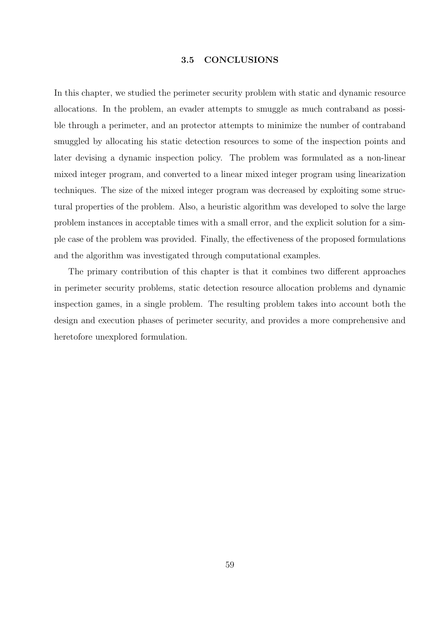# 3.5 CONCLUSIONS

In this chapter, we studied the perimeter security problem with static and dynamic resource allocations. In the problem, an evader attempts to smuggle as much contraband as possible through a perimeter, and an protector attempts to minimize the number of contraband smuggled by allocating his static detection resources to some of the inspection points and later devising a dynamic inspection policy. The problem was formulated as a non-linear mixed integer program, and converted to a linear mixed integer program using linearization techniques. The size of the mixed integer program was decreased by exploiting some structural properties of the problem. Also, a heuristic algorithm was developed to solve the large problem instances in acceptable times with a small error, and the explicit solution for a simple case of the problem was provided. Finally, the effectiveness of the proposed formulations and the algorithm was investigated through computational examples.

The primary contribution of this chapter is that it combines two different approaches in perimeter security problems, static detection resource allocation problems and dynamic inspection games, in a single problem. The resulting problem takes into account both the design and execution phases of perimeter security, and provides a more comprehensive and heretofore unexplored formulation.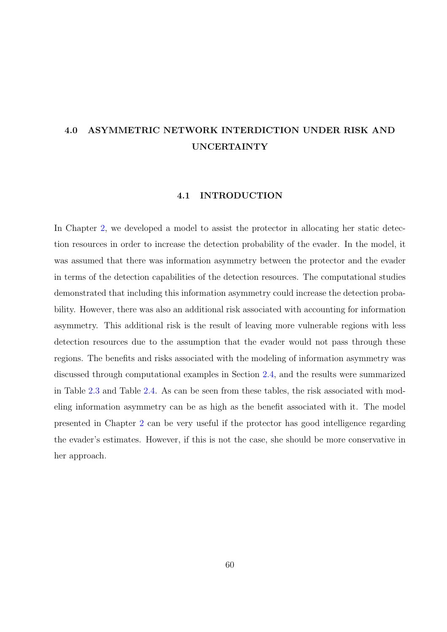# 4.0 ASYMMETRIC NETWORK INTERDICTION UNDER RISK AND UNCERTAINTY

#### 4.1 INTRODUCTION

In Chapter 2, we developed a model to assist the protector in allocating her static detection resources in order to increase the detection probability of the evader. In the model, it was assume[d](#page-22-0) that there was information asymmetry between the protector and the evader in terms of the detection capabilities of the detection resources. The computational studies demonstrated that including this information asymmetry could increase the detection probability. However, there was also an additional risk associated with accounting for information asymmetry. This additional risk is the result of leaving more vulnerable regions with less detection resources due to the assumption that the evader would not pass through these regions. The benefits and risks associated with the modeling of information asymmetry was discussed through computational examples in Section 2.4, and the results were summarized in Table 2.3 and Table 2.4. As can be seen from these tables, the risk associated with modeling information asymmetry can be as high as the b[ene](#page-39-0)fit associated with it. The model presente[d in](#page-42-0) Chapter 2 [ca](#page-43-0)n be very useful if the protector has good intelligence regarding the evader's estimates. However, if this is not the case, she should be more conservative in her approach.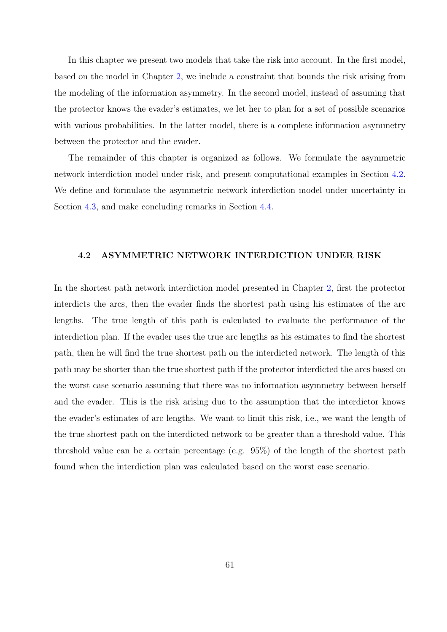<span id="page-72-0"></span>In this chapter we present two models that take the risk into account. In the first model, based on the model in Chapter 2, we include a constraint that bounds the risk arising from the modeling of the information asymmetry. In the second model, instead of assuming that the protector knows the evader'[s](#page-22-0) estimates, we let her to plan for a set of possible scenarios with various probabilities. In the latter model, there is a complete information asymmetry between the protector and the evader.

The remainder of this chapter is organized as follows. We formulate the asymmetric network interdiction model under risk, and present computational examples in Section 4.2. We define and formulate the asymmetric network interdiction model under uncertainty in Section 4.3, and make concluding remarks in Section 4.4.

### 4.2 ASYMMETRIC NETWORK INTERDICTION UNDER RISK

In the shortest path network interdiction model presented in Chapter 2, first the protector interdicts the arcs, then the evader finds the shortest path using his estimates of the arc lengths. The true length of this path is calculated to evaluate the [p](#page-22-0)erformance of the interdiction plan. If the evader uses the true arc lengths as his estimates to find the shortest path, then he will find the true shortest path on the interdicted network. The length of this path may be shorter than the true shortest path if the protector interdicted the arcs based on the worst case scenario assuming that there was no information asymmetry between herself and the evader. This is the risk arising due to the assumption that the interdictor knows the evader's estimates of arc lengths. We want to limit this risk, i.e., we want the length of the true shortest path on the interdicted network to be greater than a threshold value. This threshold value can be a certain percentage (e.g. 95%) of the length of the shortest path found when the interdiction plan was calculated based on the worst case scenario.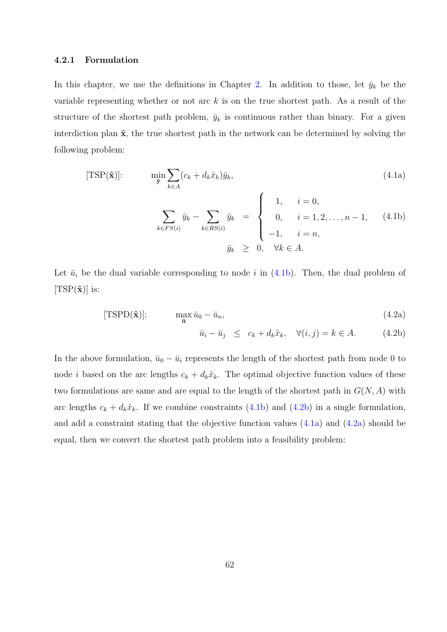## 4.2.1 Formulation

In this chapter, we use the definitions in Chapter 2. In addition to those, let  $\bar{y}_k$  be the variable representing whether or not arc  $k$  is on the true shortest path. As a result of the structure of the shortest path problem,  $\bar{y}_k$  is conti[nu](#page-22-0)ous rather than binary. For a given interdiction plan  $\hat{\mathbf{x}}$ , the true shortest path in the network can be determined by solving the following problem:

[TSP(
$$
\hat{\mathbf{x}}
$$
)]:  
\n
$$
\min_{\bar{\mathbf{y}}} \sum_{k \in A} (c_k + d_k \hat{x}_k) \bar{y}_k,
$$
\n(4.1a)  
\n
$$
\sum_{k \in FS(i)} \bar{y}_k - \sum_{k \in RS(i)} \bar{y}_k = \begin{cases}\n1, & i = 0, \\
0, & i = 1, 2, ..., n - 1, \\
-1, & i = n,\n\end{cases}
$$
\n(4.1b)

Let  $\bar{u}_i$  be the dual variable corresponding to node i in (4.1b). Then, the dual problem of  $[TSP(\hat{\mathbf{x}})]$  is:

$$
[\text{TSPD}(\hat{\mathbf{x}})]:\qquad \qquad \max_{\bar{\mathbf{u}}} \bar{u}_0 - \bar{u}_n,\tag{4.2a}
$$

 $\bar{y}_k \geq 0, \quad \forall k \in A.$ 

$$
\bar{u}_i - \bar{u}_j \le c_k + d_k \hat{x}_k, \quad \forall (i, j) = k \in A. \tag{4.2b}
$$

In the above formulation,  $\bar{u}_0 - \bar{u}_i$  represents the length of the shortest path from node 0 to node *i* based on the arc lengths  $c_k + d_k\hat{x}_k$ . The optimal objective function values of these two formulations are same and are equal to the length of the shortest path in  $G(N, A)$  with arc lengths  $c_k + d_k\hat{x}_k$ . If we combine constraints (4.1b) and (4.2b) in a single formulation, and add a constraint stating that the objective function values (4.1a) and (4.2a) should be equal, then we convert the shortest path problem into a feasibility problem: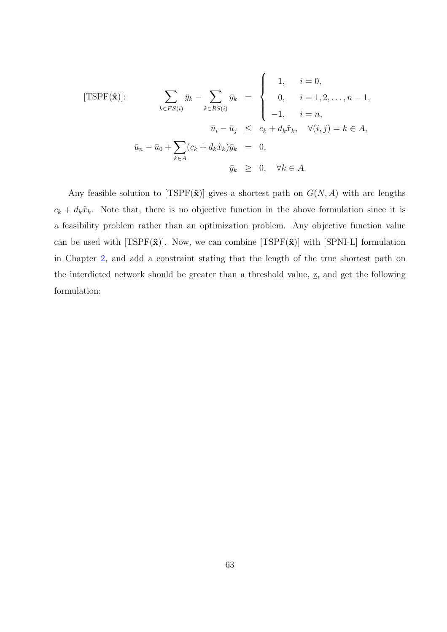[TSPF(
$$
\hat{\mathbf{x}}
$$
)];  
\n
$$
\sum_{k \in FS(i)} \bar{y}_k - \sum_{k \in RS(i)} \bar{y}_k = \begin{cases}\n1, & i = 0, \\
0, & i = 1, 2, ..., n - 1, \\
-1, & i = n,\n\end{cases}
$$
\n
$$
\bar{u}_i - \bar{u}_j \leq c_k + d_k \hat{x}_k, \quad \forall (i, j) = k \in A,
$$
\n
$$
\bar{u}_n - \bar{u}_0 + \sum_{k \in A} (c_k + d_k \hat{x}_k) \bar{y}_k = 0,
$$
\n
$$
\bar{y}_k \geq 0, \quad \forall k \in A.
$$

 $\overline{a}$ 

Any feasible solution to [TSPF( $\hat{\mathbf{x}}$ )] gives a shortest path on  $G(N, A)$  with arc lengths  $c_k + d_k\hat{x}_k$ . Note that, there is no objective function in the above formulation since it is a feasibility problem rather than an optimization problem. Any objective function value can be used with [TSPF $(\hat{\mathbf{x}})$ ]. Now, we can combine [TSPF $(\hat{\mathbf{x}})$ ] with [SPNI-L] formulation in Chapter 2, and add a constraint stating that the length of the true shortest path on the interdicted network should be greater than a threshold value,  $\underline{z}$ , and get the following formulation[:](#page-22-0)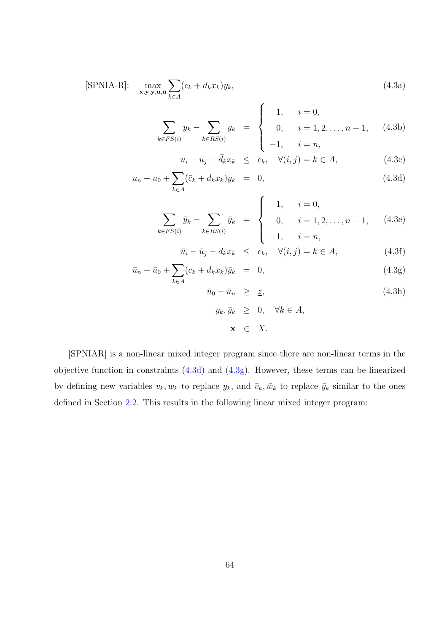$$
[\text{SPNIA-R}]: \quad \max_{\mathbf{x}, \mathbf{y}, \overline{\mathbf{y}}, \mathbf{u}, \overline{\mathbf{u}}} \sum_{k \in A} (c_k + d_k x_k) y_k, \tag{4.3a}
$$

$$
\sum_{k \in FS(i)} y_k - \sum_{k \in RS(i)} y_k = \begin{cases} 1, & i = 0, \\ 0, & i = 1, 2, \dots, n-1, \\ -1, & i = n, \end{cases}
$$
 (4.3b)

$$
u_i - u_j - \bar{d}_k x_k \le \bar{c}_k, \quad \forall (i, j) = k \in A,
$$
\n(4.3c)

$$
u_n - u_0 + \sum_{k \in A} (\bar{c}_k + \bar{d}_k x_k) y_k = 0,
$$
\n(4.3d)

$$
\sum_{k \in FS(i)} \bar{y}_k - \sum_{k \in RS(i)} \bar{y}_k = \begin{cases} 1, & i = 0, \\ 0, & i = 1, 2, \dots, n-1, \\ -1, & i = n, \end{cases}
$$
(4.3e)

$$
\bar{u}_i - \bar{u}_j - d_k x_k \leq c_k, \quad \forall (i, j) = k \in A,
$$
\n(4.3f)

$$
\bar{u}_n - \bar{u}_0 + \sum_{k \in A} (c_k + d_k x_k) \bar{y}_k = 0, \qquad (4.3g)
$$

$$
\bar{u}_0 - \bar{u}_n \geq \underline{z}, \tag{4.3h}
$$

$$
y_k, \bar{y}_k \geq 0, \quad \forall k \in A,
$$
  

$$
\mathbf{x} \in X.
$$

[SPNIAR] is a non-linear mixed integer program since there are non-linear terms in the objective function in constraints (4.3d) and (4.3g). However, these terms can be linearized by defining new variables  $v_k, w_k$  to replace  $y_k$ , and  $\bar{v}_k, \bar{w}_k$  to replace  $\bar{y}_k$  similar to the ones defined in Section 2.2. This results in the following linear mixed integer program: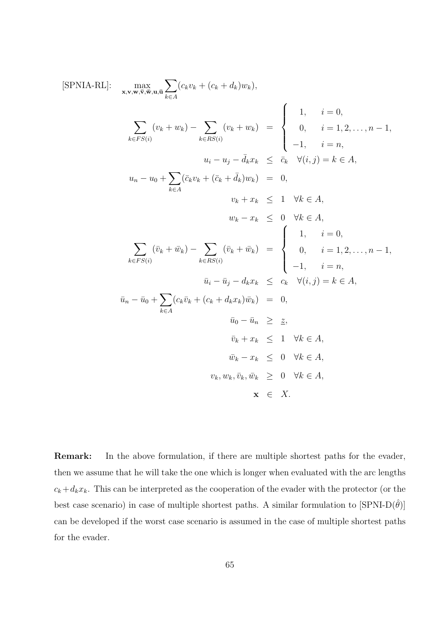$$
[\text{SPNIA-RL}]: \max_{\mathbf{x}, \mathbf{v}, \mathbf{w}, \overline{\mathbf{v}}, \overline{\mathbf{w}}, \mathbf{u}, \overline{\mathbf{u}}} \sum_{k \in A} (c_k v_k + (c_k + d_k) w_k),
$$
\n
$$
\sum_{k \in F S(i)} (v_k + w_k) - \sum_{k \in RS(i)} (v_k + w_k) = \begin{cases}\n1, & i = 0, \\
0, & i = 1, 2, ..., n - 1, \\
-1, & i = n,\n\end{cases}
$$
\n
$$
u_i - u_j - \overline{d}_k x_k \leq \overline{c}_k \quad \forall (i, j) = k \in A,
$$
\n
$$
u_n - u_0 + \sum_{k \in A} (\overline{c}_k v_k + (\overline{c}_k + \overline{d}_k) w_k) = 0,
$$
\n
$$
v_k + x_k \leq 1 \quad \forall k \in A,
$$
\n
$$
w_k - x_k \leq 0 \quad \forall k \in A,
$$
\n
$$
\sum_{k \in F S(i)} (\overline{v}_k + \overline{w}_k) - \sum_{k \in RS(i)} (\overline{v}_k + \overline{w}_k) = \begin{cases}\n1, & i = 0, \\
0, & i = 1, 2, ..., n - 1, \\
-1, & i = n,\n\end{cases}
$$
\n
$$
\overline{u}_i - \overline{u}_j - d_k x_k \leq c_k \quad \forall (i, j) = k \in A,
$$
\n
$$
\overline{u}_n - \overline{u}_0 + \sum_{k \in A} (c_k \overline{v}_k + (c_k + d_k x_k) \overline{w}_k) = 0,
$$
\n
$$
\overline{u}_0 - \overline{u}_n \geq \underline{z},
$$
\n
$$
\overline{v}_k + x_k \leq 1 \quad \forall k \in A,
$$
\n
$$
\overline{w}_k - x_k \leq 0 \quad \forall k \in A,
$$
\n
$$
v_k, w_k, \overline{v}_k, \overline{w}_k \geq 0 \quad \forall k \in A,
$$
\n
$$
\mathbf{x} \in X.
$$

Remark: In the above formulation, if there are multiple shortest paths for the evader, then we assume that he will take the one which is longer when evaluated with the arc lengths  $c_k + d_kx_k$ . This can be interpreted as the cooperation of the evader with the protector (or the best case scenario) in case of multiple shortest paths. A similar formulation to  $[\text{SPNI-D}(\hat{\theta})]$ can be developed if the worst case scenario is assumed in the case of multiple shortest paths for the evader.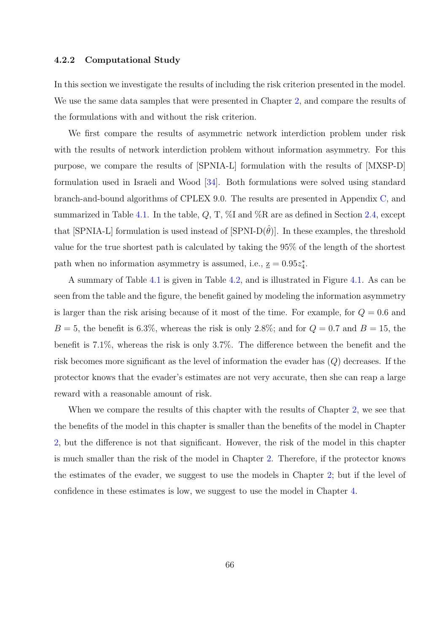#### 4.2.2 Computational Study

In this section we investigate the results of including the risk criterion presented in the model. We use the same data samples that were presented in Chapter 2, and compare the results of the formulations with and without the risk criterion.

We first compare the results of asymmetric network int[erd](#page-22-0)iction problem under risk with the results of network interdiction problem without information asymmetry. For this purpose, we compare the results of [SPNIA-L] formulation with the results of [MXSP-D] formulation used in Israeli and Wood [34]. Both formulations were solved using standard branch-and-bound algorithms of CPLEX 9.0. The results are presented in Appendix C, and summarized in Table 4.1. In the table,  $Q$ [, T](#page-140-0),  $\%$ I and  $\%$ R are as defined in Section 2.4, except that [SPNIA-L] formulation is used instead of [SPNI-D $(\hat{\theta})$ ]. In these examples, the th[res](#page-119-0)hold value for the true sh[ortes](#page-78-0)t path is calculated by taking the 95% of the length of t[he s](#page-39-0)hortest path when no information asymmetry is assumed, i.e.,  $\underline{z} = 0.95z_4^*$ .

A summary of Table 4.1 is given in Table 4.2, and is illustrated in Figure 4.1. As can be seen from the table and the figure, the benefit gained by modeling the information asymmetry is larger than the risk ar[isin](#page-78-0)g because of it m[ost](#page-79-0) of the time. F[or](#page-79-0) example, for  $Q = 0.6$  and  $B = 5$ , the benefit is 6.3%, whereas the risk is only 2.8%; and for  $Q = 0.7$  and  $B = 15$ , the benefit is 7.1%, whereas the risk is only 3.7%. The difference between the benefit and the risk becomes more significant as the level of information the evader has (Q) decreases. If the protector knows that the evader's estimates are not very accurate, then she can reap a large reward with a reasonable amount of risk.

When we compare the results of this chapter with the results of Chapter 2, we see that the benefits of the model in this chapter is smaller than the benefits of the model in Chapter 2, but the difference is not that significant. However, the risk of the model i[n](#page-22-0) this chapter is much smaller than the risk of the model in Chapter 2. Therefore, if the protector knows [th](#page-22-0)e estimates of the evader, we suggest to use the models in Chapter 2; but if the level of confidence in these estimates is low, we suggest to use [th](#page-22-0)e model in Chapter 4.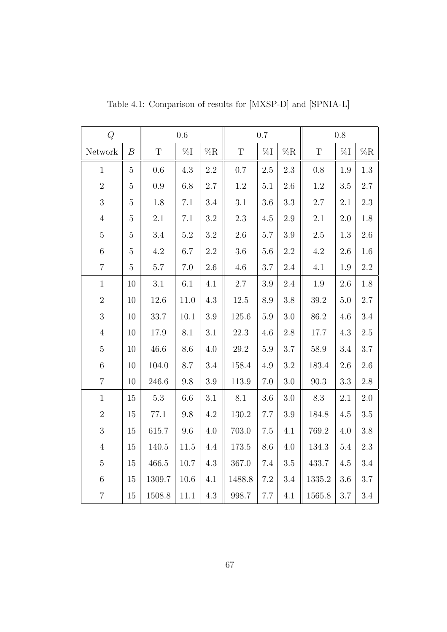| Q              |                  |             | $0.6\,$        |                | $0.7\,$<br>$0.8\,$ |                |                |             |                |                |
|----------------|------------------|-------------|----------------|----------------|--------------------|----------------|----------------|-------------|----------------|----------------|
| Network        | $\boldsymbol{B}$ | $\mathbf T$ | $\%\mathrm{I}$ | $\%\mathbf{R}$ | $\mathbf T$        | $\%\mathrm{I}$ | $\%\mathrm{R}$ | $\mathbf T$ | $\%\mathrm{I}$ | $\%\mathbf{R}$ |
| $\mathbf{1}$   | $\overline{5}$   | $0.6\,$     | $4.3\,$        | $2.2\,$        | $0.7\,$            | $2.5\,$        | $2.3\,$        | $0.8\,$     | 1.9            | $1.3\,$        |
| $\overline{2}$ | $\overline{5}$   | $0.9\,$     | 6.8            | 2.7            | 1.2                | $5.1\,$        | $2.6\,$        | $1.2\,$     | 3.5            | 2.7            |
| 3              | $\mathbf 5$      | 1.8         | $7.1\,$        | $3.4\,$        | 3.1                | $3.6\,$        | $\!.3$         | $2.7\,$     | 2.1            | $2.3\,$        |
| $\sqrt{4}$     | $\mathbf 5$      | $2.1\,$     | 7.1            | $3.2\,$        | $2.3\,$            | 4.5            | $2.9\,$        | $2.1\,$     | $2.0\,$        | $1.8\,$        |
| $\bf 5$        | $\bf 5$          | $3.4\,$     | $5.2\,$        | $\!3.2\!$      | $2.6\,$            | $5.7\,$        | $3.9\,$        | $2.5\,$     | $1.3\,$        | $2.6\,$        |
| $6\,$          | $\mathbf 5$      | $4.2\,$     | 6.7            | $2.2\,$        | $3.6\,$            | $5.6\,$        | $2.2\,$        | $4.2\,$     | 2.6            | $1.6\,$        |
| $\overline{7}$ | $\mathbf 5$      | $5.7\,$     | 7.0            | $2.6\,$        | $4.6\,$            | $3.7\,$        | $2.4\,$        | 4.1         | 1.9            | $2.2\,$        |
| $\mathbf{1}$   | 10               | 3.1         | $6.1\,$        | 4.1            | $2.7\,$            | $3.9\,$        | $2.4\,$        | $1.9\,$     | $2.6\,$        | 1.8            |
| $\overline{2}$ | 10               | 12.6        | 11.0           | $4.3\,$        | $12.5\,$           | 8.9            | $3.8\,$        | 39.2        | $5.0\,$        | 2.7            |
| 3              | $10\,$           | 33.7        | $10.1\,$       | $3.9\,$        | 125.6              | $5.9\,$        | 3.0            | 86.2        | 4.6            | 3.4            |
| $\sqrt{4}$     | 10               | 17.9        | $8.1\,$        | 3.1            | $22.3\,$           | $4.6\,$        | $2.8\,$        | 17.7        | $4.3\,$        | $2.5\,$        |
| $\mathbf 5$    | 10               | 46.6        | 8.6            | 4.0            | 29.2               | 5.9            | 3.7            | 58.9        | 3.4            | 3.7            |
| $\,6\,$        | 10               | 104.0       | 8.7            | $3.4\,$        | 158.4              | 4.9            | 3.2            | 183.4       | 2.6            | $2.6\,$        |
| $\overline{7}$ | 10               | 246.6       | 9.8            | $3.9\,$        | 113.9              | $7.0\,$        | 3.0            | 90.3        | 3.3            | $2.8\,$        |
| $\mathbf{1}$   | 15               | $5.3\,$     | $6.6\,$        | $3.1\,$        | 8.1                | $3.6\,$        | $3.0\,$        | $8.3\,$     | 2.1            | $2.0\,$        |
| $\overline{2}$ | 15               | $77.1\,$    | 9.8            | 4.2            | 130.2              | 7.7            | $3.9\,$        | 184.8       | 4.5            | $3.5\,$        |
| $\overline{3}$ | $15\,$           | 615.7       | $9.6\,$        | $4.0\,$        | 703.0              | 7.5            | 4.1            | 769.2       | 4.0            | $3.8\,$        |
| $\overline{4}$ | $15\,$           | $140.5\,$   | $11.5\,$       | $4.4\,$        | 173.5              | $8.6\,$        | 4.0            | 134.3       | $5.4\,$        | $2.3\,$        |
| $\mathbf 5$    | 15               | $466.5\,$   | 10.7           | 4.3            | 367.0              | $7.4\,$        | $3.5\,$        | 433.7       | 4.5            | $3.4\,$        |
| $\,6\,$        | $15\,$           | 1309.7      | 10.6           | 4.1            | 1488.8             | $7.2\,$        | 3.4            | 1335.2      | $3.6\,$        | $3.7\,$        |
| $\overline{7}$ | $15\,$           | 1508.8      | $11.1\,$       | $4.3\,$        | 998.7              | $7.7\,$        | 4.1            | 1565.8      | 3.7            | 3.4            |

<span id="page-78-0"></span>Table 4.1: Comparison of results for [MXSP-D] and [SPNIA-L]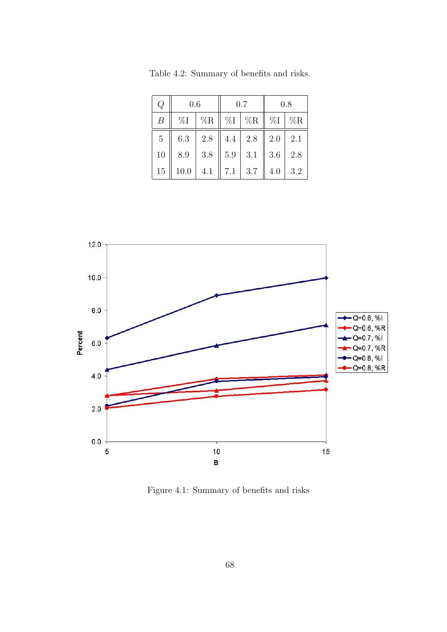| Q  | 0.6   |         |     | 0.7                                                      | 0.8                       |     |  |
|----|-------|---------|-----|----------------------------------------------------------|---------------------------|-----|--|
| B  | $\%I$ |         |     | $\%\mathrm{R} \parallel \%\mathrm{I} \mid \% \mathrm{R}$ | $\parallel \%I \parallel$ | %R  |  |
| 5  | 6.3   | 2.8     |     | $4.4$   2.8                                              | $\parallel 2.0$           | 2.1 |  |
| 10 | 8.9   | $3.8\,$ | 5.9 | $\vert 3.1$                                              | 3.6                       | 2.8 |  |
| 15 | 10.0  | 4.1     | 7.1 | $\vert 3.7 \vert$                                        | 4.0                       | 3.2 |  |

<span id="page-79-0"></span>Table 4.2: Summary of benefits and risks.



Figure 4.1: Summary of benefits and risks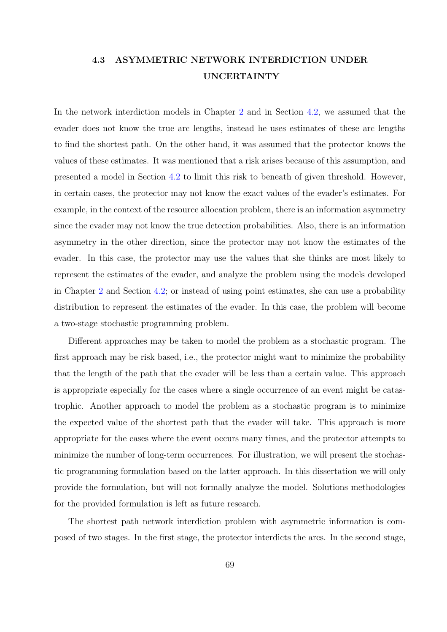# 4.3 ASYMMETRIC NETWORK INTERDICTION UNDER UNCERTAINTY

In the network interdiction models in Chapter 2 and in Section 4.2, we assumed that the evader does not know the true arc lengths, instead he uses estimates of these arc lengths to find the shortest path. On the other hand, i[t w](#page-22-0)as assumed th[at th](#page-72-0)e protector knows the values of these estimates. It was mentioned that a risk arises because of this assumption, and presented a model in Section 4.2 to limit this risk to beneath of given threshold. However, in certain cases, the protector may not know the exact values of the evader's estimates. For example, in the context of the [reso](#page-72-0)urce allocation problem, there is an information asymmetry since the evader may not know the true detection probabilities. Also, there is an information asymmetry in the other direction, since the protector may not know the estimates of the evader. In this case, the protector may use the values that she thinks are most likely to represent the estimates of the evader, and analyze the problem using the models developed in Chapter 2 and Section 4.2; or instead of using point estimates, she can use a probability distribution to represent the estimates of the evader. In this case, the problem will become a two-stage [s](#page-22-0)tochastic pr[ogram](#page-72-0)ming problem.

Different approaches may be taken to model the problem as a stochastic program. The first approach may be risk based, i.e., the protector might want to minimize the probability that the length of the path that the evader will be less than a certain value. This approach is appropriate especially for the cases where a single occurrence of an event might be catastrophic. Another approach to model the problem as a stochastic program is to minimize the expected value of the shortest path that the evader will take. This approach is more appropriate for the cases where the event occurs many times, and the protector attempts to minimize the number of long-term occurrences. For illustration, we will present the stochastic programming formulation based on the latter approach. In this dissertation we will only provide the formulation, but will not formally analyze the model. Solutions methodologies for the provided formulation is left as future research.

The shortest path network interdiction problem with asymmetric information is composed of two stages. In the first stage, the protector interdicts the arcs. In the second stage,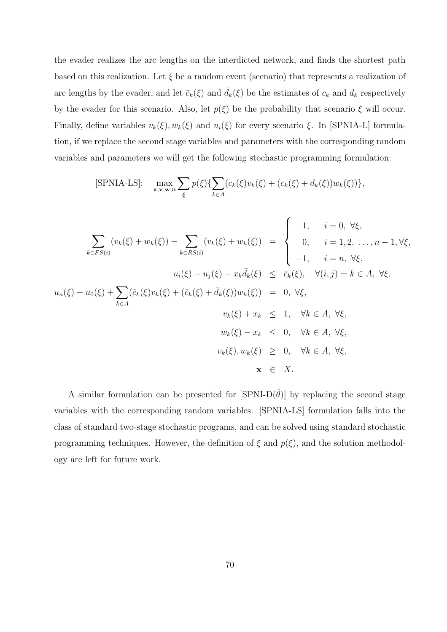the evader realizes the arc lengths on the interdicted network, and finds the shortest path based on this realization. Let  $\xi$  be a random event (scenario) that represents a realization of arc lengths by the evader, and let  $\bar{c}_k(\xi)$  and  $\bar{d}_k(\xi)$  be the estimates of  $c_k$  and  $d_k$  respectively by the evader for this scenario. Also, let  $p(\xi)$  be the probability that scenario  $\xi$  will occur. Finally, define variables  $v_k(\xi)$ ,  $w_k(\xi)$  and  $u_i(\xi)$  for every scenario  $\xi$ . In [SPNIA-L] formulation, if we replace the second stage variables and parameters with the corresponding random variables and parameters we will get the following stochastic programming formulation:

$$
[\text{SPNIA-LS}]: \quad \max_{\mathbf{x}, \mathbf{v}, \mathbf{w}, \mathbf{u}} \sum_{\xi} p(\xi) \{ \sum_{k \in A} (c_k(\xi) v_k(\xi) + (c_k(\xi) + d_k(\xi)) w_k(\xi)) \},
$$

$$
\sum_{k \in FS(i)} (v_k(\xi) + w_k(\xi)) - \sum_{k \in RS(i)} (v_k(\xi) + w_k(\xi)) = \begin{cases} 1, & i = 0, \forall \xi, \\ 0, & i = 1, 2, \dots, n - 1, \forall \xi, \\ -1, & i = n, \forall \xi, \end{cases}
$$
  

$$
u_i(\xi) - u_j(\xi) - x_k \bar{d}_k(\xi) \leq \bar{c}_k(\xi), \forall (i, j) = k \in A, \forall \xi, \\ u_n(\xi) - u_0(\xi) + \sum_{k \in A} (\bar{c}_k(\xi)v_k(\xi) + (\bar{c}_k(\xi) + \bar{d}_k(\xi))w_k(\xi)) = 0, \forall \xi, \\ v_k(\xi) + x_k \leq 1, \forall k \in A, \forall \xi, \\ w_k(\xi) - x_k \leq 0, \forall k \in A, \forall \xi, \\ v_k(\xi), w_k(\xi) \geq 0, \forall k \in A, \forall \xi, \\ \mathbf{x} \in X.
$$

A similar formulation can be presented for  $\text{SPNI-D}(\hat{\theta})$  by replacing the second stage variables with the corresponding random variables. [SPNIA-LS] formulation falls into the class of standard two-stage stochastic programs, and can be solved using standard stochastic programming techniques. However, the definition of  $\xi$  and  $p(\xi)$ , and the solution methodology are left for future work.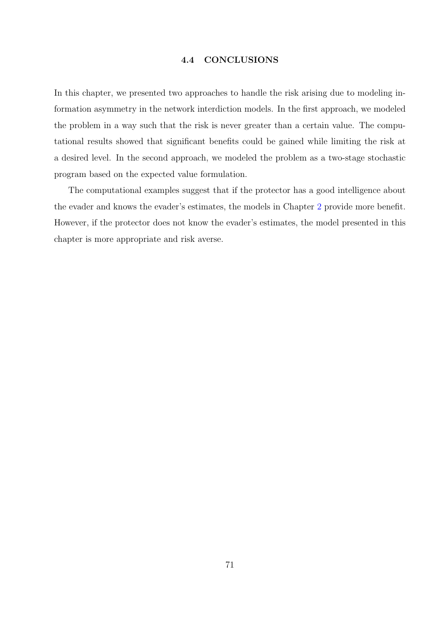### 4.4 CONCLUSIONS

In this chapter, we presented two approaches to handle the risk arising due to modeling information asymmetry in the network interdiction models. In the first approach, we modeled the problem in a way such that the risk is never greater than a certain value. The computational results showed that significant benefits could be gained while limiting the risk at a desired level. In the second approach, we modeled the problem as a two-stage stochastic program based on the expected value formulation.

The computational examples suggest that if the protector has a good intelligence about the evader and knows the evader's estimates, the models in Chapter 2 provide more benefit. However, if the protector does not know the evader's estimates, the model presented in this chapter is more appropriate and risk averse.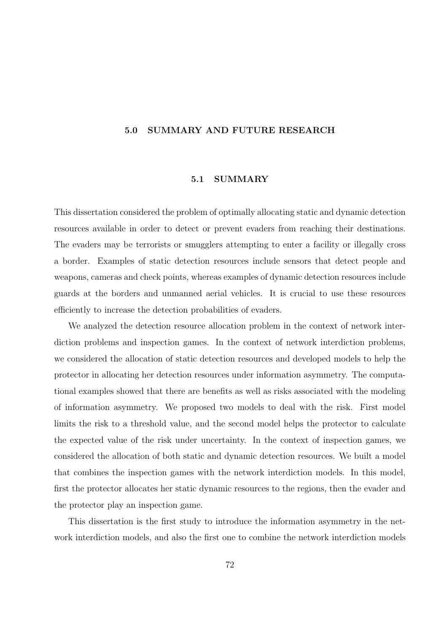# 5.0 SUMMARY AND FUTURE RESEARCH

# 5.1 SUMMARY

This dissertation considered the problem of optimally allocating static and dynamic detection resources available in order to detect or prevent evaders from reaching their destinations. The evaders may be terrorists or smugglers attempting to enter a facility or illegally cross a border. Examples of static detection resources include sensors that detect people and weapons, cameras and check points, whereas examples of dynamic detection resources include guards at the borders and unmanned aerial vehicles. It is crucial to use these resources efficiently to increase the detection probabilities of evaders.

We analyzed the detection resource allocation problem in the context of network interdiction problems and inspection games. In the context of network interdiction problems, we considered the allocation of static detection resources and developed models to help the protector in allocating her detection resources under information asymmetry. The computational examples showed that there are benefits as well as risks associated with the modeling of information asymmetry. We proposed two models to deal with the risk. First model limits the risk to a threshold value, and the second model helps the protector to calculate the expected value of the risk under uncertainty. In the context of inspection games, we considered the allocation of both static and dynamic detection resources. We built a model that combines the inspection games with the network interdiction models. In this model, first the protector allocates her static dynamic resources to the regions, then the evader and the protector play an inspection game.

This dissertation is the first study to introduce the information asymmetry in the network interdiction models, and also the first one to combine the network interdiction models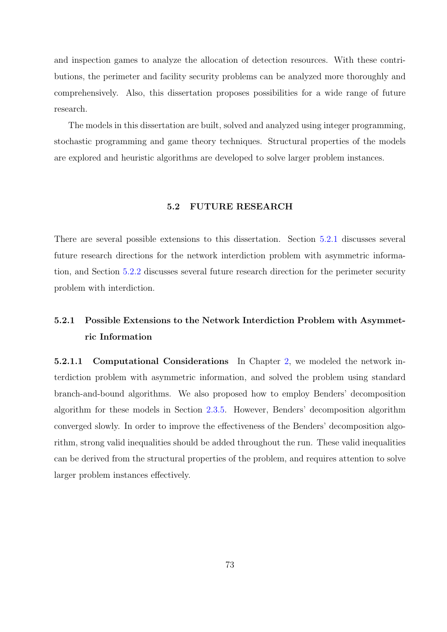and inspection games to analyze the allocation of detection resources. With these contributions, the perimeter and facility security problems can be analyzed more thoroughly and comprehensively. Also, this dissertation proposes possibilities for a wide range of future research.

The models in this dissertation are built, solved and analyzed using integer programming, stochastic programming and game theory techniques. Structural properties of the models are explored and heuristic algorithms are developed to solve larger problem instances.

### 5.2 FUTURE RESEARCH

There are several possible extensions to this dissertation. Section 5.2.1 discusses several future research directions for the network interdiction problem with asymmetric information, and Section 5.2.2 discusses several future research direction for the perimeter security problem with interdiction.

# 5.2.1 Possible Extensions to the Network Interdiction Problem with Asymmetric Information

5.2.1.1 Computational Considerations In Chapter 2, we modeled the network interdiction problem with asymmetric information, and solved the problem using standard branch-and-bound algorithms. We also proposed how to [em](#page-22-0)ploy Benders' decomposition algorithm for these models in Section 2.3.5. However, Benders' decomposition algorithm converged slowly. In order to improve the effectiveness of the Benders' decomposition algorithm, strong valid inequalities should b[e add](#page-36-0)ed throughout the run. These valid inequalities can be derived from the structural properties of the problem, and requires attention to solve larger problem instances effectively.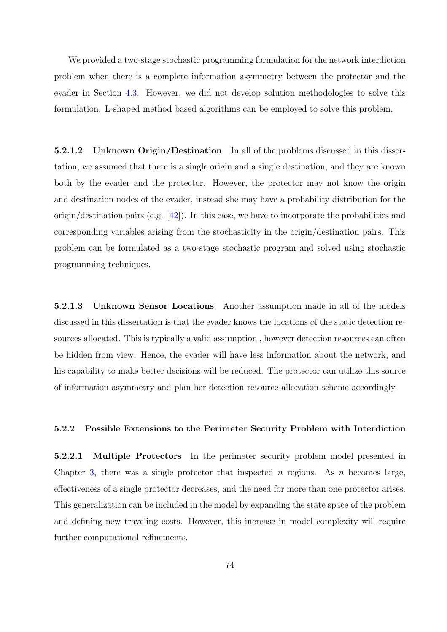We provided a two-stage stochastic programming formulation for the network interdiction problem when there is a complete information asymmetry between the protector and the evader in Section 4.3. However, we did not develop solution methodologies to solve this formulation. L-shaped method based algorithms can be employed to solve this problem.

5.2.1.2 Unknown Origin/Destination In all of the problems discussed in this dissertation, we assumed that there is a single origin and a single destination, and they are known both by the evader and the protector. However, the protector may not know the origin and destination nodes of the evader, instead she may have a probability distribution for the origin/destination pairs (e.g.  $[42]$ ). In this case, we have to incorporate the probabilities and corresponding variables arising from the stochasticity in the origin/destination pairs. This problem can be formulated a[s a](#page-140-0) two-stage stochastic program and solved using stochastic programming techniques.

5.2.1.3 Unknown Sensor Locations Another assumption made in all of the models discussed in this dissertation is that the evader knows the locations of the static detection resources allocated. This is typically a valid assumption , however detection resources can often be hidden from view. Hence, the evader will have less information about the network, and his capability to make better decisions will be reduced. The protector can utilize this source of information asymmetry and plan her detection resource allocation scheme accordingly.

#### 5.2.2 Possible Extensions to the Perimeter Security Problem with Interdiction

5.2.2.1 Multiple Protectors In the perimeter security problem model presented in Chapter 3, there was a single protector that inspected n regions. As n becomes large, effectiveness of a single protector decreases, and the need for more than one protector arises. This gen[era](#page-47-0)lization can be included in the model by expanding the state space of the problem and defining new traveling costs. However, this increase in model complexity will require further computational refinements.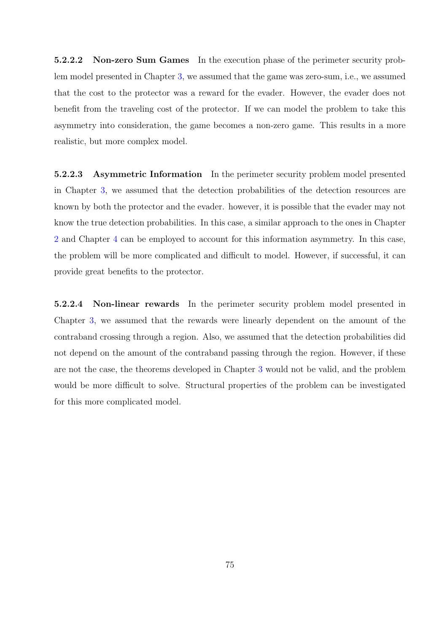5.2.2.2 Non-zero Sum Games In the execution phase of the perimeter security problem model presented in Chapter 3, we assumed that the game was zero-sum, i.e., we assumed that the cost to the protector was a reward for the evader. However, the evader does not benefit from the traveling cost [of](#page-47-0) the protector. If we can model the problem to take this asymmetry into consideration, the game becomes a non-zero game. This results in a more realistic, but more complex model.

5.2.2.3 Asymmetric Information In the perimeter security problem model presented in Chapter 3, we assumed that the detection probabilities of the detection resources are known by both the protector and the evader. however, it is possible that the evader may not know the tr[ue](#page-47-0) detection probabilities. In this case, a similar approach to the ones in Chapter 2 and Chapter 4 can be employed to account for this information asymmetry. In this case, the problem will be more complicated and difficult to model. However, if successful, it can [pr](#page-22-0)ovide great b[en](#page-71-0)efits to the protector.

5.2.2.4 Non-linear rewards In the perimeter security problem model presented in Chapter 3, we assumed that the rewards were linearly dependent on the amount of the contraband crossing through a region. Also, we assumed that the detection probabilities did not depe[nd](#page-47-0) on the amount of the contraband passing through the region. However, if these are not the case, the theorems developed in Chapter 3 would not be valid, and the problem would be more difficult to solve. Structural properties of the problem can be investigated for this more complicated model.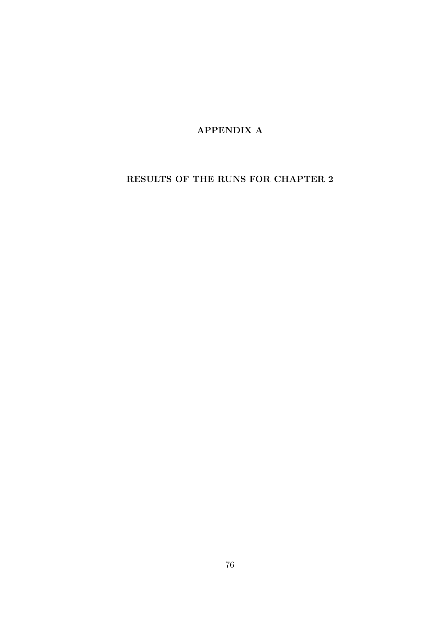APPENDIX A

RESULTS OF THE RUNS FOR CHAPTER 2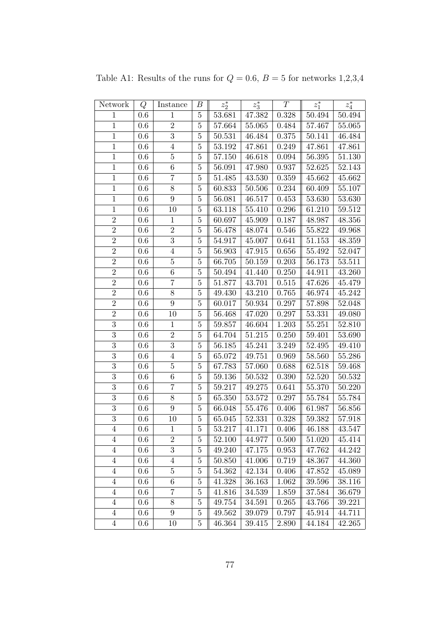| Network        | Q       | Instance         | В              | $z_2^\ast$ | $z_3^*$    | T     | $z_1^\ast$ | $z_4^\ast$ |
|----------------|---------|------------------|----------------|------------|------------|-------|------------|------------|
| $\mathbf{1}$   | $0.6\,$ | $\mathbf{1}$     | $\bf 5$        | 53.681     | 47.382     | 0.328 | 50.494     | 50.494     |
| $\mathbf{1}$   | 0.6     | $\sqrt{2}$       | $\overline{5}$ | 57.664     | 55.065     | 0.484 | 57.467     | 55.065     |
| $1\,$          | 0.6     | $\overline{3}$   | $5\,$          | 50.531     | 46.484     | 0.375 | 50.141     | 46.484     |
| $\mathbf{1}$   | 0.6     | $\overline{4}$   | $\bf 5$        | 53.192     | 47.861     | 0.249 | 47.861     | 47.861     |
| $\,1$          | 0.6     | $\overline{5}$   | $\overline{5}$ | 57.150     | 46.618     | 0.094 | 56.395     | 51.130     |
| $\mathbf{1}$   | $0.6\,$ | $\,6\,$          | $\bf 5$        | 56.091     | 47.980     | 0.937 | 52.625     | 52.143     |
| $\mathbf{1}$   | $0.6\,$ | $\overline{7}$   | $\bf 5$        | 51.485     | 43.530     | 0.359 | 45.662     | 45.662     |
| $\mathbf 1$    | 0.6     | 8                | $\overline{5}$ | 60.833     | 50.506     | 0.234 | 60.409     | 55.107     |
| $1\,$          | 0.6     | $\boldsymbol{9}$ | $\bf 5$        | 56.081     | 46.517     | 0.453 | 53.630     | 53.630     |
| $\overline{1}$ | 0.6     | 10               | $\overline{5}$ | 63.118     | 55.410     | 0.296 | 61.210     | 59.512     |
| $\overline{2}$ | 0.6     | $\,1$            | $\bf 5$        | 60.697     | 45.909     | 0.187 | 48.987     | 48.356     |
| $\overline{2}$ | 0.6     | $\sqrt{2}$       | $\bf 5$        | 56.478     | 48.074     | 0.546 | 55.822     | 49.968     |
| $\sqrt{2}$     | $0.6\,$ | 3                | $\bf 5$        | 54.917     | 45.007     | 0.641 | $51.153\,$ | 48.359     |
| $\overline{2}$ | 0.6     | $\,4\,$          | $\bf 5$        | 56.903     | 47.915     | 0.656 | 55.492     | 52.047     |
| $\overline{2}$ | 0.6     | $\bf 5$          | $\overline{5}$ | 66.705     | 50.159     | 0.203 | 56.173     | 53.511     |
| $\overline{2}$ | 0.6     | $\boldsymbol{6}$ | $\bf 5$        | 50.494     | 41.440     | 0.250 | 44.911     | 43.260     |
| $\overline{2}$ | 0.6     | $\overline{7}$   | $\bf 5$        | 51.877     | 43.701     | 0.515 | 47.626     | 45.479     |
| $\sqrt{2}$     | 0.6     | $8\,$            | $\overline{5}$ | 49.430     | 43.210     | 0.765 | 46.974     | 45.242     |
| $\overline{2}$ | 0.6     | $\boldsymbol{9}$ | $\bf 5$        | 60.017     | $50.934\,$ | 0.297 | 57.898     | 52.048     |
| $\overline{2}$ | 0.6     | 10               | $\bf 5$        | 56.468     | 47.020     | 0.297 | 53.331     | 49.080     |
| $\overline{3}$ | 0.6     | $\mathbf{1}$     | $5\,$          | 59.857     | 46.604     | 1.203 | 55.251     | 52.810     |
| $\overline{3}$ | 0.6     | $\overline{2}$   | $\bf 5$        | 64.704     | 51.215     | 0.250 | 59.401     | 53.690     |
| $\overline{3}$ | 0.6     | $\overline{3}$   | $\bf 5$        | 56.185     | 45.241     | 3.249 | 52.495     | 49.410     |
| $\overline{3}$ | 0.6     | $\overline{4}$   | $\bf 5$        | 65.072     | 49.751     | 0.969 | 58.560     | 55.286     |
| $\overline{3}$ | 0.6     | $\overline{5}$   | $\bf 5$        | 67.783     | 57.060     | 0.688 | 62.518     | 59.468     |
| $\overline{3}$ | 0.6     | $\,6\,$          | $\bf 5$        | $59.136\,$ | 50.532     | 0.390 | 52.520     | 50.532     |
| $\overline{3}$ | 0.6     | $\overline{7}$   | $\bf 5$        | 59.217     | 49.275     | 0.641 | 55.370     | 50.220     |
| $\overline{3}$ | 0.6     | 8                | $5\,$          | 65.350     | 53.572     | 0.297 | 55.784     | 55.784     |
| $\overline{3}$ | 0.6     | $\boldsymbol{9}$ | $\bf 5$        | 66.048     | 55.476     | 0.406 | 61.987     | 56.856     |
| $\overline{3}$ | 0.6     | 10               | $\bf 5$        | 65.045     | 52.331     | 0.328 | 59.382     | 57.918     |
| $\overline{4}$ | 0.6     | $\mathbf{1}$     | $\bf 5$        | 53.217     | 41.171     | 0.406 | 46.188     | 43.547     |
| 4              | $0.6\,$ | $\boldsymbol{2}$ | 5              | 52.100     | 44.977     | 0.500 | 51.020     | 45.414     |
| $\overline{4}$ | $0.6\,$ | $\overline{3}$   | $\bf 5$        | 49.240     | 47.175     | 0.953 | 47.762     | 44.242     |
| $\overline{4}$ | 0.6     | $\overline{4}$   | $\overline{5}$ | 50.850     | 41.006     | 0.719 | 48.367     | 44.360     |
| $\overline{4}$ | 0.6     | $\bf 5$          | $\bf 5$        | 54.362     | 42.134     | 0.406 | 47.852     | 45.089     |
| $\overline{4}$ | 0.6     | 6                | $\bf 5$        | 41.328     | 36.163     | 1.062 | 39.596     | 38.116     |
| $\overline{4}$ | $0.6\,$ | 7                | $\bf 5$        | 41.816     | 34.539     | 1.859 | 37.584     | 36.679     |
| $\overline{4}$ | $0.6\,$ | 8                | $\bf 5$        | 49.754     | 34.591     | 0.265 | 43.766     | 39.221     |
| $\overline{4}$ | $0.6\,$ | $\boldsymbol{9}$ | $\overline{5}$ | 49.562     | 39.079     | 0.797 | 45.914     | 44.711     |
| $\overline{4}$ | 0.6     | 10               | $\bf 5$        | 46.364     | 39.415     | 2.890 | 44.184     | 42.265     |

Table A1: Results of the runs for  $Q = 0.6$ ,  $B = 5$  for networks 1,2,3,4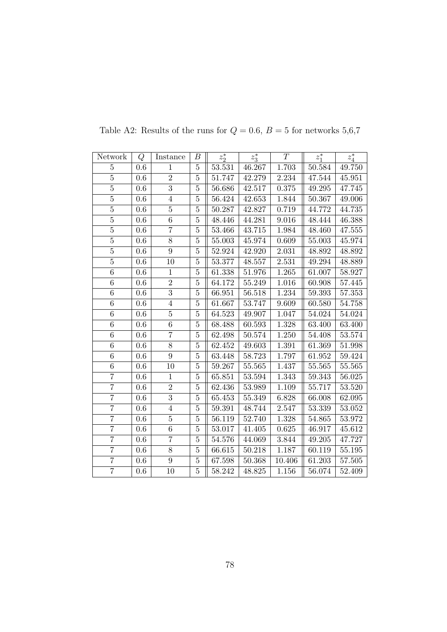| Network        | Q       | Instance       | В              | $z_2^*$    | $z_3^*$ | T         | $z_1^*$    | $z_4^\ast$ |
|----------------|---------|----------------|----------------|------------|---------|-----------|------------|------------|
| $\overline{5}$ | 0.6     | $\mathbf{1}$   | $\bf 5$        | 53.531     | 46.267  | 1.703     | 50.584     | 49.750     |
| $\overline{5}$ | 0.6     | $\overline{2}$ | $\bf 5$        | 51.747     | 42.279  | 2.234     | 47.544     | 45.951     |
| $\overline{5}$ | 0.6     | $\overline{3}$ | $\bf 5$        | 56.686     | 42.517  | 0.375     | 49.295     | 47.745     |
| $\overline{5}$ | 0.6     | $\overline{4}$ | $\overline{5}$ | 56.424     | 42.653  | 1.844     | 50.367     | 49.006     |
| $\overline{5}$ | 0.6     | $\overline{5}$ | $\bf 5$        | 50.287     | 42.827  | 0.719     | 44.772     | 44.735     |
| $\overline{5}$ | 0.6     | 6              | $\overline{5}$ | 48.446     | 44.281  | 9.016     | 48.444     | 46.388     |
| $\overline{5}$ | $0.6\,$ | $\overline{7}$ | $\bf 5$        | 53.466     | 43.715  | 1.984     | 48.460     | 47.555     |
| $\bf 5$        | $0.6\,$ | $8\,$          | $\bf 5$        | $55.003\,$ | 45.974  | 0.609     | $55.003\,$ | 45.974     |
| $\overline{5}$ | 0.6     | $\overline{9}$ | $\overline{5}$ | 52.924     | 42.920  | 2.031     | 48.892     | 48.892     |
| $\overline{5}$ | 0.6     | 10             | $\bf 5$        | 53.377     | 48.557  | 2.531     | 49.294     | 48.889     |
| 6              | $0.6\,$ | $\mathbf{1}$   | $\bf 5$        | 61.338     | 51.976  | 1.265     | 61.007     | 58.927     |
| $\overline{6}$ | $0.6\,$ | $\overline{2}$ | $\bf 5$        | 64.172     | 55.249  | $1.016\,$ | 60.908     | 57.445     |
| $\,6$          | $0.6\,$ | $\overline{3}$ | $\bf 5$        | 66.951     | 56.518  | 1.234     | 59.393     | 57.353     |
| $\overline{6}$ | $0.6\,$ | $\overline{4}$ | $\bf 5$        | 61.667     | 53.747  | 9.609     | 60.580     | 54.758     |
| $\overline{6}$ | 0.6     | $\overline{5}$ | $\overline{5}$ | 64.523     | 49.907  | 1.047     | 54.024     | 54.024     |
| 6              | 0.6     | 6              | $\overline{5}$ | 68.488     | 60.593  | 1.328     | 63.400     | 63.400     |
| $\overline{6}$ | 0.6     | $\overline{7}$ | $\overline{5}$ | 62.498     | 50.574  | 1.250     | 54.408     | 53.574     |
| 6              | 0.6     | 8              | $\overline{5}$ | 62.452     | 49.603  | 1.391     | 61.369     | 51.998     |
| $\overline{6}$ | $0.6\,$ | $9\phantom{.}$ | $\bf 5$        | 63.448     | 58.723  | 1.797     | 61.952     | 59.424     |
| $\overline{6}$ | 0.6     | 10             | $\bf 5$        | 59.267     | 55.565  | 1.437     | 55.565     | $55.565\,$ |
| $\overline{7}$ | 0.6     | $\mathbf{1}$   | $\bf 5$        | 65.851     | 53.594  | 1.343     | 59.343     | 56.025     |
| $\overline{7}$ | 0.6     | $\overline{2}$ | $\bf 5$        | 62.436     | 53.989  | 1.109     | 55.717     | 53.520     |
| $\overline{7}$ | 0.6     | $\overline{3}$ | $\bf 5$        | 65.453     | 55.349  | 6.828     | 66.008     | 62.095     |
| $\overline{7}$ | 0.6     | $\overline{4}$ | $\bf 5$        | 59.391     | 48.744  | 2.547     | 53.339     | 53.052     |
| $\overline{7}$ | 0.6     | $\bf 5$        | $\bf 5$        | 56.119     | 52.740  | 1.328     | 54.865     | 53.972     |
| $\overline{7}$ | 0.6     | $\overline{6}$ | $\overline{5}$ | 53.017     | 41.405  | 0.625     | 46.917     | 45.612     |
| $\overline{7}$ | 0.6     | $\overline{7}$ | $\overline{5}$ | $54.576\,$ | 44.069  | 3.844     | 49.205     | 47.727     |
| $\overline{7}$ | $0.6\,$ | 8              | $\bf 5$        | 66.615     | 50.218  | 1.187     | 60.119     | 55.195     |
| $\overline{7}$ | $0.6\,$ | 9              | $\bf 5$        | 67.598     | 50.368  | 10.406    | 61.203     | 57.505     |
| $\overline{7}$ | 0.6     | 10             | $\bf 5$        | 58.242     | 48.825  | 1.156     | 56.074     | 52.409     |

Table A2: Results of the runs for  $Q = 0.6$ ,  $B = 5$  for networks 5,6,7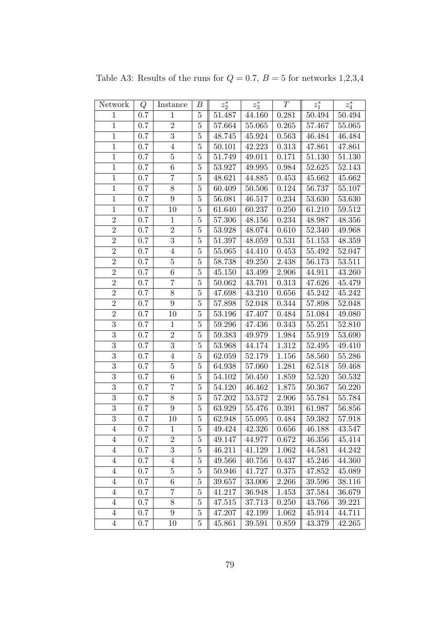| Network          | Q       | Instance         | В              | $z_2^*$ | $z_3^*$ | T           | $z_1^*$ | $z_4^\ast$ |
|------------------|---------|------------------|----------------|---------|---------|-------------|---------|------------|
| $\mathbf{1}$     | 0.7     | $\mathbf{1}$     | $\bf 5$        | 51.487  | 44.160  | 0.281       | 50.494  | $50.494\,$ |
| $\mathbf{1}$     | 0.7     | $\sqrt{2}$       | $\bf 5$        | 57.664  | 55.065  | 0.265       | 57.467  | 55.065     |
| $\mathbf{1}$     | 0.7     | $\overline{3}$   | $\bf 5$        | 48.745  | 45.924  | 0.563       | 46.484  | 46.484     |
| $\mathbf{1}$     | 0.7     | $\overline{4}$   | $\overline{5}$ | 50.101  | 42.223  | 0.313       | 47.861  | 47.861     |
| $\mathbf{1}$     | 0.7     | $\bf 5$          | $\overline{5}$ | 51.749  | 49.011  | 0.171       | 51.130  | 51.130     |
| $\mathbf{1}$     | 0.7     | 6                | $\bf 5$        | 53.927  | 49.995  | 0.984       | 52.625  | 52.143     |
| $\mathbf{1}$     | 0.7     | $\overline{7}$   | $\bf 5$        | 48.621  | 44.885  | 0.453       | 45.662  | 45.662     |
| $\mathbf{1}$     | 0.7     | 8                | $\overline{5}$ | 60.409  | 50.506  | 0.124       | 56.737  | 55.107     |
| $\mathbf{1}$     | 0.7     | $\boldsymbol{9}$ | $5\,$          | 56.081  | 46.517  | 0.234       | 53.630  | 53.630     |
| $\mathbf{1}$     | 0.7     | 10               | $\overline{5}$ | 61.640  | 60.237  | 0.250       | 61.210  | 59.512     |
| $\sqrt{2}$       | 0.7     | $\mathbf{1}$     | $\overline{5}$ | 57.306  | 48.156  | 0.234       | 48.987  | 48.356     |
| $\overline{2}$   | 0.7     | $\overline{2}$   | $\bf 5$        | 53.928  | 48.074  | 0.610       | 52.340  | 49.968     |
| $\overline{2}$   | 0.7     | $\overline{3}$   | $\bf 5$        | 51.397  | 48.059  | $\,0.531\,$ | 51.153  | 48.359     |
| $\sqrt{2}$       | 0.7     | $\,4\,$          | $\overline{5}$ | 55.065  | 44.410  | 0.453       | 55.492  | 52.047     |
| $\overline{2}$   | 0.7     | $\bf 5$          | $\bf 5$        | 58.738  | 49.250  | 2.438       | 56.173  | 53.511     |
| $\overline{2}$   | 0.7     | $\boldsymbol{6}$ | $\bf 5$        | 45.150  | 43.499  | 2.906       | 44.911  | 43.260     |
| $\overline{2}$   | 0.7     | $\overline{7}$   | $\overline{5}$ | 50.062  | 43.701  | 0.313       | 47.626  | 45.479     |
| $\overline{2}$   | 0.7     | $8\,$            | $\bf 5$        | 47.698  | 43.210  | 0.656       | 45.242  | 45.242     |
| $\overline{2}$   | 0.7     | $\boldsymbol{9}$ | $\bf 5$        | 57.898  | 52.048  | 0.344       | 57.898  | 52.048     |
| $\overline{2}$   | 0.7     | 10               | $\bf 5$        | 53.196  | 47.407  | 0.484       | 51.084  | 49.080     |
| $\overline{3}$   | 0.7     | $\mathbf{1}$     | $\bf 5$        | 59.296  | 47.436  | 0.343       | 55.251  | 52.810     |
| $\overline{3}$   | 0.7     | $\overline{2}$   | $\bf 5$        | 59.383  | 49.979  | 1.984       | 55.919  | 53.690     |
| $\overline{3}$   | $0.7\,$ | $\overline{3}$   | $\bf 5$        | 53.968  | 44.174  | 1.312       | 52.495  | 49.410     |
| $\boldsymbol{3}$ | 0.7     | $\overline{4}$   | $\overline{5}$ | 62.059  | 52.179  | 1.156       | 58.560  | 55.286     |
| $\overline{3}$   | 0.7     | $\bf 5$          | $\bf 5$        | 64.938  | 57.060  | 1.281       | 62.518  | 59.468     |
| $\overline{3}$   | 0.7     | $\,6$            | $5\,$          | 54.102  | 50.450  | 1.859       | 52.520  | 50.532     |
| $\overline{3}$   | 0.7     | $\overline{7}$   | $\overline{5}$ | 54.120  | 46.462  | 1.875       | 50.367  | 50.220     |
| $\overline{3}$   | 0.7     | 8                | $\bf 5$        | 57.202  | 53.572  | 2.906       | 55.784  | 55.784     |
| $\boldsymbol{3}$ | 0.7     | $\boldsymbol{9}$ | $\bf 5$        | 63.929  | 55.476  | 0.391       | 61.987  | 56.856     |
| $\overline{3}$   | 0.7     | 10               | $5\,$          | 62.948  | 55.095  | 0.484       | 59.382  | 57.918     |
| $\overline{4}$   | 0.7     | $\mathbf{1}$     | $\bf 5$        | 49.424  | 42.326  | 0.656       | 46.188  | 43.547     |
| $\overline{4}$   | 0.7     | $\boldsymbol{2}$ | $\overline{5}$ | 49.147  | 44.977  | 0.672       | 46.356  | 45.414     |
| $\overline{4}$   | 0.7     | $\overline{3}$   | $\bf 5$        | 46.211  | 41.129  | 1.062       | 44.581  | 44.242     |
| $\overline{4}$   | 0.7     | $\overline{4}$   | 5              | 49.566  | 40.756  | 0.437       | 45.246  | 44.360     |
| $\sqrt{4}$       | 0.7     | $\overline{5}$   | $5\,$          | 50.946  | 41.727  | 0.375       | 47.852  | 45.089     |
| $\overline{4}$   | 0.7     | 6                | $\bf 5$        | 39.657  | 33.006  | 2.266       | 39.596  | 38.116     |
| $\overline{4}$   | 0.7     | 7                | $5\,$          | 41.217  | 36.948  | 1.453       | 37.584  | 36.679     |
| $\overline{4}$   | 0.7     | $8\,$            | $\bf 5$        | 47.515  | 37.713  | 0.250       | 43.766  | 39.221     |
| $\overline{4}$   | 0.7     | 9                | $\overline{5}$ | 47.207  | 42.199  | 1.062       | 45.914  | 44.711     |
| $\overline{4}$   | $0.7\,$ | 10               | $\overline{5}$ | 45.861  | 39.591  | 0.859       | 43.379  | 42.265     |

Table A3: Results of the runs for  $Q = 0.7$ ,  $B = 5$  for networks 1,2,3,4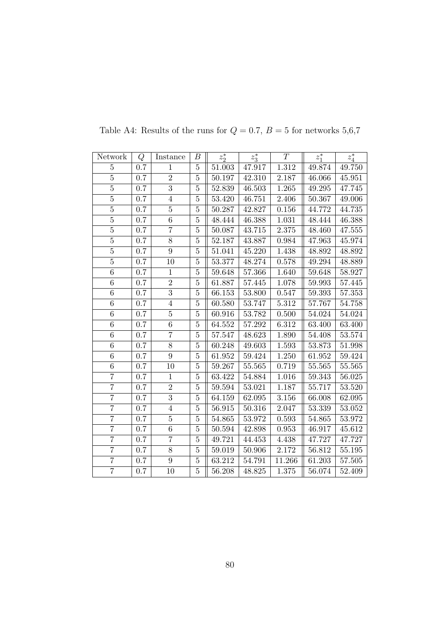| Network          | Q   | Instance       | В              | $z_2^*$    | $z_3^*$ | T         | $z_1^*$ | $z_4^\ast$ |
|------------------|-----|----------------|----------------|------------|---------|-----------|---------|------------|
| 5                | 0.7 | $\mathbf{1}$   | $\overline{5}$ | 51.003     | 47.917  | 1.312     | 49.874  | 49.750     |
| $\overline{5}$   | 0.7 | $\overline{2}$ | $\bf 5$        | 50.197     | 42.310  | 2.187     | 46.066  | 45.951     |
| $\overline{5}$   | 0.7 | $\overline{3}$ | $\bf 5$        | 52.839     | 46.503  | 1.265     | 49.295  | 47.745     |
| $\overline{5}$   | 0.7 | $\overline{4}$ | $\overline{5}$ | 53.420     | 46.751  | 2.406     | 50.367  | 49.006     |
| $\overline{5}$   | 0.7 | $\overline{5}$ | $\bf 5$        | 50.287     | 42.827  | 0.156     | 44.772  | 44.735     |
| $\overline{5}$   | 0.7 | 6              | $\overline{5}$ | 48.444     | 46.388  | 1.031     | 48.444  | 46.388     |
| $\overline{5}$   | 0.7 | $\overline{7}$ | $\bf 5$        | 50.087     | 43.715  | $2.375\,$ | 48.460  | 47.555     |
| $\bf 5$          | 0.7 | $8\,$          | $\bf 5$        | 52.187     | 43.887  | 0.984     | 47.963  | 45.974     |
| $\overline{5}$   | 0.7 | $\overline{9}$ | $\overline{5}$ | 51.041     | 45.220  | 1.438     | 48.892  | 48.892     |
| $\overline{5}$   | 0.7 | 10             | $\bf 5$        | 53.377     | 48.274  | 0.578     | 49.294  | 48.889     |
| 6                | 0.7 | $\mathbf{1}$   | $\bf 5$        | 59.648     | 57.366  | 1.640     | 59.648  | 58.927     |
| $\overline{6}$   | 0.7 | $\overline{2}$ | $\overline{5}$ | 61.887     | 57.445  | 1.078     | 59.993  | 57.445     |
| $\,6$            | 0.7 | $\overline{3}$ | $\bf 5$        | 66.153     | 53.800  | 0.547     | 59.393  | 57.353     |
| $\overline{6}$   | 0.7 | $\overline{4}$ | $\bf 5$        | 60.580     | 53.747  | 5.312     | 57.767  | 54.758     |
| $\overline{6}$   | 0.7 | $\overline{5}$ | $\overline{5}$ | 60.916     | 53.782  | 0.500     | 54.024  | 54.024     |
| 6                | 0.7 | 6              | $\overline{5}$ | $64.552\,$ | 57.292  | 6.312     | 63.400  | 63.400     |
| $\overline{6}$   | 0.7 | $\overline{7}$ | $\overline{5}$ | 57.547     | 48.623  | 1.890     | 54.408  | 53.574     |
| 6                | 0.7 | 8              | $\overline{5}$ | 60.248     | 49.603  | $1.593\,$ | 53.873  | 51.998     |
| $\boldsymbol{6}$ | 0.7 | $9\phantom{.}$ | $\bf 5$        | 61.952     | 59.424  | 1.250     | 61.952  | 59.424     |
| $\overline{6}$   | 0.7 | 10             | $\bf 5$        | 59.267     | 55.565  | 0.719     | 55.565  | $55.565\,$ |
| $\overline{7}$   | 0.7 | $\mathbf{1}$   | $\bf 5$        | 63.422     | 54.884  | 1.016     | 59.343  | 56.025     |
| $\overline{7}$   | 0.7 | $\overline{2}$ | $\bf 5$        | 59.594     | 53.021  | 1.187     | 55.717  | $53.520\,$ |
| $\overline{7}$   | 0.7 | $\overline{3}$ | $\overline{5}$ | 64.159     | 62.095  | 3.156     | 66.008  | 62.095     |
| $\overline{7}$   | 0.7 | $\overline{4}$ | $\bf 5$        | 56.915     | 50.316  | 2.047     | 53.339  | 53.052     |
| $\overline{7}$   | 0.7 | $\bf 5$        | $\bf 5$        | 54.865     | 53.972  | 0.593     | 54.865  | 53.972     |
| $\overline{7}$   | 0.7 | $\overline{6}$ | $\bf 5$        | 50.594     | 42.898  | 0.953     | 46.917  | 45.612     |
| $\overline{7}$   | 0.7 | $\overline{7}$ | $\overline{5}$ | 49.721     | 44.453  | 4.438     | 47.727  | 47.727     |
| $\overline{7}$   | 0.7 | 8              | $\bf 5$        | 59.019     | 50.906  | 2.172     | 56.812  | $55.195\,$ |
| $\overline{7}$   | 0.7 | 9              | $\bf 5$        | 63.212     | 54.791  | 11.266    | 61.203  | 57.505     |
| $\overline{7}$   | 0.7 | 10             | $\bf 5$        | 56.208     | 48.825  | 1.375     | 56.074  | 52.409     |

Table A4: Results of the runs for  $Q=0.7,\,B=5$  for networks  $5{,}6{,}7$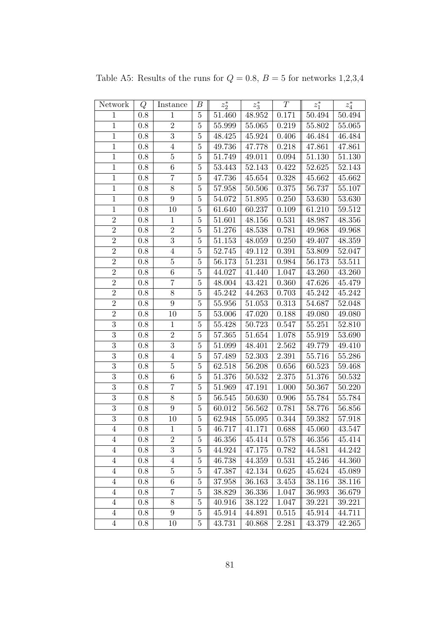| Network        | Q       | Instance         | В              | $z_2^\ast$ | $z_3^*$             | T         | $z_1^*$    | $z_4^*$ |
|----------------|---------|------------------|----------------|------------|---------------------|-----------|------------|---------|
| $\mathbf{1}$   | 0.8     | $\mathbf{1}$     | $\overline{5}$ | 51.460     | 48.952              | 0.171     | 50.494     | 50.494  |
| $\mathbf{1}$   | 0.8     | $\sqrt{2}$       | $\overline{5}$ | 55.999     | 55.065              | 0.219     | 55.802     | 55.065  |
| $\mathbf{1}$   | 0.8     | $\overline{3}$   | $\overline{5}$ | 48.425     | 45.924              | 0.406     | 46.484     | 46.484  |
| $\mathbf{1}$   | 0.8     | $\,4\,$          | $\overline{5}$ | 49.736     | 47.778              | 0.218     | 47.861     | 47.861  |
| $\mathbf{1}$   | 0.8     | $\bf 5$          | $\overline{5}$ | 51.749     | 49.011              | 0.094     | 51.130     | 51.130  |
| $\mathbf{1}$   | 0.8     | $\,6\,$          | $\overline{5}$ | 53.443     | 52.143              | 0.422     | 52.625     | 52.143  |
| $\mathbf{1}$   | $0.8\,$ | $\overline{7}$   | $\overline{5}$ | 47.736     | 45.654              | 0.328     | 45.662     | 45.662  |
| $\overline{1}$ | 0.8     | $8\,$            | $\bf 5$        | 57.958     | 50.506              | 0.375     | 56.737     | 55.107  |
| $1\,$          | 0.8     | $\boldsymbol{9}$ | $\overline{5}$ | 54.072     | 51.895              | 0.250     | 53.630     | 53.630  |
| $\overline{1}$ | 0.8     | 10               | $\overline{5}$ | 61.640     | 60.237              | 0.109     | 61.210     | 59.512  |
| $\sqrt{2}$     | 0.8     | $1\,$            | $\overline{5}$ | 51.601     | 48.156              | 0.531     | 48.987     | 48.356  |
| $\overline{2}$ | 0.8     | $\overline{2}$   | $\bf 5$        | 51.276     | 48.538              | 0.781     | 49.968     | 49.968  |
| $\overline{2}$ | 0.8     | $\overline{3}$   | $\overline{5}$ | 51.153     | 48.059              | 0.250     | 49.407     | 48.359  |
| $\overline{2}$ | 0.8     | $\overline{4}$   | $\overline{5}$ | 52.745     | 49.112              | 0.391     | 53.809     | 52.047  |
| $\overline{2}$ | 0.8     | $\bf 5$          | $\overline{5}$ | 56.173     | 51.231              | 0.984     | 56.173     | 53.511  |
| $\overline{2}$ | 0.8     | $\,6\,$          | $\overline{5}$ | 44.027     | 41.440              | 1.047     | 43.260     | 43.260  |
| $\sqrt{2}$     | 0.8     | $\overline{7}$   | $\overline{5}$ | 48.004     | 43.421              | 0.360     | 47.626     | 45.479  |
| $\overline{2}$ | 0.8     | $8\,$            | $\bf 5$        | 45.242     | 44.263              | 0.703     | 45.242     | 45.242  |
| $\overline{2}$ | 0.8     | $\boldsymbol{9}$ | $\overline{5}$ | 55.956     | $\overline{51.053}$ | 0.313     | 54.687     | 52.048  |
| $\overline{2}$ | $0.8\,$ | 10               | $\overline{5}$ | $53.006\,$ | 47.020              | 0.188     | 49.080     | 49.080  |
| $\overline{3}$ | 0.8     | $1\,$            | $\bf 5$        | 55.428     | 50.723              | 0.547     | 55.251     | 52.810  |
| $\overline{3}$ | 0.8     | $\sqrt{2}$       | $\overline{5}$ | 57.365     | 51.654              | 1.078     | 55.919     | 53.690  |
| $\overline{3}$ | 0.8     | $\overline{3}$   | $\overline{5}$ | 51.099     | 48.401              | 2.562     | 49.779     | 49.410  |
| 3              | 0.8     | $\overline{4}$   | $\overline{5}$ | 57.489     | 52.303              | 2.391     | 55.716     | 55.286  |
| $\overline{3}$ | 0.8     | $\bf 5$          | $\overline{5}$ | 62.518     | 56.208              | 0.656     | 60.523     | 59.468  |
| 3              | $0.8\,$ | $\,6\,$          | $\bf 5$        | 51.376     | 50.532              | $2.375\,$ | 51.376     | 50.532  |
| $\overline{3}$ | 0.8     | $\overline{7}$   | $\overline{5}$ | 51.969     | 47.191              | 1.000     | $50.367\,$ | 50.220  |
| 3              | 0.8     | 8                | $\overline{5}$ | 56.545     | 50.630              | 0.906     | 55.784     | 55.784  |
| 3              | 0.8     | $\boldsymbol{9}$ | $\overline{5}$ | 60.012     | 56.562              | 0.781     | 58.776     | 56.856  |
| 3              | $0.8\,$ | 10               | $\overline{5}$ | 62.948     | 55.095              | 0.344     | 59.382     | 57.918  |
| $\overline{4}$ | 0.8     | $\mathbf{1}$     | $\overline{5}$ | 46.717     | 41.171              | 0.688     | 45.060     | 43.547  |
| 4              | 0.8     | $\boldsymbol{2}$ | 5              | 46.356     | 45.414              | 0.578     | 46.356     | 45.414  |
| $\overline{4}$ | 0.8     | $\overline{3}$   | $\bf 5$        | 44.924     | 47.175              | 0.782     | 44.581     | 44.242  |
| $\overline{4}$ | 0.8     | $\overline{4}$   | 5              | 46.738     | 44.359              | 0.531     | 45.246     | 44.360  |
| $\overline{4}$ | 0.8     | $\overline{5}$   | $5\,$          | 47.387     | 42.134              | 0.625     | 45.624     | 45.089  |
| $\overline{4}$ | 0.8     | $\,6\,$          | $\overline{5}$ | 37.958     | 36.163              | 3.453     | 38.116     | 38.116  |
| $\overline{4}$ | 0.8     | $\overline{7}$   | $\bf 5$        | 38.829     | 36.336              | 1.047     | 36.993     | 36.679  |
| $\overline{4}$ | 0.8     | $8\,$            | $\bf 5$        | 40.916     | 38.122              | 1.047     | 39.221     | 39.221  |
| $\overline{4}$ | 0.8     | 9                | $\overline{5}$ | 45.914     | 44.891              | 0.515     | 45.914     | 44.711  |
| $\overline{4}$ | 0.8     | 10               | $\overline{5}$ | 43.731     | 40.868              | 2.281     | 43.379     | 42.265  |

Table A5: Results of the runs for  $Q = 0.8$ ,  $B = 5$  for networks 1,2,3,4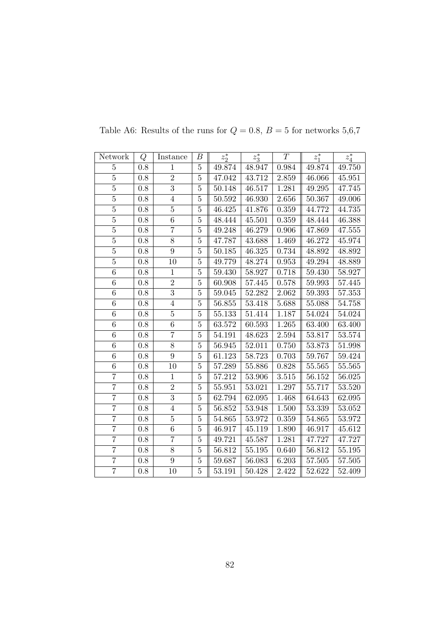| Network         | Q       | Instance       | В              | $z_2^*$             | $z_3^*$ | T                  | $z_1^*$    | $z_4^*$ |
|-----------------|---------|----------------|----------------|---------------------|---------|--------------------|------------|---------|
| $\overline{5}$  | 0.8     | $\mathbf{1}$   | $\overline{5}$ | 49.874              | 48.947  | 0.984              | 49.874     | 49.750  |
| $\overline{5}$  | 0.8     | $\overline{2}$ | $\overline{5}$ | 47.042              | 43.712  | 2.859              | 46.066     | 45.951  |
| $\overline{5}$  | 0.8     | $\overline{3}$ | $\overline{5}$ | 50.148              | 46.517  | 1.281              | 49.295     | 47.745  |
| $\overline{5}$  | 0.8     | $\overline{4}$ | $\overline{5}$ | 50.592              | 46.930  | 2.656              | 50.367     | 49.006  |
| $\overline{5}$  | 0.8     | $\overline{5}$ | $\overline{5}$ | $\overline{46.425}$ | 41.876  | 0.359              | 44.772     | 44.735  |
| $\bf 5$         | 0.8     | 6              | $\overline{5}$ | 48.444              | 45.501  | 0.359              | 48.444     | 46.388  |
| $\overline{5}$  | $0.8\,$ | $\overline{7}$ | $\overline{5}$ | 49.248              | 46.279  | 0.906              | 47.869     | 47.555  |
| $\bf 5$         | 0.8     | 8              | $\overline{5}$ | 47.787              | 43.688  | 1.469              | 46.272     | 45.974  |
| $\overline{5}$  | 0.8     | $\overline{9}$ | $\overline{5}$ | 50.185              | 46.325  | 0.734              | 48.892     | 48.892  |
| $\overline{5}$  | 0.8     | 10             | $\overline{5}$ | 49.779              | 48.274  | 0.953              | 49.294     | 48.889  |
| 6               | 0.8     | $\mathbf{1}$   | $\overline{5}$ | 59.430              | 58.927  | 0.718              | 59.430     | 58.927  |
| $\sqrt{6}$      | 0.8     | $\overline{2}$ | $\overline{5}$ | 60.908              | 57.445  | 0.578              | $59.993\,$ | 57.445  |
| $\,6$           | 0.8     | $\overline{3}$ | $\overline{5}$ | 59.045              | 52.282  | 2.062              | 59.393     | 57.353  |
| $\overline{6}$  | 0.8     | $\overline{4}$ | $\overline{5}$ | 56.855              | 53.418  | 5.688              | 55.088     | 54.758  |
| $6\phantom{.}6$ | 0.8     | $\bf 5$        | $\overline{5}$ | 55.133              | 51.414  | 1.187              | 54.024     | 54.024  |
| $\sqrt{6}$      | 0.8     | 6              | $\overline{5}$ | 63.572              | 60.593  | 1.265              | 63.400     | 63.400  |
| $\sqrt{6}$      | 0.8     | $\overline{7}$ | $\overline{5}$ | 54.191              | 48.623  | 2.594              | 53.817     | 53.574  |
| 6               | 0.8     | 8              | $\overline{5}$ | 56.945              | 52.011  | 0.750              | 53.873     | 51.998  |
| $\overline{6}$  | 0.8     | $9\phantom{.}$ | $\overline{5}$ | 61.123              | 58.723  | 0.703              | 59.767     | 59.424  |
| 6               | 0.8     | 10             | $\overline{5}$ | 57.289              | 55.886  | 0.828              | 55.565     | 55.565  |
| $\overline{7}$  | $0.8\,$ | $\mathbf{1}$   | $\bf 5$        | 57.212              | 53.906  | $3.51\overline{5}$ | $56.152\,$ | 56.025  |
| $\overline{7}$  | 0.8     | $\overline{2}$ | $\overline{5}$ | 55.951              | 53.021  | 1.297              | 55.717     | 53.520  |
| $\overline{7}$  | 0.8     | $\overline{3}$ | $\overline{5}$ | 62.794              | 62.095  | 1.468              | 64.643     | 62.095  |
| $\overline{7}$  | $0.8\,$ | $\overline{4}$ | $\overline{5}$ | 56.852              | 53.948  | 1.500              | 53.339     | 53.052  |
| $\overline{7}$  | 0.8     | $\bf 5$        | $\overline{5}$ | 54.865              | 53.972  | 0.359              | 54.865     | 53.972  |
| $\overline{7}$  | 0.8     | $\,6\,$        | $\overline{5}$ | 46.917              | 45.119  | 1.890              | 46.917     | 45.612  |
| $\overline{7}$  | 0.8     | $\overline{7}$ | $\overline{5}$ | 49.721              | 45.587  | 1.281              | 47.727     | 47.727  |
| $\overline{7}$  | 0.8     | 8              | $\bf 5$        | 56.812              | 55.195  | 0.640              | 56.812     | 55.195  |
| $\overline{7}$  | 0.8     | $\overline{9}$ | $\overline{5}$ | 59.687              | 56.083  | 6.203              | 57.505     | 57.505  |
| $\overline{7}$  | 0.8     | 10             | $\overline{5}$ | 53.191              | 50.428  | 2.422              | 52.622     | 52.409  |

Table A6: Results of the runs for  $Q=0.8,\,B=5$  for networks  $5,6,7$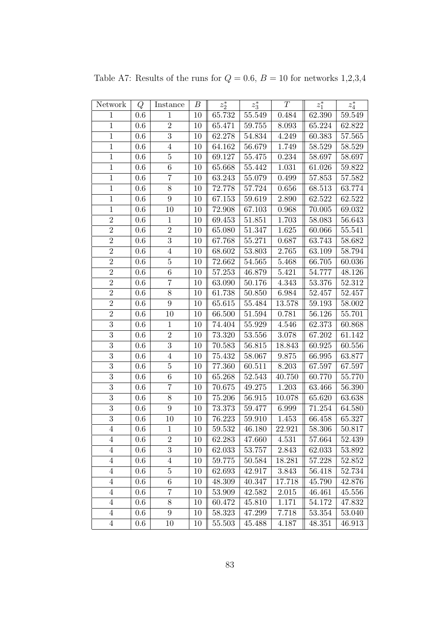| Network          | Q       | Instance         | В  | $z_2^*$ | $z_3^*$    | T      | $z_1^\ast$ | $z_4^\ast$ |
|------------------|---------|------------------|----|---------|------------|--------|------------|------------|
| $\mathbf{1}$     | 0.6     | $\mathbf{1}$     | 10 | 65.732  | $55.549\,$ | 0.484  | 62.390     | 59.549     |
| $\overline{1}$   | 0.6     | $\overline{2}$   | 10 | 65.471  | 59.755     | 8.093  | 65.224     | 62.822     |
| $\,1$            | 0.6     | $\overline{3}$   | 10 | 62.278  | 54.834     | 4.249  | 60.383     | 57.565     |
| $\mathbf{1}$     | 0.6     | $\overline{4}$   | 10 | 64.162  | 56.679     | 1.749  | 58.529     | 58.529     |
| $\overline{1}$   | 0.6     | $\overline{5}$   | 10 | 69.127  | 55.475     | 0.234  | 58.697     | 58.697     |
| $1\,$            | 0.6     | 6                | 10 | 65.668  | 55.442     | 1.031  | 61.026     | 59.822     |
| $\mathbf{1}$     | 0.6     | $\overline{7}$   | 10 | 63.243  | 55.079     | 0.499  | 57.853     | 57.582     |
| $\mathbf{1}$     | 0.6     | $\overline{8}$   | 10 | 72.778  | 57.724     | 0.656  | 68.513     | 63.774     |
| $\,1$            | 0.6     | $\boldsymbol{9}$ | 10 | 67.153  | 59.619     | 2.890  | 62.522     | 62.522     |
| $\overline{1}$   | 0.6     | 10               | 10 | 72.908  | 67.103     | 0.968  | 70.005     | 69.032     |
| $\overline{2}$   | 0.6     | $\mathbf 1$      | 10 | 69.453  | 51.851     | 1.703  | 58.083     | 56.643     |
| $\overline{2}$   | 0.6     | $\overline{2}$   | 10 | 65.080  | 51.347     | 1.625  | 60.066     | 55.541     |
| $\overline{2}$   | 0.6     | $\overline{3}$   | 10 | 67.768  | 55.271     | 0.687  | 63.743     | 58.682     |
| $\overline{2}$   | 0.6     | $\overline{4}$   | 10 | 68.602  | 53.803     | 2.765  | 63.109     | 58.794     |
| $\overline{2}$   | 0.6     | $\overline{5}$   | 10 | 72.662  | 54.565     | 5.468  | 66.705     | 60.036     |
| $\overline{2}$   | 0.6     | 6                | 10 | 57.253  | 46.879     | 5.421  | 54.777     | 48.126     |
| $\overline{2}$   | 0.6     | $\overline{7}$   | 10 | 63.090  | 50.176     | 4.343  | 53.376     | 52.312     |
| $\sqrt{2}$       | 0.6     | $8\,$            | 10 | 61.738  | 50.850     | 6.984  | 52.457     | 52.457     |
| $\overline{2}$   | 0.6     | $\boldsymbol{9}$ | 10 | 65.615  | 55.484     | 13.578 | 59.193     | 58.002     |
| $\overline{2}$   | 0.6     | 10               | 10 | 66.500  | 51.594     | 0.781  | 56.126     | 55.701     |
| $\overline{3}$   | 0.6     | $\mathbf 1$      | 10 | 74.404  | 55.929     | 4.546  | 62.373     | 60.868     |
| $\overline{3}$   | 0.6     | $\overline{2}$   | 10 | 73.320  | 53.556     | 3.078  | 67.202     | 61.142     |
| $\overline{3}$   | 0.6     | $\overline{3}$   | 10 | 70.583  | 56.815     | 18.843 | 60.925     | 60.556     |
| $\overline{3}$   | 0.6     | $\overline{4}$   | 10 | 75.432  | 58.067     | 9.875  | 66.995     | 63.877     |
| $\overline{3}$   | 0.6     | $\overline{5}$   | 10 | 77.360  | 60.511     | 8.203  | 67.597     | 67.597     |
| $\overline{3}$   | 0.6     | $\sqrt{6}$       | 10 | 65.268  | $52.543\,$ | 40.750 | 60.770     | 55.770     |
| $\overline{3}$   | 0.6     | $\overline{7}$   | 10 | 70.675  | 49.275     | 1.203  | 63.466     | 56.390     |
| $\overline{3}$   | 0.6     | 8                | 10 | 75.206  | 56.915     | 10.078 | 65.620     | 63.638     |
| $\boldsymbol{3}$ | 0.6     | $9\phantom{.}$   | 10 | 73.373  | 59.477     | 6.999  | 71.254     | 64.580     |
| $\overline{3}$   | 0.6     | 10               | 10 | 76.223  | 59.910     | 1.453  | 66.458     | 65.327     |
| $\overline{4}$   | 0.6     | $\mathbf{1}$     | 10 | 59.532  | 46.180     | 22.921 | 58.306     | 50.817     |
| 4                | 0.6     | $\overline{2}$   | 10 | 62.283  | 47.660     | 4.531  | 57.664     | 52.439     |
| $\overline{4}$   | 0.6     | 3                | 10 | 62.033  | 53.757     | 2.843  | 62.033     | 53.892     |
| $\overline{4}$   | $0.6\,$ | 4                | 10 | 59.775  | 50.584     | 18.281 | 57.228     | 52.852     |
| $\overline{4}$   | 0.6     | $\bf 5$          | 10 | 62.693  | 42.917     | 3.843  | 56.418     | 52.734     |
| $\overline{4}$   | 0.6     | 6                | 10 | 48.309  | 40.347     | 17.718 | 45.790     | 42.876     |
| $\overline{4}$   | 0.6     | 7                | 10 | 53.909  | 42.582     | 2.015  | 46.461     | 45.556     |
| $\overline{4}$   | 0.6     | 8                | 10 | 60.472  | $45.810\,$ | 1.171  | 54.172     | 47.832     |
| $\overline{4}$   | 0.6     | 9                | 10 | 58.323  | 47.299     | 7.718  | 53.354     | 53.040     |
| $\overline{4}$   | $0.6\,$ | 10               | 10 | 55.503  | 45.488     | 4.187  | 48.351     | 46.913     |

Table A7: Results of the runs for  $Q = 0.6$ ,  $B = 10$  for networks 1,2,3,4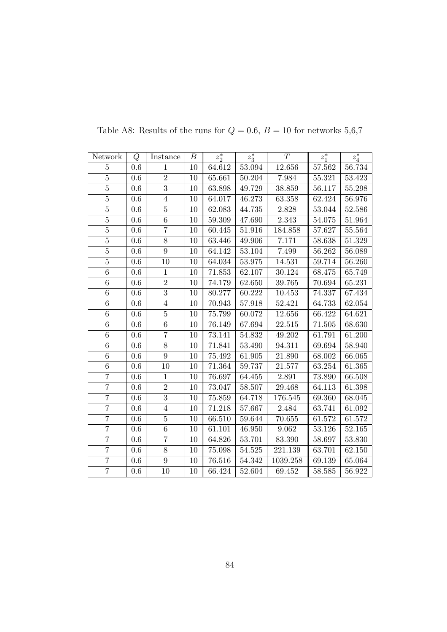| Network        | Q       | Instance         | В  | $z_2^*$ | $z_3^*$    | T        | $z_1^*$ | $z_4^\ast$ |
|----------------|---------|------------------|----|---------|------------|----------|---------|------------|
| $\overline{5}$ | 0.6     | $\mathbf{1}$     | 10 | 64.612  | 53.094     | 12.656   | 57.562  | 56.734     |
| $\overline{5}$ | 0.6     | $\overline{2}$   | 10 | 65.661  | 50.204     | 7.984    | 55.321  | 53.423     |
| $\overline{5}$ | 0.6     | $\overline{3}$   | 10 | 63.898  | 49.729     | 38.859   | 56.117  | 55.298     |
| $\overline{5}$ | 0.6     | $\overline{4}$   | 10 | 64.017  | 46.273     | 63.358   | 62.424  | 56.976     |
| $\overline{5}$ | 0.6     | $\bf 5$          | 10 | 62.083  | 44.735     | 2.828    | 53.044  | 52.586     |
| $\overline{5}$ | 0.6     | 6                | 10 | 59.309  | 47.690     | 2.343    | 54.075  | 51.964     |
| $\overline{5}$ | $0.6\,$ | $\overline{7}$   | 10 | 60.445  | 51.916     | 184.858  | 57.627  | 55.564     |
| $\bf 5$        | $0.6\,$ | $8\,$            | 10 | 63.446  | 49.906     | 7.171    | 58.638  | 51.329     |
| $\overline{5}$ | 0.6     | $\overline{9}$   | 10 | 64.142  | 53.104     | 7.499    | 56.262  | 56.089     |
| $\overline{5}$ | 0.6     | 10               | 10 | 64.034  | 53.975     | 14.531   | 59.714  | 56.260     |
| $\overline{6}$ | $0.6\,$ | $\mathbf{1}$     | 10 | 71.853  | 62.107     | 30.124   | 68.475  | 65.749     |
| $\overline{6}$ | 0.6     | $\overline{2}$   | 10 | 74.179  | 62.650     | 39.765   | 70.694  | 65.231     |
| $\,6\,$        | 0.6     | $\overline{3}$   | 10 | 80.277  | 60.222     | 10.453   | 74.337  | 67.434     |
| $\overline{6}$ | $0.6\,$ | $\overline{4}$   | 10 | 70.943  | 57.918     | 52.421   | 64.733  | 62.054     |
| $\overline{6}$ | 0.6     | $\overline{5}$   | 10 | 75.799  | 60.072     | 12.656   | 66.422  | 64.621     |
| 6              | $0.6\,$ | 6                | 10 | 76.149  | 67.694     | 22.515   | 71.505  | 68.630     |
| $\overline{6}$ | 0.6     | $\overline{7}$   | 10 | 73.141  | 54.832     | 49.202   | 61.791  | 61.200     |
| 6              | 0.6     | $8\,$            | 10 | 71.841  | $53.490\,$ | 94.311   | 69.694  | 58.940     |
| $\overline{6}$ | $0.6\,$ | $\boldsymbol{9}$ | 10 | 75.492  | 61.905     | 21.890   | 68.002  | 66.065     |
| $\overline{6}$ | 0.6     | 10               | 10 | 71.364  | 59.737     | 21.577   | 63.254  | 61.365     |
| $\overline{7}$ | 0.6     | $\mathbf{1}$     | 10 | 76.697  | 64.455     | 2.891    | 73.890  | 66.508     |
| $\overline{7}$ | 0.6     | $\sqrt{2}$       | 10 | 73.047  | 58.507     | 29.468   | 64.113  | 61.398     |
| $\overline{7}$ | 0.6     | $\overline{3}$   | 10 | 75.859  | 64.718     | 176.545  | 69.360  | 68.045     |
| $\overline{7}$ | 0.6     | $\overline{4}$   | 10 | 71.218  | 57.667     | 2.484    | 63.741  | 61.092     |
| $\overline{7}$ | 0.6     | $\bf 5$          | 10 | 66.510  | 59.644     | 70.655   | 61.572  | 61.572     |
| $\overline{7}$ | 0.6     | 6                | 10 | 61.101  | 46.950     | 9.062    | 53.126  | 52.165     |
| $\overline{7}$ | 0.6     | $\overline{7}$   | 10 | 64.826  | 53.701     | 83.390   | 58.697  | $53.830\,$ |
| $\overline{7}$ | $0.6\,$ | 8                | 10 | 75.098  | $54.525\,$ | 221.139  | 63.701  | 62.150     |
| $\overline{7}$ | 0.6     | $\overline{9}$   | 10 | 76.516  | 54.342     | 1039.258 | 69.139  | 65.064     |
| $\overline{7}$ | 0.6     | 10               | 10 | 66.424  | 52.604     | 69.452   | 58.585  | 56.922     |

Table A8: Results of the runs for  $Q=0.6,\,B=10$  for networks  $5{,}6{,}7$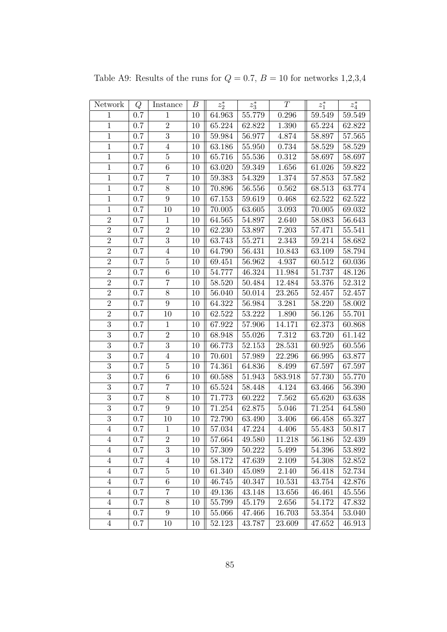| Network          | Q       | Instance         | В  | $z_2^\ast$ | $z_3^\ast$ | T       | $z_1^\ast$ | $z_4^\ast$ |
|------------------|---------|------------------|----|------------|------------|---------|------------|------------|
| $\mathbf{1}$     | 0.7     | $\mathbf{1}$     | 10 | 64.963     | 55.779     | 0.296   | 59.549     | 59.549     |
| $\mathbf{1}$     | 0.7     | $\overline{2}$   | 10 | 65.224     | 62.822     | 1.390   | 65.224     | 62.822     |
| $\,1$            | 0.7     | $\sqrt{3}$       | 10 | 59.984     | 56.977     | 4.874   | 58.897     | 57.565     |
| $\mathbf{1}$     | 0.7     | $\overline{4}$   | 10 | 63.186     | 55.950     | 0.734   | 58.529     | 58.529     |
| $\mathbf{1}$     | 0.7     | $\overline{5}$   | 10 | 65.716     | 55.536     | 0.312   | 58.697     | 58.697     |
| $\mathbf{1}$     | 0.7     | $\,6\,$          | 10 | 63.020     | 59.349     | 1.656   | 61.026     | 59.822     |
| $\mathbf{1}$     | 0.7     | $\overline{7}$   | 10 | 59.383     | 54.329     | 1.374   | 57.853     | 57.582     |
| $\,1$            | 0.7     | $8\,$            | 10 | 70.896     | 56.556     | 0.562   | 68.513     | 63.774     |
| $\mathbf{1}$     | 0.7     | $\boldsymbol{9}$ | 10 | 67.153     | 59.619     | 0.468   | 62.522     | 62.522     |
| $\overline{1}$   | 0.7     | 10               | 10 | 70.005     | 63.605     | 3.093   | 70.005     | 69.032     |
| $\overline{2}$   | 0.7     | $\,1$            | 10 | 64.565     | 54.897     | 2.640   | 58.083     | 56.643     |
| $\overline{2}$   | 0.7     | $\overline{2}$   | 10 | 62.230     | 53.897     | 7.203   | 57.471     | 55.541     |
| $\overline{2}$   | 0.7     | $\overline{3}$   | 10 | 63.743     | 55.271     | 2.343   | 59.214     | 58.682     |
| $\overline{2}$   | 0.7     | $\sqrt{4}$       | 10 | 64.790     | 56.431     | 10.843  | 63.109     | 58.794     |
| $\overline{2}$   | 0.7     | $\bf 5$          | 10 | 69.451     | 56.962     | 4.937   | 60.512     | 60.036     |
| $\overline{2}$   | 0.7     | $\boldsymbol{6}$ | 10 | 54.777     | 46.324     | 11.984  | 51.737     | 48.126     |
| $\overline{2}$   | 0.7     | $\overline{7}$   | 10 | $58.520\,$ | 50.484     | 12.484  | $53.376\,$ | 52.312     |
| $\overline{2}$   | 0.7     | 8                | 10 | 56.040     | 50.014     | 23.265  | 52.457     | 52.457     |
| $\overline{2}$   | 0.7     | 9                | 10 | 64.322     | 56.984     | 3.281   | 58.220     | 58.002     |
| $\overline{2}$   | 0.7     | 10               | 10 | 62.522     | 53.222     | 1.890   | 56.126     | 55.701     |
| $\overline{3}$   | 0.7     | $\mathbf{1}$     | 10 | 67.922     | 57.906     | 14.171  | 62.373     | 60.868     |
| $\overline{3}$   | 0.7     | $\overline{2}$   | 10 | 68.948     | 55.026     | 7.312   | 63.720     | 61.142     |
| $\overline{3}$   | 0.7     | $\overline{3}$   | 10 | 66.773     | $52.153\,$ | 28.531  | 60.925     | 60.556     |
| $\overline{3}$   | 0.7     | $\overline{4}$   | 10 | 70.601     | 57.989     | 22.296  | 66.995     | 63.877     |
| $\overline{3}$   | 0.7     | $\bf 5$          | 10 | 74.361     | 64.836     | 8.499   | 67.597     | 67.597     |
| $\overline{3}$   | 0.7     | $\overline{6}$   | 10 | 60.588     | 51.943     | 583.918 | 57.730     | 55.770     |
| $\overline{3}$   | 0.7     | $\overline{7}$   | 10 | 65.524     | 58.448     | 4.124   | 63.466     | 56.390     |
| $\boldsymbol{3}$ | 0.7     | $8\,$            | 10 | 71.773     | 60.222     | 7.562   | 65.620     | 63.638     |
| $\overline{3}$   | 0.7     | 9                | 10 | 71.254     | 62.875     | 5.046   | 71.254     | 64.580     |
| $\overline{3}$   | 0.7     | 10               | 10 | 72.790     | 63.490     | 3.406   | 66.458     | 65.327     |
| $\overline{4}$   | 0.7     | $\mathbf{1}$     | 10 | 57.034     | 47.224     | 4.406   | 55.483     | 50.817     |
| 4                | 0.7     | $\sqrt{2}$       | 10 | 57.664     | 49.580     | 11.218  | 56.186     | 52.439     |
| $\overline{4}$   | 0.7     | 3                | 10 | 57.309     | 50.222     | 5.499   | 54.396     | 53.892     |
| $\overline{4}$   | 0.7     | $\overline{4}$   | 10 | 58.172     | 47.639     | 2.109   | 54.308     | 52.852     |
| $\overline{4}$   | 0.7     | $\bf 5$          | 10 | 61.340     | 45.089     | 2.140   | 56.418     | 52.734     |
| $\overline{4}$   | 0.7     | $\,6\,$          | 10 | 46.745     | 40.347     | 10.531  | 43.754     | 42.876     |
| $\overline{4}$   | 0.7     | 7                | 10 | 49.136     | 43.148     | 13.656  | 46.461     | 45.556     |
| $\overline{4}$   | 0.7     | $8\,$            | 10 | 55.799     | 45.179     | 2.656   | 54.172     | 47.832     |
| $\overline{4}$   | 0.7     | $\boldsymbol{9}$ | 10 | 55.066     | 47.466     | 16.703  | 53.354     | $53.040\,$ |
| $\overline{4}$   | $0.7\,$ | 10               | 10 | 52.123     | 43.787     | 23.609  | 47.652     | 46.913     |

Table A9: Results of the runs for  $Q = 0.7$ ,  $B = 10$  for networks 1,2,3,4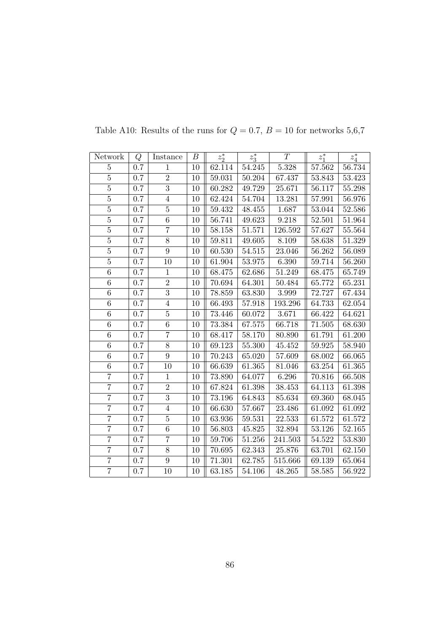| Network        | Q       | Instance        | $\boldsymbol{B}$ | $z_2^*$ | $z_3^*$    | $\overline{T}$ | $z_1^*$    | $z_4^\ast$ |
|----------------|---------|-----------------|------------------|---------|------------|----------------|------------|------------|
| $\overline{5}$ | 0.7     | $\mathbf{1}$    | 10               | 62.114  | 54.245     | 5.328          | 57.562     | 56.734     |
| $\overline{5}$ | $0.7\,$ | $\overline{2}$  | $10\,$           | 59.031  | $50.204\,$ | 67.437         | 53.843     | 53.423     |
| $\overline{5}$ | 0.7     | $\overline{3}$  | 10               | 60.282  | 49.729     | 25.671         | 56.117     | 55.298     |
| $\overline{5}$ | 0.7     | $\overline{4}$  | 10               | 62.424  | 54.704     | 13.281         | 57.991     | 56.976     |
| $\overline{5}$ | 0.7     | $\overline{5}$  | 10               | 59.432  | 48.455     | 1.687          | 53.044     | 52.586     |
| $\overline{5}$ | 0.7     | $6\phantom{.}6$ | 10               | 56.741  | 49.623     | 9.218          | 52.501     | 51.964     |
| $\overline{5}$ | $0.7\,$ | $\overline{7}$  | 10               | 58.158  | $51.571\,$ | 126.592        | 57.627     | 55.564     |
| $\overline{5}$ | 0.7     | $8\,$           | 10               | 59.811  | 49.605     | 8.109          | 58.638     | 51.329     |
| $\overline{5}$ | 0.7     | $\overline{9}$  | 10               | 60.530  | 54.515     | 23.046         | 56.262     | 56.089     |
| $\overline{5}$ | $0.7\,$ | $10\,$          | 10               | 61.904  | $53.975\,$ | 6.390          | 59.714     | 56.260     |
| 6              | 0.7     | $\mathbf{1}$    | 10               | 68.475  | 62.686     | 51.249         | 68.475     | 65.749     |
| $\,$ 6 $\,$    | 0.7     | $\overline{2}$  | 10               | 70.694  | 64.301     | 50.484         | 65.772     | 65.231     |
| 6              | 0.7     | $\overline{3}$  | 10               | 78.859  | 63.830     | 3.999          | 72.727     | 67.434     |
| $\overline{6}$ | $0.7\,$ | $\overline{4}$  | 10               | 66.493  | 57.918     | 193.296        | 64.733     | 62.054     |
| $\,6$          | 0.7     | $\bf 5$         | 10               | 73.446  | 60.072     | 3.671          | 66.422     | 64.621     |
| 6              | 0.7     | $\overline{6}$  | 10               | 73.384  | 67.575     | 66.718         | $71.505\,$ | 68.630     |
| $\overline{6}$ | $0.7\,$ | $\overline{7}$  | 10               | 68.417  | 58.170     | 80.890         | 61.791     | 61.200     |
| $\,6$          | $0.7\,$ | $8\,$           | 10               | 69.123  | 55.300     | 45.452         | 59.925     | 58.940     |
| $\overline{6}$ | $0.7\,$ | $\overline{9}$  | 10               | 70.243  | 65.020     | 57.609         | 68.002     | 66.065     |
| $\,6$          | $0.7\,$ | 10              | 10               | 66.639  | 61.365     | 81.046         | 63.254     | 61.365     |
| $\overline{7}$ | 0.7     | $1\,$           | 10               | 73.890  | 64.077     | 6.296          | 70.816     | 66.508     |
| $\overline{7}$ | 0.7     | $\,2$           | 10               | 67.824  | 61.398     | 38.453         | 64.113     | 61.398     |
| $\overline{7}$ | 0.7     | $\overline{3}$  | $10\,$           | 73.196  | 64.843     | 85.634         | 69.360     | 68.045     |
| $\overline{7}$ | 0.7     | $\overline{4}$  | 10               | 66.630  | 57.667     | 23.486         | 61.092     | 61.092     |
| $\overline{7}$ | 0.7     | $\bf 5$         | 10               | 63.936  | 59.531     | 22.533         | 61.572     | 61.572     |
| $\overline{7}$ | $0.7\,$ | $\overline{6}$  | $10\,$           | 56.803  | 45.825     | 32.894         | 53.126     | 52.165     |
| $\overline{7}$ | 0.7     | $\overline{7}$  | 10               | 59.706  | 51.256     | 241.503        | 54.522     | 53.830     |
| $\overline{7}$ | 0.7     | $8\,$           | 10               | 70.695  | 62.343     | 25.876         | 63.701     | 62.150     |
| $\overline{7}$ | 0.7     | $\overline{9}$  | 10               | 71.301  | 62.785     | 515.666        | 69.139     | 65.064     |
| $\overline{7}$ | 0.7     | 10              | 10               | 63.185  | 54.106     | 48.265         | 58.585     | 56.922     |

Table A10: Results of the runs for  $Q=0.7,\,B=10$  for networks  $5{,}6{,}7$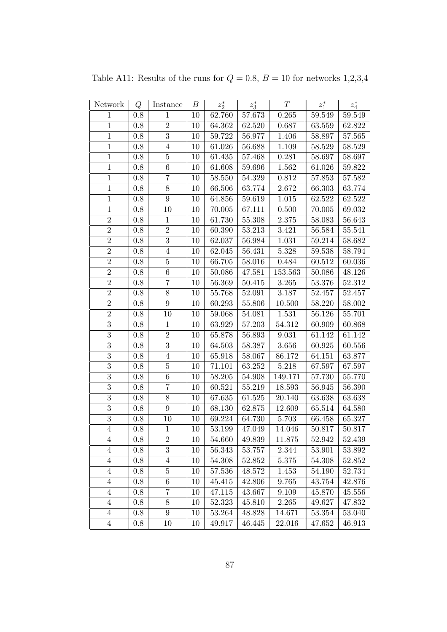| Network        | Q       | Instance         | В  | $z_2^\ast$ | $z_3^\ast$ | $\cal T$  | $z_1^\ast$ | $z_4^\ast$ |
|----------------|---------|------------------|----|------------|------------|-----------|------------|------------|
| $\mathbf{1}$   | 0.8     | $\mathbf{1}$     | 10 | 62.760     | 57.673     | 0.265     | 59.549     | 59.549     |
| $\,1\,$        | $0.8\,$ | $\overline{2}$   | 10 | 64.362     | 62.520     | 0.687     | 63.559     | 62.822     |
| $\,1$          | 0.8     | $\overline{3}$   | 10 | 59.722     | 56.977     | 1.406     | 58.897     | 57.565     |
| $\mathbf{1}$   | 0.8     | $\overline{4}$   | 10 | 61.026     | 56.688     | 1.109     | 58.529     | 58.529     |
| $\mathbf{1}$   | $0.8\,$ | $\overline{5}$   | 10 | 61.435     | 57.468     | 0.281     | 58.697     | 58.697     |
| $\,1$          | 0.8     | $\,6\,$          | 10 | 61.608     | 59.696     | 1.562     | 61.026     | 59.822     |
| $\mathbf{1}$   | $0.8\,$ | $\overline{7}$   | 10 | 58.550     | 54.329     | $0.812\,$ | 57.853     | 57.582     |
| $\overline{1}$ | $0.8\,$ | $\overline{8}$   | 10 | 66.506     | 63.774     | 2.672     | 66.303     | 63.774     |
| $\mathbf 1$    | 0.8     | 9                | 10 | 64.856     | 59.619     | 1.015     | 62.522     | 62.522     |
| $\mathbf{1}$   | 0.8     | 10               | 10 | 70.005     | 67.111     | 0.500     | 70.005     | 69.032     |
| $\overline{2}$ | 0.8     | $\,1$            | 10 | 61.730     | 55.308     | 2.375     | 58.083     | 56.643     |
| $\overline{2}$ | 0.8     | $\sqrt{2}$       | 10 | 60.390     | 53.213     | 3.421     | 56.584     | 55.541     |
| $\overline{2}$ | $0.8\,$ | $\overline{3}$   | 10 | 62.037     | 56.984     | 1.031     | 59.214     | 58.682     |
| $\overline{2}$ | 0.8     | $\overline{4}$   | 10 | 62.045     | 56.431     | 5.328     | 59.538     | 58.794     |
| $\overline{2}$ | 0.8     | $\bf 5$          | 10 | 66.705     | 58.016     | 0.484     | 60.512     | 60.036     |
| $\overline{2}$ | 0.8     | 6                | 10 | 50.086     | 47.581     | 153.563   | 50.086     | 48.126     |
| $\overline{2}$ | 0.8     | $\overline{7}$   | 10 | $56.369\,$ | 50.415     | 3.265     | 53.376     | 52.312     |
| $\overline{2}$ | 0.8     | $8\,$            | 10 | 55.768     | 52.091     | 3.187     | 52.457     | 52.457     |
| $\overline{2}$ | 0.8     | $\boldsymbol{9}$ | 10 | 60.293     | 55.806     | 10.500    | 58.220     | 58.002     |
| $\overline{2}$ | $0.8\,$ | 10               | 10 | 59.068     | 54.081     | 1.531     | 56.126     | 55.701     |
| $\overline{3}$ | 0.8     | $\mathbf{1}$     | 10 | 63.929     | 57.203     | 54.312    | 60.909     | 60.868     |
| $\overline{3}$ | 0.8     | $\overline{2}$   | 10 | 65.878     | 56.893     | 9.031     | 61.142     | 61.142     |
| $\overline{3}$ | $0.8\,$ | $\overline{3}$   | 10 | 64.503     | 58.387     | $3.656\,$ | 60.925     | 60.556     |
| $\overline{3}$ | 0.8     | $\overline{4}$   | 10 | 65.918     | 58.067     | 86.172    | 64.151     | 63.877     |
| $\overline{3}$ | 0.8     | $\bf 5$          | 10 | 71.101     | 63.252     | 5.218     | 67.597     | 67.597     |
| $\overline{3}$ | $0.8\,$ | $\overline{6}$   | 10 | 58.205     | 54.908     | 149.171   | 57.730     | 55.770     |
| $\overline{3}$ | 0.8     | $\overline{7}$   | 10 | 60.521     | 55.219     | 18.593    | 56.945     | 56.390     |
| $\overline{3}$ | 0.8     | $\overline{8}$   | 10 | 67.635     | 61.525     | 20.140    | 63.638     | 63.638     |
| $\overline{3}$ | $0.8\,$ | 9                | 10 | 68.130     | 62.875     | 12.609    | 65.514     | 64.580     |
| $\overline{3}$ | 0.8     | 10               | 10 | 69.224     | 64.730     | 5.703     | 66.458     | 65.327     |
| $\overline{4}$ | 0.8     | $\mathbf{1}$     | 10 | $53.199\,$ | 47.049     | 14.046    | 50.817     | 50.817     |
| 4              | 0.8     | $\sqrt{2}$       | 10 | 54.660     | 49.839     | 11.875    | 52.942     | 52.439     |
| $\overline{4}$ | 0.8     | 3                | 10 | 56.343     | 53.757     | 2.344     | 53.901     | 53.892     |
| 4              | 0.8     | 4                | 10 | 54.308     | 52.852     | 5.375     | 54.308     | 52.852     |
| $\overline{4}$ | 0.8     | $\bf 5$          | 10 | 57.536     | 48.572     | 1.453     | 54.190     | 52.734     |
| $\overline{4}$ | 0.8     | $\,6\,$          | 10 | 45.415     | 42.806     | 9.765     | 43.754     | 42.876     |
| $\overline{4}$ | 0.8     | 7                | 10 | 47.115     | 43.667     | 9.109     | 45.870     | 45.556     |
| $\overline{4}$ | 0.8     | $8\,$            | 10 | 52.323     | 45.810     | 2.265     | 49.627     | 47.832     |
| $\overline{4}$ | 0.8     | $9\phantom{.0}$  | 10 | 53.264     | 48.828     | 14.671    | 53.354     | 53.040     |
| $\overline{4}$ | 0.8     | 10               | 10 | 49.917     | 46.445     | 22.016    | 47.652     | 46.913     |

Table A11: Results of the runs for  $Q = 0.8$ ,  $B = 10$  for networks 1,2,3,4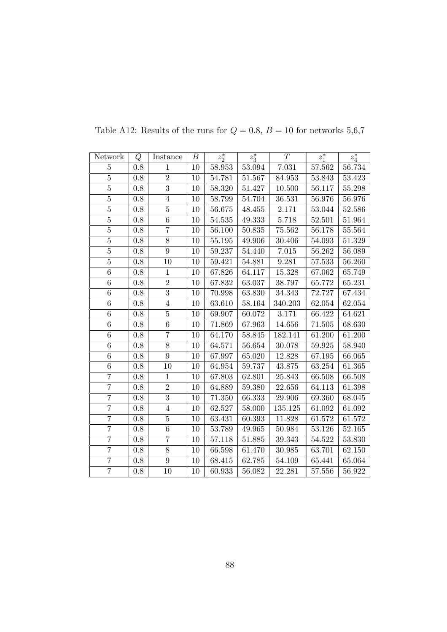| Network          | Q       | Instance       | $\boldsymbol{B}$ | $z_2^*$    | $z_3^*$    | T          | $z_1^*$ | $z_4^\ast$ |
|------------------|---------|----------------|------------------|------------|------------|------------|---------|------------|
| $\overline{5}$   | 0.8     | $\mathbf{1}$   | 10               | 58.953     | 53.094     | 7.031      | 57.562  | 56.734     |
| $\overline{5}$   | $0.8\,$ | $\overline{2}$ | 10               | $54.781\,$ | $51.567\,$ | 84.953     | 53.843  | 53.423     |
| $\overline{5}$   | 0.8     | $\overline{3}$ | 10               | 58.320     | 51.427     | 10.500     | 56.117  | 55.298     |
| $\overline{5}$   | 0.8     | $\overline{4}$ | 10               | 58.799     | 54.704     | 36.531     | 56.976  | 56.976     |
| $\overline{5}$   | 0.8     | $\overline{5}$ | 10               | 56.675     | 48.455     | 2.171      | 53.044  | 52.586     |
| $\overline{5}$   | 0.8     | 6              | 10               | 54.535     | 49.333     | 5.718      | 52.501  | 51.964     |
| $\overline{5}$   | $0.8\,$ | $\overline{7}$ | 10               | 56.100     | $50.835\,$ | $75.562\,$ | 56.178  | 55.564     |
| $\bf 5$          | $0.8\,$ | $8\,$          | 10               | 55.195     | 49.906     | 30.406     | 54.093  | 51.329     |
| $\overline{5}$   | 0.8     | $\overline{9}$ | 10               | 59.237     | 54.440     | 7.015      | 56.262  | 56.089     |
| $\overline{5}$   | 0.8     | 10             | 10               | 59.421     | 54.881     | 9.281      | 57.533  | 56.260     |
| $\boldsymbol{6}$ | $0.8\,$ | $1\,$          | 10               | 67.826     | 64.117     | 15.328     | 67.062  | 65.749     |
| $\overline{6}$   | $0.8\,$ | $\overline{2}$ | $10\,$           | 67.832     | 63.037     | 38.797     | 65.772  | 65.231     |
| $\,6$            | 0.8     | $\overline{3}$ | 10               | 70.998     | 63.830     | 34.343     | 72.727  | 67.434     |
| $\overline{6}$   | $0.8\,$ | $\overline{4}$ | 10               | 63.610     | 58.164     | 340.203    | 62.054  | 62.054     |
| $\overline{6}$   | 0.8     | $\overline{5}$ | 10               | 69.907     | 60.072     | 3.171      | 66.422  | 64.621     |
| 6                | $0.8\,$ | 6              | $10\,$           | 71.869     | 67.963     | 14.656     | 71.505  | 68.630     |
| $\overline{6}$   | 0.8     | $\overline{7}$ | 10               | 64.170     | 58.845     | 182.141    | 61.200  | 61.200     |
| $\,6$            | 0.8     | $8\,$          | 10               | 64.571     | 56.654     | 30.078     | 59.925  | 58.940     |
| $\overline{6}$   | $0.8\,$ | 9              | 10               | 67.997     | 65.020     | 12.828     | 67.195  | 66.065     |
| $\overline{6}$   | 0.8     | 10             | 10               | 64.954     | 59.737     | 43.875     | 63.254  | 61.365     |
| $\overline{7}$   | $0.8\,$ | $1\,$          | $10\,$           | 67.803     | 62.801     | 25.843     | 66.508  | 66.508     |
| $\overline{7}$   | 0.8     | $\sqrt{2}$     | 10               | 64.889     | 59.380     | 22.656     | 64.113  | 61.398     |
| $\overline{7}$   | 0.8     | $\overline{3}$ | 10               | 71.350     | 66.333     | 29.906     | 69.360  | 68.045     |
| $\overline{7}$   | 0.8     | $\overline{4}$ | 10               | 62.527     | 58.000     | 135.125    | 61.092  | 61.092     |
| $\overline{7}$   | 0.8     | $\bf 5$        | 10               | 63.431     | 60.393     | 11.828     | 61.572  | 61.572     |
| $\overline{7}$   | 0.8     | $\overline{6}$ | 10               | 53.789     | 49.965     | 50.984     | 53.126  | 52.165     |
| $\overline{7}$   | $0.8\,$ | $\overline{7}$ | 10               | 57.118     | 51.885     | 39.343     | 54.522  | 53.830     |
| $\overline{7}$   | $0.8\,$ | $8\,$          | 10               | 66.598     | 61.470     | 30.985     | 63.701  | 62.150     |
| $\overline{7}$   | 0.8     | $\overline{9}$ | 10               | 68.415     | 62.785     | 54.109     | 65.441  | 65.064     |
| $\overline{7}$   | 0.8     | 10             | 10               | 60.933     | 56.082     | 22.281     | 57.556  | 56.922     |

Table A12: Results of the runs for  $Q=0.8,\,B=10$  for networks  $5{,}6{,}7$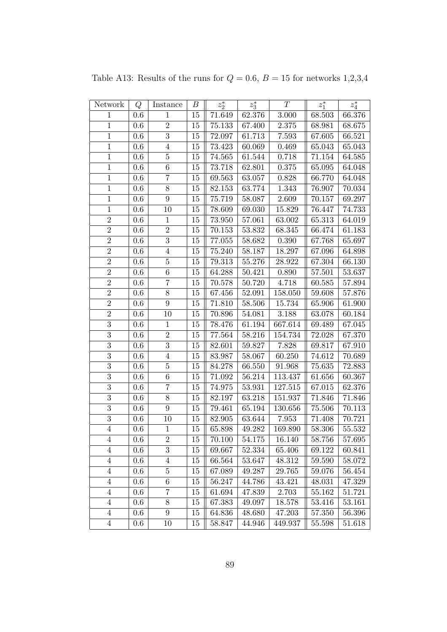| Network        | Q       | Instance         | В      | $z_2^*$    | $z_3^\ast$ | $\cal T$ | $z_1^\ast$ | $z_4^\ast$ |
|----------------|---------|------------------|--------|------------|------------|----------|------------|------------|
| $\mathbf{1}$   | $0.6\,$ | $\mathbf{1}$     | 15     | 71.649     | 62.376     | 3.000    | 68.503     | 66.376     |
| $\overline{1}$ | 0.6     | $\overline{2}$   | 15     | 75.133     | 67.400     | 2.375    | 68.981     | 68.675     |
| $\,1$          | 0.6     | $\boldsymbol{3}$ | 15     | 72.097     | 61.713     | 7.593    | 67.605     | 66.521     |
| $\mathbf{1}$   | 0.6     | $\overline{4}$   | 15     | 73.423     | 60.069     | 0.469    | 65.043     | 65.043     |
| $\mathbf{1}$   | 0.6     | $\overline{5}$   | 15     | 74.565     | 61.544     | 0.718    | 71.154     | 64.585     |
| $\mathbf{1}$   | 0.6     | $\,6\,$          | 15     | 73.718     | 62.801     | 0.375    | 65.095     | 64.048     |
| $\mathbf{1}$   | $0.6\,$ | $\overline{7}$   | $15\,$ | 69.563     | 63.057     | 0.828    | 66.770     | 64.048     |
| $\,1$          | 0.6     | $8\,$            | 15     | 82.153     | 63.774     | 1.343    | 76.907     | 70.034     |
| $\mathbf 1$    | 0.6     | 9                | 15     | 75.719     | 58.087     | 2.609    | 70.157     | 69.297     |
| $\mathbf 1$    | 0.6     | 10               | 15     | 78.609     | 69.030     | 15.829   | 76.447     | 74.733     |
| $\overline{2}$ | 0.6     | $\!1\!$          | 15     | 73.950     | 57.061     | 63.002   | 65.313     | 64.019     |
| $\overline{2}$ | 0.6     | $\overline{2}$   | 15     | 70.153     | 53.832     | 68.345   | 66.474     | 61.183     |
| $\overline{2}$ | $0.6\,$ | $\overline{3}$   | 15     | $77.055\,$ | 58.682     | 0.390    | 67.768     | 65.697     |
| $\overline{2}$ | 0.6     | $\overline{4}$   | 15     | 75.240     | 58.187     | 18.297   | 67.096     | 64.898     |
| $\overline{2}$ | 0.6     | $\bf 5$          | 15     | 79.313     | 55.276     | 28.922   | 67.304     | 66.130     |
| $\overline{2}$ | 0.6     | 6                | 15     | 64.288     | 50.421     | 0.890    | 57.501     | 53.637     |
| $\overline{2}$ | $0.6\,$ | $\overline{7}$   | 15     | 70.578     | 50.720     | 4.718    | 60.585     | 57.894     |
| $\overline{2}$ | 0.6     | $8\,$            | 15     | 67.456     | 52.091     | 158.050  | 59.608     | 57.876     |
| $\overline{2}$ | $0.6\,$ | 9                | 15     | 71.810     | 58.506     | 15.734   | 65.906     | 61.900     |
| $\overline{2}$ | $0.6\,$ | 10               | 15     | 70.896     | 54.081     | 3.188    | 63.078     | 60.184     |
| $\overline{3}$ | 0.6     | $\,1$            | 15     | 78.476     | 61.194     | 667.614  | 69.489     | 67.045     |
| $\overline{3}$ | 0.6     | $\overline{2}$   | 15     | 77.564     | 58.216     | 154.734  | 72.028     | 67.370     |
| $\overline{3}$ | 0.6     | $\overline{3}$   | 15     | 82.601     | 59.827     | 7.828    | 69.817     | 67.910     |
| $\overline{3}$ | 0.6     | $\overline{4}$   | 15     | 83.987     | 58.067     | 60.250   | 74.612     | 70.689     |
| $\overline{3}$ | 0.6     | $\bf 5$          | 15     | 84.278     | 66.550     | 91.968   | 75.635     | 72.883     |
| $\overline{3}$ | 0.6     | $\,6\,$          | 15     | 71.092     | 56.214     | 113.437  | 61.656     | 60.367     |
| $\overline{3}$ | 0.6     | $\overline{7}$   | 15     | 74.975     | 53.931     | 127.515  | 67.015     | 62.376     |
| $\overline{3}$ | 0.6     | 8                | 15     | 82.197     | 63.218     | 151.937  | 71.846     | 71.846     |
| $\overline{3}$ | 0.6     | 9                | 15     | 79.461     | 65.194     | 130.656  | 75.506     | 70.113     |
| $\overline{3}$ | 0.6     | 10               | 15     | 82.905     | 63.644     | 7.953    | 71.408     | 70.721     |
| $\overline{4}$ | 0.6     | $\mathbf{1}$     | 15     | 65.898     | 49.282     | 169.890  | 58.306     | 55.532     |
| $\overline{4}$ | 0.6     | $\sqrt{2}$       | 15     | 70.100     | 54.175     | 16.140   | 58.756     | 57.695     |
| $\overline{4}$ | 0.6     | 3                | 15     | 69.667     | 52.334     | 65.406   | 69.122     | 60.841     |
| $\overline{4}$ | 0.6     | $\overline{4}$   | 15     | 66.564     | 53.647     | 48.312   | 59.590     | 58.072     |
| $\overline{4}$ | 0.6     | $\bf 5$          | 15     | 67.089     | 49.287     | 29.765   | 59.076     | 56.454     |
| $\overline{4}$ | 0.6     | $\,6$            | 15     | 56.247     | 44.786     | 43.421   | 48.031     | 47.329     |
| $\overline{4}$ | 0.6     | 7                | 15     | 61.694     | 47.839     | 2.703    | 55.162     | 51.721     |
| $\overline{4}$ | 0.6     | $8\,$            | 15     | 67.383     | 49.097     | 18.578   | 53.416     | 53.161     |
| $\overline{4}$ | 0.6     | $9\phantom{.0}$  | 15     | 64.836     | 48.680     | 47.203   | 57.350     | 56.396     |
| $\overline{4}$ | $0.6\,$ | 10               | 15     | 58.847     | 44.946     | 449.937  | 55.598     | 51.618     |

Table A13: Results of the runs for  $Q = 0.6$ ,  $B = 15$  for networks 1,2,3,4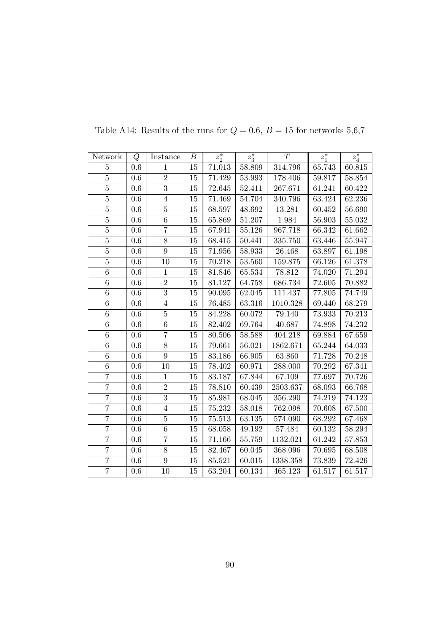| Network        | Q       | Instance       | В      | $z_2^*$ | $z_3^*$    | T        | $z_1^*$ | $z_4^*$ |
|----------------|---------|----------------|--------|---------|------------|----------|---------|---------|
| $\overline{5}$ | $0.6\,$ | $\mathbf{1}$   | $15\,$ | 71.013  | 58.809     | 314.796  | 65.743  | 60.815  |
| $\overline{5}$ | 0.6     | $\overline{2}$ | $15\,$ | 71.429  | 53.993     | 178.406  | 59.817  | 58.854  |
| $\overline{5}$ | $0.6\,$ | $\overline{3}$ | 15     | 72.645  | 52.411     | 267.671  | 61.241  | 60.422  |
| $\overline{5}$ | 0.6     | $\overline{4}$ | $15\,$ | 71.469  | 54.704     | 340.796  | 63.424  | 62.236  |
| $\overline{5}$ | 0.6     | $\overline{5}$ | 15     | 68.597  | 48.692     | 13.281   | 60.452  | 56.690  |
| $\bf 5$        | 0.6     | $\,6\,$        | 15     | 65.869  | 51.207     | 1.984    | 56.903  | 55.032  |
| $\overline{5}$ | $0.6\,$ | $\overline{7}$ | $15\,$ | 67.941  | 55.126     | 967.718  | 66.342  | 61.662  |
| $\overline{5}$ | $0.6\,$ | $8\,$          | 15     | 68.415  | 50.441     | 335.750  | 63.446  | 55.947  |
| $\overline{5}$ | 0.6     | $\overline{9}$ | 15     | 71.956  | 58.933     | 26.468   | 63.897  | 61.198  |
| $\overline{5}$ | 0.6     | 10             | 15     | 70.218  | 53.560     | 159.875  | 66.126  | 61.378  |
| $\overline{6}$ | 0.6     | $\mathbf{1}$   | 15     | 81.846  | 65.534     | 78.812   | 74.020  | 71.294  |
| $\overline{6}$ | $0.6\,$ | $\overline{2}$ | 15     | 81.127  | 64.758     | 686.734  | 72.605  | 70.882  |
| $\,6$          | $0.6\,$ | $\overline{3}$ | 15     | 90.095  | 62.045     | 111.437  | 77.805  | 74.749  |
| $\overline{6}$ | 0.6     | $\sqrt{4}$     | 15     | 76.485  | 63.316     | 1010.328 | 69.440  | 68.279  |
| $\,6$          | 0.6     | $\overline{5}$ | 15     | 84.228  | 60.072     | 79.140   | 73.933  | 70.213  |
| 6              | 0.6     | $\,6\,$        | 15     | 82.402  | 69.764     | 40.687   | 74.898  | 74.232  |
| $\overline{6}$ | 0.6     | $\overline{7}$ | 15     | 80.506  | 58.588     | 404.218  | 69.884  | 67.659  |
| 6              | 0.6     | 8              | 15     | 79.661  | $56.021\,$ | 1862.671 | 65.244  | 64.033  |
| $\overline{6}$ | 0.6     | $\overline{9}$ | $15\,$ | 83.186  | 66.905     | 63.860   | 71.728  | 70.248  |
| $\overline{6}$ | 0.6     | 10             | 15     | 78.402  | 60.971     | 288.000  | 70.292  | 67.341  |
| $\overline{7}$ | $0.6\,$ | $\,1$          | $15\,$ | 83.187  | 67.844     | 67.109   | 77.697  | 70.726  |
| $\overline{7}$ | 0.6     | $\overline{2}$ | 15     | 78.810  | 60.439     | 2503.637 | 68.093  | 66.768  |
| $\overline{7}$ | 0.6     | $\overline{3}$ | 15     | 85.981  | 68.045     | 356.290  | 74.219  | 74.123  |
| $\overline{7}$ | $0.6\,$ | $\,4\,$        | 15     | 75.232  | $58.018\,$ | 762.098  | 70.608  | 67.500  |
| $\overline{7}$ | 0.6     | $\bf 5$        | 15     | 75.513  | 63.135     | 574.090  | 68.292  | 67.468  |
| $\overline{7}$ | $0.6\,$ | $\,6\,$        | $15\,$ | 68.058  | 49.192     | 57.484   | 60.132  | 58.294  |
| $\overline{7}$ | $0.6\,$ | $\overline{7}$ | 15     | 71.166  | $55.759\,$ | 1132.021 | 61.242  | 57.853  |
| $\overline{7}$ | $0.6\,$ | $8\,$          | 15     | 82.467  | 60.045     | 368.096  | 70.695  | 68.508  |
| $\overline{7}$ | 0.6     | $\overline{9}$ | 15     | 85.521  | 60.015     | 1338.358 | 73.839  | 72.426  |
| $\overline{7}$ | 0.6     | 10             | 15     | 63.204  | 60.134     | 465.123  | 61.517  | 61.517  |

Table A14: Results of the runs for  $Q = 0.6$ ,  $B = 15$  for networks 5,6,7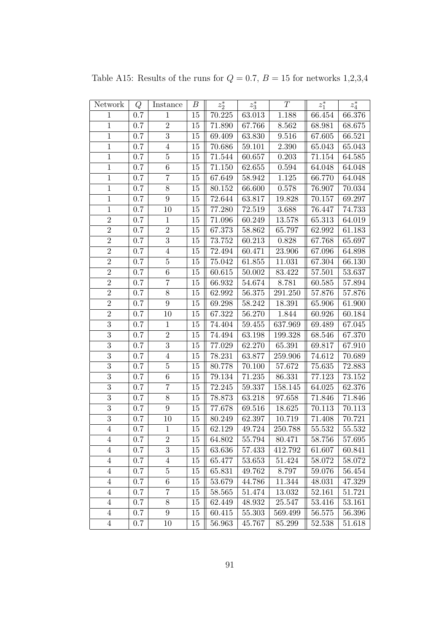| Network        | Q       | Instance         | В  | $z_2^\ast$ | $z_3^\ast$          | $\cal T$  | $z_1^\ast$ | $z_4^\ast$ |
|----------------|---------|------------------|----|------------|---------------------|-----------|------------|------------|
| $\mathbf{1}$   | 0.7     | $\mathbf{1}$     | 15 | 70.225     | 63.013              | 1.188     | 66.454     | 66.376     |
| $\,1$          | 0.7     | $\sqrt{2}$       | 15 | 71.890     | 67.766              | 8.562     | 68.981     | 68.675     |
| $\,1$          | 0.7     | $\overline{3}$   | 15 | 69.409     | 63.830              | 9.516     | 67.605     | 66.521     |
| $\mathbf{1}$   | 0.7     | $\overline{4}$   | 15 | 70.686     | 59.101              | 2.390     | 65.043     | 65.043     |
| $\mathbf{1}$   | 0.7     | $\overline{5}$   | 15 | 71.544     | 60.657              | 0.203     | 71.154     | 64.585     |
| $\,1$          | 0.7     | $\,6\,$          | 15 | 71.150     | 62.655              | 0.594     | 64.048     | 64.048     |
| $\mathbf{1}$   | 0.7     | $\overline{7}$   | 15 | 67.649     | 58.942              | $1.125\,$ | 66.770     | 64.048     |
| $\overline{1}$ | 0.7     | $\overline{8}$   | 15 | 80.152     | 66.600              | 0.578     | 76.907     | 70.034     |
| $\mathbf 1$    | 0.7     | 9                | 15 | 72.644     | 63.817              | 19.828    | 70.157     | 69.297     |
| $\mathbf{1}$   | 0.7     | 10               | 15 | 77.280     | 72.519              | 3.688     | 76.447     | 74.733     |
| $\overline{2}$ | 0.7     | $\,1$            | 15 | 71.096     | 60.249              | 13.578    | 65.313     | 64.019     |
| $\overline{2}$ | 0.7     | $\sqrt{2}$       | 15 | 67.373     | 58.862              | 65.797    | 62.992     | 61.183     |
| $\overline{2}$ | 0.7     | $\overline{3}$   | 15 | 73.752     | 60.213              | $0.828\,$ | 67.768     | 65.697     |
| $\overline{2}$ | 0.7     | $\overline{4}$   | 15 | 72.494     | 60.471              | 23.906    | 67.096     | 64.898     |
| $\overline{2}$ | 0.7     | $\bf 5$          | 15 | 75.042     | 61.855              | 11.031    | 67.304     | 66.130     |
| $\overline{2}$ | 0.7     | $\overline{6}$   | 15 | 60.615     | $50.002\,$          | 83.422    | 57.501     | 53.637     |
| $\overline{2}$ | 0.7     | $\overline{7}$   | 15 | 66.932     | 54.674              | 8.781     | 60.585     | 57.894     |
| $\overline{2}$ | 0.7     | $8\,$            | 15 | 62.992     | 56.375              | 291.250   | 57.876     | 57.876     |
| $\overline{2}$ | 0.7     | $\boldsymbol{9}$ | 15 | 69.298     | 58.242              | 18.391    | 65.906     | 61.900     |
| $\overline{2}$ | 0.7     | 10               | 15 | 67.322     | 56.270              | 1.844     | 60.926     | 60.184     |
| $\overline{3}$ | 0.7     | $\mathbf{1}$     | 15 | 74.404     | 59.455              | 637.969   | 69.489     | 67.045     |
| $\overline{3}$ | 0.7     | $\overline{2}$   | 15 | 74.494     | 63.198              | 199.328   | 68.546     | 67.370     |
| $\overline{3}$ | 0.7     | $\overline{3}$   | 15 | 77.029     | 62.270              | 65.391    | 69.817     | 67.910     |
| $\overline{3}$ | 0.7     | $\overline{4}$   | 15 | 78.231     | 63.877              | 259.906   | 74.612     | 70.689     |
| $\overline{3}$ | 0.7     | $\bf 5$          | 15 | 80.778     | 70.100              | 57.672    | 75.635     | 72.883     |
| $\overline{3}$ | $0.7\,$ | $\,6\,$          | 15 | 79.134     | $\overline{7}1.235$ | 86.331    | 77.123     | 73.152     |
| $\overline{3}$ | 0.7     | $\overline{7}$   | 15 | 72.245     | 59.337              | 158.145   | 64.025     | 62.376     |
| $\overline{3}$ | 0.7     | $8\,$            | 15 | 78.873     | 63.218              | 97.658    | 71.846     | 71.846     |
| $\overline{3}$ | 0.7     | 9                | 15 | 77.678     | 69.516              | 18.625    | 70.113     | 70.113     |
| $\overline{3}$ | 0.7     | 10               | 15 | 80.249     | 62.397              | 10.719    | 71.408     | 70.721     |
| $\overline{4}$ | 0.7     | $\mathbf{1}$     | 15 | 62.129     | 49.724              | 250.788   | 55.532     | 55.532     |
| 4              | 0.7     | $\sqrt{2}$       | 15 | 64.802     | 55.794              | 80.471    | 58.756     | 57.695     |
| $\overline{4}$ | 0.7     | 3                | 15 | 63.636     | 57.433              | 412.792   | 61.607     | 60.841     |
| 4              | 0.7     | 4                | 15 | 65.477     | 53.653              | 51.424    | 58.072     | 58.072     |
| $\overline{4}$ | 0.7     | $\bf 5$          | 15 | 65.831     | 49.762              | 8.797     | 59.076     | 56.454     |
| $\overline{4}$ | 0.7     | $\,6\,$          | 15 | 53.679     | 44.786              | 11.344    | 48.031     | 47.329     |
| $\overline{4}$ | 0.7     | 7                | 15 | 58.565     | 51.474              | 13.032    | 52.161     | 51.721     |
| $\overline{4}$ | 0.7     | $8\,$            | 15 | 62.449     | 48.932              | 25.547    | 53.416     | 53.161     |
| $\overline{4}$ | 0.7     | $9\phantom{.0}$  | 15 | 60.415     | 55.303              | 569.499   | 56.575     | 56.396     |
| $\overline{4}$ | $0.7\,$ | 10               | 15 | 56.963     | 45.767              | 85.299    | 52.538     | 51.618     |

Table A15: Results of the runs for  $Q = 0.7$ ,  $B = 15$  for networks 1,2,3,4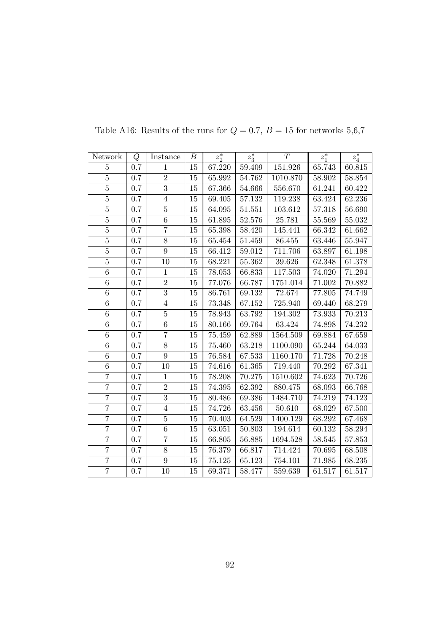| Network        | Q       | Instance       | В      | $z_2^*$ | $z_3^*$ | T        | $z_1^*$ | $z_4^\ast$ |
|----------------|---------|----------------|--------|---------|---------|----------|---------|------------|
| $\overline{5}$ | 0.7     | $\mathbf{1}$   | 15     | 67.220  | 59.409  | 151.926  | 65.743  | 60.815     |
| $\overline{5}$ | $0.7\,$ | $\overline{2}$ | 15     | 65.992  | 54.762  | 1010.870 | 58.902  | 58.854     |
| $\overline{5}$ | $0.7\,$ | $\overline{3}$ | 15     | 67.366  | 54.666  | 556.670  | 61.241  | 60.422     |
| $\overline{5}$ | 0.7     | $\overline{4}$ | 15     | 69.405  | 57.132  | 119.238  | 63.424  | 62.236     |
| $\overline{5}$ | 0.7     | $\overline{5}$ | 15     | 64.095  | 51.551  | 103.612  | 57.318  | 56.690     |
| $\bf 5$        | $0.7\,$ | $\,6\,$        | 15     | 61.895  | 52.576  | 25.781   | 55.569  | 55.032     |
| $\overline{5}$ | $0.7\,$ | $\overline{7}$ | $15\,$ | 65.398  | 58.420  | 145.441  | 66.342  | 61.662     |
| $\overline{5}$ | $0.7\,$ | $8\,$          | 15     | 65.454  | 51.459  | 86.455   | 63.446  | 55.947     |
| $\overline{5}$ | 0.7     | $\overline{9}$ | 15     | 66.412  | 59.012  | 711.706  | 63.897  | 61.198     |
| $\overline{5}$ | 0.7     | 10             | 15     | 68.221  | 55.362  | 39.626   | 62.348  | 61.378     |
| 6              | 0.7     | $\mathbf{1}$   | 15     | 78.053  | 66.833  | 117.503  | 74.020  | 71.294     |
| $\overline{6}$ | $0.7\,$ | $\overline{2}$ | 15     | 77.076  | 66.787  | 1751.014 | 71.002  | 70.882     |
| $\,6\,$        | $0.7\,$ | $\overline{3}$ | 15     | 86.761  | 69.132  | 72.674   | 77.805  | 74.749     |
| $\overline{6}$ | $0.7\,$ | $\overline{4}$ | 15     | 73.348  | 67.152  | 725.940  | 69.440  | 68.279     |
| $\,6$          | $0.7\,$ | $\bf 5$        | 15     | 78.943  | 63.792  | 194.302  | 73.933  | 70.213     |
| 6              | 0.7     | 6              | 15     | 80.166  | 69.764  | 63.424   | 74.898  | 74.232     |
| $\overline{6}$ | $0.7\,$ | $\overline{7}$ | 15     | 75.459  | 62.889  | 1564.509 | 69.884  | 67.659     |
| 6              | 0.7     | 8              | 15     | 75.460  | 63.218  | 1100.090 | 65.244  | 64.033     |
| $\overline{6}$ | $0.7\,$ | $\overline{9}$ | 15     | 76.584  | 67.533  | 1160.170 | 71.728  | 70.248     |
| $\overline{6}$ | 0.7     | 10             | 15     | 74.616  | 61.365  | 719.440  | 70.292  | 67.341     |
| $\overline{7}$ | $0.7\,$ | $\mathbf{1}$   | 15     | 78.208  | 70.275  | 1510.602 | 74.623  | 70.726     |
| $\overline{7}$ | 0.7     | $\overline{2}$ | 15     | 74.395  | 62.392  | 880.475  | 68.093  | 66.768     |
| $\overline{7}$ | 0.7     | $\overline{3}$ | 15     | 80.486  | 69.386  | 1484.710 | 74.219  | 74.123     |
| $\overline{7}$ | $0.7\,$ | $\,4\,$        | 15     | 74.726  | 63.456  | 50.610   | 68.029  | 67.500     |
| $\overline{7}$ | 0.7     | $\bf 5$        | 15     | 70.403  | 64.529  | 1400.129 | 68.292  | 67.468     |
| $\overline{7}$ | $0.7\,$ | $\,6\,$        | 15     | 63.051  | 50.803  | 194.614  | 60.132  | 58.294     |
| $\overline{7}$ | 0.7     | $\overline{7}$ | 15     | 66.805  | 56.885  | 1694.528 | 58.545  | 57.853     |
| $\overline{7}$ | $0.7\,$ | 8              | 15     | 76.379  | 66.817  | 714.424  | 70.695  | 68.508     |
| $\overline{7}$ | 0.7     | $\overline{9}$ | 15     | 75.125  | 65.123  | 754.101  | 71.985  | 68.235     |
| $\overline{7}$ | $0.7\,$ | $10\,$         | 15     | 69.371  | 58.477  | 559.639  | 61.517  | 61.517     |

Table A16: Results of the runs for  $Q = 0.7$ ,  $B = 15$  for networks 5,6,7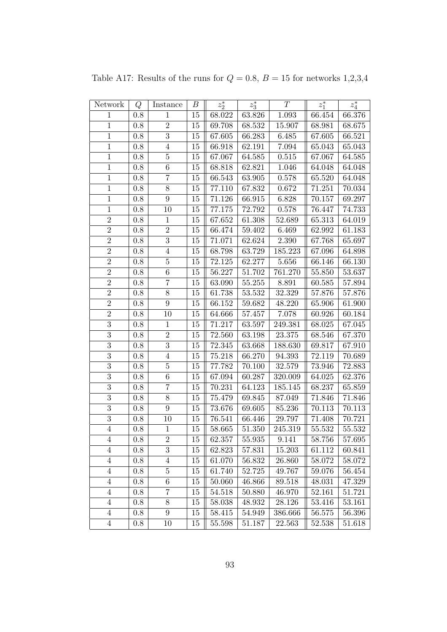| Network        | Q       | Instance         | В      | $z_2^*$ | $z_3^\ast$ | $\cal T$ | $z_1^\ast$ | $z_4^\ast$ |
|----------------|---------|------------------|--------|---------|------------|----------|------------|------------|
| $\mathbf{1}$   | 0.8     | $\mathbf{1}$     | 15     | 68.022  | 63.826     | 1.093    | 66.454     | 66.376     |
| $\overline{1}$ | $0.8\,$ | $\overline{2}$   | 15     | 69.708  | 68.532     | 15.907   | 68.981     | 68.675     |
| $\,1$          | 0.8     | $\boldsymbol{3}$ | 15     | 67.605  | 66.283     | 6.485    | 67.605     | 66.521     |
| $\mathbf{1}$   | 0.8     | $\overline{4}$   | 15     | 66.918  | 62.191     | 7.094    | 65.043     | 65.043     |
| $\mathbf{1}$   | 0.8     | $\overline{5}$   | 15     | 67.067  | 64.585     | 0.515    | 67.067     | 64.585     |
| $\mathbf{1}$   | 0.8     | $\,6\,$          | 15     | 68.818  | 62.821     | 1.046    | 64.048     | 64.048     |
| $\overline{1}$ | 0.8     | $\overline{7}$   | $15\,$ | 66.543  | 63.905     | 0.578    | 65.520     | 64.048     |
| $\mathbf 1$    | 0.8     | 8                | 15     | 77.110  | 67.832     | 0.672    | 71.251     | 70.034     |
| $\mathbf 1$    | 0.8     | 9                | 15     | 71.126  | 66.915     | 6.828    | 70.157     | 69.297     |
| $\mathbf 1$    | 0.8     | 10               | 15     | 77.175  | 72.792     | 0.578    | 76.447     | 74.733     |
| $\overline{2}$ | $0.8\,$ | $\!1\!$          | 15     | 67.652  | 61.308     | 52.689   | 65.313     | 64.019     |
| $\overline{2}$ | 0.8     | $\overline{2}$   | 15     | 66.474  | 59.402     | 6.469    | 62.992     | 61.183     |
| $\overline{2}$ | 0.8     | $\overline{3}$   | 15     | 71.071  | 62.624     | 2.390    | 67.768     | 65.697     |
| $\overline{2}$ | $0.8\,$ | $\overline{4}$   | 15     | 68.798  | 63.729     | 185.223  | 67.096     | 64.898     |
| $\overline{2}$ | 0.8     | $\bf 5$          | 15     | 72.125  | 62.277     | 5.656    | 66.146     | 66.130     |
| $\overline{2}$ | 0.8     | 6                | 15     | 56.227  | 51.702     | 761.270  | 55.850     | 53.637     |
| $\overline{2}$ | 0.8     | $\overline{7}$   | 15     | 63.090  | $55.255\,$ | 8.891    | 60.585     | 57.894     |
| $\overline{2}$ | 0.8     | $8\,$            | 15     | 61.738  | $53.532\,$ | 32.329   | 57.876     | 57.876     |
| $\overline{2}$ | 0.8     | 9                | 15     | 66.152  | 59.682     | 48.220   | 65.906     | 61.900     |
| $\overline{2}$ | $0.8\,$ | 10               | 15     | 64.666  | 57.457     | 7.078    | 60.926     | 60.184     |
| $\overline{3}$ | 0.8     | $\,1$            | 15     | 71.217  | 63.597     | 249.381  | 68.025     | 67.045     |
| $\overline{3}$ | 0.8     | $\overline{2}$   | 15     | 72.560  | 63.198     | 23.375   | 68.546     | 67.370     |
| $\overline{3}$ | 0.8     | $\overline{3}$   | 15     | 72.345  | 63.668     | 188.630  | 69.817     | 67.910     |
| $\overline{3}$ | 0.8     | $\overline{4}$   | 15     | 75.218  | 66.270     | 94.393   | 72.119     | 70.689     |
| $\overline{3}$ | 0.8     | $\overline{5}$   | 15     | 77.782  | 70.100     | 32.579   | 73.946     | 72.883     |
| $\overline{3}$ | 0.8     | $\,6\,$          | 15     | 67.094  | 60.287     | 320.009  | 64.025     | 62.376     |
| $\overline{3}$ | 0.8     | $\overline{7}$   | 15     | 70.231  | 64.123     | 185.145  | 68.237     | 65.859     |
| $\overline{3}$ | 0.8     | 8                | 15     | 75.479  | 69.845     | 87.049   | 71.846     | 71.846     |
| $\overline{3}$ | $0.8\,$ | 9                | 15     | 73.676  | 69.605     | 85.236   | 70.113     | 70.113     |
| $\overline{3}$ | 0.8     | 10               | 15     | 76.541  | 66.446     | 29.797   | 71.408     | 70.721     |
| $\overline{4}$ | 0.8     | $\mathbf{1}$     | 15     | 58.665  | 51.350     | 245.319  | 55.532     | 55.532     |
| $\overline{4}$ | 0.8     | $\sqrt{2}$       | 15     | 62.357  | 55.935     | 9.141    | 58.756     | 57.695     |
| $\overline{4}$ | 0.8     | 3                | 15     | 62.823  | 57.831     | 15.203   | 61.112     | 60.841     |
| $\overline{4}$ | 0.8     | $\overline{4}$   | 15     | 61.070  | 56.832     | 26.860   | 58.072     | 58.072     |
| $\overline{4}$ | 0.8     | $\bf 5$          | 15     | 61.740  | 52.725     | 49.767   | 59.076     | 56.454     |
| $\overline{4}$ | 0.8     | $\,6$            | 15     | 50.060  | 46.866     | 89.518   | 48.031     | 47.329     |
| $\overline{4}$ | 0.8     | 7                | 15     | 54.518  | 50.880     | 46.970   | 52.161     | 51.721     |
| $\overline{4}$ | 0.8     | $8\,$            | 15     | 58.038  | 48.932     | 28.126   | 53.416     | 53.161     |
| $\overline{4}$ | 0.8     | $9\phantom{.0}$  | 15     | 58.415  | 54.949     | 386.666  | 56.575     | 56.396     |
| $\overline{4}$ | 0.8     | 10               | 15     | 55.598  | 51.187     | 22.563   | 52.538     | 51.618     |

Table A17: Results of the runs for  $Q = 0.8$ ,  $B = 15$  for networks 1,2,3,4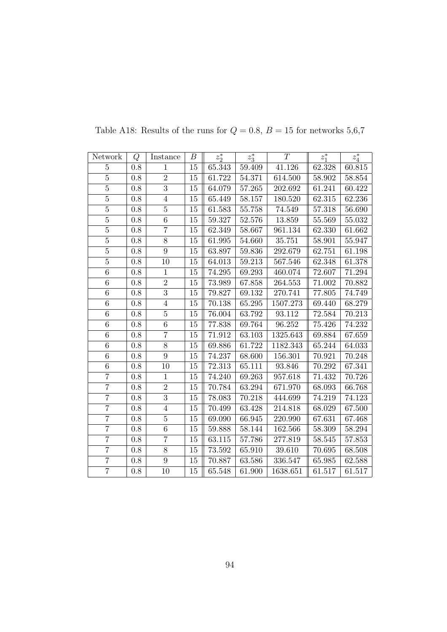| Network        | Q       | Instance       | В      | $z_2^*$    | $z_3^*$    | T        | $z_1^*$ | $z_4^\ast$ |
|----------------|---------|----------------|--------|------------|------------|----------|---------|------------|
| $\overline{5}$ | 0.8     | $\mathbf{1}$   | 15     | 65.343     | 59.409     | 41.126   | 62.328  | 60.815     |
| $\overline{5}$ | $0.8\,$ | $\overline{2}$ | $15\,$ | 61.722     | 54.371     | 614.500  | 58.902  | 58.854     |
| $\overline{5}$ | 0.8     | $\overline{3}$ | 15     | 64.079     | 57.265     | 202.692  | 61.241  | 60.422     |
| $\overline{5}$ | 0.8     | $\overline{4}$ | 15     | 65.449     | 58.157     | 180.520  | 62.315  | 62.236     |
| $\overline{5}$ | $0.8\,$ | $\overline{5}$ | 15     | 61.583     | 55.758     | 74.549   | 57.318  | 56.690     |
| $\overline{5}$ | $0.8\,$ | 6              | 15     | 59.327     | 52.576     | 13.859   | 55.569  | 55.032     |
| $\overline{5}$ | $0.8\,$ | $\overline{7}$ | $15\,$ | 62.349     | $58.667\,$ | 961.134  | 62.330  | 61.662     |
| $\overline{5}$ | 0.8     | $\overline{8}$ | 15     | 61.995     | 54.660     | 35.751   | 58.901  | 55.947     |
| $\overline{5}$ | 0.8     | $\overline{9}$ | 15     | 63.897     | 59.836     | 292.679  | 62.751  | 61.198     |
| $\overline{5}$ | $0.8\,$ | 10             | 15     | 64.013     | 59.213     | 567.546  | 62.348  | 61.378     |
| 6              | 0.8     | $\mathbf{1}$   | 15     | 74.295     | 69.293     | 460.074  | 72.607  | 71.294     |
| $\,6\,$        | 0.8     | $\overline{2}$ | $15\,$ | 73.989     | 67.858     | 264.553  | 71.002  | 70.882     |
| 6              | 0.8     | $\overline{3}$ | 15     | 79.827     | 69.132     | 270.741  | 77.805  | 74.749     |
| $\overline{6}$ | $0.8\,$ | $\sqrt{4}$     | 15     | 70.138     | 65.295     | 1507.273 | 69.440  | 68.279     |
| $\,6$          | 0.8     | $\bf 5$        | 15     | 76.004     | 63.792     | 93.112   | 72.584  | 70.213     |
| $\overline{6}$ | 0.8     | 6              | 15     | 77.838     | 69.764     | 96.252   | 75.426  | 74.232     |
| $\overline{6}$ | $0.8\,$ | $\overline{7}$ | 15     | 71.912     | 63.103     | 1325.643 | 69.884  | 67.659     |
| $\,6$          | $0.8\,$ | 8              | 15     | 69.886     | 61.722     | 1182.343 | 65.244  | 64.033     |
| $\overline{6}$ | 0.8     | $\overline{9}$ | 15     | 74.237     | 68.600     | 156.301  | 70.921  | 70.248     |
| $\,6$          | 0.8     | 10             | 15     | 72.313     | 65.111     | 93.846   | 70.292  | 67.341     |
| $\overline{7}$ | 0.8     | $\overline{1}$ | 15     | 74.240     | 69.263     | 957.618  | 71.432  | 70.726     |
| $\overline{7}$ | 0.8     | $\overline{2}$ | 15     | 70.784     | 63.294     | 671.970  | 68.093  | 66.768     |
| $\overline{7}$ | $0.8\,$ | $\overline{3}$ | $15\,$ | 78.083     | 70.218     | 444.699  | 74.219  | 74.123     |
| $\overline{7}$ | 0.8     | $\overline{4}$ | 15     | 70.499     | 63.428     | 214.818  | 68.029  | 67.500     |
| $\overline{7}$ | 0.8     | $\bf 5$        | 15     | 69.090     | 66.945     | 220.990  | 67.631  | 67.468     |
| $\overline{7}$ | 0.8     | $\overline{6}$ | 15     | 59.888     | 58.144     | 162.566  | 58.309  | 58.294     |
| $\overline{7}$ | 0.8     | $\overline{7}$ | 15     | 63.115     | 57.786     | 277.819  | 58.545  | 57.853     |
| $\overline{7}$ | 0.8     | 8              | 15     | $73.592\,$ | 65.910     | 39.610   | 70.695  | 68.508     |
| $\overline{7}$ | 0.8     | $\overline{9}$ | 15     | 70.887     | 63.586     | 336.547  | 65.985  | 62.588     |
| $\overline{7}$ | 0.8     | 10             | 15     | 65.548     | 61.900     | 1638.651 | 61.517  | 61.517     |

Table A18: Results of the runs for  $Q=0.8,\,B=15$  for networks  $5{,}6{,}7$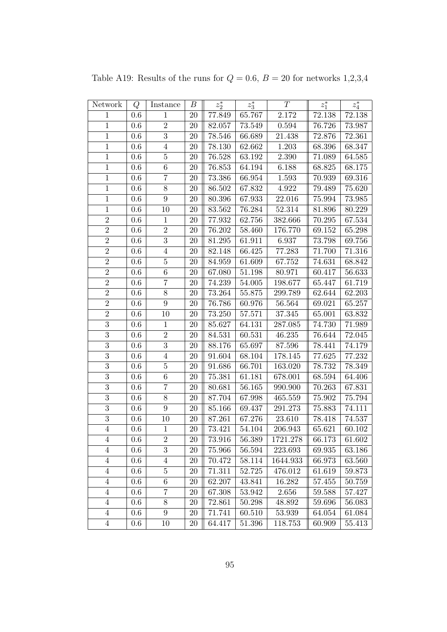| Network        | Q       | Instance         | В      | $z_2^\ast$ | $z_3^\ast$ | T           | $z_1^*$    | $z_4^\ast$ |
|----------------|---------|------------------|--------|------------|------------|-------------|------------|------------|
| $\mathbf{1}$   | 0.6     | $\mathbf{1}$     | 20     | 77.849     | 65.767     | 2.172       | 72.138     | 72.138     |
| $\mathbf{1}$   | $0.6\,$ | $\overline{2}$   | 20     | 82.057     | 73.549     | $\,0.594\,$ | 76.726     | 73.987     |
| $\,1$          | 0.6     | $\sqrt{3}$       | 20     | 78.546     | 66.689     | 21.438      | 72.876     | 72.361     |
| $\mathbf{1}$   | 0.6     | $\overline{4}$   | 20     | 78.130     | 62.662     | 1.203       | 68.396     | 68.347     |
| $\mathbf{1}$   | 0.6     | $\bf 5$          | 20     | 76.528     | 63.192     | 2.390       | 71.089     | 64.585     |
| $\,1$          | $0.6\,$ | $\,6\,$          | 20     | 76.853     | 64.194     | 6.188       | 68.825     | 68.175     |
| $\mathbf{1}$   | $0.6\,$ | $\overline{7}$   | $20\,$ | 73.386     | $66.954\,$ | 1.593       | 70.939     | 69.316     |
| $\,1$          | 0.6     | $8\,$            | 20     | 86.502     | 67.832     | $4.922\,$   | 79.489     | 75.620     |
| $\,1$          | 0.6     | $\boldsymbol{9}$ | 20     | 80.396     | 67.933     | 22.016      | 75.994     | 73.985     |
| $\mathbf{1}$   | 0.6     | 10               | 20     | 83.562     | 76.284     | 52.314      | 81.896     | 80.229     |
| $\overline{2}$ | 0.6     | $\mathbf 1$      | 20     | 77.932     | 62.756     | 382.666     | 70.295     | 67.534     |
| $\overline{2}$ | $0.6\,$ | $\sqrt{2}$       | 20     | 76.202     | 58.460     | 176.770     | 69.152     | 65.298     |
| $\overline{2}$ | $0.6\,$ | $\sqrt{3}$       | $20\,$ | 81.295     | 61.911     | 6.937       | 73.798     | 69.756     |
| $\overline{2}$ | $0.6\,$ | $\,4\,$          | 20     | 82.148     | 66.425     | 77.283      | 71.700     | 71.316     |
| $\overline{2}$ | 0.6     | $\bf 5$          | 20     | 84.959     | 61.609     | 67.752      | 74.631     | 68.842     |
| $\overline{2}$ | 0.6     | $\,6\,$          | 20     | 67.080     | 51.198     | 80.971      | 60.417     | 56.633     |
| $\overline{2}$ | 0.6     | $\overline{7}$   | 20     | 74.239     | 54.005     | 198.677     | 65.447     | 61.719     |
| $\overline{2}$ | $0.6\,$ | $8\,$            | 20     | 73.264     | 55.875     | 299.789     | 62.644     | 62.203     |
| $\overline{2}$ | 0.6     | $\boldsymbol{9}$ | 20     | 76.786     | 60.976     | 56.564      | 69.021     | 65.257     |
| $\overline{2}$ | $0.6\,$ | 10               | $20\,$ | 73.250     | 57.571     | $37.345\,$  | 65.001     | 63.832     |
| $\overline{3}$ | $0.6\,$ | $\mathbf{1}$     | 20     | 85.627     | 64.131     | 287.085     | 74.730     | 71.989     |
| $\overline{3}$ | 0.6     | $\overline{2}$   | 20     | 84.531     | 60.531     | 46.235      | 76.644     | 72.045     |
| $\overline{3}$ | $0.6\,$ | $\sqrt{3}$       | 20     | 88.176     | 65.697     | 87.596      | 78.441     | 74.179     |
| $\overline{3}$ | 0.6     | $\overline{4}$   | 20     | 91.604     | 68.104     | 178.145     | 77.625     | 77.232     |
| $\overline{3}$ | 0.6     | $\bf 5$          | 20     | 91.686     | 66.701     | 163.020     | 78.732     | 78.349     |
| $\overline{3}$ | $0.6\,$ | $\,6\,$          | $20\,$ | 75.381     | 61.181     | 678.001     | 68.594     | 64.406     |
| $\overline{3}$ | $0.6\,$ | $\overline{7}$   | 20     | 80.681     | 56.165     | 990.900     | 70.263     | 67.831     |
| $\overline{3}$ | 0.6     | $8\,$            | 20     | 87.704     | 67.998     | 465.559     | $75.902\,$ | 75.794     |
| $\overline{3}$ | 0.6     | 9                | $20\,$ | 85.166     | 69.437     | 291.273     | 75.883     | 74.111     |
| $\overline{3}$ | 0.6     | 10               | 20     | 87.261     | 67.276     | 23.610      | 78.418     | 74.537     |
| $\,4\,$        | 0.6     | $\mathbf{1}$     | 20     | 73.421     | 54.104     | 206.943     | 65.621     | 60.102     |
| 4              | $0.6\,$ | $\,2$            | $20\,$ | 73.916     | 56.389     | 1721.278    | 66.173     | 61.602     |
| $\overline{4}$ | $0.6\,$ | $\boldsymbol{3}$ | 20     | 75.966     | 56.594     | 223.693     | 69.935     | 63.186     |
| 4              | $0.6\,$ | $\overline{4}$   | 20     | 70.472     | 58.114     | 1644.933    | 66.973     | 63.560     |
| $\overline{4}$ | 0.6     | $\bf 5$          | $20\,$ | 71.311     | 52.725     | 476.012     | 61.619     | 59.873     |
| $\,4\,$        | $0.6\,$ | $\,6\,$          | 20     | 62.207     | 43.841     | 16.282      | 57.455     | 50.759     |
| 4              | $0.6\,$ | 7                | 20     | 67.308     | 53.942     | 2.656       | 59.588     | 57.427     |
| $\overline{4}$ | 0.6     | $8\,$            | 20     | 72.861     | 50.298     | 48.892      | 59.696     | 56.083     |
| $\overline{4}$ | 0.6     | $\boldsymbol{9}$ | 20     | 71.741     | 60.510     | 53.939      | $64.054\,$ | 61.084     |
| $\overline{4}$ | 0.6     | 10               | 20     | 64.417     | 51.396     | 118.753     | 60.909     | 55.413     |

Table A19: Results of the runs for  $Q = 0.6$ ,  $B = 20$  for networks 1,2,3,4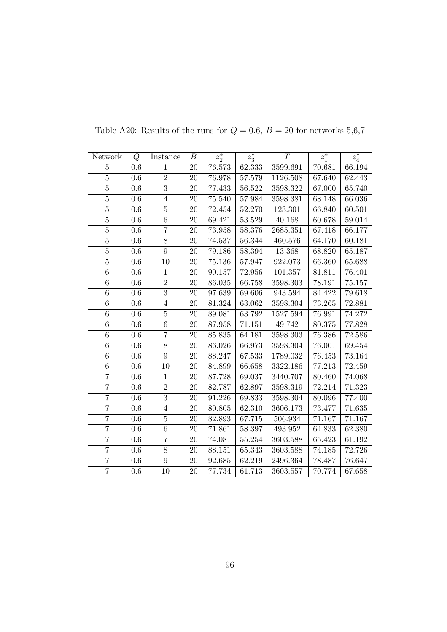| Network        | Q       | Instance       | В      | $z_2^*$ | $z_3^*$    | T        | $z_1^*$ | $z_4^\ast$ |
|----------------|---------|----------------|--------|---------|------------|----------|---------|------------|
| $\overline{5}$ | 0.6     | 1              | 20     | 76.573  | 62.333     | 3599.691 | 70.681  | 66.194     |
| $\overline{5}$ | $0.6\,$ | $\overline{2}$ | 20     | 76.978  | $57.579\,$ | 1126.508 | 67.640  | 62.443     |
| $\overline{5}$ | 0.6     | $\overline{3}$ | 20     | 77.433  | 56.522     | 3598.322 | 67.000  | 65.740     |
| $\overline{5}$ | 0.6     | $\overline{4}$ | 20     | 75.540  | 57.984     | 3598.381 | 68.148  | 66.036     |
| $\overline{5}$ | $0.6\,$ | $\overline{5}$ | 20     | 72.454  | 52.270     | 123.301  | 66.840  | 60.501     |
| $\overline{5}$ | 0.6     | 6              | 20     | 69.421  | 53.529     | 40.168   | 60.678  | 59.014     |
| $\overline{5}$ | 0.6     | $\overline{7}$ | $20\,$ | 73.958  | 58.376     | 2685.351 | 67.418  | 66.177     |
| $\overline{5}$ | 0.6     | $\overline{8}$ | 20     | 74.537  | 56.344     | 460.576  | 64.170  | 60.181     |
| $\overline{5}$ | 0.6     | $\overline{9}$ | 20     | 79.186  | 58.394     | 13.368   | 68.820  | 65.187     |
| $\overline{5}$ | $0.6\,$ | 10             | 20     | 75.136  | 57.947     | 922.073  | 66.360  | 65.688     |
| 6              | 0.6     | $\mathbf{1}$   | 20     | 90.157  | 72.956     | 101.357  | 81.811  | 76.401     |
| $\sqrt{6}$     | 0.6     | $\overline{2}$ | 20     | 86.035  | 66.758     | 3598.303 | 78.191  | 75.157     |
| 6              | 0.6     | $\overline{3}$ | 20     | 97.639  | 69.606     | 943.594  | 84.422  | 79.618     |
| $\overline{6}$ | $0.6\,$ | $\sqrt{4}$     | 20     | 81.324  | 63.062     | 3598.304 | 73.265  | 72.881     |
| $\,6\,$        | 0.6     | $\bf 5$        | 20     | 89.081  | 63.792     | 1527.594 | 76.991  | 74.272     |
| $\overline{6}$ | 0.6     | 6              | 20     | 87.958  | 71.151     | 49.742   | 80.375  | 77.828     |
| $\overline{6}$ | $0.6\,$ | $\overline{7}$ | 20     | 85.835  | 64.181     | 3598.303 | 76.386  | 72.586     |
| $\,6\,$        | $0.6\,$ | $8\,$          | 20     | 86.026  | 66.973     | 3598.304 | 76.001  | 69.454     |
| $\overline{6}$ | 0.6     | $\overline{9}$ | 20     | 88.247  | 67.533     | 1789.032 | 76.453  | 73.164     |
| $\,6\,$        | $0.6\,$ | 10             | 20     | 84.899  | 66.658     | 3322.186 | 77.213  | 72.459     |
| $\overline{7}$ | 0.6     | $\overline{1}$ | 20     | 87.728  | 69.037     | 3440.707 | 80.460  | 74.068     |
| $\overline{7}$ | 0.6     | $\overline{2}$ | 20     | 82.787  | 62.897     | 3598.319 | 72.214  | 71.323     |
| $\overline{7}$ | $0.6\,$ | $\overline{3}$ | 20     | 91.226  | 69.833     | 3598.304 | 80.096  | 77.400     |
| $\overline{7}$ | 0.6     | $\sqrt{4}$     | 20     | 80.805  | 62.310     | 3606.173 | 73.477  | 71.635     |
| $\overline{7}$ | 0.6     | $\bf 5$        | 20     | 82.893  | 67.715     | 506.934  | 71.167  | 71.167     |
| $\overline{7}$ | 0.6     | $\overline{6}$ | 20     | 71.861  | $58.397\,$ | 493.952  | 64.833  | 62.380     |
| $\overline{7}$ | 0.6     | $\overline{7}$ | 20     | 74.081  | 55.254     | 3603.588 | 65.423  | 61.192     |
| $\overline{7}$ | 0.6     | $8\,$          | 20     | 88.151  | 65.343     | 3603.588 | 74.185  | 72.726     |
| $\overline{7}$ | 0.6     | $\overline{9}$ | 20     | 92.685  | 62.219     | 2496.364 | 78.487  | 76.647     |
| $\overline{7}$ | 0.6     | 10             | 20     | 77.734  | 61.713     | 3603.557 | 70.774  | 67.658     |

Table A20: Results of the runs for  $Q=0.6,\,B=20$  for networks  $5{,}6{,}7$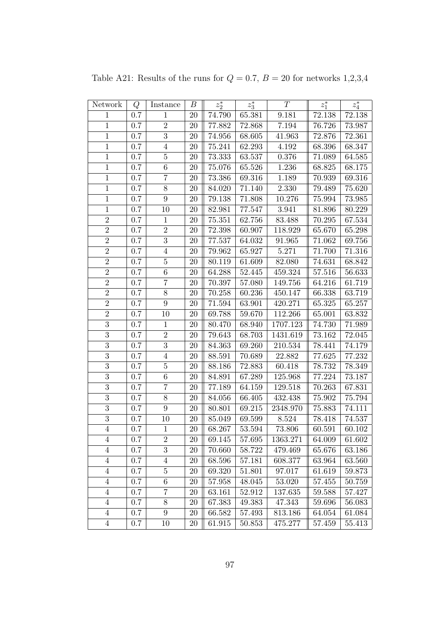| Network        | Q       | Instance         | $\boldsymbol{B}$ | $z_2^\ast$ | $z_3^\ast$ | T        | $z_1^*$    | $z_4^\ast$ |
|----------------|---------|------------------|------------------|------------|------------|----------|------------|------------|
| $\mathbf{1}$   | $0.7\,$ | $\mathbf{1}$     | 20               | 74.790     | 65.381     | 9.181    | 72.138     | 72.138     |
| $\,1$          | 0.7     | $\,2$            | 20               | 77.882     | 72.868     | 7.194    | 76.726     | 73.987     |
| $\,1\,$        | 0.7     | $\sqrt{3}$       | 20               | 74.956     | 68.605     | 41.963   | 72.876     | 72.361     |
| $\mathbf{1}$   | 0.7     | $\overline{4}$   | 20               | 75.241     | 62.293     | 4.192    | 68.396     | 68.347     |
| $\mathbf{1}$   | 0.7     | $\bf 5$          | 20               | 73.333     | 63.537     | 0.376    | 71.089     | 64.585     |
| $\,1\,$        | $0.7\,$ | $\,6\,$          | 20               | 75.076     | 65.526     | 1.236    | 68.825     | 68.175     |
| $\mathbf{1}$   | $0.7\,$ | $\overline{7}$   | 20               | 73.386     | 69.316     | 1.189    | 70.939     | 69.316     |
| $\,1$          | $0.7\,$ | $8\,$            | 20               | 84.020     | 71.140     | 2.330    | 79.489     | 75.620     |
| $1\,$          | 0.7     | $\boldsymbol{9}$ | 20               | 79.138     | 71.808     | 10.276   | 75.994     | 73.985     |
| $\mathbf{1}$   | 0.7     | 10               | 20               | 82.981     | 77.547     | 3.941    | 81.896     | 80.229     |
| $\sqrt{2}$     | 0.7     | $\mathbf{1}$     | 20               | 75.351     | 62.756     | 83.488   | 70.295     | 67.534     |
| $\overline{2}$ | 0.7     | $\,2$            | 20               | 72.398     | 60.907     | 118.929  | 65.670     | 65.298     |
| $\overline{2}$ | $0.7\,$ | 3                | 20               | 77.537     | 64.032     | 91.965   | 71.062     | 69.756     |
| $\sqrt{2}$     | 0.7     | $\overline{4}$   | 20               | 79.962     | 65.927     | 5.271    | 71.700     | 71.316     |
| $\overline{2}$ | 0.7     | $\bf 5$          | 20               | 80.119     | 61.609     | 82.080   | 74.631     | 68.842     |
| $\overline{2}$ | 0.7     | 6                | 20               | 64.288     | 52.445     | 459.324  | 57.516     | 56.633     |
| $\overline{2}$ | 0.7     | $\overline{7}$   | 20               | 70.397     | 57.080     | 149.756  | 64.216     | 61.719     |
| $\overline{2}$ | 0.7     | $8\,$            | 20               | 70.258     | 60.236     | 450.147  | 66.338     | 63.719     |
| $\overline{2}$ | $0.7\,$ | $\boldsymbol{9}$ | 20               | 71.594     | 63.901     | 420.271  | 65.325     | 65.257     |
| $\overline{2}$ | $0.7\,$ | 10               | 20               | 69.788     | 59.670     | 112.266  | 65.001     | 63.832     |
| $\overline{3}$ | 0.7     | $\mathbf{1}$     | 20               | 80.470     | 68.940     | 1707.123 | 74.730     | 71.989     |
| $\overline{3}$ | 0.7     | $\overline{2}$   | 20               | 79.643     | 68.703     | 1431.619 | $73.162\,$ | 72.045     |
| $\overline{3}$ | $0.7\,$ | $\overline{3}$   | 20               | 84.363     | 69.260     | 210.534  | 78.441     | 74.179     |
| $\overline{3}$ | 0.7     | $\overline{4}$   | 20               | 88.591     | 70.689     | 22.882   | 77.625     | 77.232     |
| $\overline{3}$ | 0.7     | $\bf 5$          | 20               | 88.186     | 72.883     | 60.418   | 78.732     | 78.349     |
| $\overline{3}$ | $0.7\,$ | $\,6\,$          | 20               | 84.891     | 67.289     | 125.968  | 77.224     | 73.187     |
| $\overline{3}$ | 0.7     | $\overline{7}$   | 20               | 77.189     | 64.159     | 129.518  | 70.263     | 67.831     |
| $\overline{3}$ | 0.7     | $8\,$            | 20               | 84.056     | 66.405     | 432.438  | 75.902     | 75.794     |
| $\overline{3}$ | $0.7\,$ | $\boldsymbol{9}$ | 20               | 80.801     | 69.215     | 2348.970 | 75.883     | 74.111     |
| $\overline{3}$ | 0.7     | 10               | 20               | 85.049     | 69.599     | 8.524    | 78.418     | 74.537     |
| $\overline{4}$ | 0.7     | $\mathbf{1}$     | 20               | 68.267     | $53.594\,$ | 73.806   | 60.591     | 60.102     |
| 4              | 0.7     | $\sqrt{2}$       | 20               | 69.145     | 57.695     | 1363.271 | 64.009     | 61.602     |
| $\overline{4}$ | $0.7\,$ | $\boldsymbol{3}$ | 20               | 70.660     | 58.722     | 479.469  | 65.676     | 63.186     |
| 4              | $0.7\,$ | $\overline{4}$   | 20               | 68.596     | 57.181     | 608.377  | 63.964     | 63.560     |
| $\overline{4}$ | $0.7\,$ | $\bf 5$          | 20               | 69.320     | 51.801     | 97.017   | 61.619     | 59.873     |
| $\overline{4}$ | $0.7\,$ | $\,6$            | 20               | 57.958     | 48.045     | 53.020   | 57.455     | 50.759     |
| $\overline{4}$ | $0.7\,$ | 7                | 20               | 63.161     | 52.912     | 137.635  | 59.588     | 57.427     |
| $\overline{4}$ | $0.7\,$ | $8\,$            | $20\,$           | 67.383     | 49.383     | 47.343   | 59.696     | 56.083     |
| $\overline{4}$ | $0.7\,$ | 9                | 20               | 66.582     | 57.493     | 813.186  | 64.054     | 61.084     |
| $\overline{4}$ | $0.7\,$ | 10               | 20               | 61.915     | 50.853     | 475.277  | 57.459     | 55.413     |

Table A21: Results of the runs for  $Q = 0.7$ ,  $B = 20$  for networks 1,2,3,4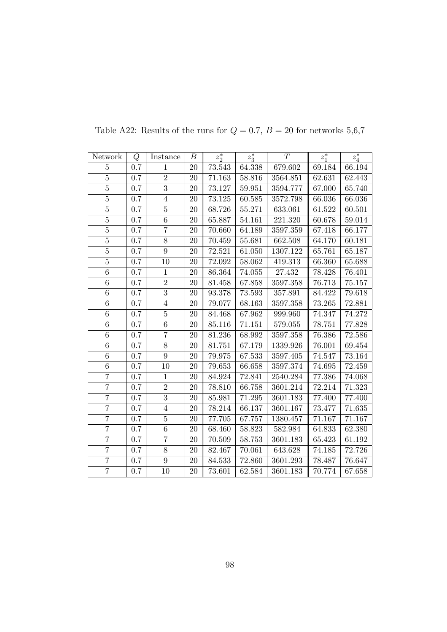| Network        | Q       | Instance       | В      | $z_2^*$ | $z_3^*$    | T          | $z_1^*$ | $z_4^\ast$ |
|----------------|---------|----------------|--------|---------|------------|------------|---------|------------|
| 5              | 0.7     | 1              | 20     | 73.543  | 64.338     | 679.602    | 69.184  | 66.194     |
| $\overline{5}$ | 0.7     | $\overline{2}$ | 20     | 71.163  | 58.816     | 3564.851   | 62.631  | 62.443     |
| $\overline{5}$ | 0.7     | $\overline{3}$ | 20     | 73.127  | 59.951     | 3594.777   | 67.000  | 65.740     |
| $\overline{5}$ | 0.7     | $\overline{4}$ | 20     | 73.125  | 60.585     | 3572.798   | 66.036  | 66.036     |
| $\overline{5}$ | 0.7     | $\overline{5}$ | 20     | 68.726  | 55.271     | 633.061    | 61.522  | 60.501     |
| $\overline{5}$ | 0.7     | 6              | 20     | 65.887  | 54.161     | 221.320    | 60.678  | 59.014     |
| $\overline{5}$ | 0.7     | $\overline{7}$ | 20     | 70.660  | 64.189     | 3597.359   | 67.418  | 66.177     |
| $\overline{5}$ | $0.7\,$ | $8\,$          | 20     | 70.459  | 55.681     | 662.508    | 64.170  | 60.181     |
| $\overline{5}$ | 0.7     | $\overline{9}$ | 20     | 72.521  | 61.050     | 1307.122   | 65.761  | 65.187     |
| $\overline{5}$ | 0.7     | 10             | 20     | 72.092  | 58.062     | 419.313    | 66.360  | 65.688     |
| $\overline{6}$ | $0.7\,$ | $\mathbf{1}$   | 20     | 86.364  | 74.055     | $27.432\,$ | 78.428  | 76.401     |
| $\overline{6}$ | 0.7     | $\overline{2}$ | $20\,$ | 81.458  | 67.858     | 3597.358   | 76.713  | 75.157     |
| $\,6$          | $0.7\,$ | $\overline{3}$ | 20     | 93.378  | 73.593     | 357.891    | 84.422  | 79.618     |
| $\overline{6}$ | $0.7\,$ | $\overline{4}$ | 20     | 79.077  | 68.163     | 3597.358   | 73.265  | 72.881     |
| $\overline{6}$ | 0.7     | $\overline{5}$ | 20     | 84.468  | 67.962     | 999.960    | 74.347  | 74.272     |
| 6              | $0.7\,$ | 6              | 20     | 85.116  | 71.151     | 579.055    | 78.751  | 77.828     |
| $\overline{6}$ | $0.7\,$ | $\overline{7}$ | 20     | 81.236  | 68.992     | 3597.358   | 76.386  | 72.586     |
| 6              | 0.7     | 8              | 20     | 81.751  | 67.179     | 1339.926   | 76.001  | 69.454     |
| $\overline{6}$ | 0.7     | $\overline{9}$ | 20     | 79.975  | 67.533     | 3597.405   | 74.547  | 73.164     |
| $\overline{6}$ | 0.7     | 10             | 20     | 79.653  | 66.658     | 3597.374   | 74.695  | 72.459     |
| $\overline{7}$ | 0.7     | $\mathbf{1}$   | 20     | 84.924  | 72.841     | 2540.284   | 77.386  | 74.068     |
| $\overline{7}$ | 0.7     | $\,2$          | 20     | 78.810  | 66.758     | 3601.214   | 72.214  | 71.323     |
| $\overline{7}$ | 0.7     | $\overline{3}$ | 20     | 85.981  | $71.295\,$ | 3601.183   | 77.400  | 77.400     |
| $\overline{7}$ | $0.7\,$ | $\overline{4}$ | 20     | 78.214  | 66.137     | 3601.167   | 73.477  | 71.635     |
| $\overline{7}$ | $0.7\,$ | $\bf 5$        | 20     | 77.705  | 67.757     | 1380.457   | 71.167  | 71.167     |
| $\overline{7}$ | 0.7     | 6              | 20     | 68.460  | 58.823     | 582.984    | 64.833  | 62.380     |
| $\overline{7}$ | 0.7     | $\overline{7}$ | 20     | 70.509  | 58.753     | 3601.183   | 65.423  | 61.192     |
| $\overline{7}$ | $0.7\,$ | $8\,$          | 20     | 82.467  | 70.061     | 643.628    | 74.185  | 72.726     |
| $\overline{7}$ | 0.7     | $\overline{9}$ | 20     | 84.533  | 72.860     | 3601.293   | 78.487  | 76.647     |
| $\overline{7}$ | 0.7     | 10             | 20     | 73.601  | 62.584     | 3601.183   | 70.774  | 67.658     |

Table A22: Results of the runs for  $Q = 0.7$ ,  $B = 20$  for networks 5,6,7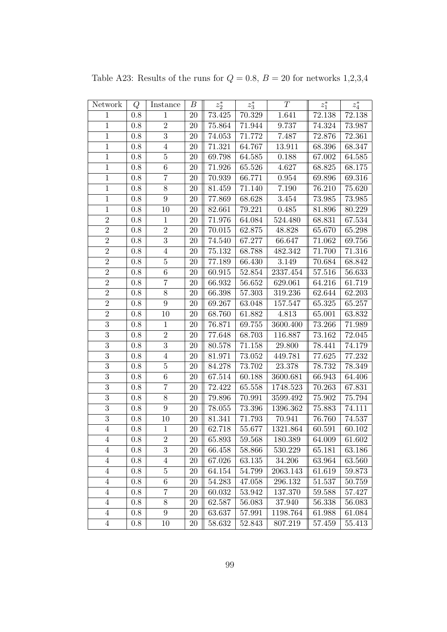| Network        | Q       | Instance         | $\boldsymbol{B}$ | $z_2^\ast$ | $z_3^\ast$ | T           | $z_1^*$    | $z_4^\ast$ |
|----------------|---------|------------------|------------------|------------|------------|-------------|------------|------------|
| $\mathbf{1}$   | $0.8\,$ | $\mathbf{1}$     | 20               | 73.425     | 70.329     | 1.641       | 72.138     | 72.138     |
| $\mathbf{1}$   | $0.8\,$ | $\sqrt{2}$       | $20\,$           | 75.864     | 71.944     | 9.737       | 74.324     | $73.987\,$ |
| $\,1$          | 0.8     | $\sqrt{3}$       | 20               | 74.053     | 71.772     | 7.487       | 72.876     | 72.361     |
| $\mathbf{1}$   | $0.8\,$ | $\overline{4}$   | 20               | 71.321     | 64.767     | 13.911      | 68.396     | 68.347     |
| $\mathbf{1}$   | 0.8     | $\bf 5$          | 20               | 69.798     | 64.585     | 0.188       | 67.002     | 64.585     |
| $\,1\,$        | 0.8     | $\,6\,$          | 20               | 71.926     | 65.526     | 4.627       | 68.825     | 68.175     |
| $\mathbf{1}$   | $0.8\,$ | $\overline{7}$   | $20\,$           | 70.939     | 66.771     | $\,0.954\,$ | 69.896     | 69.316     |
| $\,1$          | $0.8\,$ | $8\,$            | 20               | 81.459     | 71.140     | 7.190       | 76.210     | 75.620     |
| $\,1$          | 0.8     | $\boldsymbol{9}$ | 20               | 77.869     | 68.628     | 3.454       | 73.985     | 73.985     |
| $\mathbf{1}$   | $0.8\,$ | 10               | 20               | 82.661     | 79.221     | 0.485       | 81.896     | 80.229     |
| $\sqrt{2}$     | 0.8     | $\mathbf{1}$     | 20               | 71.976     | 64.084     | 524.480     | 68.831     | 67.534     |
| $\overline{2}$ | 0.8     | $\,2$            | 20               | 70.015     | 62.875     | 48.828      | 65.670     | 65.298     |
| $\overline{2}$ | $0.8\,$ | 3                | $20\,$           | 74.540     | 67.277     | 66.647      | 71.062     | 69.756     |
| $\sqrt{2}$     | 0.8     | $\overline{4}$   | 20               | 75.132     | 68.788     | 482.342     | 71.700     | 71.316     |
| $\overline{2}$ | 0.8     | $\bf 5$          | 20               | 77.189     | 66.430     | 3.149       | 70.684     | 68.842     |
| $\overline{2}$ | 0.8     | 6                | 20               | 60.915     | $52.854\,$ | 2337.454    | 57.516     | 56.633     |
| $\overline{2}$ | 0.8     | $\overline{7}$   | 20               | 66.932     | 56.652     | 629.061     | 64.216     | 61.719     |
| $\overline{2}$ | 0.8     | $8\,$            | 20               | 66.398     | 57.303     | 319.236     | 62.644     | 62.203     |
| $\overline{2}$ | $0.8\,$ | $\boldsymbol{9}$ | 20               | 69.267     | 63.048     | 157.547     | 65.325     | 65.257     |
| $\overline{2}$ | $0.8\,$ | 10               | 20               | 68.760     | 61.882     | 4.813       | 65.001     | 63.832     |
| $\overline{3}$ | 0.8     | $\mathbf{1}$     | 20               | 76.871     | 69.755     | 3600.400    | 73.266     | 71.989     |
| $\overline{3}$ | 0.8     | $\overline{2}$   | 20               | 77.648     | 68.703     | 116.887     | $73.162\,$ | 72.045     |
| $\overline{3}$ | $0.8\,$ | $\overline{3}$   | 20               | 80.578     | 71.158     | 29.800      | 78.441     | 74.179     |
| $\overline{3}$ | $0.8\,$ | $\overline{4}$   | 20               | 81.971     | 73.052     | 449.781     | 77.625     | 77.232     |
| $\overline{3}$ | 0.8     | $\bf 5$          | 20               | 84.278     | 73.702     | 23.378      | 78.732     | 78.349     |
| $\overline{3}$ | $0.8\,$ | $\,6\,$          | 20               | 67.514     | 60.188     | 3600.681    | 66.943     | 64.406     |
| $\overline{3}$ | $0.8\,$ | $\overline{7}$   | 20               | 72.422     | 65.558     | 1748.523    | 70.263     | 67.831     |
| $\overline{3}$ | 0.8     | $8\,$            | 20               | 79.896     | 70.991     | 3599.492    | 75.902     | 75.794     |
| $\overline{3}$ | $0.8\,$ | $\boldsymbol{9}$ | 20               | 78.055     | 73.396     | 1396.362    | 75.883     | 74.111     |
| $\overline{3}$ | $0.8\,$ | 10               | 20               | 81.341     | 71.793     | 70.941      | 76.760     | 74.537     |
| $\overline{4}$ | 0.8     | $\mathbf{1}$     | 20               | 62.718     | 55.677     | 1321.864    | 60.591     | 60.102     |
| 4              | 0.8     | $\sqrt{2}$       | 20               | 65.893     | $59.568\,$ | 180.389     | 64.009     | 61.602     |
| $\overline{4}$ | 0.8     | $\boldsymbol{3}$ | 20               | 66.458     | 58.866     | 530.229     | 65.181     | 63.186     |
| 4              | 0.8     | 4                | 20               | 67.026     | 63.135     | 34.206      | 63.964     | 63.560     |
| $\overline{4}$ | 0.8     | $\bf 5$          | 20               | 64.154     | 54.799     | 2063.143    | 61.619     | 59.873     |
| $\overline{4}$ | 0.8     | $\,6$            | 20               | 54.283     | 47.058     | 296.132     | 51.537     | 50.759     |
| $\overline{4}$ | 0.8     | 7                | 20               | 60.032     | 53.942     | 137.370     | 59.588     | 57.427     |
| $\overline{4}$ | 0.8     | $8\,$            | $20\,$           | 62.587     | 56.083     | 37.940      | 56.338     | 56.083     |
| $\overline{4}$ | 0.8     | $\boldsymbol{9}$ | 20               | 63.637     | 57.991     | 1198.764    | 61.988     | 61.084     |
| $\overline{4}$ | 0.8     | 10               | 20               | 58.632     | 52.843     | 807.219     | 57.459     | 55.413     |

Table A23: Results of the runs for  $Q = 0.8$ ,  $B = 20$  for networks 1,2,3,4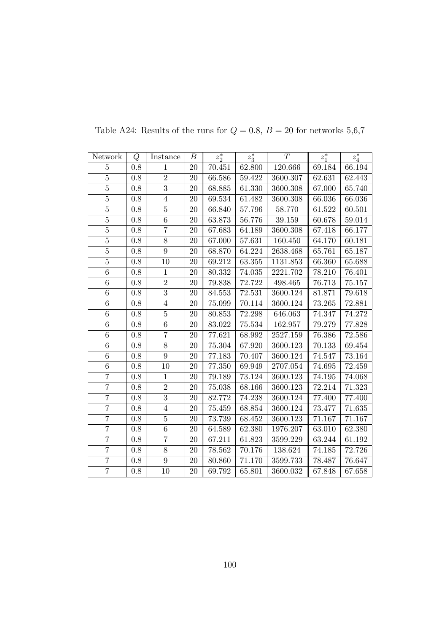| Network        | Q       | Instance       | В      | $z_2^*$ | $z_3^*$    | T        | $z_1^*$ | $z_4^\ast$ |
|----------------|---------|----------------|--------|---------|------------|----------|---------|------------|
| 5              | 0.8     | 1              | 20     | 70.451  | 62.800     | 120.666  | 69.184  | 66.194     |
| $\overline{5}$ | 0.8     | $\overline{2}$ | 20     | 66.586  | 59.422     | 3600.307 | 62.631  | 62.443     |
| $\overline{5}$ | 0.8     | $\overline{3}$ | 20     | 68.885  | 61.330     | 3600.308 | 67.000  | 65.740     |
| $\overline{5}$ | 0.8     | $\overline{4}$ | 20     | 69.534  | 61.482     | 3600.308 | 66.036  | 66.036     |
| $\overline{5}$ | 0.8     | $\overline{5}$ | 20     | 66.840  | 57.796     | 58.770   | 61.522  | 60.501     |
| $\overline{5}$ | 0.8     | 6              | 20     | 63.873  | 56.776     | 39.159   | 60.678  | 59.014     |
| $\overline{5}$ | $0.8\,$ | $\overline{7}$ | 20     | 67.683  | 64.189     | 3600.308 | 67.418  | 66.177     |
| $\overline{5}$ | $0.8\,$ | $8\,$          | 20     | 67.000  | 57.631     | 160.450  | 64.170  | 60.181     |
| $\overline{5}$ | 0.8     | $\overline{9}$ | 20     | 68.870  | 64.224     | 2638.468 | 65.761  | 65.187     |
| $\overline{5}$ | 0.8     | 10             | 20     | 69.212  | 63.355     | 1131.853 | 66.360  | 65.688     |
| $\overline{6}$ | $0.8\,$ | $\mathbf{1}$   | 20     | 80.332  | 74.035     | 2221.702 | 78.210  | 76.401     |
| $\overline{6}$ | $0.8\,$ | $\overline{2}$ | 20     | 79.838  | 72.722     | 498.465  | 76.713  | $75.157\,$ |
| $\,6$          | 0.8     | $\overline{3}$ | 20     | 84.553  | 72.531     | 3600.124 | 81.871  | 79.618     |
| $\overline{6}$ | $0.8\,$ | $\overline{4}$ | 20     | 75.099  | 70.114     | 3600.124 | 73.265  | 72.881     |
| $\overline{6}$ | 0.8     | $\overline{5}$ | 20     | 80.853  | 72.298     | 646.063  | 74.347  | 74.272     |
| 6              | 0.8     | 6              | 20     | 83.022  | $75.534\,$ | 162.957  | 79.279  | 77.828     |
| $\overline{6}$ | 0.8     | $\overline{7}$ | 20     | 77.621  | 68.992     | 2527.159 | 76.386  | 72.586     |
| 6              | 0.8     | 8              | 20     | 75.304  | 67.920     | 3600.123 | 70.133  | 69.454     |
| $\overline{6}$ | $0.8\,$ | $\overline{9}$ | 20     | 77.183  | 70.407     | 3600.124 | 74.547  | 73.164     |
| $\overline{6}$ | 0.8     | 10             | $20\,$ | 77.350  | 69.949     | 2707.054 | 74.695  | 72.459     |
| $\overline{7}$ | 0.8     | $\mathbf{1}$   | 20     | 79.189  | 73.124     | 3600.123 | 74.195  | 74.068     |
| $\overline{7}$ | 0.8     | $\,2$          | 20     | 75.038  | 68.166     | 3600.123 | 72.214  | 71.323     |
| $\overline{7}$ | 0.8     | $\overline{3}$ | 20     | 82.772  | 74.238     | 3600.124 | 77.400  | 77.400     |
| $\overline{7}$ | 0.8     | $\overline{4}$ | 20     | 75.459  | 68.854     | 3600.124 | 73.477  | 71.635     |
| $\overline{7}$ | 0.8     | $\bf 5$        | 20     | 73.739  | 68.452     | 3600.123 | 71.167  | 71.167     |
| $\overline{7}$ | $0.8\,$ | 6              | 20     | 64.589  | 62.380     | 1976.207 | 63.010  | 62.380     |
| $\overline{7}$ | 0.8     | $\overline{7}$ | 20     | 67.211  | 61.823     | 3599.229 | 63.244  | 61.192     |
| $\overline{7}$ | $0.8\,$ | $8\,$          | 20     | 78.562  | 70.176     | 138.624  | 74.185  | 72.726     |
| $\overline{7}$ | $0.8\,$ | $\overline{9}$ | 20     | 80.860  | 71.170     | 3599.733 | 78.487  | 76.647     |
| $\overline{7}$ | 0.8     | 10             | 20     | 69.792  | 65.801     | 3600.032 | 67.848  | 67.658     |

Table A24: Results of the runs for  $Q = 0.8$ ,  $B = 20$  for networks 5,6,7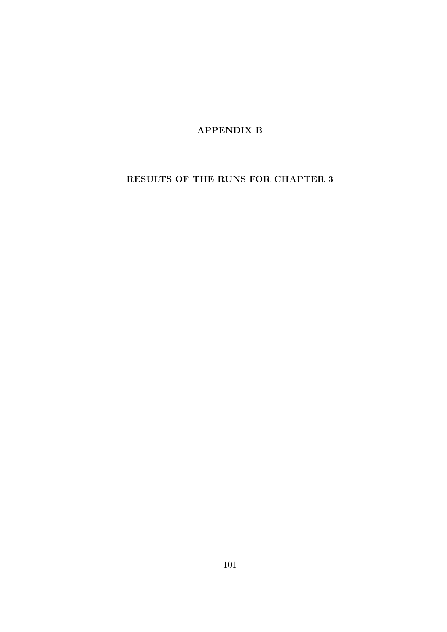APPENDIX B

RESULTS OF THE RUNS FOR CHAPTER 3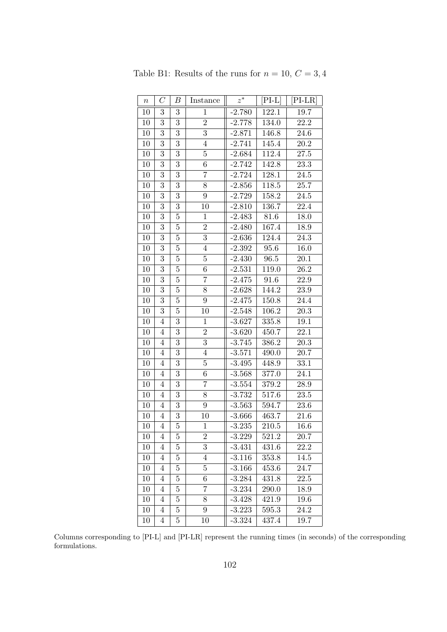| $\boldsymbol{n}$ | $\mathcal{C}$    | Β              | Instance       | $z^*$    | $[PI-L]$ | $[PI-LR]$ |
|------------------|------------------|----------------|----------------|----------|----------|-----------|
| 10               | 3                | 3              | $\mathbf 1$    | $-2.780$ | 122.1    | 19.7      |
| 10               | 3                | 3              | $\overline{2}$ | $-2.778$ | 134.0    | 22.2      |
| 10               | 3                | 3              | $\overline{3}$ | $-2.871$ | 146.8    | 24.6      |
| 10               | 3                | 3              | $\overline{4}$ | $-2.741$ | 145.4    | 20.2      |
| 10               | 3                | $\overline{3}$ | $\overline{5}$ | $-2.684$ | 112.4    | $27.5\,$  |
| 10               | $\boldsymbol{3}$ | 3              | $\overline{6}$ | $-2.742$ | 142.8    | 23.3      |
| 10               | 3                | 3              | 7              | $-2.724$ | 128.1    | 24.5      |
| 10               | $\overline{3}$   | $\overline{3}$ | $\overline{8}$ | $-2.856$ | 118.5    | 25.7      |
| 10               | $\boldsymbol{3}$ | 3              | 9              | $-2.729$ | 158.2    | 24.5      |
| 10               | 3                | 3              | 10             | $-2.810$ | 136.7    | 22.4      |
| 10               | 3                | $\overline{5}$ | $\mathbf 1$    | $-2.483$ | 81.6     | 18.0      |
| 10               | $\boldsymbol{3}$ | $\overline{5}$ | $\overline{2}$ | $-2.480$ | 167.4    | 18.9      |
| 10               | $\overline{3}$   | $\overline{5}$ | $\overline{3}$ | $-2.636$ | 124.4    | 24.3      |
| 10               | 3                | $\overline{5}$ | $\overline{4}$ | $-2.392$ | 95.6     | 16.0      |
| 10               | $\boldsymbol{3}$ | 5              | $\overline{5}$ | $-2.430$ | 96.5     | 20.1      |
| 10               | 3                | $\overline{5}$ | $\,6$          | $-2.531$ | 119.0    | 26.2      |
| 10               | 3                | $\overline{5}$ | 7              | $-2.475$ | 91.6     | 22.9      |
| 10               | $\boldsymbol{3}$ | $\overline{5}$ | 8              | $-2.628$ | 144.2    | $23.9\,$  |
| 10               | 3                | $\overline{5}$ | 9              | $-2.475$ | 150.8    | 24.4      |
| 10               | 3                | $\overline{5}$ | 10             | $-2.548$ | 106.2    | 20.3      |
| 10               | $\overline{4}$   | 3              | $\mathbf 1$    | $-3.627$ | 335.8    | 19.1      |
| 10               | $\overline{4}$   | 3              | $\overline{2}$ | $-3.620$ | 450.7    | 22.1      |
| 10               | $\overline{4}$   | 3              | 3              | $-3.745$ | 386.2    | 20.3      |
| 10               | $\overline{4}$   | $\overline{3}$ | $\overline{4}$ | $-3.571$ | 490.0    | 20.7      |
| 10               | $\overline{4}$   | 3              | $\overline{5}$ | $-3.495$ | 448.9    | 33.1      |
| 10               | $\overline{4}$   | 3              | $\sqrt{6}$     | $-3.568$ | 377.0    | 24.1      |
| 10               | $\overline{4}$   | 3              | 7              | $-3.554$ | 379.2    | 28.9      |
| 10               | $\overline{4}$   | 3              | 8              | $-3.732$ | 517.6    | 23.5      |
| 10               | $\overline{4}$   | 3              | 9              | $-3.563$ | 594.7    | $23.6\,$  |
| 10               | $\overline{4}$   | 3              | 10             | $-3.666$ | 463.7    | 21.6      |
| 10               | $\overline{4}$   | $\overline{5}$ | $\mathbf{1}$   | $-3.235$ | 210.5    | 16.6      |
| 10               | 4                | 5              | $\overline{2}$ | $-3.229$ | 521.2    | $20.7\,$  |
| 10               | $\overline{4}$   | $\overline{5}$ | 3              | $-3.431$ | 431.6    | 22.2      |
| 10               | $\overline{4}$   | 5              | $\overline{4}$ | $-3.116$ | 353.8    | 14.5      |
| 10               | 4                | 5              | $\overline{5}$ | $-3.166$ | 453.6    | 24.7      |
| 10               | $\overline{4}$   | $\overline{5}$ | $\overline{6}$ | $-3.284$ | 431.8    | 22.5      |
| 10               | $\overline{4}$   | 5              | 7              | $-3.234$ | 290.0    | 18.9      |
| 10               | 4                | 5              | 8              | $-3.428$ | 421.9    | 19.6      |
| 10               | $\overline{4}$   | $\overline{5}$ | 9              | $-3.223$ | 595.3    | 24.2      |
| 10               | $\overline{4}$   | 5              | 10             | $-3.324$ | 437.4    | 19.7      |

Table B1: Results of the runs for  $n=10,\,C=3,4$ 

Columns corresponding to [PI-L] and [PI-LR] represent the running times (in seconds) of the corresponding formulations.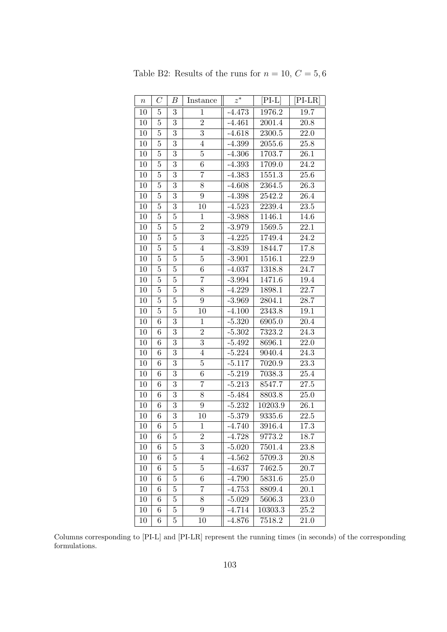| $\, n$ | $\,C$           | В              | Instance         | $z^\ast$ | $[PI-L]$ | $[PI-LR]$         |
|--------|-----------------|----------------|------------------|----------|----------|-------------------|
| 10     | 5               | 3              | $\mathbf 1$      | $-4.473$ | 1976.2   | 19.7              |
| 10     | $\overline{5}$  | 3              | $\overline{2}$   | $-4.461$ | 2001.4   | 20.8              |
| 10     | $\overline{5}$  | $\overline{3}$ | $\overline{3}$   | $-4.618$ | 2300.5   | 22.0              |
| 10     | $\overline{5}$  | 3              | $\overline{4}$   | $-4.399$ | 2055.6   | $25.8\,$          |
| 10     | $\overline{5}$  | 3              | 5                | $-4.306$ | 1703.7   | 26.1              |
| 10     | $\overline{5}$  | 3              | $\boldsymbol{6}$ | $-4.393$ | 1709.0   | 24.2              |
| 10     | $\overline{5}$  | 3              | $\overline{7}$   | $-4.383$ | 1551.3   | $25.6\,$          |
| 10     | $\overline{5}$  | 3              | 8                | $-4.608$ | 2364.5   | 26.3              |
| 10     | $\overline{5}$  | $\overline{3}$ | $\overline{9}$   | $-4.398$ | 2542.2   | 26.4              |
| 10     | $\overline{5}$  | 3              | 10               | $-4.523$ | 2239.4   | $23.5\,$          |
| 10     | $\overline{5}$  | $\overline{5}$ | 1                | $-3.988$ | 1146.1   | 14.6              |
| 10     | $\overline{5}$  | $\overline{5}$ | $\overline{2}$   | $-3.979$ | 1569.5   | 22.1              |
| 10     | $\overline{5}$  | $\overline{5}$ | $\overline{3}$   | $-4.225$ | 1749.4   | 24.2              |
| 10     | $\overline{5}$  | $\overline{5}$ | $\overline{4}$   | $-3.839$ | 1844.7   | 17.8              |
| 10     | $\overline{5}$  | $\overline{5}$ | $\overline{5}$   | $-3.901$ | 1516.1   | $\overline{22.9}$ |
| 10     | $\overline{5}$  | $\overline{5}$ | 6                | $-4.037$ | 1318.8   | 24.7              |
| 10     | $\overline{5}$  | $\overline{5}$ | 7                | $-3.994$ | 1471.6   | 19.4              |
| 10     | $\overline{5}$  | $\overline{5}$ | 8                | $-4.229$ | 1898.1   | 22.7              |
| 10     | $\overline{5}$  | $\overline{5}$ | $\overline{9}$   | $-3.969$ | 2804.1   | 28.7              |
| 10     | $\overline{5}$  | $\overline{5}$ | 10               | $-4.100$ | 2343.8   | 19.1              |
| 10     | $\overline{6}$  | 3              | $\mathbf 1$      | $-5.320$ | 6905.0   | 20.4              |
| 10     | $\sqrt{6}$      | 3              | $\overline{2}$   | $-5.302$ | 7323.2   | 24.3              |
| 10     | $6\phantom{.}6$ | 3              | $\overline{3}$   | $-5.492$ | 8696.1   | 22.0              |
| $10\,$ | $\overline{6}$  | 3              | $\overline{4}$   | $-5.224$ | 9040.4   | 24.3              |
| 10     | 6               | $\overline{3}$ | $\overline{5}$   | $-5.117$ | 7020.9   | 23.3              |
| 10     | $\sqrt{6}$      | 3              | $\!6\,$          | $-5.219$ | 7038.3   | 25.4              |
| 10     | $\overline{6}$  | $\overline{3}$ | 7                | $-5.213$ | 8547.7   | $27.5\,$          |
| 10     | $6\phantom{.}6$ | 3              | 8                | $-5.484$ | 8803.8   | 25.0              |
| 10     | $6\phantom{.}6$ | 3              | $9\phantom{.}$   | $-5.232$ | 10203.9  | 26.1              |
| 10     | $6\phantom{.}6$ | 3              | 10               | $-5.379$ | 9335.6   | $22.5\,$          |
| 10     | 6               | $\overline{5}$ | 1                | $-4.740$ | 3916.4   | 17.3              |
| 10     | 6               | 5              | $\overline{2}$   | $-4.728$ | 9773.2   | 18.7              |
| 10     | 6               | 5              | $\overline{3}$   | $-5.020$ | 7501.4   | 23.8              |
| 10     | 6               | 5              | $\overline{4}$   | $-4.562$ | 5709.3   | 20.8              |
| 10     | 6               | 5              | $\bf 5$          | $-4.637$ | 7462.5   | 20.7              |
| 10     | 6               | 5              | 6                | $-4.790$ | 5831.6   | 25.0              |
| 10     | 6               | $\overline{5}$ | 7                | $-4.753$ | 8809.4   | 20.1              |
| 10     | 6               | 5              | 8                | $-5.029$ | 5606.3   | 23.0              |
| 10     | 6               | 5              | 9                | $-4.714$ | 10303.3  | 25.2              |
| 10     | 6               | 5              | 10               | $-4.876$ | 7518.2   | 21.0              |

Table B2: Results of the runs for  $n=10,\,C=5,6$ 

Columns corresponding to [PI-L] and [PI-LR] represent the running times (in seconds) of the corresponding formulations.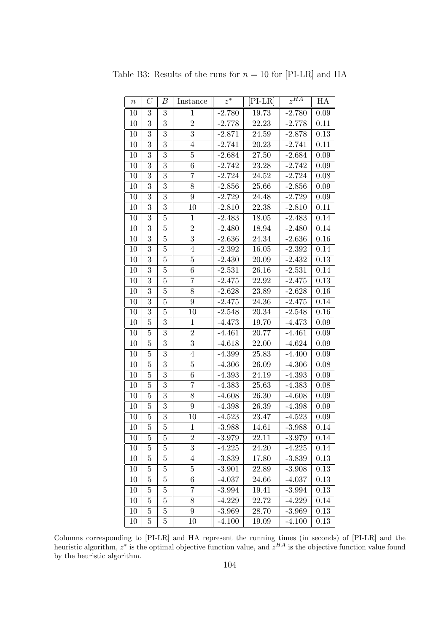| $\, n$ | $\mathcal{C}$  | $\boldsymbol{B}$ | Instance         | $z^\ast$ | $[PI-LR]$ | $z^{HA}$ | HA       |
|--------|----------------|------------------|------------------|----------|-----------|----------|----------|
| 10     | 3              | 3                | $\mathbf{1}$     | $-2.780$ | 19.73     | $-2.780$ | 0.09     |
| 10     | 3              | $\overline{3}$   | $\overline{2}$   | $-2.778$ | 22.23     | $-2.778$ | 0.11     |
| 10     | 3              | $\overline{3}$   | $\overline{3}$   | $-2.871$ | 24.59     | $-2.878$ | 0.13     |
| 10     | 3              | 3                | $\overline{4}$   | $-2.741$ | 20.23     | $-2.741$ | 0.11     |
| $10\,$ | 3              | $\overline{3}$   | $\overline{5}$   | $-2.684$ | 27.50     | $-2.684$ | 0.09     |
| 10     | 3              | $\overline{3}$   | $\,6$            | $-2.742$ | 23.28     | $-2.742$ | $0.09\,$ |
| 10     | 3              | $\overline{3}$   | 7                | $-2.724$ | 24.52     | $-2.724$ | 0.08     |
| 10     | 3              | $\overline{3}$   | 8                | $-2.856$ | 25.66     | $-2.856$ | $0.09\,$ |
| 10     | 3              | 3                | $9\,$            | $-2.729$ | 24.48     | $-2.729$ | 0.09     |
| 10     | 3              | $\overline{3}$   | 10               | $-2.810$ | 22.38     | $-2.810$ | 0.11     |
| $10\,$ | 3              | $\overline{5}$   | $\mathbf{1}$     | $-2.483$ | 18.05     | $-2.483$ | 0.14     |
| 10     | 3              | $\overline{5}$   | $\overline{2}$   | $-2.480$ | 18.94     | $-2.480$ | 0.14     |
| 10     | 3              | $\overline{5}$   | $\overline{3}$   | $-2.636$ | 24.34     | $-2.636$ | 0.16     |
| 10     | 3              | $\overline{5}$   | $\overline{4}$   | $-2.392$ | 16.05     | $-2.392$ | 0.14     |
| 10     | 3              | $\overline{5}$   | $\overline{5}$   | $-2.430$ | 20.09     | $-2.432$ | $0.13\,$ |
| 10     | 3              | $\bf 5$          | 6                | $-2.531$ | 26.16     | $-2.531$ | 0.14     |
| $10\,$ | 3              | $\overline{5}$   | $\overline{7}$   | $-2.475$ | 22.92     | $-2.475$ | $0.13\,$ |
| 10     | 3              | $\overline{5}$   | 8                | $-2.628$ | 23.89     | $-2.628$ | $0.16\,$ |
| 10     | 3              | $\overline{5}$   | $9\phantom{.}$   | $-2.475$ | 24.36     | $-2.475$ | 0.14     |
| 10     | 3              | $\overline{5}$   | 10               | $-2.548$ | 20.34     | $-2.548$ | 0.16     |
| 10     | $\overline{5}$ | $\overline{3}$   | $\mathbf{1}$     | $-4.473$ | 19.70     | $-4.473$ | $0.09\,$ |
| 10     | $\overline{5}$ | $\overline{3}$   | $\boldsymbol{2}$ | $-4.461$ | 20.77     | $-4.461$ | 0.09     |
| 10     | $\overline{5}$ | $\overline{3}$   | $\overline{3}$   | $-4.618$ | 22.00     | $-4.624$ | $0.09\,$ |
| 10     | $\overline{5}$ | 3                | $\overline{4}$   | $-4.399$ | 25.83     | $-4.400$ | 0.09     |
| 10     | $\overline{5}$ | $\overline{3}$   | $\overline{5}$   | $-4.306$ | 26.09     | $-4.306$ | 0.08     |
| 10     | $\bf 5$        | 3                | $\,6$            | $-4.393$ | 24.19     | $-4.393$ | 0.09     |
| 10     | $\overline{5}$ | $\overline{3}$   | 7                | $-4.383$ | 25.63     | $-4.383$ | 0.08     |
| 10     | $\overline{5}$ | $\overline{3}$   | 8                | $-4.608$ | 26.30     | $-4.608$ | 0.09     |
| 10     | $\overline{5}$ | 3                | 9                | $-4.398$ | 26.39     | $-4.398$ | 0.09     |
| 10     | $\overline{5}$ | $\overline{3}$   | 10               | $-4.523$ | 23.47     | $-4.523$ | 0.09     |
| 10     | $\overline{5}$ | $\overline{5}$   | $\mathbf{1}$     | $-3.988$ | 14.61     | $-3.988$ | 0.14     |
| 10     | 5              | 5                | $\overline{2}$   | $-3.979$ | 22.11     | $-3.979$ | 0.14     |
| 10     | $\overline{5}$ | $\overline{5}$   | 3                | $-4.225$ | 24.20     | $-4.225$ | 0.14     |
| 10     | $\overline{5}$ | $\overline{5}$   | $\overline{4}$   | $-3.839$ | 17.80     | $-3.839$ | 0.13     |
| 10     | $\overline{5}$ | $\overline{5}$   | 5                | $-3.901$ | 22.89     | $-3.908$ | 0.13     |
| 10     | $\overline{5}$ | $\overline{5}$   | 6                | $-4.037$ | 24.66     | $-4.037$ | 0.13     |
| 10     | 5              | 5                | 7                | $-3.994$ | 19.41     | $-3.994$ | 0.13     |
| 10     | 5              | $\overline{5}$   | 8                | $-4.229$ | 22.72     | $-4.229$ | 0.14     |
| 10     | $\overline{5}$ | $\overline{5}$   | 9                | $-3.969$ | 28.70     | $-3.969$ | 0.13     |
| 10     | $\mathbf 5$    | $\overline{5}$   | 10               | $-4.100$ | 19.09     | $-4.100$ | 0.13     |

Table B3: Results of the runs for  $n = 10$  for [PI-LR] and HA

Columns corresponding to [PI-LR] and HA represent the running times (in seconds) of [PI-LR] and the heuristic algorithm,  $z^*$  is the optimal objective function value, and  $z^{HA}$  is the objective function value found by the heuristic algorithm.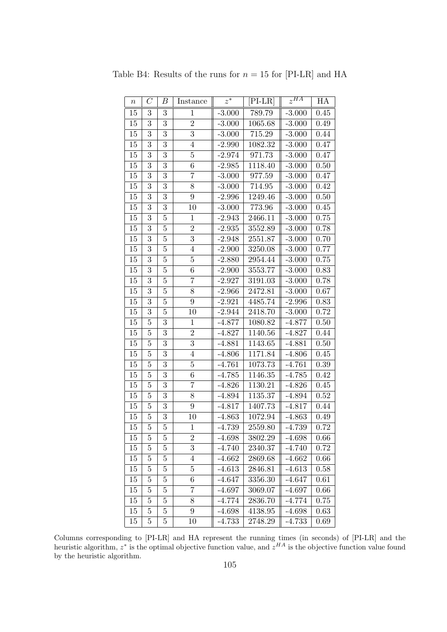| $\, n$ | $\mathcal{C}_{0}^{(n)}$ | В                | Instance         | $\overline{z^*}$ | $[PI-LR]$ | $z^{HA}$ | НA       |
|--------|-------------------------|------------------|------------------|------------------|-----------|----------|----------|
| 15     | 3                       | $\boldsymbol{3}$ | $\mathbf{1}$     | $-3.000$         | 789.79    | $-3.000$ | 0.45     |
| 15     | 3                       | 3                | $\sqrt{2}$       | $-3.000$         | 1065.68   | $-3.000$ | 0.49     |
| 15     | 3                       | $\overline{3}$   | $\overline{3}$   | $-3.000$         | 715.29    | $-3.000$ | 0.44     |
| 15     | 3                       | 3                | $\overline{4}$   | $-2.990$         | 1082.32   | $-3.000$ | 0.47     |
| 15     | 3                       | 3                | $\overline{5}$   | $-2.974$         | 971.73    | $-3.000$ | 0.47     |
| 15     | 3                       | $\overline{3}$   | $\,6$            | $-2.985$         | 1118.40   | $-3.000$ | $0.50\,$ |
| 15     | $\overline{3}$          | 3                | $\overline{7}$   | $-3.000$         | 977.59    | $-3.000$ | 0.47     |
| 15     | 3                       | 3                | 8                | $-3.000$         | 714.95    | $-3.000$ | 0.42     |
| 15     | 3                       | 3                | $9\phantom{.0}$  | $-2.996$         | 1249.46   | $-3.000$ | 0.50     |
| 15     | 3                       | 3                | 10               | $-3.000$         | 773.96    | $-3.000$ | 0.45     |
| 15     | 3                       | $\overline{5}$   | $\mathbf{1}$     | $-2.943$         | 2466.11   | $-3.000$ | 0.75     |
| 15     | 3                       | $\overline{5}$   | $\sqrt{2}$       | $-2.935$         | 3552.89   | $-3.000$ | 0.78     |
| 15     | $\overline{3}$          | $\overline{5}$   | $\overline{3}$   | $-2.948$         | 2551.87   | $-3.000$ | 0.70     |
| 15     | 3                       | $\overline{5}$   | $\overline{4}$   | $-2.900$         | 3250.08   | $-3.000$ | 0.77     |
| 15     | $\overline{3}$          | $\overline{5}$   | $\overline{5}$   | $-2.880$         | 2954.44   | $-3.000$ | 0.75     |
| 15     | 3                       | $\overline{5}$   | $\,6$            | $-2.900$         | 3553.77   | $-3.000$ | 0.83     |
| 15     | 3                       | $\overline{5}$   | 7                | $-2.927$         | 3191.03   | $-3.000$ | 0.78     |
| $15\,$ | $\overline{3}$          | $\bf 5$          | 8                | $-2.966$         | 2472.81   | $-3.000$ | $0.67\,$ |
| 15     | 3                       | $\overline{5}$   | $9\phantom{.0}$  | $-2.921$         | 4485.74   | $-2.996$ | 0.83     |
| 15     | $\overline{3}$          | $\overline{5}$   | 10               | $-2.944$         | 2418.70   | $-3.000$ | 0.72     |
| $15\,$ | $\overline{5}$          | $\overline{3}$   | $\mathbf{1}$     | $-4.877$         | 1080.82   | $-4.877$ | 0.50     |
| 15     | $\overline{5}$          | 3                | $\sqrt{2}$       | $-4.827$         | 1140.56   | $-4.827$ | 0.44     |
| 15     | $\mathbf 5$             | 3                | $\overline{3}$   | $-4.881$         | 1143.65   | $-4.881$ | 0.50     |
| 15     | $\overline{5}$          | 3                | $\overline{4}$   | $-4.806$         | 1171.84   | $-4.806$ | 0.45     |
| 15     | $\overline{5}$          | $\overline{3}$   | 5                | $-4.761$         | 1073.73   | $-4.761$ | 0.39     |
| 15     | $\overline{5}$          | 3                | $\,6$            | $-4.785$         | 1146.35   | $-4.785$ | 0.42     |
| 15     | $\overline{5}$          | $\overline{3}$   | $\overline{7}$   | $-4.826$         | 1130.21   | $-4.826$ | 0.45     |
| 15     | $\overline{5}$          | $\overline{3}$   | 8                | $-4.894$         | 1135.37   | $-4.894$ | 0.52     |
| 15     | $\overline{5}$          | $\boldsymbol{3}$ | $\boldsymbol{9}$ | $-4.817$         | 1407.73   | $-4.817$ | 0.44     |
| 15     | $\overline{5}$          | $\overline{3}$   | 10               | $-4.863$         | 1072.94   | $-4.863$ | 0.49     |
| 15     | $\overline{5}$          | $\overline{5}$   | $\mathbf{1}$     | $-4.739$         | 2559.80   | $-4.739$ | 0.72     |
| 15     | $\overline{5}$          | $\overline{5}$   | $\boldsymbol{2}$ | $-4.698$         | 3802.29   | $-4.698$ | 0.66     |
| $15\,$ | $\overline{5}$          | 5                | 3                | $-4.740$         | 2340.37   | $-4.740$ | 0.72     |
| 15     | $\overline{5}$          | $\overline{5}$   | 4                | $-4.662$         | 2869.68   | $-4.662$ | 0.66     |
| 15     | $\overline{5}$          | $\overline{5}$   | 5                | $-4.613$         | 2846.81   | $-4.613$ | 0.58     |
| 15     | $\overline{5}$          | $\overline{5}$   | 6                | $-4.647$         | 3356.30   | $-4.647$ | 0.61     |
| 15     | $\bf 5$                 | $\overline{5}$   | 7                | $-4.697$         | 3069.07   | -4.697   | 0.66     |
| 15     | $\overline{5}$          | $\overline{5}$   | 8                | $-4.774$         | 2836.70   | $-4.774$ | 0.75     |
| 15     | 5                       | 5                | 9                | $-4.698$         | 4138.95   | $-4.698$ | 0.63     |
| 15     | $\mathbf 5$             | 5                | 10               | $-4.733$         | 2748.29   | $-4.733$ | 0.69     |

Table B4: Results of the runs for  $n = 15$  for [PI-LR] and HA

Columns corresponding to [PI-LR] and HA represent the running times (in seconds) of [PI-LR] and the heuristic algorithm,  $z^*$  is the optimal objective function value, and  $z^{HA}$  is the objective function value found by the heuristic algorithm.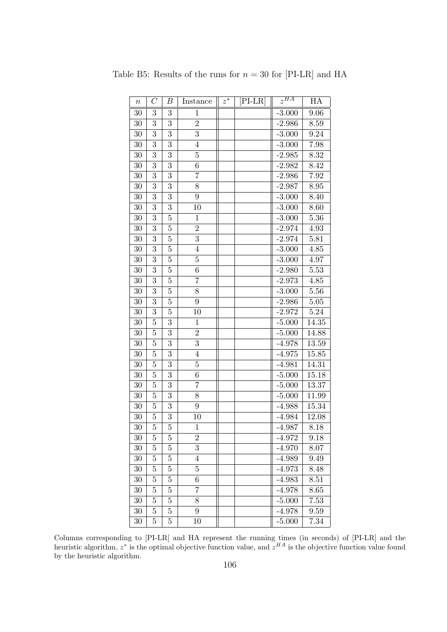| $\, n$          | $\overline{C}$ | В              | Instance       | $z^{\bar{*}}$ | $[PI-LR]$ | $z^{\overline{HA}}$ | НA                 |
|-----------------|----------------|----------------|----------------|---------------|-----------|---------------------|--------------------|
| 30              | 3              | 3              | 1              |               |           | $-3.000$            | 9.06               |
| 30              | $\overline{3}$ | $\overline{3}$ | $\overline{2}$ |               |           | $-2.986$            | 8.59               |
| 30              | 3              | 3              | $\overline{3}$ |               |           | $-3.000$            | 9.24               |
| 30              | 3              | 3              | $\overline{4}$ |               |           | $-3.000$            | 7.98               |
| 30              | 3              | 3              | $\overline{5}$ |               |           | $-2.985$            | 8.32               |
| 30              | 3              | 3              | 6              |               |           | $-2.982$            | 8.42               |
| 30              | 3              | 3              | $\overline{7}$ |               |           | $-2.986$            | $7.92\,$           |
| 30              | 3              | 3              | 8              |               |           | $-2.987$            | 8.95               |
| 30              | 3              | 3              | 9              |               |           | $-3.000$            | 8.40               |
| 30              | $\overline{3}$ | $\overline{3}$ | 10             |               |           | $-3.000$            | 8.60               |
| 30              | 3              | $\overline{5}$ | $\mathbf{1}$   |               |           | $-3.000$            | $5.36\,$           |
| $30\,$          | 3              | $\overline{5}$ | $\overline{2}$ |               |           | $-2.974$            | 4.93               |
| 30              | 3              | $\overline{5}$ | 3              |               |           | $-2.974$            | $5.81\,$           |
| 30              | 3              | $\overline{5}$ | $\overline{4}$ |               |           | $-3.000$            | 4.85               |
| 30              | 3              | $\overline{5}$ | $\overline{5}$ |               |           | $-3.000$            | 4.97               |
| 30              | $\overline{3}$ | $\overline{5}$ | $\overline{6}$ |               |           | $-2.980$            | 5.53               |
| 30              | 3              | $\overline{5}$ | $\overline{7}$ |               |           | $-2.973$            | 4.85               |
| 30              | 3              | $\overline{5}$ | 8              |               |           | $-3.000$            | 5.56               |
| 30              | 3              | $\overline{5}$ | 9              |               |           | $-2.986$            | $5.05\,$           |
| 30              | $\overline{3}$ | $\overline{5}$ | 10             |               |           | $-2.972$            | 5.24               |
| 30              | $\overline{5}$ | 3              | $\mathbf{1}$   |               |           | $-5.000$            | 14.35              |
| 30              | $\overline{5}$ | $\overline{3}$ | $\overline{2}$ |               |           | $-5.000$            | 14.88              |
| 30              | $\overline{5}$ | 3              | 3              |               |           | $-4.978$            | 13.59              |
| 30              | $\overline{5}$ | 3              | $\overline{4}$ |               |           | $-4.975$            | 15.85              |
| $\overline{30}$ | $\overline{5}$ | $\overline{3}$ | $\overline{5}$ |               |           | $-4.981$            | $14.\overline{31}$ |
| 30              | $\overline{5}$ | 3              | 6              |               |           | $-5.000$            | 15.18              |
| 30              | $\overline{5}$ | 3              | $\overline{7}$ |               |           | $-5.000$            | 13.37              |
| 30              | $\overline{5}$ | 3              | 8              |               |           | $-5.000$            | 11.99              |
| 30              | $\overline{5}$ | 3              | 9              |               |           | $-4.988$            | 15.34              |
| 30              | $\overline{5}$ | 3              | 10             |               |           | $-4.984$            | 12.08              |
| 30              | $\overline{5}$ | $\overline{5}$ | $\mathbf{1}$   |               |           | $-4.987$            | 8.18               |
| 30              | 5              | 5              | $\overline{2}$ |               |           | $-4.972$            | 9.18               |
| 30              | $\overline{5}$ | 5              | 3              |               |           | $-4.970$            | 8.07               |
| 30              | $\overline{5}$ | $\overline{5}$ | $\overline{4}$ |               |           | $-4.989$            | 9.49               |
| 30              | 5              | 5              | $\overline{5}$ |               |           | $-4.973$            | 8.48               |
| 30              | $\overline{5}$ | 5              | 6              |               |           | $-4.983$            | 8.51               |
| 30              | $\overline{5}$ | $\overline{5}$ | $\overline{7}$ |               |           | $-4.978$            | 8.65               |
| 30              | $\overline{5}$ | 5              | 8              |               |           | $-5.000$            | 7.53               |
| 30              | $\overline{5}$ | $\overline{5}$ | 9              |               |           | $-4.978$            | 9.59               |
| $30\,$          | $\overline{5}$ | $\overline{5}$ | 10             |               |           | $-5.000$            | 7.34               |

Table B5: Results of the runs for  $n = 30$  for [PI-LR] and HA

Columns corresponding to [PI-LR] and HA represent the running times (in seconds) of [PI-LR] and the heuristic algorithm,  $z^*$  is the optimal objective function value, and  $z^{HA}$  is the objective function value found by the heuristic algorithm.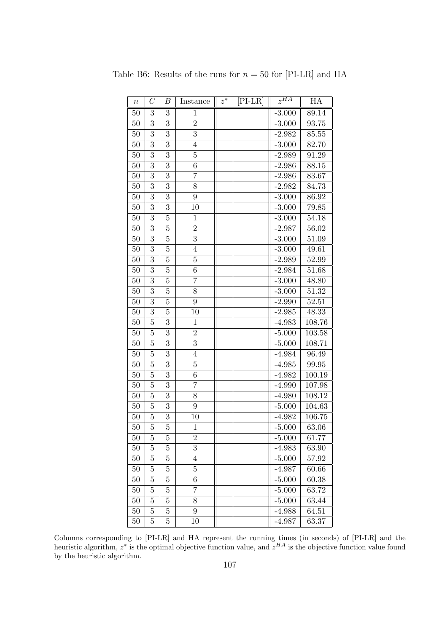| $\it n$ | $\mathcal{C}% _{M_{1},M_{2}}^{\alpha,\beta}(\varepsilon)$ | В              | Instance        | $z^\ast$ | [PI-LR] | $z^{HA}$ | HA     |
|---------|-----------------------------------------------------------|----------------|-----------------|----------|---------|----------|--------|
| 50      | 3                                                         | 3              | $\mathbf{1}$    |          |         | $-3.000$ | 89.14  |
| 50      | 3                                                         | 3              | $\overline{2}$  |          |         | $-3.000$ | 93.75  |
| 50      | 3                                                         | 3              | 3               |          |         | $-2.982$ | 85.55  |
| 50      | 3                                                         | $\overline{3}$ | $\overline{4}$  |          |         | $-3.000$ | 82.70  |
| 50      | 3                                                         | 3              | $\overline{5}$  |          |         | $-2.989$ | 91.29  |
| 50      | 3                                                         | $\overline{3}$ | $\overline{6}$  |          |         | $-2.986$ | 88.15  |
| 50      | 3                                                         | $\overline{3}$ | $\overline{7}$  |          |         | $-2.986$ | 83.67  |
| 50      | 3                                                         | 3              | 8               |          |         | $-2.982$ | 84.73  |
| 50      | 3                                                         | $\overline{3}$ | 9               |          |         | $-3.000$ | 86.92  |
| 50      | 3                                                         | $\overline{3}$ | 10              |          |         | $-3.000$ | 79.85  |
| 50      | 3                                                         | $\overline{5}$ | 1               |          |         | $-3.000$ | 54.18  |
| 50      | 3                                                         | $\overline{5}$ | $\overline{2}$  |          |         | $-2.987$ | 56.02  |
| 50      | 3                                                         | $\overline{5}$ | $\overline{3}$  |          |         | $-3.000$ | 51.09  |
| 50      | 3                                                         | $\overline{5}$ | $\overline{4}$  |          |         | $-3.000$ | 49.61  |
| 50      | 3                                                         | $\overline{5}$ | $\overline{5}$  |          |         | $-2.989$ | 52.99  |
| 50      | $\overline{3}$                                            | $\overline{5}$ | $\overline{6}$  |          |         | $-2.984$ | 51.68  |
| 50      | 3                                                         | $\overline{5}$ | 7               |          |         | $-3.000$ | 48.80  |
| 50      | 3                                                         | $\overline{5}$ | 8               |          |         | $-3.000$ | 51.32  |
| 50      | 3                                                         | $\overline{5}$ | 9               |          |         | $-2.990$ | 52.51  |
| 50      | $\overline{3}$                                            | $\overline{5}$ | 10              |          |         | $-2.985$ | 48.33  |
| 50      | $\overline{5}$                                            | 3              | $\mathbf{1}$    |          |         | $-4.983$ | 108.76 |
| 50      | $\overline{5}$                                            | 3              | $\overline{2}$  |          |         | $-5.000$ | 103.58 |
| 50      | $\overline{5}$                                            | 3              | 3               |          |         | $-5.000$ | 108.71 |
| $50\,$  | 5                                                         | 3              | $\overline{4}$  |          |         | $-4.984$ | 96.49  |
| 50      | $\overline{5}$                                            | $\overline{3}$ | $\overline{5}$  |          |         | $-4.985$ | 99.95  |
| 50      | $\overline{5}$                                            | 3              | $\sqrt{6}$      |          |         | $-4.982$ | 100.19 |
| 50      | 5                                                         | 3              | 7               |          |         | $-4.990$ | 107.98 |
| 50      | $\overline{5}$                                            | 3              | 8               |          |         | $-4.980$ | 108.12 |
| 50      | $\overline{5}$                                            | 3              | $9\phantom{.0}$ |          |         | $-5.000$ | 104.63 |
| 50      | 5                                                         | 3              | 10              |          |         | $-4.982$ | 106.75 |
| 50      | $\overline{5}$                                            | $\overline{5}$ | $\mathbf{1}$    |          |         | $-5.000$ | 63.06  |
| 50      | 5                                                         | 5              | $\overline{2}$  |          |         | $-5.000$ | 61.77  |
| 50      | 5                                                         | 5              | 3               |          |         | $-4.983$ | 63.90  |
| 50      | $\overline{5}$                                            | $\overline{5}$ | $\overline{4}$  |          |         | $-5.000$ | 57.92  |
| 50      | $\overline{5}$                                            | 5              | 5               |          |         | $-4.987$ | 60.66  |
| 50      | $\overline{5}$                                            | 5              | $\,6$           |          |         | $-5.000$ | 60.38  |
| 50      | $\overline{5}$                                            | $\overline{5}$ | 7               |          |         | $-5.000$ | 63.72  |
| 50      | 5                                                         | 5              | 8               |          |         | $-5.000$ | 63.44  |
| 50      | 5                                                         | 5              | 9               |          |         | $-4.988$ | 64.51  |
| $50\,$  | $\overline{5}$                                            | $\overline{5}$ | 10              |          |         | $-4.987$ | 63.37  |

Table B6: Results of the runs for  $n = 50$  for [PI-LR] and HA

Columns corresponding to [PI-LR] and HA represent the running times (in seconds) of [PI-LR] and the heuristic algorithm,  $z^*$  is the optimal objective function value, and  $z^{HA}$  is the objective function value found by the heuristic algorithm.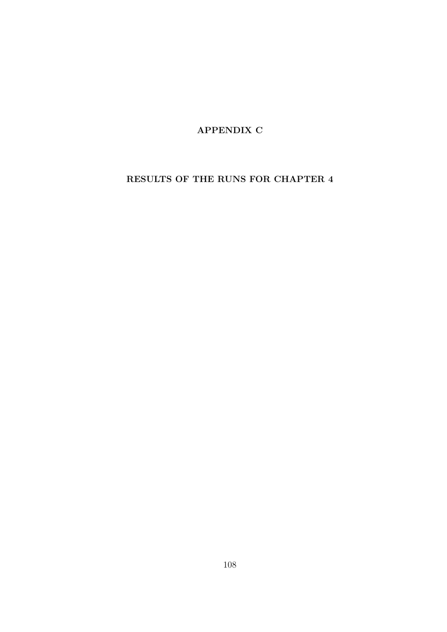APPENDIX C

## RESULTS OF THE RUNS FOR CHAPTER 4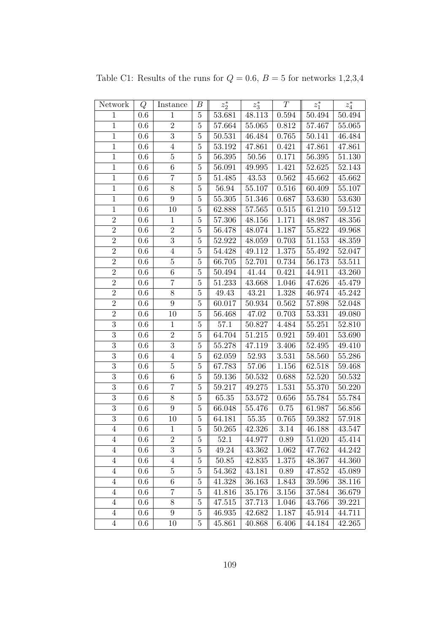| Network        | Q       | Instance         | $\boldsymbol{B}$ | $z_2^\ast$ | $z_3^*$   | $\boldsymbol{T}$ | $z_1^\ast$ | $z_4^\ast$ |
|----------------|---------|------------------|------------------|------------|-----------|------------------|------------|------------|
| $\mathbf{1}$   | $0.6\,$ | $\mathbf{1}$     | $\bf 5$          | 53.681     | 48.113    | 0.594            | 50.494     | 50.494     |
| $\mathbf{1}$   | 0.6     | $\sqrt{2}$       | $\overline{5}$   | 57.664     | 55.065    | 0.812            | 57.467     | 55.065     |
| $1\,$          | 0.6     | $\overline{3}$   | $5\,$            | 50.531     | 46.484    | 0.765            | 50.141     | 46.484     |
| $\mathbf{1}$   | 0.6     | $\overline{4}$   | $\bf 5$          | 53.192     | 47.861    | 0.421            | 47.861     | 47.861     |
| $\,1$          | 0.6     | $\overline{5}$   | $\overline{5}$   | 56.395     | 50.56     | 0.171            | 56.395     | 51.130     |
| $\mathbf{1}$   | $0.6\,$ | $\,6$            | $\bf 5$          | 56.091     | 49.995    | 1.421            | 52.625     | 52.143     |
| $\mathbf{1}$   | $0.6\,$ | $\overline{7}$   | $\bf 5$          | 51.485     | 43.53     | 0.562            | 45.662     | 45.662     |
| $\mathbf 1$    | 0.6     | 8                | $\overline{5}$   | 56.94      | 55.107    | 0.516            | 60.409     | 55.107     |
| $1\,$          | 0.6     | $\boldsymbol{9}$ | $\bf 5$          | 55.305     | 51.346    | 0.687            | 53.630     | 53.630     |
| $\overline{1}$ | 0.6     | 10               | $\overline{5}$   | 62.888     | 57.565    | 0.515            | 61.210     | 59.512     |
| $\overline{2}$ | 0.6     | $\,1$            | $\overline{5}$   | 57.306     | 48.156    | 1.171            | 48.987     | 48.356     |
| $\overline{2}$ | 0.6     | $\overline{2}$   | $\bf 5$          | 56.478     | 48.074    | 1.187            | 55.822     | 49.968     |
| $\sqrt{2}$     | $0.6\,$ | 3                | $\bf 5$          | 52.922     | 48.059    | 0.703            | $51.153\,$ | 48.359     |
| $\overline{2}$ | 0.6     | $\overline{4}$   | $\bf 5$          | 54.428     | 49.112    | 1.375            | 55.492     | 52.047     |
| $\overline{2}$ | 0.6     | $\bf 5$          | $\overline{5}$   | 66.705     | 52.701    | 0.734            | 56.173     | 53.511     |
| $\overline{2}$ | 0.6     | $\boldsymbol{6}$ | $\bf 5$          | 50.494     | 41.44     | 0.421            | 44.911     | 43.260     |
| $\overline{2}$ | 0.6     | $\overline{7}$   | $\bf 5$          | 51.233     | 43.668    | 1.046            | 47.626     | 45.479     |
| $\sqrt{2}$     | 0.6     | $8\,$            | $\bf 5$          | 49.43      | 43.21     | 1.328            | 46.974     | 45.242     |
| $\overline{2}$ | 0.6     | $\boldsymbol{9}$ | $\bf 5$          | 60.017     | 50.934    | 0.562            | 57.898     | 52.048     |
| $\overline{2}$ | 0.6     | 10               | $\bf 5$          | 56.468     | 47.02     | 0.703            | 53.331     | 49.080     |
| $\overline{3}$ | 0.6     | $\mathbf{1}$     | $\bf 5$          | 57.1       | 50.827    | 4.484            | 55.251     | 52.810     |
| $\overline{3}$ | 0.6     | $\overline{2}$   | $\bf 5$          | 64.704     | 51.215    | 0.921            | 59.401     | 53.690     |
| $\overline{3}$ | 0.6     | $\overline{3}$   | $\bf 5$          | 55.278     | 47.119    | 3.406            | 52.495     | 49.410     |
| $\overline{3}$ | 0.6     | $\overline{4}$   | $\bf 5$          | 62.059     | 52.93     | 3.531            | 58.560     | 55.286     |
| $\overline{3}$ | 0.6     | $\overline{5}$   | $\bf 5$          | 67.783     | $57.06\,$ | $1.156\,$        | 62.518     | 59.468     |
| $\overline{3}$ | 0.6     | $\,6\,$          | $\bf 5$          | $59.136\,$ | 50.532    | 0.688            | 52.520     | 50.532     |
| $\overline{3}$ | 0.6     | $\overline{7}$   | $\bf 5$          | 59.217     | 49.275    | 1.531            | 55.370     | 50.220     |
| $\overline{3}$ | 0.6     | 8                | $\bf 5$          | 65.35      | 53.572    | 0.656            | 55.784     | 55.784     |
| $\overline{3}$ | 0.6     | $\boldsymbol{9}$ | $\bf 5$          | 66.048     | 55.476    | 0.75             | 61.987     | 56.856     |
| $\overline{3}$ | 0.6     | 10               | $\bf 5$          | 64.181     | $55.35\,$ | 0.765            | 59.382     | 57.918     |
| $\overline{4}$ | 0.6     | $\mathbf{1}$     | $\bf 5$          | 50.265     | 42.326    | 3.14             | 46.188     | 43.547     |
| 4              | $0.6\,$ | $\boldsymbol{2}$ | 5                | 52.1       | 44.977    | 0.89             | 51.020     | 45.414     |
| $\overline{4}$ | $0.6\,$ | $\overline{3}$   | $\bf 5$          | 49.24      | 43.362    | 1.062            | 47.762     | 44.242     |
| $\overline{4}$ | 0.6     | $\overline{4}$   | $\overline{5}$   | 50.85      | 42.835    | 1.375            | 48.367     | 44.360     |
| $\overline{4}$ | 0.6     | $\bf 5$          | $\bf 5$          | 54.362     | 43.181    | 0.89             | 47.852     | 45.089     |
| $\overline{4}$ | $0.6\,$ | 6                | $\bf 5$          | 41.328     | 36.163    | 1.843            | 39.596     | 38.116     |
| $\overline{4}$ | $0.6\,$ | 7                | $5\,$            | 41.816     | 35.176    | 3.156            | 37.584     | 36.679     |
| $\overline{4}$ | 0.6     | 8                | $\bf 5$          | 47.515     | 37.713    | 1.046            | 43.766     | 39.221     |
| $\overline{4}$ | $0.6\,$ | $\boldsymbol{9}$ | $\overline{5}$   | 46.935     | 42.682    | 1.187            | 45.914     | 44.711     |
| $\overline{4}$ | 0.6     | 10               | $\overline{5}$   | 45.861     | 40.868    | 6.406            | 44.184     | 42.265     |

Table C1: Results of the runs for  $Q = 0.6$ ,  $B = 5$  for networks 1,2,3,4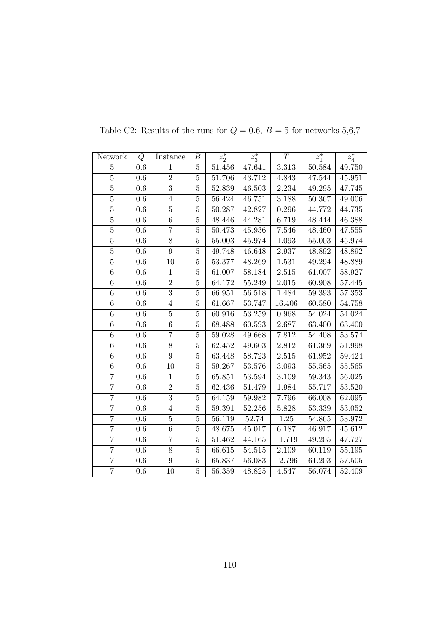| Network        | Q       | Instance       | В              | $z_2^*$ | $z_3^*$ | T         | $z_1^*$    | $z_4^\ast$ |
|----------------|---------|----------------|----------------|---------|---------|-----------|------------|------------|
| $\overline{5}$ | 0.6     | 1              | $\bf 5$        | 51.456  | 47.641  | 3.313     | 50.584     | 49.750     |
| $\overline{5}$ | 0.6     | $\overline{2}$ | $\bf 5$        | 51.706  | 43.712  | 4.843     | 47.544     | 45.951     |
| $\overline{5}$ | 0.6     | $\overline{3}$ | $\overline{5}$ | 52.839  | 46.503  | 2.234     | 49.295     | 47.745     |
| $\overline{5}$ | 0.6     | $\overline{4}$ | $\bf 5$        | 56.424  | 46.751  | 3.188     | 50.367     | 49.006     |
| $\overline{5}$ | 0.6     | $\overline{5}$ | $\overline{5}$ | 50.287  | 42.827  | 0.296     | 44.772     | 44.735     |
| $\bf 5$        | 0.6     | 6              | $\overline{5}$ | 48.446  | 44.281  | 6.719     | 48.444     | 46.388     |
| $\overline{5}$ | 0.6     | $\overline{7}$ | $\bf 5$        | 50.473  | 45.936  | 7.546     | 48.460     | 47.555     |
| $\overline{5}$ | 0.6     | 8              | $\bf 5$        | 55.003  | 45.974  | 1.093     | 55.003     | 45.974     |
| $\overline{5}$ | 0.6     | $\overline{9}$ | $\overline{5}$ | 49.748  | 46.648  | 2.937     | 48.892     | 48.892     |
| $\overline{5}$ | 0.6     | 10             | $\bf 5$        | 53.377  | 48.269  | 1.531     | 49.294     | 48.889     |
| 6              | 0.6     | $\mathbf{1}$   | $\overline{5}$ | 61.007  | 58.184  | $2.515\,$ | 61.007     | 58.927     |
| $\overline{6}$ | $0.6\,$ | $\overline{2}$ | $\overline{5}$ | 64.172  | 55.249  | 2.015     | 60.908     | 57.445     |
| $\,6$          | $0.6\,$ | $\overline{3}$ | $\bf 5$        | 66.951  | 56.518  | 1.484     | 59.393     | 57.353     |
| $\overline{6}$ | 0.6     | $\overline{4}$ | $\bf 5$        | 61.667  | 53.747  | 16.406    | 60.580     | 54.758     |
| 6              | 0.6     | $\bf 5$        | $\bf 5$        | 60.916  | 53.259  | 0.968     | 54.024     | 54.024     |
| 6              | 0.6     | 6              | $\bf 5$        | 68.488  | 60.593  | 2.687     | 63.400     | 63.400     |
| $\overline{6}$ | 0.6     | $\overline{7}$ | $\overline{5}$ | 59.028  | 49.668  | 7.812     | 54.408     | 53.574     |
| 6              | 0.6     | $\overline{8}$ | $\overline{5}$ | 62.452  | 49.603  | 2.812     | 61.369     | 51.998     |
| $\overline{6}$ | 0.6     | $9\phantom{.}$ | $\bf 5$        | 63.448  | 58.723  | $2.515\,$ | $61.952\,$ | 59.424     |
| $\overline{6}$ | 0.6     | 10             | $\overline{5}$ | 59.267  | 53.576  | 3.093     | 55.565     | $55.565\,$ |
| $\overline{7}$ | $0.6\,$ | $\mathbf{1}$   | $\bf 5$        | 65.851  | 53.594  | 3.109     | 59.343     | 56.025     |
| $\overline{7}$ | 0.6     | $\overline{2}$ | $\bf 5$        | 62.436  | 51.479  | 1.984     | 55.717     | 53.520     |
| $\overline{7}$ | 0.6     | $\overline{3}$ | $\bf 5$        | 64.159  | 59.982  | 7.796     | 66.008     | 62.095     |
| $\overline{7}$ | $0.6\,$ | $\overline{4}$ | $\bf 5$        | 59.391  | 52.256  | 5.828     | 53.339     | 53.052     |
| $\overline{7}$ | 0.6     | $\overline{5}$ | $\overline{5}$ | 56.119  | 52.74   | $1.25\,$  | 54.865     | 53.972     |
| $\overline{7}$ | 0.6     | $\overline{6}$ | $\bf 5$        | 48.675  | 45.017  | 6.187     | 46.917     | 45.612     |
| $\overline{7}$ | 0.6     | $\overline{7}$ | $\bf 5$        | 51.462  | 44.165  | 11.719    | 49.205     | 47.727     |
| $\overline{7}$ | 0.6     | 8              | $\bf 5$        | 66.615  | 54.515  | 2.109     | 60.119     | 55.195     |
| $\overline{7}$ | 0.6     | 9              | $\bf 5$        | 65.837  | 56.083  | 12.796    | 61.203     | 57.505     |
| $\overline{7}$ | 0.6     | 10             | $\overline{5}$ | 56.359  | 48.825  | 4.547     | 56.074     | 52.409     |

Table C2: Results of the runs for  $Q=0.6,\,B=5$  for networks  $5,6,7$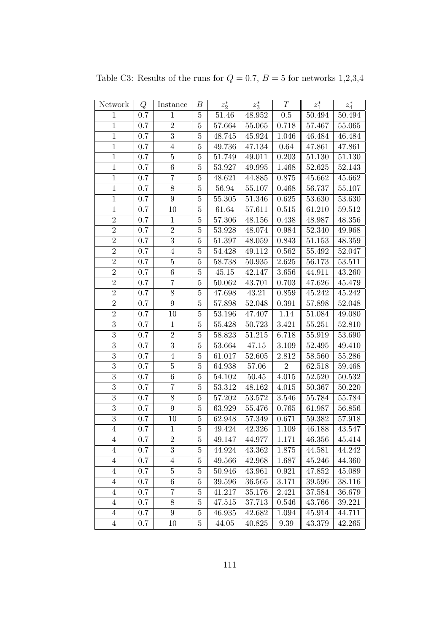| Network        | Q       | Instance         | В              | $z_2^\ast$ | $z_3^*$   | T          | $z_1^\ast$ | $z_4^\ast$ |
|----------------|---------|------------------|----------------|------------|-----------|------------|------------|------------|
| $\mathbf{1}$   | 0.7     | $\mathbf{1}$     | $\bf 5$        | 51.46      | 48.952    | $0.5\,$    | 50.494     | 50.494     |
| $\mathbf{1}$   | 0.7     | $\sqrt{2}$       | $\bf 5$        | 57.664     | 55.065    | 0.718      | 57.467     | 55.065     |
| $1\,$          | 0.7     | 3                | $5\,$          | 48.745     | 45.924    | 1.046      | 46.484     | 46.484     |
| $\mathbf{1}$   | 0.7     | $\overline{4}$   | $\bf 5$        | 49.736     | 47.134    | 0.64       | 47.861     | 47.861     |
| $\,1$          | 0.7     | $\overline{5}$   | $\overline{5}$ | 51.749     | 49.011    | 0.203      | 51.130     | 51.130     |
| $\mathbf{1}$   | 0.7     | $\,6\,$          | $\bf 5$        | 53.927     | 49.995    | 1.468      | $52.625\,$ | 52.143     |
| $\mathbf{1}$   | 0.7     | $\overline{7}$   | $\bf 5$        | 48.621     | 44.885    | 0.875      | 45.662     | 45.662     |
| $\mathbf 1$    | 0.7     | 8                | $\overline{5}$ | 56.94      | 55.107    | 0.468      | 56.737     | 55.107     |
| $1\,$          | 0.7     | $\boldsymbol{9}$ | $\bf 5$        | 55.305     | 51.346    | 0.625      | 53.630     | 53.630     |
| $\overline{1}$ | 0.7     | 10               | $\overline{5}$ | 61.64      | 57.611    | 0.515      | 61.210     | 59.512     |
| $\sqrt{2}$     | 0.7     | $\,1$            | $\bf 5$        | 57.306     | 48.156    | 0.438      | 48.987     | 48.356     |
| $\overline{2}$ | $0.7\,$ | $\overline{2}$   | $\bf 5$        | 53.928     | 48.074    | 0.984      | 52.340     | 49.968     |
| $\sqrt{2}$     | 0.7     | 3                | $\bf 5$        | 51.397     | 48.059    | 0.843      | $51.153\,$ | 48.359     |
| $\overline{2}$ | 0.7     | $\,4\,$          | $\bf 5$        | 54.428     | 49.112    | 0.562      | 55.492     | 52.047     |
| $\overline{2}$ | 0.7     | $\bf 5$          | $\overline{5}$ | 58.738     | 50.935    | 2.625      | 56.173     | 53.511     |
| $\overline{2}$ | 0.7     | $\boldsymbol{6}$ | $\bf 5$        | 45.15      | 42.147    | 3.656      | 44.911     | 43.260     |
| $\overline{2}$ | 0.7     | $\overline{7}$   | $\bf 5$        | 50.062     | 43.701    | 0.703      | 47.626     | 45.479     |
| $\sqrt{2}$     | 0.7     | $8\,$            | $\overline{5}$ | 47.698     | 43.21     | 0.859      | 45.242     | 45.242     |
| $\overline{2}$ | 0.7     | $\boldsymbol{9}$ | $\bf 5$        | 57.898     | 52.048    | 0.391      | 57.898     | 52.048     |
| $\overline{2}$ | 0.7     | 10               | $\bf 5$        | 53.196     | 47.407    | 1.14       | 51.084     | 49.080     |
| $\overline{3}$ | 0.7     | $\mathbf{1}$     | $\overline{5}$ | 55.428     | 50.723    | 3.421      | 55.251     | 52.810     |
| $\overline{3}$ | 0.7     | $\overline{2}$   | $\bf 5$        | 58.823     | 51.215    | 6.718      | $55.919\,$ | 53.690     |
| $\overline{3}$ | 0.7     | $\overline{3}$   | $\bf 5$        | 53.664     | 47.15     | 3.109      | 52.495     | 49.410     |
| $\overline{3}$ | 0.7     | $\overline{4}$   | $\bf 5$        | 61.017     | 52.605    | $2.812\,$  | 58.560     | 55.286     |
| $\overline{3}$ | 0.7     | $\bf 5$          | $\bf 5$        | 64.938     | 57.06     | $\sqrt{2}$ | 62.518     | 59.468     |
| $\overline{3}$ | 0.7     | $\,6\,$          | $\bf 5$        | 54.102     | $50.45\,$ | $4.015\,$  | 52.520     | 50.532     |
| $\overline{3}$ | 0.7     | $\overline{7}$   | $\bf 5$        | 53.312     | 48.162    | 4.015      | 50.367     | 50.220     |
| $\overline{3}$ | 0.7     | 8                | $\bf 5$        | 57.202     | 53.572    | 3.546      | 55.784     | 55.784     |
| $\overline{3}$ | 0.7     | $\boldsymbol{9}$ | $\bf 5$        | 63.929     | 55.476    | 0.765      | 61.987     | 56.856     |
| $\overline{3}$ | 0.7     | 10               | $\bf 5$        | 62.948     | 57.349    | 0.671      | 59.382     | 57.918     |
| $\overline{4}$ | 0.7     | $\mathbf{1}$     | $\bf 5$        | 49.424     | 42.326    | 1.109      | 46.188     | 43.547     |
| 4              | 0.7     | $\boldsymbol{2}$ | $\overline{5}$ | 49.147     | 44.977    | 1.171      | 46.356     | 45.414     |
| $\overline{4}$ | 0.7     | $\overline{3}$   | $\bf 5$        | 44.924     | 43.362    | 1.875      | 44.581     | 44.242     |
| $\overline{4}$ | $0.7\,$ | $\overline{4}$   | $\overline{5}$ | 49.566     | 42.968    | 1.687      | 45.246     | 44.360     |
| $\overline{4}$ | 0.7     | $\bf 5$          | $\bf 5$        | 50.946     | 43.961    | 0.921      | 47.852     | 45.089     |
| $\overline{4}$ | 0.7     | 6                | $5\,$          | 39.596     | 36.565    | 3.171      | 39.596     | 38.116     |
| $\overline{4}$ | 0.7     | 7                | $5\,$          | 41.217     | 35.176    | 2.421      | 37.584     | 36.679     |
| $\overline{4}$ | 0.7     | 8                | $5\,$          | 47.515     | 37.713    | 0.546      | 43.766     | 39.221     |
| $\overline{4}$ | 0.7     | $9\phantom{.0}$  | $\overline{5}$ | 46.935     | 42.682    | 1.094      | 45.914     | 44.711     |
| $\overline{4}$ | $0.7\,$ | 10               | $\overline{5}$ | 44.05      | 40.825    | $9.39\,$   | 43.379     | 42.265     |

Table C3: Results of the runs for  $Q = 0.7$ ,  $B = 5$  for networks 1,2,3,4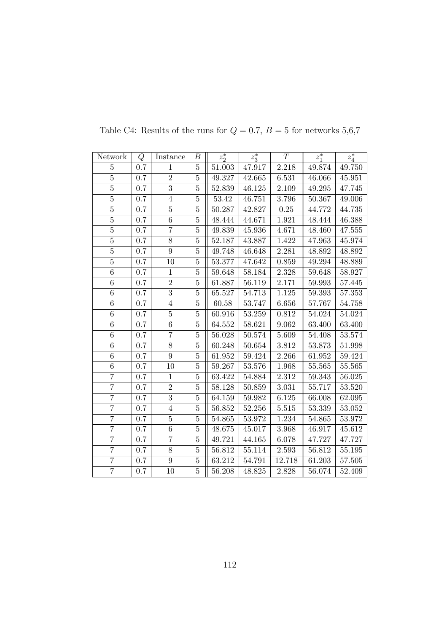| Network        | Q       | Instance       | В              | $z_2^*$ | $z_3^*$ | T      | $z_1^*$    | $z_4^\ast$ |
|----------------|---------|----------------|----------------|---------|---------|--------|------------|------------|
| 5              | 0.7     | $\mathbf{1}$   | $\overline{5}$ | 51.003  | 47.917  | 2.218  | 49.874     | 49.750     |
| $\overline{5}$ | $0.7\,$ | $\overline{2}$ | $\bf 5$        | 49.327  | 42.665  | 6.531  | 46.066     | 45.951     |
| $\overline{5}$ | 0.7     | $\overline{3}$ | $\bf 5$        | 52.839  | 46.125  | 2.109  | 49.295     | 47.745     |
| $\overline{5}$ | 0.7     | $\overline{4}$ | $\bf 5$        | 53.42   | 46.751  | 3.796  | 50.367     | 49.006     |
| $\overline{5}$ | 0.7     | $\overline{5}$ | $\bf 5$        | 50.287  | 42.827  | 0.25   | 44.772     | 44.735     |
| $\overline{5}$ | 0.7     | 6              | $\overline{5}$ | 48.444  | 44.671  | 1.921  | 48.444     | 46.388     |
| $\overline{5}$ | 0.7     | $\overline{7}$ | $\bf 5$        | 49.839  | 45.936  | 4.671  | 48.460     | 47.555     |
| $\overline{5}$ | 0.7     | 8              | $\overline{5}$ | 52.187  | 43.887  | 1.422  | 47.963     | 45.974     |
| $\overline{5}$ | 0.7     | $\overline{9}$ | $\overline{5}$ | 49.748  | 46.648  | 2.281  | 48.892     | 48.892     |
| $\overline{5}$ | 0.7     | 10             | $\bf 5$        | 53.377  | 47.642  | 0.859  | 49.294     | 48.889     |
| 6              | 0.7     | $\mathbf{1}$   | $\overline{5}$ | 59.648  | 58.184  | 2.328  | 59.648     | 58.927     |
| $\,$ 6 $\,$    | 0.7     | $\overline{2}$ | $\overline{5}$ | 61.887  | 56.119  | 2.171  | 59.993     | 57.445     |
| 6              | 0.7     | $\overline{3}$ | $\bf 5$        | 65.527  | 54.713  | 1.125  | 59.393     | 57.353     |
| $\overline{6}$ | 0.7     | $\overline{4}$ | $\bf 5$        | 60.58   | 53.747  | 6.656  | 57.767     | 54.758     |
| 6              | 0.7     | $\bf 5$        | $\overline{5}$ | 60.916  | 53.259  | 0.812  | 54.024     | 54.024     |
| 6              | 0.7     | $\overline{6}$ | $\overline{5}$ | 64.552  | 58.621  | 9.062  | 63.400     | 63.400     |
| $\overline{6}$ | 0.7     | $\overline{7}$ | $\overline{5}$ | 56.028  | 50.574  | 5.609  | 54.408     | $53.574\,$ |
| $\,6$          | 0.7     | 8              | $\bf 5$        | 60.248  | 50.654  | 3.812  | 53.873     | 51.998     |
| $\overline{6}$ | 0.7     | $\overline{9}$ | $\bf 5$        | 61.952  | 59.424  | 2.266  | 61.952     | 59.424     |
| $\,6$          | 0.7     | 10             | $\bf 5$        | 59.267  | 53.576  | 1.968  | 55.565     | 55.565     |
| $\overline{7}$ | 0.7     | $\mathbf{1}$   | $\bf 5$        | 63.422  | 54.884  | 2.312  | 59.343     | 56.025     |
| $\overline{7}$ | 0.7     | $\overline{2}$ | $\overline{5}$ | 58.128  | 50.859  | 3.031  | 55.717     | $53.520\,$ |
| $\overline{7}$ | 0.7     | $\overline{3}$ | $\bf 5$        | 64.159  | 59.982  | 6.125  | 66.008     | 62.095     |
| $\overline{7}$ | 0.7     | $\overline{4}$ | $\bf 5$        | 56.852  | 52.256  | 5.515  | 53.339     | 53.052     |
| $\overline{7}$ | 0.7     | $\bf 5$        | $\overline{5}$ | 54.865  | 53.972  | 1.234  | 54.865     | 53.972     |
| $\overline{7}$ | 0.7     | $\overline{6}$ | $\bf 5$        | 48.675  | 45.017  | 3.968  | 46.917     | 45.612     |
| $\overline{7}$ | 0.7     | $\overline{7}$ | $\bf 5$        | 49.721  | 44.165  | 6.078  | 47.727     | 47.727     |
| $\overline{7}$ | 0.7     | 8              | $\overline{5}$ | 56.812  | 55.114  | 2.593  | $56.812\,$ | 55.195     |
| $\overline{7}$ | 0.7     | 9              | $\bf 5$        | 63.212  | 54.791  | 12.718 | 61.203     | 57.505     |
| $\overline{7}$ | 0.7     | 10             | $\bf 5$        | 56.208  | 48.825  | 2.828  | 56.074     | 52.409     |

Table C4: Results of the runs for  $Q=0.7,\,B=5$  for networks  $5{,}6{,}7$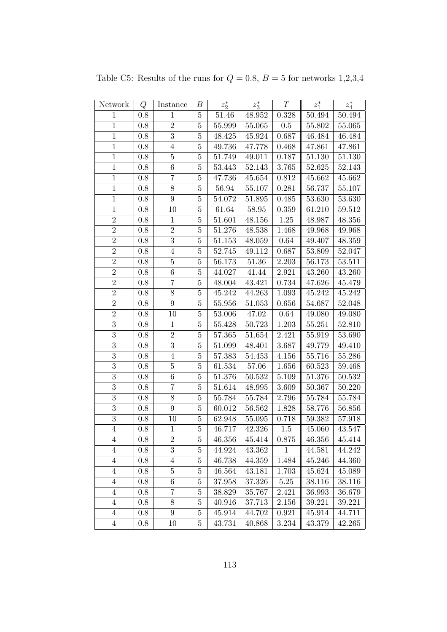| Network                 | Q                | Instance         | B              | $z_2^\ast$ | $z_3^*$      | $\, T \,$ | $z_1^*$      | $z_4^\ast$ |
|-------------------------|------------------|------------------|----------------|------------|--------------|-----------|--------------|------------|
| $\mathbf{1}$            | 0.8              | $\mathbf{1}$     | $\bf 5$        | 51.46      | 48.952       | 0.328     | 50.494       | 50.494     |
| $\overline{1}$          | $0.8\,$          | $\sqrt{2}$       | $\bf 5$        | 55.999     | 55.065       | 0.5       | 55.802       | 55.065     |
| $1\,$                   | 0.8              | 3                | $\overline{5}$ | 48.425     | 45.924       | 0.687     | 46.484       | 46.484     |
| $\overline{1}$          | 0.8              | $\overline{4}$   | $\overline{5}$ | 49.736     | 47.778       | 0.468     | 47.861       | 47.861     |
| $\mathbf{1}$            | 0.8              | $\bf 5$          | $\overline{5}$ | 51.749     | 49.011       | 0.187     | 51.130       | 51.130     |
| $\mathbf 1$             | 0.8              | $\,6\,$          | $\bf 5$        | 53.443     | 52.143       | $3.765\,$ | $52.625\,$   | 52.143     |
| $\overline{1}$          | $0.8\,$          | $\overline{7}$   | $\overline{5}$ | 47.736     | $\rm 45.654$ | 0.812     | 45.662       | 45.662     |
| $\mathbf 1$             | $0.8\,$          | $8\,$            | $\bf 5$        | 56.94      | 55.107       | 0.281     | 56.737       | 55.107     |
| $\mathbf 1$             | 0.8              | $\boldsymbol{9}$ | $5\,$          | 54.072     | 51.895       | 0.485     | 53.630       | 53.630     |
| $\overline{1}$          | 0.8              | 10               | $\overline{5}$ | 61.64      | $58.95\,$    | 0.359     | 61.210       | 59.512     |
| $\overline{2}$          | 0.8              | $\,1$            | $\overline{5}$ | 51.601     | 48.156       | $1.25\,$  | 48.987       | 48.356     |
| $\overline{2}$          | 0.8              | $\sqrt{2}$       | $5\,$          | 51.276     | 48.538       | 1.468     | 49.968       | 49.968     |
| $\overline{2}$          | $\overline{0.8}$ | 3                | $\overline{5}$ | 51.153     | 48.059       | $0.64\,$  | $\rm 49.407$ | 48.359     |
| $\overline{2}$          | $0.8\,$          | $\,4\,$          | $\bf 5$        | 52.745     | 49.112       | 0.687     | 53.809       | 52.047     |
| $\overline{2}$          | 0.8              | $\bf 5$          | $\overline{5}$ | 56.173     | 51.36        | 2.203     | 56.173       | 53.511     |
| $\overline{2}$          | 0.8              | $\,6\,$          | $\bf 5$        | 44.027     | 41.44        | 2.921     | 43.260       | 43.260     |
| $\overline{2}$          | $0.8\,$          | $\overline{7}$   | $\bf 5$        | 48.004     | 43.421       | 0.734     | 47.626       | 45.479     |
| $\sqrt{2}$              | $0.8\,$          | $8\,$            | $\overline{5}$ | 45.242     | 44.263       | 1.093     | 45.242       | 45.242     |
| $\overline{2}$          | $0.8\,$          | $\boldsymbol{9}$ | $\overline{5}$ | 55.956     | $51.053\,$   | 0.656     | 54.687       | $52.048\,$ |
| $\overline{2}$          | 0.8              | 10               | $\overline{5}$ | 53.006     | 47.02        | 0.64      | 49.080       | 49.080     |
| $\overline{3}$          | 0.8              | $1\,$            | $\overline{5}$ | 55.428     | 50.723       | 1.203     | 55.251       | 52.810     |
| $\overline{3}$          | 0.8              | $\overline{2}$   | $\overline{5}$ | 57.365     | 51.654       | 2.421     | 55.919       | 53.690     |
| $\overline{3}$          | 0.8              | $\overline{3}$   | $\overline{5}$ | 51.099     | 48.401       | 3.687     | 49.779       | 49.410     |
| $\overline{3}$          | 0.8              | $\overline{4}$   | $5\,$          | 57.383     | 54.453       | 4.156     | 55.716       | 55.286     |
| $\overline{3}$          | $0.8\,$          | $\overline{5}$   | $\bf 5$        | 61.534     | 57.06        | 1.656     | 60.523       | 59.468     |
| 3                       | $0.8\,$          | $\,6\,$          | $\bf 5$        | 51.376     | 50.532       | 5.109     | 51.376       | $50.532\,$ |
| $\overline{3}$          | 0.8              | $\overline{7}$   | $\bf 5$        | 51.614     | 48.995       | 3.609     | 50.367       | 50.220     |
| 3                       | 0.8              | $8\,$            | $\overline{5}$ | 55.784     | 55.784       | 2.796     | 55.784       | 55.784     |
| 3                       | 0.8              | $\boldsymbol{9}$ | $\overline{5}$ | 60.012     | 56.562       | 1.828     | 58.776       | 56.856     |
| $\overline{3}$          | $0.8\,$          | 10               | $\overline{5}$ | 62.948     | 55.095       | 0.718     | 59.382       | 57.918     |
| $\overline{4}$          | 0.8              | $\mathbf{1}$     | $\bf 5$        | 46.717     | 42.326       | 1.5       | 45.060       | 43.547     |
| 4                       | 0.8              | $\boldsymbol{2}$ | 5              | 46.356     | 45.414       | 0.875     | 46.356       | 45.414     |
| $\overline{4}$          | 0.8              | 3                | $\bf 5$        | 44.924     | 43.362       | 1         | 44.581       | 44.242     |
| $\overline{4}$          | 0.8              | $\overline{4}$   | $\overline{5}$ | 46.738     | 44.359       | 1.484     | 45.246       | 44.360     |
| $\overline{4}$          | 0.8              | $\bf 5$          | $\overline{5}$ | 46.564     | 43.181       | 1.703     | 45.624       | 45.089     |
| $\overline{4}$          | 0.8              | $\,6\,$          | $\bf 5$        | 37.958     | 37.326       | 5.25      | 38.116       | 38.116     |
| $\overline{4}$          | 0.8              | $\overline{7}$   | $\overline{5}$ | 38.829     | 35.767       | 2.421     | 36.993       | 36.679     |
| $\overline{4}$          | $0.8\,$          | $8\,$            | $\bf 5$        | 40.916     | 37.713       | 2.156     | 39.221       | 39.221     |
| $\overline{4}$          | 0.8              | $9\phantom{.0}$  | $\overline{5}$ | 45.914     | 44.702       | 0.921     | 45.914       | 44.711     |
| $\overline{\mathbf{4}}$ | 0.8              | 10               | 5              | 43.731     | 40.868       | 3.234     | 43.379       | 42.265     |

Table C5: Results of the runs for  $Q = 0.8$ ,  $B = 5$  for networks 1,2,3,4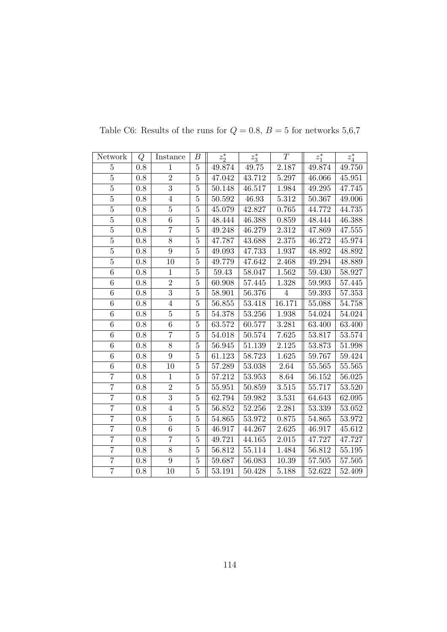| Network          | Q       | Instance       | В              | $z_2^*$    | $z_3^*$ | T                  | $z_1^*$ | $z_4^\ast$ |
|------------------|---------|----------------|----------------|------------|---------|--------------------|---------|------------|
| $\overline{5}$   | 0.8     | $\mathbf{1}$   | $\bf 5$        | 49.874     | 49.75   | 2.187              | 49.874  | 49.750     |
| $\overline{5}$   | 0.8     | $\overline{2}$ | $\bf 5$        | 47.042     | 43.712  | $\overline{5.297}$ | 46.066  | 45.951     |
| $\overline{5}$   | 0.8     | $\overline{3}$ | $\bf 5$        | 50.148     | 46.517  | 1.984              | 49.295  | 47.745     |
| $\overline{5}$   | 0.8     | $\overline{4}$ | $\overline{5}$ | 50.592     | 46.93   | 5.312              | 50.367  | 49.006     |
| $\overline{5}$   | 0.8     | $\overline{5}$ | $\overline{5}$ | 45.079     | 42.827  | 0.765              | 44.772  | 44.735     |
| $\overline{5}$   | 0.8     | 6              | $\overline{5}$ | 48.444     | 46.388  | 0.859              | 48.444  | 46.388     |
| $\overline{5}$   | $0.8\,$ | $\overline{7}$ | $\bf 5$        | 49.248     | 46.279  | $2.312\,$          | 47.869  | 47.555     |
| $\bf 5$          | $0.8\,$ | $8\,$          | $\bf 5$        | 47.787     | 43.688  | 2.375              | 46.272  | 45.974     |
| $\overline{5}$   | 0.8     | $\overline{9}$ | $\overline{5}$ | 49.093     | 47.733  | 1.937              | 48.892  | 48.892     |
| $\overline{5}$   | 0.8     | 10             | $\overline{5}$ | 49.779     | 47.642  | 2.468              | 49.294  | 48.889     |
| 6                | $0.8\,$ | $\mathbf{1}$   | $\bf 5$        | 59.43      | 58.047  | 1.562              | 59.430  | 58.927     |
| $\overline{6}$   | 0.8     | $\overline{2}$ | $\overline{5}$ | 60.908     | 57.445  | 1.328              | 59.993  | 57.445     |
| $\,6$            | 0.8     | $\overline{3}$ | $\bf 5$        | 58.901     | 56.376  | $\overline{4}$     | 59.393  | 57.353     |
| $\overline{6}$   | $0.8\,$ | $\overline{4}$ | $\bf 5$        | 56.855     | 53.418  | 16.171             | 55.088  | 54.758     |
| $\overline{6}$   | 0.8     | $\overline{5}$ | $\overline{5}$ | 54.378     | 53.256  | 1.938              | 54.024  | 54.024     |
| 6                | 0.8     | 6              | $\overline{5}$ | $63.572\,$ | 60.577  | 3.281              | 63.400  | 63.400     |
| $\overline{6}$   | 0.8     | $\overline{7}$ | $\overline{5}$ | 54.018     | 50.574  | 7.625              | 53.817  | 53.574     |
| 6                | 0.8     | 8              | $\overline{5}$ | 56.945     | 51.139  | 2.125              | 53.873  | 51.998     |
| $\boldsymbol{6}$ | $0.8\,$ | $9\phantom{.}$ | $\bf 5$        | 61.123     | 58.723  | 1.625              | 59.767  | 59.424     |
| $\overline{6}$   | 0.8     | 10             | $\bf 5$        | 57.289     | 53.038  | 2.64               | 55.565  | $55.565\,$ |
| $\overline{7}$   | 0.8     | $\mathbf{1}$   | $\bf 5$        | 57.212     | 53.953  | 8.64               | 56.152  | 56.025     |
| $\overline{7}$   | 0.8     | $\overline{2}$ | $\overline{5}$ | 55.951     | 50.859  | 3.515              | 55.717  | 53.520     |
| $\overline{7}$   | 0.8     | $\overline{3}$ | $\overline{5}$ | 62.794     | 59.982  | 3.531              | 64.643  | 62.095     |
| $\overline{7}$   | $0.8\,$ | $\overline{4}$ | $\bf 5$        | $56.852\,$ | 52.256  | 2.281              | 53.339  | 53.052     |
| $\overline{7}$   | 0.8     | $\bf 5$        | $\bf 5$        | 54.865     | 53.972  | 0.875              | 54.865  | 53.972     |
| $\overline{7}$   | 0.8     | $\overline{6}$ | $\bf 5$        | 46.917     | 44.267  | 2.625              | 46.917  | 45.612     |
| $\overline{7}$   | 0.8     | $\overline{7}$ | $\overline{5}$ | 49.721     | 44.165  | 2.015              | 47.727  | 47.727     |
| $\overline{7}$   | $0.8\,$ | 8              | $\bf 5$        | 56.812     | 55.114  | 1.484              | 56.812  | 55.195     |
| $\overline{7}$   | $0.8\,$ | 9              | $\bf 5$        | 59.687     | 56.083  | 10.39              | 57.505  | 57.505     |
| $\overline{7}$   | 0.8     | 10             | $\bf 5$        | 53.191     | 50.428  | 5.188              | 52.622  | 52.409     |

Table C6: Results of the runs for  $Q=0.8,\,B=5$  for networks  $5,6,7$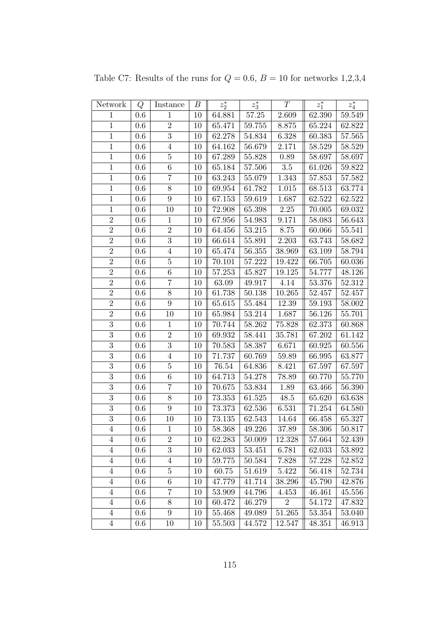| Network          | Q       | Instance         | В  | $z_2^\ast$ | $z_3^*$   | $\cal T$       | $z_1^\ast$ | $z_4^\ast$ |
|------------------|---------|------------------|----|------------|-----------|----------------|------------|------------|
| $\mathbf{1}$     | 0.6     | $\mathbf{1}$     | 10 | 64.881     | $57.25\,$ | 2.609          | 62.390     | 59.549     |
| $\overline{1}$   | 0.6     | $\overline{2}$   | 10 | 65.471     | 59.755    | 8.875          | 65.224     | 62.822     |
| $\,1$            | 0.6     | $\overline{3}$   | 10 | 62.278     | 54.834    | 6.328          | 60.383     | 57.565     |
| $\mathbf{1}$     | 0.6     | $\overline{4}$   | 10 | 64.162     | 56.679    | 2.171          | 58.529     | 58.529     |
| $\overline{1}$   | 0.6     | $\overline{5}$   | 10 | 67.289     | 55.828    | 0.89           | 58.697     | 58.697     |
| $\mathbf{1}$     | 0.6     | 6                | 10 | 65.184     | 57.506    | $3.5\,$        | 61.026     | 59.822     |
| $\mathbf{1}$     | 0.6     | $\overline{7}$   | 10 | 63.243     | 55.079    | 1.343          | 57.853     | 57.582     |
| $\mathbf 1$      | 0.6     | $\overline{8}$   | 10 | 69.954     | 61.782    | 1.015          | 68.513     | 63.774     |
| $\,1$            | 0.6     | $\boldsymbol{9}$ | 10 | 67.153     | 59.619    | 1.687          | 62.522     | 62.522     |
| $\overline{1}$   | 0.6     | 10               | 10 | 72.908     | 65.398    | 2.25           | 70.005     | 69.032     |
| $\overline{2}$   | 0.6     | $\mathbf 1$      | 10 | 67.956     | 54.983    | 9.171          | 58.083     | 56.643     |
| $\overline{2}$   | 0.6     | $\overline{2}$   | 10 | 64.456     | 53.215    | 8.75           | 60.066     | 55.541     |
| $\sqrt{2}$       | 0.6     | $\overline{3}$   | 10 | 66.614     | 55.891    | 2.203          | 63.743     | 58.682     |
| $\overline{2}$   | 0.6     | $\overline{4}$   | 10 | 65.474     | 56.355    | 38.969         | 63.109     | 58.794     |
| $\overline{2}$   | 0.6     | $\bf 5$          | 10 | 70.101     | 57.222    | 19.422         | 66.705     | 60.036     |
| $\overline{2}$   | 0.6     | 6                | 10 | 57.253     | 45.827    | 19.125         | 54.777     | 48.126     |
| $\overline{2}$   | 0.6     | $\overline{7}$   | 10 | 63.09      | 49.917    | 4.14           | 53.376     | 52.312     |
| $\sqrt{2}$       | 0.6     | $8\,$            | 10 | 61.738     | 50.138    | 10.265         | 52.457     | 52.457     |
| $\overline{2}$   | 0.6     | $\overline{9}$   | 10 | 65.615     | 55.484    | $12.39\,$      | 59.193     | 58.002     |
| $\overline{2}$   | 0.6     | 10               | 10 | 65.984     | 53.214    | 1.687          | 56.126     | 55.701     |
| $\overline{3}$   | 0.6     | $\mathbf 1$      | 10 | 70.744     | 58.262    | 75.828         | 62.373     | 60.868     |
| $\overline{3}$   | 0.6     | $\overline{2}$   | 10 | 69.932     | 58.441    | 35.781         | 67.202     | 61.142     |
| $\overline{3}$   | 0.6     | $\overline{3}$   | 10 | 70.583     | 58.387    | 6.671          | 60.925     | 60.556     |
| $\overline{3}$   | 0.6     | $\overline{4}$   | 10 | 71.737     | 60.769    | 59.89          | 66.995     | 63.877     |
| 3                | 0.6     | $\overline{5}$   | 10 | $76.54\,$  | 64.836    | 8.421          | 67.597     | 67.597     |
| $\overline{3}$   | 0.6     | $\sqrt{6}$       | 10 | 64.713     | 54.278    | 78.89          | 60.770     | 55.770     |
| $\overline{3}$   | 0.6     | $\overline{7}$   | 10 | 70.675     | 53.834    | 1.89           | 63.466     | 56.390     |
| $\overline{3}$   | 0.6     | 8                | 10 | 73.353     | 61.525    | 48.5           | 65.620     | 63.638     |
| $\boldsymbol{3}$ | 0.6     | $9\phantom{.}$   | 10 | 73.373     | 62.536    | 6.531          | 71.254     | 64.580     |
| $\sqrt{3}$       | 0.6     | 10               | 10 | 73.135     | 62.543    | 14.64          | 66.458     | 65.327     |
| $\overline{4}$   | 0.6     | $\mathbf{1}$     | 10 | 58.368     | 49.226    | 37.89          | 58.306     | 50.817     |
| 4                | 0.6     | $\overline{2}$   | 10 | 62.283     | 50.009    | 12.328         | 57.664     | 52.439     |
| $\overline{4}$   | 0.6     | 3                | 10 | 62.033     | 53.451    | 6.781          | 62.033     | 53.892     |
| $\overline{4}$   | 0.6     | 4                | 10 | 59.775     | 50.584    | 7.828          | 57.228     | 52.852     |
| $\overline{4}$   | 0.6     | $\bf 5$          | 10 | 60.75      | 51.619    | 5.422          | 56.418     | 52.734     |
| $\overline{4}$   | 0.6     | $6\phantom{.}6$  | 10 | 47.779     | 41.714    | 38.296         | 45.790     | 42.876     |
| $\overline{4}$   | 0.6     | 7                | 10 | 53.909     | 44.796    | 4.453          | 46.461     | 45.556     |
| $\overline{4}$   | 0.6     | 8                | 10 | 60.472     | 46.279    | $\overline{2}$ | 54.172     | 47.832     |
| $\overline{4}$   | 0.6     | 9                | 10 | 55.468     | 49.089    | 51.265         | 53.354     | 53.040     |
| $\overline{4}$   | $0.6\,$ | 10               | 10 | 55.503     | 44.572    | 12.547         | 48.351     | 46.913     |

Table C7: Results of the runs for  $Q=0.6,\,B=10$  for networks  $1,\!2,\!3,\!4$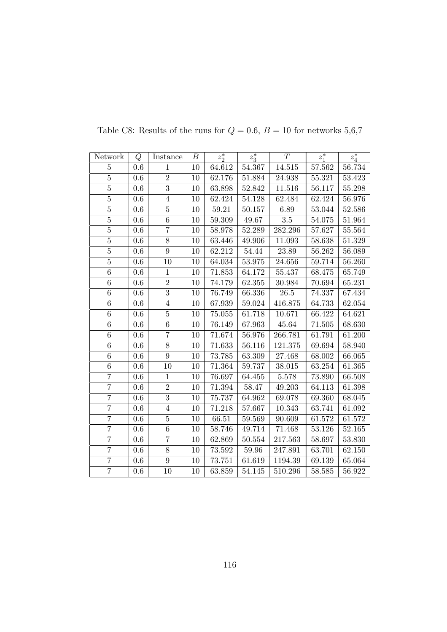| Network          | Q       | Instance       | $\boldsymbol{B}$ | $z_2^*$    | $z_3^*$    | T          | $z_1^*$ | $z_4^\ast$ |
|------------------|---------|----------------|------------------|------------|------------|------------|---------|------------|
| $\overline{5}$   | 0.6     | $\mathbf{1}$   | 10               | 64.612     | 54.367     | 14.515     | 57.562  | 56.734     |
| $\overline{5}$   | $0.6\,$ | $\overline{2}$ | 10               | 62.176     | $51.884\,$ | 24.938     | 55.321  | 53.423     |
| $\overline{5}$   | 0.6     | $\overline{3}$ | 10               | 63.898     | 52.842     | 11.516     | 56.117  | 55.298     |
| $\overline{5}$   | 0.6     | $\overline{4}$ | 10               | 62.424     | 54.128     | 62.484     | 62.424  | 56.976     |
| $\overline{5}$   | 0.6     | $\overline{5}$ | 10               | 59.21      | 50.157     | 6.89       | 53.044  | 52.586     |
| $\overline{5}$   | 0.6     | 6              | 10               | 59.309     | 49.67      | 3.5        | 54.075  | 51.964     |
| $\overline{5}$   | $0.6\,$ | $\overline{7}$ | $10\,$           | $58.978\,$ | 52.289     | 282.296    | 57.627  | 55.564     |
| $\bf 5$          | $0.6\,$ | $8\,$          | 10               | 63.446     | 49.906     | 11.093     | 58.638  | 51.329     |
| $\overline{5}$   | 0.6     | $\overline{9}$ | 10               | 62.212     | 54.44      | 23.89      | 56.262  | 56.089     |
| $\overline{5}$   | 0.6     | 10             | 10               | 64.034     | 53.975     | 24.656     | 59.714  | 56.260     |
| $\overline{6}$   | $0.6\,$ | $1\,$          | $10\,$           | 71.853     | $64.172\,$ | $55.437\,$ | 68.475  | 65.749     |
| $\overline{6}$   | $0.6\,$ | $\overline{2}$ | $10\,$           | 74.179     | 62.355     | 30.984     | 70.694  | 65.231     |
| $\,6$            | 0.6     | $\overline{3}$ | 10               | 76.749     | 66.336     | $26.5\,$   | 74.337  | 67.434     |
| $\overline{6}$   | $0.6\,$ | $\overline{4}$ | 10               | 67.939     | 59.024     | 416.875    | 64.733  | 62.054     |
| $\overline{6}$   | 0.6     | $\overline{5}$ | 10               | 75.055     | 61.718     | 10.671     | 66.422  | 64.621     |
| $\boldsymbol{6}$ | 0.6     | 6              | $10\,$           | 76.149     | 67.963     | 45.64      | 71.505  | 68.630     |
| $\overline{6}$   | 0.6     | $\overline{7}$ | $10\,$           | 71.674     | 56.976     | 266.781    | 61.791  | 61.200     |
| $\,6$            | 0.6     | $8\,$          | 10               | 71.633     | 56.116     | 121.375    | 69.694  | 58.940     |
| $\overline{6}$   | 0.6     | 9              | 10               | 73.785     | 63.309     | 27.468     | 68.002  | 66.065     |
| $\overline{6}$   | 0.6     | 10             | 10               | 71.364     | 59.737     | 38.015     | 63.254  | 61.365     |
| $\overline{7}$   | 0.6     | $1\,$          | 10               | 76.697     | 64.455     | $5.578\,$  | 73.890  | 66.508     |
| $\overline{7}$   | $0.6\,$ | $\sqrt{2}$     | 10               | 71.394     | $58.47\,$  | 49.203     | 64.113  | 61.398     |
| $\overline{7}$   | 0.6     | $\overline{3}$ | 10               | 75.737     | 64.962     | 69.078     | 69.360  | 68.045     |
| $\overline{7}$   | 0.6     | $\overline{4}$ | 10               | 71.218     | 57.667     | 10.343     | 63.741  | 61.092     |
| $\overline{7}$   | 0.6     | $\bf 5$        | 10               | 66.51      | 59.569     | 90.609     | 61.572  | 61.572     |
| $\overline{7}$   | 0.6     | $\overline{6}$ | 10               | 58.746     | 49.714     | 71.468     | 53.126  | 52.165     |
| $\overline{7}$   | 0.6     | $\overline{7}$ | 10               | 62.869     | 50.554     | 217.563    | 58.697  | 53.830     |
| $\overline{7}$   | $0.6\,$ | $8\,$          | 10               | $73.592\,$ | 59.96      | 247.891    | 63.701  | 62.150     |
| $\overline{7}$   | $0.6\,$ | $\overline{9}$ | 10               | 73.751     | 61.619     | 1194.39    | 69.139  | 65.064     |
| $\overline{7}$   | 0.6     | 10             | 10               | 63.859     | 54.145     | 510.296    | 58.585  | 56.922     |

Table C8: Results of the runs for  $Q=0.6,\,B=10$  for networks  $5,6,7$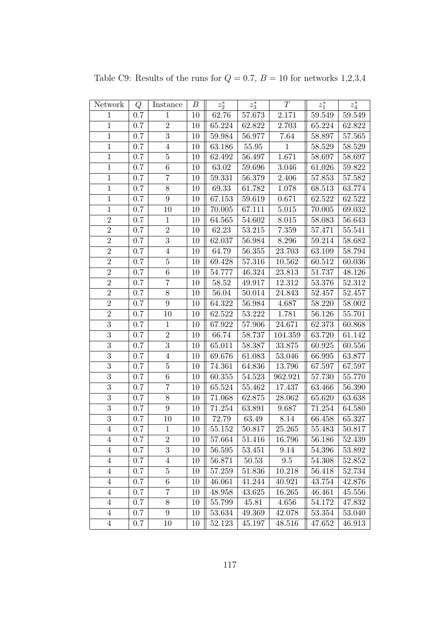| Network        | Q       | Instance         | $\boldsymbol{B}$ | $z_2^\ast$ | $z_3^\ast$ | T            | $z_1^\ast$ | $z_4^\ast$ |
|----------------|---------|------------------|------------------|------------|------------|--------------|------------|------------|
| $\mathbf{1}$   | 0.7     | $\mathbf{1}$     | 10               | 62.76      | 57.673     | 2.171        | 59.549     | 59.549     |
| $\mathbf{1}$   | 0.7     | $\overline{2}$   | 10               | 65.224     | 62.822     | 2.703        | 65.224     | 62.822     |
| $\,1$          | 0.7     | $\sqrt{3}$       | 10               | 59.984     | 56.977     | 7.64         | 58.897     | 57.565     |
| $\mathbf{1}$   | 0.7     | $\overline{4}$   | 10               | 63.186     | 55.95      | $\mathbf{1}$ | 58.529     | 58.529     |
| $\mathbf{1}$   | 0.7     | $\overline{5}$   | 10               | 62.492     | 56.497     | 1.671        | 58.697     | 58.697     |
| $\mathbf{1}$   | 0.7     | $\,6$            | 10               | 63.02      | 59.696     | 3.046        | 61.026     | 59.822     |
| $\mathbf{1}$   | 0.7     | $\overline{7}$   | 10               | 59.331     | 56.379     | 2.406        | 57.853     | 57.582     |
| $\,1$          | 0.7     | 8                | 10               | 69.33      | 61.782     | 1.078        | 68.513     | 63.774     |
| $\mathbf{1}$   | 0.7     | $\boldsymbol{9}$ | 10               | 67.153     | 59.619     | 0.671        | 62.522     | 62.522     |
| $\overline{1}$ | 0.7     | 10               | 10               | 70.005     | 67.111     | 5.015        | 70.005     | 69.032     |
| $\overline{2}$ | 0.7     | $\,1$            | 10               | 64.565     | 54.602     | 8.015        | 58.083     | 56.643     |
| $\overline{2}$ | 0.7     | $\overline{2}$   | 10               | 62.23      | 53.215     | 7.359        | 57.471     | 55.541     |
| $\overline{2}$ | 0.7     | $\overline{3}$   | 10               | 62.037     | 56.984     | 8.296        | 59.214     | 58.682     |
| $\overline{2}$ | 0.7     | $\sqrt{4}$       | 10               | 64.79      | $56.355\,$ | 23.703       | 63.109     | 58.794     |
| $\overline{2}$ | 0.7     | $\bf 5$          | 10               | 69.428     | 57.316     | 10.562       | 60.512     | 60.036     |
| $\overline{2}$ | 0.7     | $\boldsymbol{6}$ | 10               | 54.777     | 46.324     | 23.813       | 51.737     | 48.126     |
| $\overline{2}$ | 0.7     | $\overline{7}$   | 10               | 58.52      | 49.917     | 12.312       | $53.376\,$ | 52.312     |
| $\overline{2}$ | 0.7     | 8                | 10               | 56.04      | 50.014     | 24.843       | 52.457     | 52.457     |
| $\overline{2}$ | 0.7     | 9                | 10               | 64.322     | 56.984     | 4.687        | 58.220     | 58.002     |
| $\overline{2}$ | 0.7     | 10               | 10               | 62.522     | 53.222     | 1.781        | 56.126     | 55.701     |
| $\overline{3}$ | 0.7     | $\mathbf{1}$     | 10               | 67.922     | 57.906     | 24.671       | 62.373     | 60.868     |
| $\overline{3}$ | 0.7     | $\overline{2}$   | 10               | 66.74      | 58.737     | 104.359      | 63.720     | 61.142     |
| $\overline{3}$ | 0.7     | $\overline{3}$   | 10               | 65.011     | 58.387     | 33.875       | 60.925     | 60.556     |
| $\overline{3}$ | 0.7     | $\overline{4}$   | 10               | 69.676     | 61.083     | 53.046       | 66.995     | 63.877     |
| $\overline{3}$ | 0.7     | $\bf 5$          | 10               | 74.361     | 64.836     | 13.796       | 67.597     | 67.597     |
| $\overline{3}$ | 0.7     | $\overline{6}$   | 10               | 60.355     | 54.523     | 962.921      | 57.730     | 55.770     |
| $\overline{3}$ | 0.7     | $\overline{7}$   | 10               | 65.524     | 55.462     | 17.437       | 63.466     | 56.390     |
| 3              | 0.7     | $8\,$            | 10               | 71.068     | 62.875     | 28.062       | 65.620     | 63.638     |
| $\overline{3}$ | 0.7     | 9                | 10               | 71.254     | 63.891     | 9.687        | 71.254     | 64.580     |
| $\overline{3}$ | 0.7     | 10               | 10               | 72.79      | 63.49      | 8.14         | 66.458     | 65.327     |
| $\overline{4}$ | 0.7     | $\mathbf{1}$     | 10               | 55.152     | 50.817     | 25.265       | 55.483     | 50.817     |
| 4              | 0.7     | $\sqrt{2}$       | 10               | 57.664     | 51.416     | 16.796       | 56.186     | 52.439     |
| $\overline{4}$ | 0.7     | 3                | 10               | 56.595     | 53.451     | 9.14         | 54.396     | 53.892     |
| $\overline{4}$ | 0.7     | $\overline{4}$   | 10               | 56.871     | 50.53      | $9.5\,$      | 54.308     | 52.852     |
| $\overline{4}$ | 0.7     | $\bf 5$          | 10               | 57.259     | 51.836     | 10.218       | 56.418     | 52.734     |
| $\overline{4}$ | 0.7     | $\,6$            | 10               | 46.061     | 41.244     | 40.921       | 43.754     | 42.876     |
| $\overline{4}$ | 0.7     | 7                | 10               | 48.958     | 43.625     | 16.265       | 46.461     | 45.556     |
| $\overline{4}$ | 0.7     | $8\,$            | 10               | 55.799     | 45.81      | 4.656        | 54.172     | 47.832     |
| $\overline{4}$ | 0.7     | $9\phantom{.0}$  | 10               | 53.634     | 49.369     | 42.078       | 53.354     | $53.040\,$ |
| $\overline{4}$ | $0.7\,$ | 10               | 10               | 52.123     | 45.197     | 48.516       | 47.652     | 46.913     |

Table C9: Results of the runs for  $Q = 0.7$ ,  $B = 10$  for networks 1,2,3,4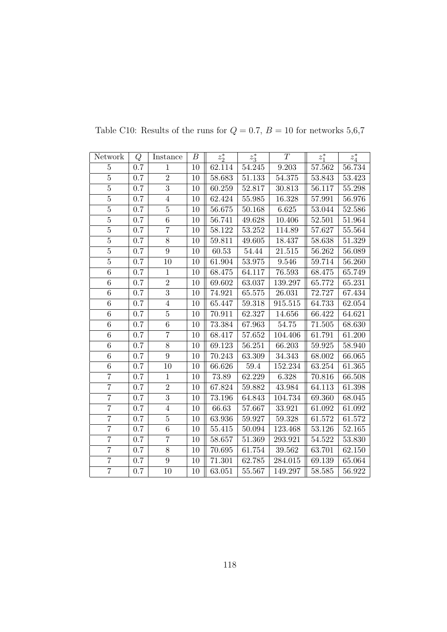| Network        | Q       | Instance        | $\boldsymbol{B}$ | $z_2^*$    | $z_3^*$    | T          | $z_1^*$ | $z_4^\ast$ |
|----------------|---------|-----------------|------------------|------------|------------|------------|---------|------------|
| $\overline{5}$ | 0.7     | $\mathbf{1}$    | 10               | 62.114     | 54.245     | 9.203      | 57.562  | 56.734     |
| $\overline{5}$ | 0.7     | $\overline{2}$  | 10               | 58.683     | $51.133\,$ | $54.375\,$ | 53.843  | 53.423     |
| $\overline{5}$ | 0.7     | $\overline{3}$  | 10               | 60.259     | 52.817     | 30.813     | 56.117  | 55.298     |
| $\overline{5}$ | 0.7     | $\overline{4}$  | 10               | 62.424     | 55.985     | 16.328     | 57.991  | 56.976     |
| $\overline{5}$ | 0.7     | $\overline{5}$  | 10               | 56.675     | 50.168     | 6.625      | 53.044  | 52.586     |
| $\overline{5}$ | 0.7     | $6\phantom{.}6$ | 10               | 56.741     | 49.628     | 10.406     | 52.501  | 51.964     |
| $\overline{5}$ | $0.7\,$ | $\overline{7}$  | 10               | $58.122\,$ | $53.252\,$ | 114.89     | 57.627  | 55.564     |
| $\bf 5$        | $0.7\,$ | $8\,$           | 10               | 59.811     | 49.605     | 18.437     | 58.638  | 51.329     |
| $\overline{5}$ | 0.7     | $\overline{9}$  | 10               | 60.53      | 54.44      | 21.515     | 56.262  | 56.089     |
| $\overline{5}$ | 0.7     | 10              | 10               | 61.904     | 53.975     | 9.546      | 59.714  | 56.260     |
| 6              | $0.7\,$ | $1\,$           | $10\,$           | 68.475     | 64.117     | 76.593     | 68.475  | 65.749     |
| $\overline{6}$ | $0.7\,$ | $\overline{2}$  | $10\,$           | 69.602     | 63.037     | 139.297    | 65.772  | 65.231     |
| $\,6$          | 0.7     | $\overline{3}$  | 10               | 74.921     | 65.575     | 26.031     | 72.727  | 67.434     |
| $\overline{6}$ | $0.7\,$ | $\overline{4}$  | 10               | 65.447     | $59.318\,$ | 915.515    | 64.733  | 62.054     |
| $\overline{6}$ | 0.7     | $\overline{5}$  | 10               | 70.911     | 62.327     | 14.656     | 66.422  | 64.621     |
| 6              | $0.7\,$ | 6               | $10\,$           | 73.384     | 67.963     | $54.75\,$  | 71.505  | 68.630     |
| $\overline{6}$ | 0.7     | $\overline{7}$  | 10               | 68.417     | 57.652     | 104.406    | 61.791  | 61.200     |
| 6              | 0.7     | $8\,$           | 10               | 69.123     | 56.251     | 66.203     | 59.925  | 58.940     |
| $\overline{6}$ | 0.7     | 9               | 10               | 70.243     | 63.309     | 34.343     | 68.002  | 66.065     |
| $\overline{6}$ | 0.7     | 10              | 10               | 66.626     | $59.4\,$   | 152.234    | 63.254  | 61.365     |
| $\overline{7}$ | 0.7     | $1\,$           | $10\,$           | 73.89      | 62.229     | 6.328      | 70.816  | 66.508     |
| $\overline{7}$ | 0.7     | $\sqrt{2}$      | 10               | 67.824     | $59.882\,$ | 43.984     | 64.113  | 61.398     |
| $\overline{7}$ | 0.7     | $\overline{3}$  | 10               | 73.196     | 64.843     | 104.734    | 69.360  | 68.045     |
| $\overline{7}$ | $0.7\,$ | $\overline{4}$  | 10               | 66.63      | 57.667     | 33.921     | 61.092  | 61.092     |
| $\overline{7}$ | $0.7\,$ | $\bf 5$         | 10               | 63.936     | 59.927     | 59.328     | 61.572  | 61.572     |
| $\overline{7}$ | 0.7     | $\overline{6}$  | 10               | 55.415     | 50.094     | 123.468    | 53.126  | 52.165     |
| $\overline{7}$ | 0.7     | $\overline{7}$  | 10               | 58.657     | 51.369     | 293.921    | 54.522  | 53.830     |
| $\overline{7}$ | $0.7\,$ | $8\,$           | 10               | 70.695     | 61.754     | 39.562     | 63.701  | 62.150     |
| $\overline{7}$ | 0.7     | $\overline{9}$  | 10               | 71.301     | 62.785     | 284.015    | 69.139  | 65.064     |
| $\overline{7}$ | 0.7     | 10              | 10               | 63.051     | 55.567     | 149.297    | 58.585  | 56.922     |

Table C10: Results of the runs for  $Q=0.7,\,B=10$  for networks  $5{,}6{,}7$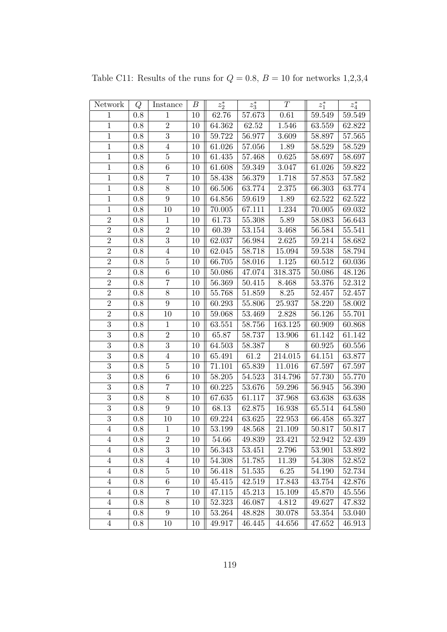| Network        | Q       | Instance         | $\boldsymbol{B}$ | $z_2^\ast$ | $z_3^\ast$ | T                    | $z_1^\ast$ | $z_4^\ast$   |
|----------------|---------|------------------|------------------|------------|------------|----------------------|------------|--------------|
| $\mathbf{1}$   | 0.8     | $\mathbf{1}$     | 10               | 62.76      | 57.673     | 0.61                 | 59.549     | 59.549       |
| $\mathbf{1}$   | $0.8\,$ | $\overline{2}$   | 10               | 64.362     | $62.52\,$  | 1.546                | 63.559     | 62.822       |
| $\,1$          | 0.8     | $\sqrt{3}$       | 10               | 59.722     | 56.977     | 3.609                | 58.897     | 57.565       |
| $\mathbf{1}$   | 0.8     | $\overline{4}$   | 10               | 61.026     | 57.056     | 1.89                 | 58.529     | 58.529       |
| $\mathbf{1}$   | 0.8     | $\overline{5}$   | 10               | 61.435     | 57.468     | 0.625                | 58.697     | 58.697       |
| $\mathbf{1}$   | 0.8     | $\,6\,$          | 10               | 61.608     | 59.349     | 3.047                | 61.026     | 59.822       |
| $\mathbf{1}$   | $0.8\,$ | $\overline{7}$   | 10               | 58.438     | 56.379     | 1.718                | 57.853     | 57.582       |
| $\,1$          | 0.8     | 8                | 10               | 66.506     | 63.774     | 2.375                | 66.303     | 63.774       |
| $\mathbf{1}$   | 0.8     | $\boldsymbol{9}$ | 10               | 64.856     | 59.619     | 1.89                 | 62.522     | 62.522       |
| $\overline{1}$ | 0.8     | 10               | 10               | 70.005     | 67.111     | 1.234                | 70.005     | 69.032       |
| $\overline{2}$ | $0.8\,$ | $\,1$            | 10               | 61.73      | 55.308     | 5.89                 | 58.083     | 56.643       |
| $\overline{2}$ | $0.8\,$ | $\overline{2}$   | 10               | 60.39      | 53.154     | 3.468                | 56.584     | 55.541       |
| $\overline{2}$ | $0.8\,$ | $\overline{3}$   | 10               | 62.037     | 56.984     | $2.625\,$            | 59.214     | 58.682       |
| $\overline{2}$ | 0.8     | $\overline{4}$   | 10               | 62.045     | 58.718     | 15.094               | 59.538     | 58.794       |
| $\overline{2}$ | 0.8     | $\overline{5}$   | 10               | 66.705     | 58.016     | 1.125                | 60.512     | 60.036       |
| $\overline{2}$ | 0.8     | $\boldsymbol{6}$ | 10               | 50.086     | 47.074     | 318.375              | 50.086     | 48.126       |
| $\overline{2}$ | $0.8\,$ | $\overline{7}$   | 10               | $56.369\,$ | 50.415     | 8.468                | $53.376\,$ | 52.312       |
| $\overline{2}$ | $0.8\,$ | 8                | 10               | 55.768     | 51.859     | 8.25                 | 52.457     | 52.457       |
| $\overline{2}$ | 0.8     | 9                | 10               | 60.293     | 55.806     | 25.937               | 58.220     | 58.002       |
| $\overline{2}$ | $0.8\,$ | 10               | 10               | 59.068     | 53.469     | 2.828                | 56.126     | 55.701       |
| $\overline{3}$ | 0.8     | $\mathbf{1}$     | 10               | 63.551     | 58.756     | 163.125              | 60.909     | 60.868       |
| $\overline{3}$ | 0.8     | $\overline{2}$   | 10               | 65.87      | 58.737     | 13.906               | 61.142     | 61.142       |
| $\overline{3}$ | $0.8\,$ | $\overline{3}$   | 10               | 64.503     | 58.387     | 8                    | 60.925     | 60.556       |
| $\overline{3}$ | 0.8     | $\,4\,$          | 10               | 65.491     | 61.2       | $\overline{2}14.015$ | 64.151     | 63.877       |
| $\overline{3}$ | 0.8     | $\bf 5$          | 10               | 71.101     | 65.839     | 11.016               | 67.597     | 67.597       |
| $\overline{3}$ | $0.8\,$ | $\overline{6}$   | 10               | 58.205     | 54.523     | 314.796              | 57.730     | 55.770       |
| $\overline{3}$ | $0.8\,$ | $\overline{7}$   | 10               | 60.225     | 53.676     | 59.296               | 56.945     | 56.390       |
| 3              | 0.8     | $8\,$            | 10               | 67.635     | 61.117     | 37.968               | 63.638     | 63.638       |
| $\overline{3}$ | 0.8     | 9                | 10               | 68.13      | 62.875     | 16.938               | 65.514     | 64.580       |
| $\overline{3}$ | 0.8     | 10               | 10               | 69.224     | 63.625     | 22.953               | 66.458     | 65.327       |
| $\overline{4}$ | 0.8     | $\mathbf{1}$     | 10               | 53.199     | 48.568     | 21.109               | 50.817     | 50.817       |
| 4              | 0.8     | $\sqrt{2}$       | 10               | 54.66      | 49.839     | 23.421               | 52.942     | 52.439       |
| $\overline{4}$ | 0.8     | 3                | 10               | 56.343     | 53.451     | 2.796                | 53.901     | 53.892       |
| $\overline{4}$ | 0.8     | $\overline{4}$   | 10               | 54.308     | 51.785     | 11.39                | 54.308     | 52.852       |
| $\overline{4}$ | 0.8     | $\bf 5$          | 10               | 56.418     | 51.535     | $6.25\,$             | 54.190     | 52.734       |
| $\overline{4}$ | 0.8     | $\,6\,$          | 10               | 45.415     | 42.519     | 17.843               | 43.754     | 42.876       |
| $\overline{4}$ | 0.8     | 7                | 10               | 47.115     | 45.213     | 15.109               | 45.870     | 45.556       |
| $\overline{4}$ | 0.8     | $8\,$            | 10               | 52.323     | 46.087     | 4.812                | 49.627     | 47.832       |
| $\overline{4}$ | 0.8     | $9\phantom{.}$   | 10               | 53.264     | 48.828     | 30.078               | 53.354     | 53.040       |
| $\overline{4}$ | 0.8     | 10               | 10               | 49.917     | 46.445     | 44.656               | 47.652     | $\rm 46.913$ |

Table C11: Results of the runs for  $Q = 0.8$ ,  $B = 10$  for networks 1,2,3,4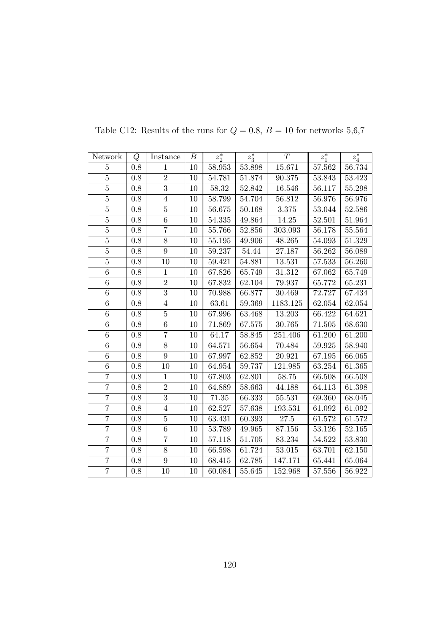| Network        | Q       | Instance         | В      | $z_2^*$ | $z_3^*$    | T        | $z_1^*$ | $z_4^\ast$ |
|----------------|---------|------------------|--------|---------|------------|----------|---------|------------|
| $\overline{5}$ | 0.8     | $\mathbf{1}$     | 10     | 58.953  | 53.898     | 15.671   | 57.562  | 56.734     |
| $\overline{5}$ | $0.8\,$ | $\overline{2}$   | 10     | 54.781  | $51.874\,$ | 90.375   | 53.843  | 53.423     |
| $\overline{5}$ | 0.8     | $\overline{3}$   | 10     | 58.32   | 52.842     | 16.546   | 56.117  | 55.298     |
| $\overline{5}$ | 0.8     | $\overline{4}$   | 10     | 58.799  | 54.704     | 56.812   | 56.976  | 56.976     |
| $\overline{5}$ | 0.8     | $\overline{5}$   | 10     | 56.675  | 50.168     | 3.375    | 53.044  | 52.586     |
| $\overline{5}$ | 0.8     | 6                | 10     | 54.335  | 49.864     | 14.25    | 52.501  | 51.964     |
| $\overline{5}$ | $0.8\,$ | $\overline{7}$   | 10     | 55.766  | $52.856\,$ | 303.093  | 56.178  | 55.564     |
| $\overline{5}$ | $0.8\,$ | $8\,$            | 10     | 55.195  | 49.906     | 48.265   | 54.093  | 51.329     |
| $\overline{5}$ | 0.8     | $\overline{9}$   | 10     | 59.237  | 54.44      | 27.187   | 56.262  | 56.089     |
| $\overline{5}$ | 0.8     | 10               | 10     | 59.421  | 54.881     | 13.531   | 57.533  | 56.260     |
| $\overline{6}$ | $0.8\,$ | $\mathbf{1}$     | 10     | 67.826  | 65.749     | 31.312   | 67.062  | 65.749     |
| $\overline{6}$ | $0.8\,$ | $\overline{2}$   | 10     | 67.832  | 62.104     | 79.937   | 65.772  | 65.231     |
| $\,6$          | 0.8     | $\overline{3}$   | 10     | 70.988  | 66.877     | 30.469   | 72.727  | 67.434     |
| $\overline{6}$ | $0.8\,$ | $\overline{4}$   | 10     | 63.61   | 59.369     | 1183.125 | 62.054  | 62.054     |
| $\overline{6}$ | 0.8     | $\overline{5}$   | 10     | 67.996  | 63.468     | 13.203   | 66.422  | 64.621     |
| 6              | 0.8     | 6                | 10     | 71.869  | 67.575     | 30.765   | 71.505  | 68.630     |
| $\overline{6}$ | 0.8     | $\overline{7}$   | $10\,$ | 64.17   | 58.845     | 251.406  | 61.200  | 61.200     |
| 6              | 0.8     | $\overline{8}$   | 10     | 64.571  | 56.654     | 70.484   | 59.925  | 58.940     |
| $\overline{6}$ | $0.8\,$ | $\boldsymbol{9}$ | 10     | 67.997  | 62.852     | 20.921   | 67.195  | 66.065     |
| $\overline{6}$ | 0.8     | 10               | 10     | 64.954  | 59.737     | 121.985  | 63.254  | 61.365     |
| $\overline{7}$ | 0.8     | $\mathbf{1}$     | 10     | 67.803  | 62.801     | 58.75    | 66.508  | 66.508     |
| $\overline{7}$ | 0.8     | $\,2$            | 10     | 64.889  | 58.663     | 44.188   | 64.113  | 61.398     |
| $\overline{7}$ | 0.8     | $\overline{3}$   | 10     | 71.35   | 66.333     | 55.531   | 69.360  | 68.045     |
| $\overline{7}$ | 0.8     | $\overline{4}$   | 10     | 62.527  | 57.638     | 193.531  | 61.092  | 61.092     |
| $\overline{7}$ | 0.8     | $\bf 5$          | 10     | 63.431  | 60.393     | 27.5     | 61.572  | 61.572     |
| $\overline{7}$ | 0.8     | 6                | 10     | 53.789  | 49.965     | 87.156   | 53.126  | 52.165     |
| $\overline{7}$ | 0.8     | $\overline{7}$   | 10     | 57.118  | 51.705     | 83.234   | 54.522  | $53.830\,$ |
| $\overline{7}$ | $0.8\,$ | 8                | 10     | 66.598  | 61.724     | 53.015   | 63.701  | 62.150     |
| $\overline{7}$ | $0.8\,$ | $\overline{9}$   | 10     | 68.415  | 62.785     | 147.171  | 65.441  | 65.064     |
| $\overline{7}$ | 0.8     | 10               | 10     | 60.084  | 55.645     | 152.968  | 57.556  | 56.922     |

Table C12: Results of the runs for  $Q=0.8,\,B=10$  for networks  $5,6,7$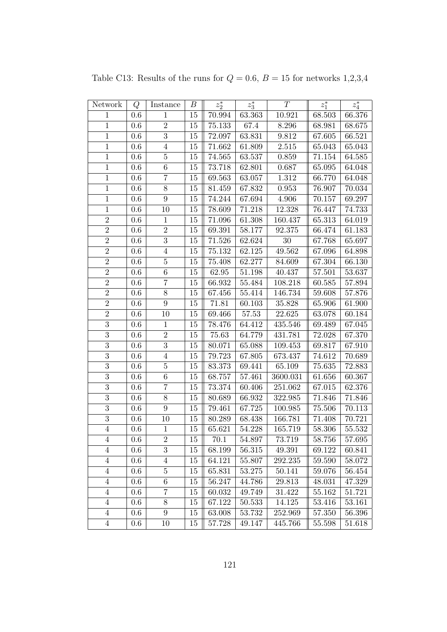| Network        | Q       | Instance         | $\boldsymbol{B}$ | $z_2^\ast$ | $z_3^\ast$ | T         | $z_1^\ast$ | $z_4^\ast$ |
|----------------|---------|------------------|------------------|------------|------------|-----------|------------|------------|
| $\mathbf{1}$   | $0.6\,$ | $\mathbf{1}$     | 15               | 70.994     | 63.363     | 10.921    | 68.503     | 66.376     |
| $\,1$          | $0.6\,$ | $\,2$            | 15               | 75.133     | 67.4       | $8.296\,$ | 68.981     | 68.675     |
| $\,1$          | 0.6     | $\sqrt{3}$       | 15               | 72.097     | 63.831     | 9.812     | 67.605     | 66.521     |
| $\mathbf{1}$   | 0.6     | $\overline{4}$   | 15               | 71.662     | 61.809     | $2.515\,$ | 65.043     | 65.043     |
| $\mathbf{1}$   | 0.6     | $\bf 5$          | 15               | 74.565     | 63.537     | 0.859     | 71.154     | 64.585     |
| $\,1\,$        | $0.6\,$ | $\,6\,$          | 15               | 73.718     | 62.801     | 0.687     | 65.095     | 64.048     |
| $\mathbf{1}$   | $0.6\,$ | $\overline{7}$   | $15\,$           | 69.563     | 63.057     | $1.312\,$ | 66.770     | 64.048     |
| $\overline{1}$ | 0.6     | $8\,$            | 15               | 81.459     | 67.832     | 0.953     | 76.907     | 70.034     |
| $\,1$          | 0.6     | $\boldsymbol{9}$ | 15               | 74.244     | 67.694     | 4.906     | 70.157     | 69.297     |
| $\mathbf{1}$   | 0.6     | 10               | 15               | 78.609     | 71.218     | 12.328    | 76.447     | 74.733     |
| $\sqrt{2}$     | 0.6     | $\mathbf{1}$     | 15               | 71.096     | 61.308     | 160.437   | 65.313     | 64.019     |
| $\overline{2}$ | 0.6     | $\,2$            | 15               | 69.391     | 58.177     | 92.375    | 66.474     | 61.183     |
| $\overline{2}$ | $0.6\,$ | 3                | 15               | 71.526     | 62.624     | 30        | 67.768     | 65.697     |
| $\sqrt{2}$     | 0.6     | $\overline{4}$   | 15               | 75.132     | 62.125     | 49.562    | 67.096     | 64.898     |
| $\overline{2}$ | 0.6     | $\bf 5$          | 15               | 75.408     | 62.277     | 84.609    | 67.304     | 66.130     |
| $\overline{2}$ | 0.6     | 6                | 15               | 62.95      | 51.198     | 40.437    | 57.501     | 53.637     |
| $\overline{2}$ | 0.6     | $\overline{7}$   | 15               | 66.932     | $55.484\,$ | 108.218   | 60.585     | 57.894     |
| $\overline{2}$ | $0.6\,$ | $8\,$            | 15               | 67.456     | 55.414     | 146.734   | 59.608     | 57.876     |
| $\overline{2}$ | $0.6\,$ | $\boldsymbol{9}$ | 15               | 71.81      | 60.103     | 35.828    | 65.906     | 61.900     |
| $\overline{2}$ | 0.6     | 10               | 15               | 69.466     | $57.53\,$  | 22.625    | 63.078     | 60.184     |
| $\overline{3}$ | 0.6     | $\mathbf{1}$     | 15               | 78.476     | 64.412     | 435.546   | 69.489     | 67.045     |
| $\overline{3}$ | 0.6     | $\overline{2}$   | 15               | 75.63      | 64.779     | 431.781   | 72.028     | 67.370     |
| $\overline{3}$ | 0.6     | $\overline{3}$   | 15               | 80.071     | 65.088     | 109.453   | 69.817     | 67.910     |
| $\overline{3}$ | 0.6     | $\overline{4}$   | 15               | 79.723     | 67.805     | 673.437   | 74.612     | 70.689     |
| $\overline{3}$ | 0.6     | $\bf 5$          | 15               | 83.373     | 69.441     | 65.109    | 75.635     | 72.883     |
| $\overline{3}$ | $0.6\,$ | $\,6\,$          | $15\,$           | 68.757     | 57.461     | 3600.031  | 61.656     | 60.367     |
| $\overline{3}$ | $0.6\,$ | $\overline{7}$   | 15               | 73.374     | 60.406     | 251.062   | 67.015     | 62.376     |
| $\overline{3}$ | 0.6     | $8\,$            | 15               | 80.689     | 66.932     | 322.985   | 71.846     | 71.846     |
| $\overline{3}$ | $0.6\,$ | $\boldsymbol{9}$ | 15               | 79.461     | 67.725     | 100.985   | 75.506     | 70.113     |
| $\overline{3}$ | 0.6     | 10               | 15               | 80.289     | 68.438     | 166.781   | 71.408     | 70.721     |
| $\overline{4}$ | 0.6     | $\mathbf{1}$     | 15               | 65.621     | 54.228     | 165.719   | 58.306     | 55.532     |
| 4              | $0.6\,$ | $\sqrt{2}$       | 15               | 70.1       | 54.897     | 73.719    | 58.756     | 57.695     |
| $\overline{4}$ | 0.6     | $\boldsymbol{3}$ | 15               | 68.199     | 56.315     | 49.391    | 69.122     | 60.841     |
| 4              | $0.6\,$ | 4                | 15               | 64.121     | 55.807     | 292.235   | 59.590     | 58.072     |
| $\overline{4}$ | 0.6     | $\bf 5$          | 15               | 65.831     | 53.275     | 50.141    | 59.076     | 56.454     |
| $\overline{4}$ | 0.6     | $\,6$            | 15               | 56.247     | 44.786     | 29.813    | 48.031     | 47.329     |
| $\overline{4}$ | $0.6\,$ | 7                | 15               | 60.032     | 49.749     | 31.422    | 55.162     | 51.721     |
| $\overline{4}$ | 0.6     | $8\,$            | 15               | 67.122     | 50.533     | 14.125    | 53.416     | 53.161     |
| $\overline{4}$ | $0.6\,$ | 9                | 15               | 63.008     | 53.732     | 252.969   | 57.350     | 56.396     |
| $\overline{4}$ | $0.6\,$ | 10               | 15               | 57.728     | 49.147     | 445.766   | 55.598     | 51.618     |

Table C13: Results of the runs for  $Q = 0.6$ ,  $B = 15$  for networks 1,2,3,4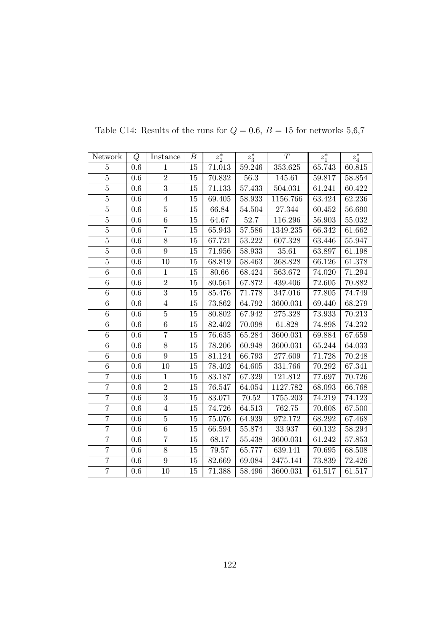| Network        | Q       | Instance       | В      | $z_2^*$    | $z_3^*$  | T        | $z_1^*$ | $z_4^*$ |
|----------------|---------|----------------|--------|------------|----------|----------|---------|---------|
| $\overline{5}$ | 0.6     | $\mathbf{1}$   | 15     | $71.013\,$ | 59.246   | 353.625  | 65.743  | 60.815  |
| $\overline{5}$ | $0.6\,$ | $\overline{2}$ | $15\,$ | 70.832     | $56.3\,$ | 145.61   | 59.817  | 58.854  |
| $\overline{5}$ | 0.6     | $\overline{3}$ | 15     | 71.133     | 57.433   | 504.031  | 61.241  | 60.422  |
| $\overline{5}$ | 0.6     | $\overline{4}$ | 15     | 69.405     | 58.933   | 1156.766 | 63.424  | 62.236  |
| $\overline{5}$ | $0.6\,$ | $\overline{5}$ | 15     | 66.84      | 54.504   | 27.344   | 60.452  | 56.690  |
| $\overline{5}$ | $0.6\,$ | $\sqrt{6}$     | 15     | 64.67      | 52.7     | 116.296  | 56.903  | 55.032  |
| $\overline{5}$ | $0.6\,$ | $\overline{7}$ | $15\,$ | 65.943     | 57.586   | 1349.235 | 66.342  | 61.662  |
| $\overline{5}$ | 0.6     | $\overline{8}$ | 15     | 67.721     | 53.222   | 607.328  | 63.446  | 55.947  |
| $\overline{5}$ | 0.6     | $\overline{9}$ | 15     | 71.956     | 58.933   | 35.61    | 63.897  | 61.198  |
| $\overline{5}$ | $0.6\,$ | 10             | 15     | 68.819     | 58.463   | 368.828  | 66.126  | 61.378  |
| 6              | 0.6     | $\mathbf{1}$   | 15     | 80.66      | 68.424   | 563.672  | 74.020  | 71.294  |
| $\,6\,$        | 0.6     | $\overline{2}$ | $15\,$ | 80.561     | 67.872   | 439.406  | 72.605  | 70.882  |
| 6              | 0.6     | $\overline{3}$ | 15     | 85.476     | 71.778   | 347.016  | 77.805  | 74.749  |
| $\overline{6}$ | $0.6\,$ | $\sqrt{4}$     | 15     | 73.862     | 64.792   | 3600.031 | 69.440  | 68.279  |
| $\,6$          | 0.6     | $\bf 5$        | 15     | 80.802     | 67.942   | 275.328  | 73.933  | 70.213  |
| $\overline{6}$ | 0.6     | 6              | 15     | 82.402     | 70.098   | 61.828   | 74.898  | 74.232  |
| $\overline{6}$ | $0.6\,$ | $\overline{7}$ | 15     | 76.635     | 65.284   | 3600.031 | 69.884  | 67.659  |
| $\,6$          | $0.6\,$ | $8\,$          | 15     | 78.206     | 60.948   | 3600.031 | 65.244  | 64.033  |
| $\overline{6}$ | 0.6     | $\overline{9}$ | 15     | 81.124     | 66.793   | 277.609  | 71.728  | 70.248  |
| $\,6$          | $0.6\,$ | 10             | 15     | 78.402     | 64.605   | 331.766  | 70.292  | 67.341  |
| $\overline{7}$ | 0.6     | $\overline{1}$ | 15     | 83.187     | 67.329   | 121.812  | 77.697  | 70.726  |
| $\overline{7}$ | 0.6     | $\overline{2}$ | 15     | 76.547     | 64.054   | 1127.782 | 68.093  | 66.768  |
| $\overline{7}$ | $0.6\,$ | $\overline{3}$ | $15\,$ | 83.071     | 70.52    | 1755.203 | 74.219  | 74.123  |
| $\overline{7}$ | 0.6     | $\overline{4}$ | $15\,$ | 74.726     | 64.513   | 762.75   | 70.608  | 67.500  |
| $\overline{7}$ | 0.6     | $\bf 5$        | 15     | 75.076     | 64.939   | 972.172  | 68.292  | 67.468  |
| $\overline{7}$ | 0.6     | $\overline{6}$ | 15     | 66.594     | 55.874   | 33.937   | 60.132  | 58.294  |
| $\overline{7}$ | 0.6     | $\overline{7}$ | $15\,$ | 68.17      | 55.438   | 3600.031 | 61.242  | 57.853  |
| $\overline{7}$ | 0.6     | 8              | 15     | 79.57      | 65.777   | 639.141  | 70.695  | 68.508  |
| $\overline{7}$ | 0.6     | $\overline{9}$ | 15     | 82.669     | 69.084   | 2475.141 | 73.839  | 72.426  |
| $\overline{7}$ | 0.6     | 10             | 15     | 71.388     | 58.496   | 3600.031 | 61.517  | 61.517  |

Table C14: Results of the runs for  $Q = 0.6$ ,  $B = 15$  for networks 5,6,7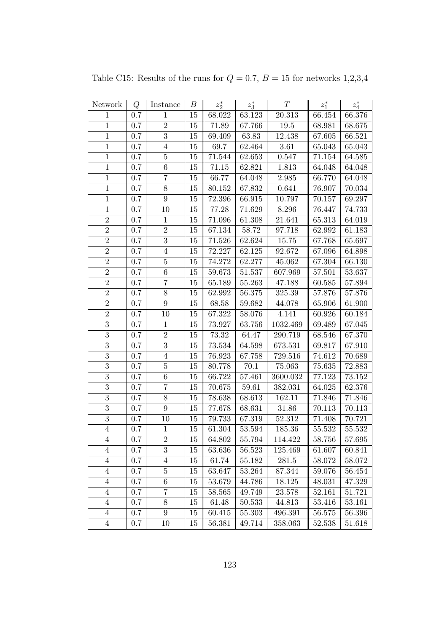| Network        | Q       | Instance         | В      | $z_2^*$ | $z_3^\ast$ | T                   | $z_1^\ast$ | $z_4^\ast$ |
|----------------|---------|------------------|--------|---------|------------|---------------------|------------|------------|
| $\mathbf{1}$   | 0.7     | $\mathbf{1}$     | 15     | 68.022  | 63.123     | $\overline{20.313}$ | 66.454     | 66.376     |
| $\,1\,$        | $0.7\,$ | $\overline{2}$   | $15\,$ | 71.89   | 67.766     | $19.5\,$            | 68.981     | 68.675     |
| $\,1$          | 0.7     | $\sqrt{3}$       | 15     | 69.409  | 63.83      | 12.438              | 67.605     | 66.521     |
| $\mathbf{1}$   | 0.7     | $\overline{4}$   | 15     | 69.7    | 62.464     | 3.61                | 65.043     | 65.043     |
| $1\,$          | 0.7     | $\bf 5$          | 15     | 71.544  | 62.653     | 0.547               | 71.154     | 64.585     |
| $\mathbf{1}$   | 0.7     | $\,6\,$          | 15     | 71.15   | 62.821     | 1.813               | 64.048     | 64.048     |
| $\mathbf{1}$   | 0.7     | $\overline{7}$   | 15     | 66.77   | 64.048     | $\phantom{-}2.985$  | 66.770     | 64.048     |
| $\,1$          | 0.7     | $8\,$            | $15\,$ | 80.152  | 67.832     | 0.641               | 76.907     | 70.034     |
| $\mathbf{1}$   | 0.7     | $\boldsymbol{9}$ | 15     | 72.396  | 66.915     | 10.797              | 70.157     | 69.297     |
| $\mathbf{1}$   | 0.7     | 10               | 15     | 77.28   | 71.629     | 8.296               | 76.447     | 74.733     |
| $\overline{2}$ | 0.7     | $1\,$            | 15     | 71.096  | 61.308     | 21.641              | 65.313     | 64.019     |
| $\overline{2}$ | $0.7\,$ | $\,2$            | 15     | 67.134  | 58.72      | 97.718              | 62.992     | 61.183     |
| $\overline{2}$ | 0.7     | $\sqrt{3}$       | 15     | 71.526  | 62.624     | 15.75               | 67.768     | 65.697     |
| $\overline{2}$ | 0.7     | $\overline{4}$   | 15     | 72.227  | 62.125     | 92.672              | 67.096     | 64.898     |
| $\overline{2}$ | 0.7     | $\bf 5$          | 15     | 74.272  | 62.277     | 45.062              | 67.304     | 66.130     |
| $\overline{2}$ | 0.7     | $\,6\,$          | 15     | 59.673  | $51.537\,$ | 607.969             | 57.501     | 53.637     |
| $\overline{2}$ | 0.7     | $\overline{7}$   | 15     | 65.189  | 55.263     | 47.188              | 60.585     | 57.894     |
| $\sqrt{2}$     | 0.7     | $8\,$            | 15     | 62.992  | 56.375     | 325.39              | 57.876     | 57.876     |
| $\overline{2}$ | 0.7     | $\boldsymbol{9}$ | $15\,$ | 68.58   | 59.682     | 44.078              | 65.906     | 61.900     |
| $\overline{2}$ | $0.7\,$ | 10               | $15\,$ | 67.322  | 58.076     | 4.141               | 60.926     | 60.184     |
| $\overline{3}$ | 0.7     | $\mathbf{1}$     | 15     | 73.927  | 63.756     | 1032.469            | 69.489     | 67.045     |
| $\overline{3}$ | 0.7     | $\overline{2}$   | 15     | 73.32   | 64.47      | 290.719             | 68.546     | 67.370     |
| $\overline{3}$ | 0.7     | $\overline{3}$   | 15     | 73.534  | 64.598     | 673.531             | 69.817     | 67.910     |
| $\overline{3}$ | 0.7     | $\overline{4}$   | 15     | 76.923  | 67.758     | 729.516             | 74.612     | 70.689     |
| $\overline{3}$ | 0.7     | $\overline{5}$   | 15     | 80.778  | 70.1       | 75.063              | 75.635     | 72.883     |
| $\overline{3}$ | 0.7     | $\overline{6}$   | 15     | 66.722  | 57.461     | 3600.032            | 77.123     | 73.152     |
| $\overline{3}$ | 0.7     | $\overline{7}$   | 15     | 70.675  | 59.61      | 382.031             | 64.025     | 62.376     |
| $\overline{3}$ | 0.7     | $8\,$            | 15     | 78.638  | 68.613     | 162.11              | 71.846     | 71.846     |
| $\overline{3}$ | 0.7     | 9                | 15     | 77.678  | 68.631     | 31.86               | 70.113     | 70.113     |
| $\overline{3}$ | 0.7     | 10               | 15     | 79.733  | 67.319     | 52.312              | 71.408     | 70.721     |
| $\overline{4}$ | 0.7     | $\mathbf{1}$     | 15     | 61.304  | 53.594     | 185.36              | 55.532     | 55.532     |
| 4              | 0.7     | $\sqrt{2}$       | 15     | 64.802  | 55.794     | 114.422             | 58.756     | 57.695     |
| $\overline{4}$ | 0.7     | $\boldsymbol{3}$ | 15     | 63.636  | 56.523     | 125.469             | 61.607     | 60.841     |
| $\overline{4}$ | 0.7     | $\overline{4}$   | 15     | 61.74   | 55.182     | 281.5               | 58.072     | 58.072     |
| $\overline{4}$ | 0.7     | $\overline{5}$   | 15     | 63.647  | 53.264     | 87.344              | 59.076     | 56.454     |
| $\overline{4}$ | $0.7\,$ | $\,6\,$          | 15     | 53.679  | 44.786     | 18.125              | 48.031     | 47.329     |
| $\overline{4}$ | 0.7     | 7                | 15     | 58.565  | 49.749     | 23.578              | 52.161     | 51.721     |
| $\overline{4}$ | 0.7     | 8                | 15     | 61.48   | 50.533     | 44.813              | 53.416     | 53.161     |
| $\overline{4}$ | $0.7\,$ | $\boldsymbol{9}$ | 15     | 60.415  | 55.303     | 496.391             | 56.575     | 56.396     |
| $\overline{4}$ | $0.7\,$ | 10               | 15     | 56.381  | 49.714     | 358.063             | 52.538     | 51.618     |

Table C15: Results of the runs for  $Q = 0.7$ ,  $B = 15$  for networks 1,2,3,4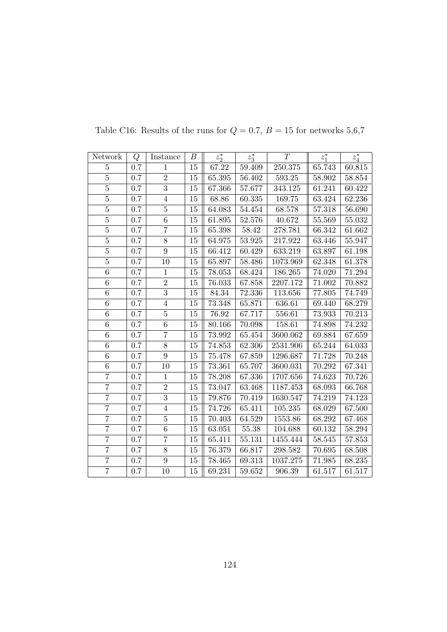| Network        | Q       | Instance       | В      | $z_2^*$    | $z_3^*$    | T          | $z_1^*$    | $z_4^*$    |
|----------------|---------|----------------|--------|------------|------------|------------|------------|------------|
| $\overline{5}$ | 0.7     | 1              | 15     | 67.22      | 59.409     | 250.375    | 65.743     | 60.815     |
| $\overline{5}$ | $0.7\,$ | $\overline{2}$ | $15\,$ | 65.395     | $56.402\,$ | $593.25\,$ | 58.902     | 58.854     |
| $\overline{5}$ | 0.7     | $\overline{3}$ | 15     | 67.366     | 57.677     | 343.125    | 61.241     | 60.422     |
| $\overline{5}$ | 0.7     | $\overline{4}$ | 15     | $68.86\,$  | 60.335     | 169.75     | 63.424     | 62.236     |
| $\overline{5}$ | 0.7     | $\overline{5}$ | 15     | 64.083     | 54.454     | 68.578     | 57.318     | 56.690     |
| $\overline{5}$ | $0.7\,$ | 6              | 15     | 61.895     | 52.576     | 40.672     | 55.569     | 55.032     |
| $\overline{5}$ | $0.7\,$ | $\overline{7}$ | 15     | 65.398     | $58.42\,$  | 278.781    | 66.342     | 61.662     |
| $\overline{5}$ | 0.7     | $8\,$          | 15     | 64.975     | 53.925     | 217.922    | 63.446     | 55.947     |
| $\overline{5}$ | 0.7     | $\overline{9}$ | 15     | 66.412     | 60.429     | 633.219    | 63.897     | 61.198     |
| $\overline{5}$ | $0.7\,$ | 10             | 15     | 65.897     | 58.486     | 1073.969   | 62.348     | 61.378     |
| 6              | 0.7     | $\mathbf{1}$   | 15     | 78.053     | 68.424     | 186.265    | 74.020     | 71.294     |
| $\,6\,$        | $0.7\,$ | $\overline{2}$ | 15     | 76.033     | 67.858     | 2207.172   | $71.002\,$ | 70.882     |
| 6              | 0.7     | $\overline{3}$ | 15     | 84.34      | 72.336     | 113.656    | 77.805     | 74.749     |
| $\overline{6}$ | $0.7\,$ | $\sqrt{4}$     | 15     | 73.348     | 65.871     | 636.61     | 69.440     | 68.279     |
| $\,6$          | 0.7     | $\bf 5$        | 15     | 76.92      | 67.717     | 556.61     | 73.933     | 70.213     |
| 6              | 0.7     | 6              | 15     | 80.166     | 70.098     | 158.61     | 74.898     | 74.232     |
| $\overline{6}$ | $0.7\,$ | $\overline{7}$ | 15     | $73.992\,$ | 65.454     | 3600.062   | 69.884     | 67.659     |
| $\,6\,$        | $0.7\,$ | $8\,$          | 15     | 74.853     | 62.306     | 2531.906   | 65.244     | 64.033     |
| $\overline{6}$ | $0.7\,$ | $\overline{9}$ | 15     | 75.478     | 67.859     | 1296.687   | 71.728     | 70.248     |
| $\,6\,$        | $0.7\,$ | 10             | 15     | 73.361     | 65.707     | 3600.031   | 70.292     | 67.341     |
| $\overline{7}$ | 0.7     | $\mathbf{1}$   | 15     | 78.208     | 67.336     | 1707.656   | 74.623     | 70.726     |
| $\overline{7}$ | 0.7     | $\overline{2}$ | 15     | 73.047     | 63.468     | 1187.453   | 68.093     | 66.768     |
| $\overline{7}$ | $0.7\,$ | $\overline{3}$ | 15     | 79.876     | 70.419     | 1630.547   | 74.219     | 74.123     |
| $\overline{7}$ | $0.7\,$ | $\overline{4}$ | 15     | 74.726     | 65.411     | 105.235    | 68.029     | 67.500     |
| $\overline{7}$ | $0.7\,$ | $\bf 5$        | 15     | 70.403     | 64.529     | 1553.86    | 68.292     | 67.468     |
| $\overline{7}$ | 0.7     | $\overline{6}$ | 15     | 63.051     | $55.38\,$  | 104.688    | 60.132     | 58.294     |
| $\overline{7}$ | 0.7     | $\overline{7}$ | 15     | 65.411     | 55.131     | 1455.444   | 58.545     | $57.853\,$ |
| $\overline{7}$ | 0.7     | $8\,$          | 15     | 76.379     | 66.817     | 298.582    | 70.695     | 68.508     |
| $\overline{7}$ | $0.7\,$ | $\overline{9}$ | 15     | 78.465     | 69.313     | 1037.275   | 71.985     | 68.235     |
| $\overline{7}$ | 0.7     | 10             | 15     | 69.231     | 59.652     | 906.39     | 61.517     | 61.517     |

Table C16: Results of the runs for  $Q = 0.7$ ,  $B = 15$  for networks 5,6,7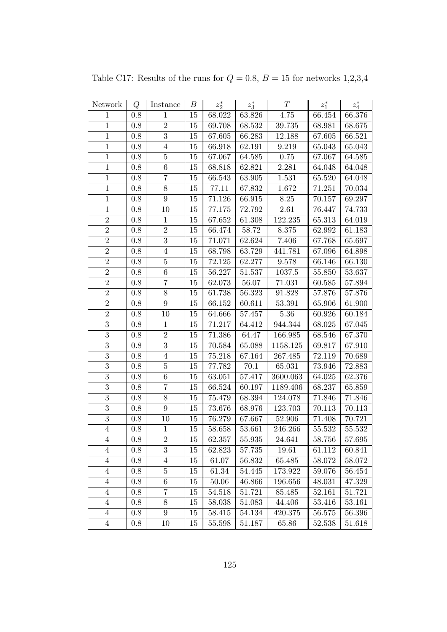| Network        | Q       | Instance         | В      | $z_2^\ast$ | $z_3^\ast$ | T          | $z_1^\ast$ | $z_4^\ast$ |
|----------------|---------|------------------|--------|------------|------------|------------|------------|------------|
| $\mathbf{1}$   | $0.8\,$ | $\mathbf{1}$     | 15     | 68.022     | 63.826     | 4.75       | 66.454     | 66.376     |
| $\mathbf{1}$   | $0.8\,$ | $\overline{2}$   | 15     | 69.708     | 68.532     | 39.735     | 68.981     | 68.675     |
| $\,1$          | 0.8     | $\sqrt{3}$       | 15     | 67.605     | 66.283     | 12.188     | 67.605     | 66.521     |
| $\mathbf{1}$   | $0.8\,$ | $\overline{4}$   | 15     | 66.918     | 62.191     | 9.219      | 65.043     | 65.043     |
| $\mathbf{1}$   | 0.8     | $\bf 5$          | 15     | 67.067     | 64.585     | 0.75       | 67.067     | 64.585     |
| $\,1$          | $0.8\,$ | $\,6\,$          | 15     | 68.818     | 62.821     | 2.281      | 64.048     | 64.048     |
| $\mathbf{1}$   | $0.8\,$ | $\overline{7}$   | 15     | 66.543     | $63.905\,$ | 1.531      | 65.520     | 64.048     |
| $\,1$          | 0.8     | $8\,$            | 15     | 77.11      | 67.832     | 1.672      | 71.251     | 70.034     |
| $\,1$          | 0.8     | $\boldsymbol{9}$ | 15     | 71.126     | 66.915     | 8.25       | 70.157     | 69.297     |
| $\mathbf{1}$   | $0.8\,$ | 10               | 15     | 77.175     | 72.792     | 2.61       | 76.447     | 74.733     |
| $\overline{2}$ | 0.8     | $\mathbf 1$      | $15\,$ | 67.652     | 61.308     | 122.235    | 65.313     | 64.019     |
| $\overline{2}$ | $0.8\,$ | $\,2$            | 15     | 66.474     | 58.72      | 8.375      | 62.992     | 61.183     |
| $\overline{2}$ | $0.8\,$ | $\sqrt{3}$       | 15     | 71.071     | $62.624\,$ | 7.406      | 67.768     | 65.697     |
| $\overline{2}$ | $0.8\,$ | $\,4\,$          | 15     | 68.798     | 63.729     | 441.781    | 67.096     | 64.898     |
| $\overline{2}$ | $0.8\,$ | $\bf 5$          | 15     | 72.125     | 62.277     | 9.578      | 66.146     | 66.130     |
| $\overline{2}$ | 0.8     | $\,6\,$          | 15     | 56.227     | 51.537     | 1037.5     | 55.850     | 53.637     |
| $\overline{2}$ | $0.8\,$ | $\overline{7}$   | $15\,$ | 62.073     | $56.07\,$  | 71.031     | 60.585     | 57.894     |
| $\overline{2}$ | $0.8\,$ | $8\,$            | 15     | 61.738     | 56.323     | 91.828     | 57.876     | 57.876     |
| $\overline{2}$ | 0.8     | $\boldsymbol{9}$ | 15     | 66.152     | 60.611     | $53.391\,$ | 65.906     | 61.900     |
| $\overline{2}$ | $0.8\,$ | 10               | $15\,$ | 64.666     | $57.457\,$ | 5.36       | 60.926     | 60.184     |
| $\overline{3}$ | $0.8\,$ | $\mathbf{1}$     | 15     | 71.217     | 64.412     | 944.344    | 68.025     | 67.045     |
| $\overline{3}$ | 0.8     | $\overline{2}$   | 15     | 71.386     | 64.47      | 166.985    | 68.546     | 67.370     |
| $\overline{3}$ | $0.8\,$ | $\sqrt{3}$       | 15     | 70.584     | 65.088     | 1158.125   | 69.817     | 67.910     |
| $\overline{3}$ | 0.8     | $\overline{4}$   | 15     | 75.218     | 67.164     | 267.485    | 72.119     | 70.689     |
| $\overline{3}$ | 0.8     | $\bf 5$          | 15     | 77.782     | 70.1       | 65.031     | 73.946     | 72.883     |
| $\overline{3}$ | $0.8\,$ | $\,6\,$          | 15     | 63.051     | $57.417\,$ | 3600.063   | 64.025     | 62.376     |
| $\overline{3}$ | $0.8\,$ | $\overline{7}$   | 15     | 66.524     | 60.197     | 1189.406   | 68.237     | 65.859     |
| $\overline{3}$ | 0.8     | $8\,$            | 15     | 75.479     | 68.394     | 124.078    | 71.846     | 71.846     |
| $\overline{3}$ | $0.8\,$ | 9                | 15     | 73.676     | 68.976     | 123.703    | 70.113     | 70.113     |
| $\overline{3}$ | 0.8     | 10               | 15     | 76.279     | 67.667     | 52.906     | 71.408     | 70.721     |
| $\,4\,$        | 0.8     | $\mathbf{1}$     | 15     | 58.658     | 53.661     | 246.266    | 55.532     | 55.532     |
| 4              | 0.8     | $\sqrt{2}$       | 15     | 62.357     | 55.935     | 24.641     | 58.756     | 57.695     |
| $\overline{4}$ | 0.8     | $\boldsymbol{3}$ | 15     | 62.823     | 57.735     | 19.61      | 61.112     | 60.841     |
| 4              | 0.8     | $\overline{4}$   | 15     | 61.07      | 56.832     | 65.485     | 58.072     | 58.072     |
| $\overline{4}$ | 0.8     | $\bf 5$          | 15     | 61.34      | 54.445     | 173.922    | 59.076     | 56.454     |
| $\overline{4}$ | 0.8     | $\,6$            | 15     | $50.06\,$  | 46.866     | 196.656    | 48.031     | 47.329     |
| $\overline{4}$ | 0.8     | 7                | 15     | 54.518     | 51.721     | 85.485     | 52.161     | 51.721     |
| $\overline{4}$ | 0.8     | $8\,$            | 15     | 58.038     | 51.083     | 44.406     | 53.416     | 53.161     |
| $\overline{4}$ | 0.8     | $\boldsymbol{9}$ | 15     | 58.415     | 54.134     | 420.375    | 56.575     | 56.396     |
| $\overline{4}$ | 0.8     | 10               | 15     | 55.598     | 51.187     | 65.86      | 52.538     | 51.618     |

Table C17: Results of the runs for  $Q = 0.8$ ,  $B = 15$  for networks 1,2,3,4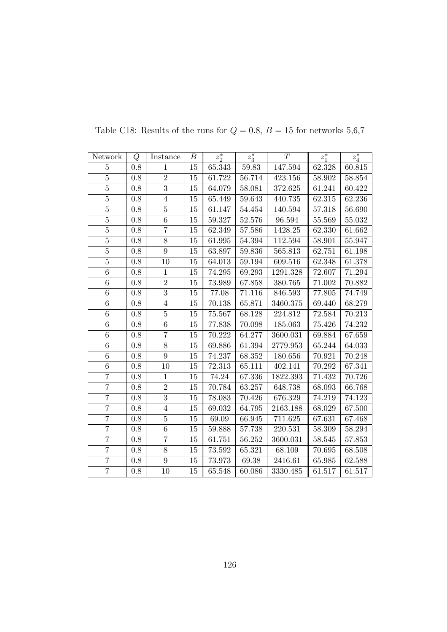| Network        | Q       | Instance       | В      | $z_2^*$ | $z_3^*$    | T        | $z_1^*$ | $z_4^\ast$ |
|----------------|---------|----------------|--------|---------|------------|----------|---------|------------|
| $\overline{5}$ | 0.8     | 1              | 15     | 65.343  | 59.83      | 147.594  | 62.328  | 60.815     |
| $\overline{5}$ | $0.8\,$ | $\overline{2}$ | $15\,$ | 61.722  | $56.714\,$ | 423.156  | 58.902  | 58.854     |
| $\overline{5}$ | 0.8     | $\overline{3}$ | 15     | 64.079  | 58.081     | 372.625  | 61.241  | 60.422     |
| $\overline{5}$ | 0.8     | $\overline{4}$ | 15     | 65.449  | 59.643     | 440.735  | 62.315  | 62.236     |
| $\overline{5}$ | 0.8     | $\overline{5}$ | 15     | 61.147  | 54.454     | 140.594  | 57.318  | 56.690     |
| $\overline{5}$ | 0.8     | 6              | 15     | 59.327  | 52.576     | 96.594   | 55.569  | 55.032     |
| $\overline{5}$ | $0.8\,$ | $\overline{7}$ | 15     | 62.349  | 57.586     | 1428.25  | 62.330  | 61.662     |
| $\overline{5}$ | $0.8\,$ | $8\,$          | 15     | 61.995  | 54.394     | 112.594  | 58.901  | 55.947     |
| $\overline{5}$ | 0.8     | $\overline{9}$ | 15     | 63.897  | 59.836     | 565.813  | 62.751  | 61.198     |
| $\overline{5}$ | 0.8     | 10             | 15     | 64.013  | 59.194     | 609.516  | 62.348  | 61.378     |
| $\overline{6}$ | $0.8\,$ | $\mathbf{1}$   | 15     | 74.295  | 69.293     | 1291.328 | 72.607  | 71.294     |
| $\overline{6}$ | $0.8\,$ | $\overline{2}$ | 15     | 73.989  | 67.858     | 380.765  | 71.002  | 70.882     |
| $\,6\,$        | 0.8     | $\overline{3}$ | 15     | 77.08   | 71.116     | 846.593  | 77.805  | 74.749     |
| $\overline{6}$ | $0.8\,$ | $\overline{4}$ | 15     | 70.138  | 65.871     | 3460.375 | 69.440  | 68.279     |
| $\overline{6}$ | 0.8     | $\overline{5}$ | 15     | 75.567  | 68.128     | 224.812  | 72.584  | 70.213     |
| 6              | 0.8     | 6              | 15     | 77.838  | 70.098     | 185.063  | 75.426  | 74.232     |
| $\overline{6}$ | 0.8     | $\overline{7}$ | $15\,$ | 70.222  | 64.277     | 3600.031 | 69.884  | 67.659     |
| 6              | 0.8     | 8              | 15     | 69.886  | 61.394     | 2779.953 | 65.244  | 64.033     |
| $\overline{6}$ | $0.8\,$ | $\overline{9}$ | 15     | 74.237  | 68.352     | 180.656  | 70.921  | 70.248     |
| $\overline{6}$ | 0.8     | 10             | 15     | 72.313  | 65.111     | 402.141  | 70.292  | 67.341     |
| $\overline{7}$ | 0.8     | $\mathbf{1}$   | 15     | 74.24   | 67.336     | 1822.393 | 71.432  | 70.726     |
| $\overline{7}$ | 0.8     | $\sqrt{2}$     | $15\,$ | 70.784  | 63.257     | 648.738  | 68.093  | 66.768     |
| $\overline{7}$ | 0.8     | $\overline{3}$ | 15     | 78.083  | $70.426\,$ | 676.329  | 74.219  | 74.123     |
| $\overline{7}$ | 0.8     | $\overline{4}$ | 15     | 69.032  | 64.795     | 2163.188 | 68.029  | 67.500     |
| $\overline{7}$ | 0.8     | $\bf 5$        | 15     | 69.09   | 66.945     | 711.625  | 67.631  | 67.468     |
| $\overline{7}$ | $0.8\,$ | 6              | 15     | 59.888  | 57.738     | 220.531  | 58.309  | 58.294     |
| $\overline{7}$ | 0.8     | $\overline{7}$ | $15\,$ | 61.751  | 56.252     | 3600.031 | 58.545  | 57.853     |
| $\overline{7}$ | $0.8\,$ | $8\,$          | 15     | 73.592  | 65.321     | 68.109   | 70.695  | 68.508     |
| $\overline{7}$ | $0.8\,$ | $\overline{9}$ | 15     | 73.973  | 69.38      | 2416.61  | 65.985  | 62.588     |
| $\overline{7}$ | 0.8     | 10             | 15     | 65.548  | 60.086     | 3330.485 | 61.517  | 61.517     |

Table C18: Results of the runs for  $Q=0.8,\,B=15$  for networks  $5,6,7$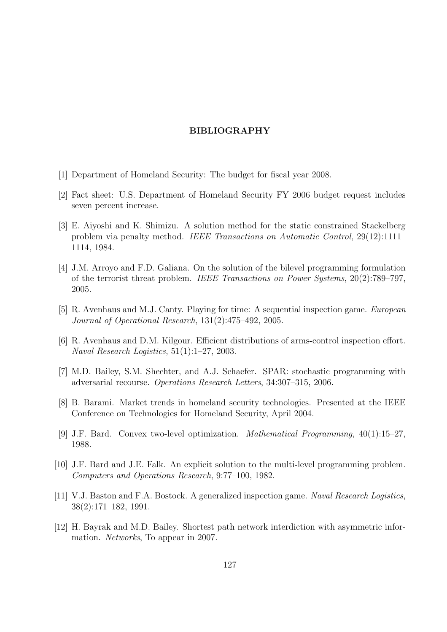## BIBLIOGRAPHY

- [1] Department of Homeland Security: The budget for fiscal year 2008.
- [2] Fact sheet: U.S. Department of Homeland Security FY 2006 budget request includes seven percent increase.
- [3] E. Aiyoshi and K. Shimizu. A solution method for the static constrained Stackelberg problem via penalty method. IEEE Transactions on Automatic Control, 29(12):1111– 1114, 1984.
- [4] J.M. Arroyo and F.D. Galiana. On the solution of the bilevel programming formulation of the terrorist threat problem. IEEE Transactions on Power Systems, 20(2):789–797, 2005.
- [5] R. Avenhaus and M.J. Canty. Playing for time: A sequential inspection game. European Journal of Operational Research, 131(2):475–492, 2005.
- [6] R. Avenhaus and D.M. Kilgour. Efficient distributions of arms-control inspection effort. Naval Research Logistics, 51(1):1–27, 2003.
- [7] M.D. Bailey, S.M. Shechter, and A.J. Schaefer. SPAR: stochastic programming with adversarial recourse. Operations Research Letters, 34:307–315, 2006.
- [8] B. Barami. Market trends in homeland security technologies. Presented at the IEEE Conference on Technologies for Homeland Security, April 2004.
- [9] J.F. Bard. Convex two-level optimization. Mathematical Programming, 40(1):15–27, 1988.
- [10] J.F. Bard and J.E. Falk. An explicit solution to the multi-level programming problem. Computers and Operations Research, 9:77–100, 1982.
- [11] V.J. Baston and F.A. Bostock. A generalized inspection game. Naval Research Logistics, 38(2):171–182, 1991.
- [12] H. Bayrak and M.D. Bailey. Shortest path network interdiction with asymmetric information. Networks, To appear in 2007.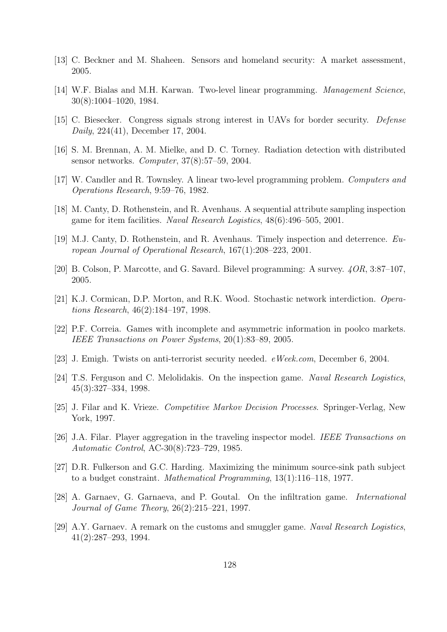- [13] C. Beckner and M. Shaheen. Sensors and homeland security: A market assessment, 2005.
- [14] W.F. Bialas and M.H. Karwan. Two-level linear programming. Management Science, 30(8):1004–1020, 1984.
- [15] C. Biesecker. Congress signals strong interest in UAVs for border security. Defense Daily, 224(41), December 17, 2004.
- [16] S. M. Brennan, A. M. Mielke, and D. C. Torney. Radiation detection with distributed sensor networks. Computer, 37(8):57–59, 2004.
- [17] W. Candler and R. Townsley. A linear two-level programming problem. Computers and Operations Research, 9:59–76, 1982.
- [18] M. Canty, D. Rothenstein, and R. Avenhaus. A sequential attribute sampling inspection game for item facilities. Naval Research Logistics, 48(6):496–505, 2001.
- [19] M.J. Canty, D. Rothenstein, and R. Avenhaus. Timely inspection and deterrence. European Journal of Operational Research, 167(1):208–223, 2001.
- [20] B. Colson, P. Marcotte, and G. Savard. Bilevel programming: A survey. 4OR, 3:87–107, 2005.
- [21] K.J. Cormican, D.P. Morton, and R.K. Wood. Stochastic network interdiction. Operations Research, 46(2):184–197, 1998.
- [22] P.F. Correia. Games with incomplete and asymmetric information in poolco markets. IEEE Transactions on Power Systems, 20(1):83–89, 2005.
- [23] J. Emigh. Twists on anti-terrorist security needed. eWeek.com, December 6, 2004.
- [24] T.S. Ferguson and C. Melolidakis. On the inspection game. Naval Research Logistics, 45(3):327–334, 1998.
- [25] J. Filar and K. Vrieze. Competitive Markov Decision Processes. Springer-Verlag, New York, 1997.
- [26] J.A. Filar. Player aggregation in the traveling inspector model. IEEE Transactions on Automatic Control, AC-30(8):723–729, 1985.
- [27] D.R. Fulkerson and G.C. Harding. Maximizing the minimum source-sink path subject to a budget constraint. Mathematical Programming, 13(1):116–118, 1977.
- [28] A. Garnaev, G. Garnaeva, and P. Goutal. On the infiltration game. International Journal of Game Theory, 26(2):215–221, 1997.
- [29] A.Y. Garnaev. A remark on the customs and smuggler game. Naval Research Logistics, 41(2):287–293, 1994.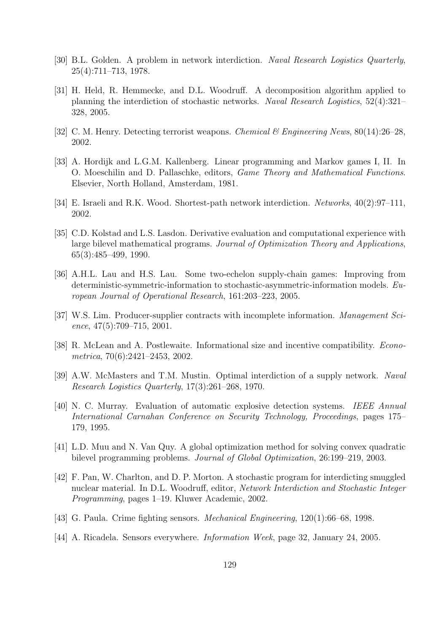- [30] B.L. Golden. A problem in network interdiction. Naval Research Logistics Quarterly, 25(4):711–713, 1978.
- [31] H. Held, R. Hemmecke, and D.L. Woodruff. A decomposition algorithm applied to planning the interdiction of stochastic networks. Naval Research Logistics, 52(4):321– 328, 2005.
- [32] C. M. Henry. Detecting terrorist weapons. Chemical & Engineering News, 80(14):26–28, 2002.
- [33] A. Hordijk and L.G.M. Kallenberg. Linear programming and Markov games I, II. In O. Moeschilin and D. Pallaschke, editors, Game Theory and Mathematical Functions. Elsevier, North Holland, Amsterdam, 1981.
- [34] E. Israeli and R.K. Wood. Shortest-path network interdiction. Networks, 40(2):97–111, 2002.
- [35] C.D. Kolstad and L.S. Lasdon. Derivative evaluation and computational experience with large bilevel mathematical programs. Journal of Optimization Theory and Applications, 65(3):485–499, 1990.
- [36] A.H.L. Lau and H.S. Lau. Some two-echelon supply-chain games: Improving from deterministic-symmetric-information to stochastic-asymmetric-information models. European Journal of Operational Research, 161:203–223, 2005.
- [37] W.S. Lim. Producer-supplier contracts with incomplete information. Management Science,  $47(5):709-715$ ,  $2001$ .
- [38] R. McLean and A. Postlewaite. Informational size and incentive compatibility. Econometrica, 70(6):2421–2453, 2002.
- [39] A.W. McMasters and T.M. Mustin. Optimal interdiction of a supply network. Naval Research Logistics Quarterly, 17(3):261–268, 1970.
- [40] N. C. Murray. Evaluation of automatic explosive detection systems. IEEE Annual International Carnahan Conference on Security Technology, Proceedings, pages 175– 179, 1995.
- [41] L.D. Muu and N. Van Quy. A global optimization method for solving convex quadratic bilevel programming problems. Journal of Global Optimization, 26:199–219, 2003.
- [42] F. Pan, W. Charlton, and D. P. Morton. A stochastic program for interdicting smuggled nuclear material. In D.L. Woodruff, editor, Network Interdiction and Stochastic Integer Programming, pages 1–19. Kluwer Academic, 2002.
- [43] G. Paula. Crime fighting sensors. Mechanical Engineering, 120(1):66–68, 1998.
- [44] A. Ricadela. Sensors everywhere. Information Week, page 32, January 24, 2005.